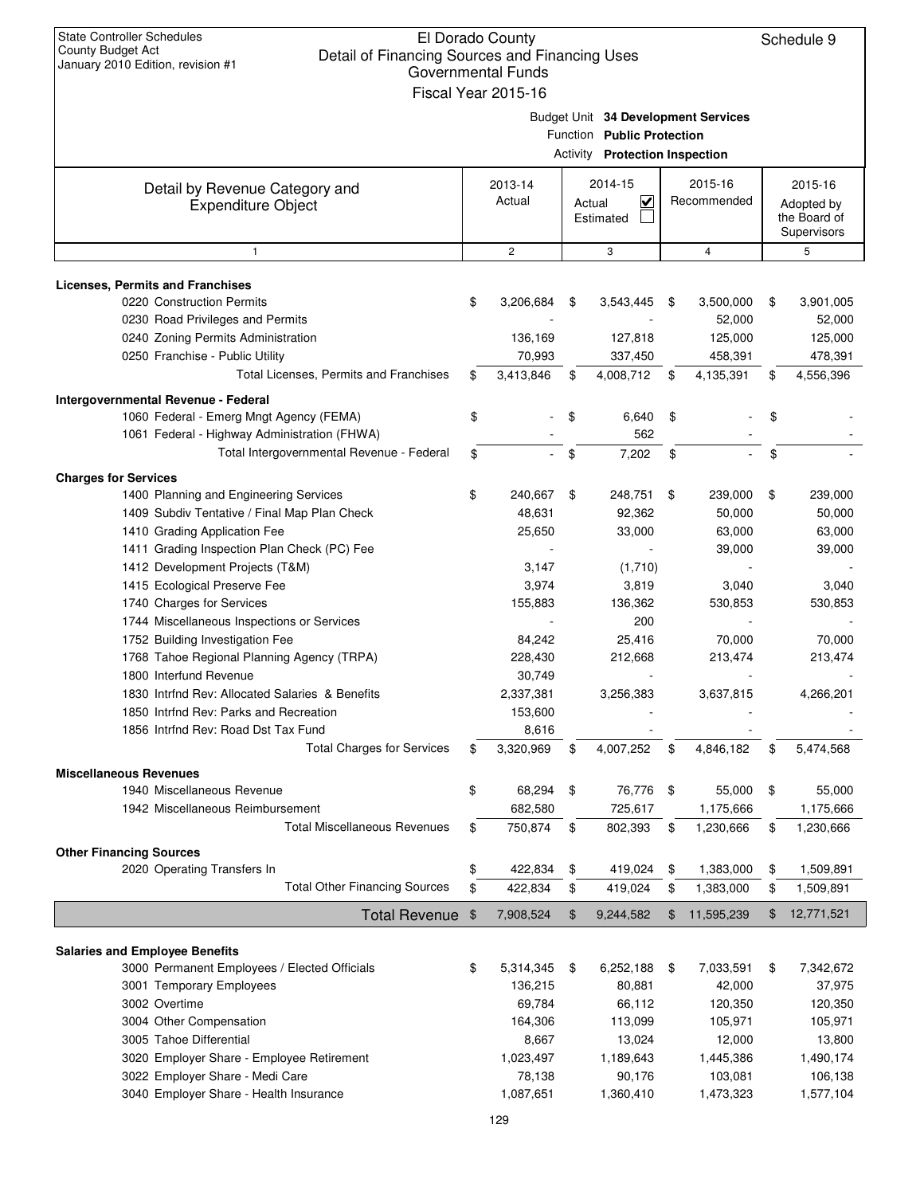| <b>State Controller Schedules</b><br>El Dorado County<br>County Budget Act<br>Detail of Financing Sources and Financing Uses<br>January 2010 Edition, revision #1<br><b>Governmental Funds</b><br>Fiscal Year 2015-16 |    |                     |        |                                                              |      |                                     |    |                                                      |  |
|-----------------------------------------------------------------------------------------------------------------------------------------------------------------------------------------------------------------------|----|---------------------|--------|--------------------------------------------------------------|------|-------------------------------------|----|------------------------------------------------------|--|
|                                                                                                                                                                                                                       |    |                     |        | Function Public Protection<br>Activity Protection Inspection |      | Budget Unit 34 Development Services |    |                                                      |  |
| Detail by Revenue Category and<br><b>Expenditure Object</b>                                                                                                                                                           |    | 2013-14<br>Actual   | Actual | 2014-15<br>$\overline{\mathbf{v}}$<br>Estimated              |      | 2015-16<br>Recommended              |    | 2015-16<br>Adopted by<br>the Board of<br>Supervisors |  |
| $\mathbf{1}$                                                                                                                                                                                                          |    | $\overline{c}$      |        | 3                                                            |      | $\overline{4}$                      |    | 5                                                    |  |
| Licenses, Permits and Franchises                                                                                                                                                                                      |    |                     |        |                                                              |      |                                     |    |                                                      |  |
| 0220 Construction Permits                                                                                                                                                                                             | \$ | 3,206,684           | \$     | 3,543,445                                                    | \$   | 3,500,000                           | \$ | 3,901,005                                            |  |
| 0230 Road Privileges and Permits                                                                                                                                                                                      |    |                     |        |                                                              |      | 52,000                              |    | 52,000                                               |  |
| 0240 Zoning Permits Administration                                                                                                                                                                                    |    | 136,169             |        | 127,818                                                      |      | 125,000                             |    | 125,000                                              |  |
| 0250 Franchise - Public Utility                                                                                                                                                                                       |    | 70,993              |        | 337,450                                                      |      | 458,391                             |    | 478,391                                              |  |
| Total Licenses, Permits and Franchises                                                                                                                                                                                | \$ | 3,413,846           | \$     | 4,008,712                                                    | \$   | 4,135,391                           | \$ | 4,556,396                                            |  |
| Intergovernmental Revenue - Federal                                                                                                                                                                                   |    |                     |        |                                                              |      |                                     |    |                                                      |  |
| 1060 Federal - Emerg Mngt Agency (FEMA)                                                                                                                                                                               | \$ |                     | \$     | 6,640                                                        | \$   |                                     | \$ |                                                      |  |
| 1061 Federal - Highway Administration (FHWA)                                                                                                                                                                          |    |                     |        | 562                                                          |      |                                     |    |                                                      |  |
| Total Intergovernmental Revenue - Federal                                                                                                                                                                             | \$ |                     | \$     | 7,202                                                        | \$   |                                     | \$ |                                                      |  |
| <b>Charges for Services</b>                                                                                                                                                                                           |    |                     |        |                                                              |      |                                     |    |                                                      |  |
| 1400 Planning and Engineering Services                                                                                                                                                                                | \$ | 240,667             | \$     | 248,751                                                      | \$   | 239,000                             | \$ | 239,000                                              |  |
| 1409 Subdiv Tentative / Final Map Plan Check                                                                                                                                                                          |    | 48,631              |        | 92,362                                                       |      | 50,000                              |    | 50,000                                               |  |
| 1410 Grading Application Fee                                                                                                                                                                                          |    | 25,650              |        | 33,000                                                       |      | 63,000                              |    | 63,000                                               |  |
| 1411 Grading Inspection Plan Check (PC) Fee                                                                                                                                                                           |    |                     |        |                                                              |      | 39,000                              |    | 39,000                                               |  |
| 1412 Development Projects (T&M)                                                                                                                                                                                       |    | 3,147               |        | (1,710)                                                      |      |                                     |    |                                                      |  |
| 1415 Ecological Preserve Fee<br>1740 Charges for Services                                                                                                                                                             |    | 3,974<br>155,883    |        | 3,819<br>136,362                                             |      | 3,040<br>530,853                    |    | 3,040<br>530,853                                     |  |
| 1744 Miscellaneous Inspections or Services                                                                                                                                                                            |    |                     |        | 200                                                          |      |                                     |    |                                                      |  |
| 1752 Building Investigation Fee                                                                                                                                                                                       |    | 84,242              |        | 25,416                                                       |      | 70,000                              |    | 70,000                                               |  |
| 1768 Tahoe Regional Planning Agency (TRPA)                                                                                                                                                                            |    | 228,430             |        | 212,668                                                      |      | 213,474                             |    | 213,474                                              |  |
| 1800 Interfund Revenue                                                                                                                                                                                                |    | 30,749              |        |                                                              |      |                                     |    |                                                      |  |
| 1830 Intrfnd Rev: Allocated Salaries & Benefits                                                                                                                                                                       |    | 2,337,381           |        | 3,256,383                                                    |      | 3,637,815                           |    | 4,266,201                                            |  |
| 1850 Intrfnd Rev: Parks and Recreation                                                                                                                                                                                |    | 153,600             |        |                                                              |      |                                     |    |                                                      |  |
| 1856 Intrfnd Rev: Road Dst Tax Fund                                                                                                                                                                                   |    | 8,616               |        |                                                              |      |                                     |    |                                                      |  |
| <b>Total Charges for Services</b>                                                                                                                                                                                     | \$ | 3,320,969           | \$     | 4,007,252                                                    | \$   | 4,846,182                           | \$ | 5,474,568                                            |  |
| <b>Miscellaneous Revenues</b>                                                                                                                                                                                         |    |                     |        |                                                              |      |                                     |    |                                                      |  |
| 1940 Miscellaneous Revenue                                                                                                                                                                                            | \$ | 68,294              | \$     | 76,776                                                       | - \$ | 55,000                              | \$ | 55,000                                               |  |
| 1942 Miscellaneous Reimbursement                                                                                                                                                                                      |    | 682,580             |        | 725,617                                                      |      | 1,175,666                           |    | 1,175,666                                            |  |
| <b>Total Miscellaneous Revenues</b>                                                                                                                                                                                   | \$ | 750,874             | \$     | 802,393                                                      | \$   | 1,230,666                           | \$ | 1,230,666                                            |  |
| <b>Other Financing Sources</b>                                                                                                                                                                                        |    |                     |        |                                                              |      |                                     |    |                                                      |  |
| 2020 Operating Transfers In                                                                                                                                                                                           | \$ | 422,834             | \$     | 419,024                                                      | \$   | 1,383,000                           | \$ | 1,509,891                                            |  |
| <b>Total Other Financing Sources</b>                                                                                                                                                                                  | \$ | 422,834             | \$     | 419,024                                                      | \$   | 1,383,000                           | \$ | 1,509,891                                            |  |
| <b>Total Revenue</b>                                                                                                                                                                                                  | \$ | 7,908,524           | \$     | 9,244,582                                                    | \$   | 11,595,239                          | \$ | 12,771,521                                           |  |
|                                                                                                                                                                                                                       |    |                     |        |                                                              |      |                                     |    |                                                      |  |
| <b>Salaries and Employee Benefits</b>                                                                                                                                                                                 |    |                     |        |                                                              |      |                                     |    |                                                      |  |
| 3000 Permanent Employees / Elected Officials                                                                                                                                                                          | \$ | 5,314,345           | \$     | 6,252,188                                                    | \$   | 7,033,591                           | \$ | 7,342,672                                            |  |
| 3001 Temporary Employees                                                                                                                                                                                              |    | 136,215             |        | 80,881                                                       |      | 42,000                              |    | 37,975                                               |  |
| 3002 Overtime                                                                                                                                                                                                         |    | 69,784              |        | 66,112                                                       |      | 120,350                             |    | 120,350                                              |  |
| 3004 Other Compensation                                                                                                                                                                                               |    | 164,306             |        | 113,099                                                      |      | 105,971                             |    | 105,971                                              |  |
| 3005 Tahoe Differential                                                                                                                                                                                               |    | 8,667               |        | 13,024                                                       |      | 12,000                              |    | 13,800                                               |  |
| 3020 Employer Share - Employee Retirement<br>3022 Employer Share - Medi Care                                                                                                                                          |    | 1,023,497<br>78,138 |        | 1,189,643<br>90,176                                          |      | 1,445,386<br>103,081                |    | 1,490,174                                            |  |
| 3040 Employer Share - Health Insurance                                                                                                                                                                                |    | 1,087,651           |        | 1,360,410                                                    |      | 1,473,323                           |    | 106,138<br>1,577,104                                 |  |
|                                                                                                                                                                                                                       |    |                     |        |                                                              |      |                                     |    |                                                      |  |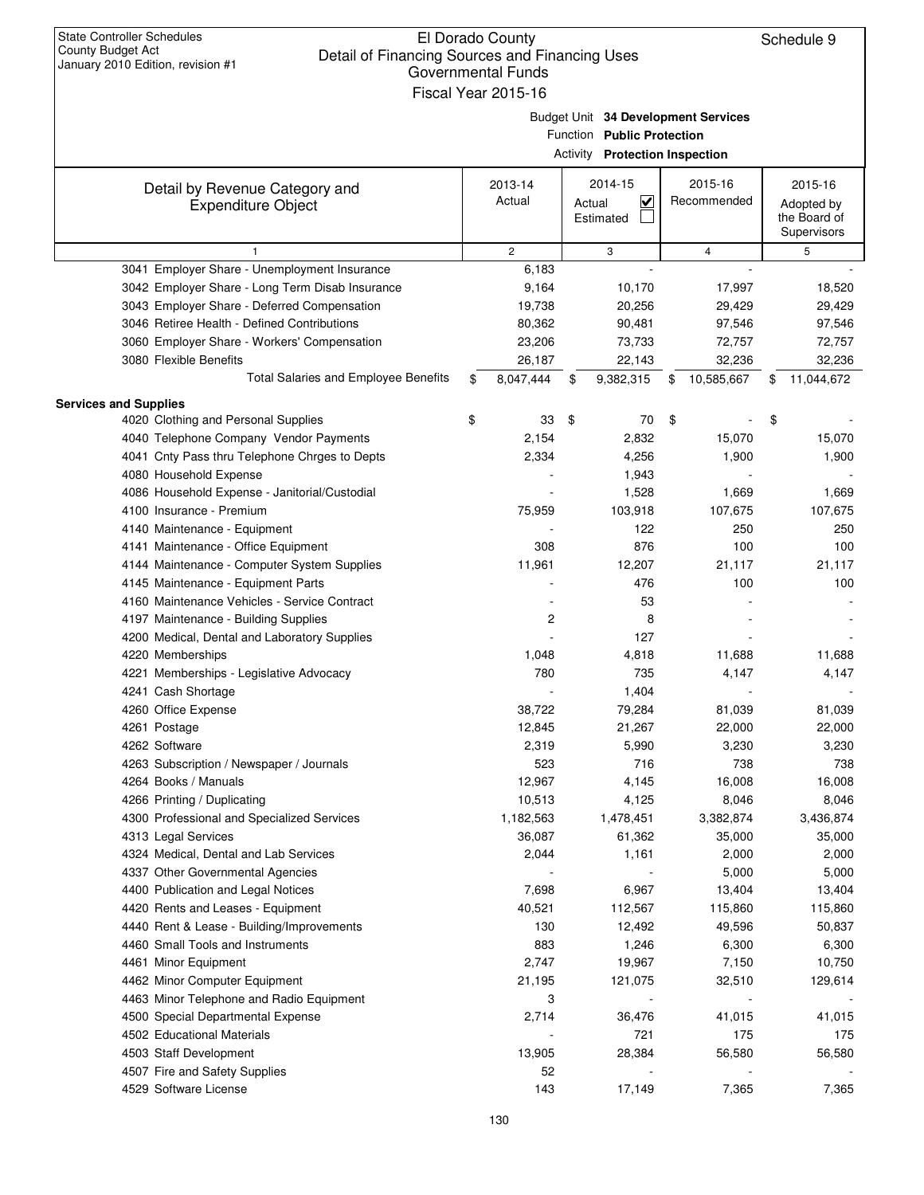| January 2010 Edition, revision #1               | Governmental Funds  |                                                                   |                  |                            |     |
|-------------------------------------------------|---------------------|-------------------------------------------------------------------|------------------|----------------------------|-----|
|                                                 | Fiscal Year 2015-16 |                                                                   |                  |                            |     |
|                                                 |                     | Budget Unit 34 Development Services<br>Function Public Protection |                  |                            |     |
|                                                 |                     | Activity Protection Inspection                                    |                  |                            |     |
|                                                 |                     | 2014-15                                                           | 2015-16          |                            |     |
| Detail by Revenue Category and                  | 2013-14<br>Actual   | $\overline{\mathbf{v}}$                                           | Recommended      | 2015-16                    |     |
| <b>Expenditure Object</b>                       |                     | Actual<br>Estimated                                               |                  | Adopted by<br>the Board of |     |
|                                                 |                     |                                                                   |                  | Supervisors                |     |
| 1                                               | $\overline{c}$      | 3                                                                 | 4                | 5                          |     |
| 3041 Employer Share - Unemployment Insurance    | 6,183               |                                                                   |                  |                            |     |
| 3042 Employer Share - Long Term Disab Insurance | 9,164               | 10,170                                                            | 17,997           | 18,520                     |     |
| 3043 Employer Share - Deferred Compensation     | 19,738              | 20,256                                                            | 29,429           | 29,429                     |     |
| 3046 Retiree Health - Defined Contributions     | 80,362              | 90,481                                                            | 97,546           | 97,546                     |     |
| 3060 Employer Share - Workers' Compensation     | 23,206              | 73,733                                                            | 72,757           | 72,757                     |     |
| 3080 Flexible Benefits                          | 26,187              | 22,143                                                            | 32,236           | 32,236                     |     |
| <b>Total Salaries and Employee Benefits</b>     | \$<br>8,047,444     | \$<br>9,382,315                                                   | \$<br>10,585,667 | 11,044,672<br>\$           |     |
| <b>Services and Supplies</b>                    |                     |                                                                   |                  |                            |     |
| 4020 Clothing and Personal Supplies             | \$<br>33            | \$<br>70                                                          | \$               | \$                         |     |
| 4040 Telephone Company Vendor Payments          | 2,154               | 2,832                                                             | 15,070           | 15,070                     |     |
| 4041 Cnty Pass thru Telephone Chrges to Depts   | 2,334               | 4,256                                                             | 1,900            | 1,900                      |     |
| 4080 Household Expense                          |                     | 1,943                                                             |                  |                            |     |
| 4086 Household Expense - Janitorial/Custodial   |                     | 1,528                                                             | 1,669            | 1,669                      |     |
| 4100 Insurance - Premium                        | 75,959              | 103,918                                                           | 107,675          | 107,675                    |     |
| 4140 Maintenance - Equipment                    |                     | 122                                                               | 250              |                            | 250 |
| 4141 Maintenance - Office Equipment             | 308                 | 876                                                               | 100              |                            | 100 |
| 4144 Maintenance - Computer System Supplies     | 11,961              | 12,207                                                            | 21,117           | 21,117                     |     |
| 4145 Maintenance - Equipment Parts              |                     | 476                                                               | 100              |                            | 100 |
| 4160 Maintenance Vehicles - Service Contract    |                     | 53                                                                |                  |                            |     |
| 4197 Maintenance - Building Supplies            | 2                   | 8                                                                 |                  |                            |     |
| 4200 Medical, Dental and Laboratory Supplies    |                     | 127                                                               |                  |                            |     |
| 4220 Memberships                                | 1,048               | 4,818                                                             | 11,688           | 11,688                     |     |
| 4221 Memberships - Legislative Advocacy         | 780                 | 735                                                               | 4,147            | 4,147                      |     |
| 4241 Cash Shortage                              |                     | 1,404                                                             |                  |                            |     |
| 4260 Office Expense                             | 38,722              | 79,284                                                            | 81,039           | 81,039                     |     |
| 4261 Postage                                    | 12,845              | 21,267                                                            | 22,000           | 22,000                     |     |
| 4262 Software                                   | 2,319               | 5,990                                                             | 3,230            | 3,230                      |     |
| 4263 Subscription / Newspaper / Journals        | 523                 | 716                                                               | 738              |                            | 738 |
| 4264 Books / Manuals                            | 12,967              | 4,145                                                             | 16,008           | 16,008                     |     |
| 4266 Printing / Duplicating                     | 10,513              | 4,125                                                             | 8,046            | 8,046                      |     |
| 4300 Professional and Specialized Services      | 1,182,563           | 1,478,451                                                         | 3,382,874        | 3,436,874                  |     |
| 4313 Legal Services                             | 36,087              | 61,362                                                            | 35,000           | 35,000                     |     |
| 4324 Medical, Dental and Lab Services           | 2,044               | 1,161                                                             | 2,000            | 2,000                      |     |
| 4337 Other Governmental Agencies                |                     |                                                                   | 5,000            | 5,000                      |     |
| 4400 Publication and Legal Notices              | 7,698               | 6,967                                                             | 13,404           | 13,404                     |     |
| 4420 Rents and Leases - Equipment               | 40,521              | 112,567                                                           | 115,860          | 115,860                    |     |
| 4440 Rent & Lease - Building/Improvements       | 130                 | 12,492                                                            | 49,596           | 50,837                     |     |
| 4460 Small Tools and Instruments                | 883                 | 1,246                                                             | 6,300            | 6,300                      |     |
| 4461 Minor Equipment                            | 2,747               | 19,967                                                            | 7,150            | 10,750                     |     |
| 4462 Minor Computer Equipment                   | 21,195              | 121,075                                                           | 32,510           | 129,614                    |     |
| 4463 Minor Telephone and Radio Equipment        | 3                   |                                                                   |                  |                            |     |
| 4500 Special Departmental Expense               | 2,714               | 36,476                                                            | 41,015           | 41,015                     |     |
| 4502 Educational Materials                      |                     | 721                                                               | 175              |                            | 175 |
| 4503 Staff Development                          | 13,905              | 28,384                                                            | 56,580           | 56,580                     |     |
| 4507 Fire and Safety Supplies                   | 52                  |                                                                   |                  |                            |     |
| 4529 Software License                           | 143                 | 17,149                                                            | 7,365            | 7,365                      |     |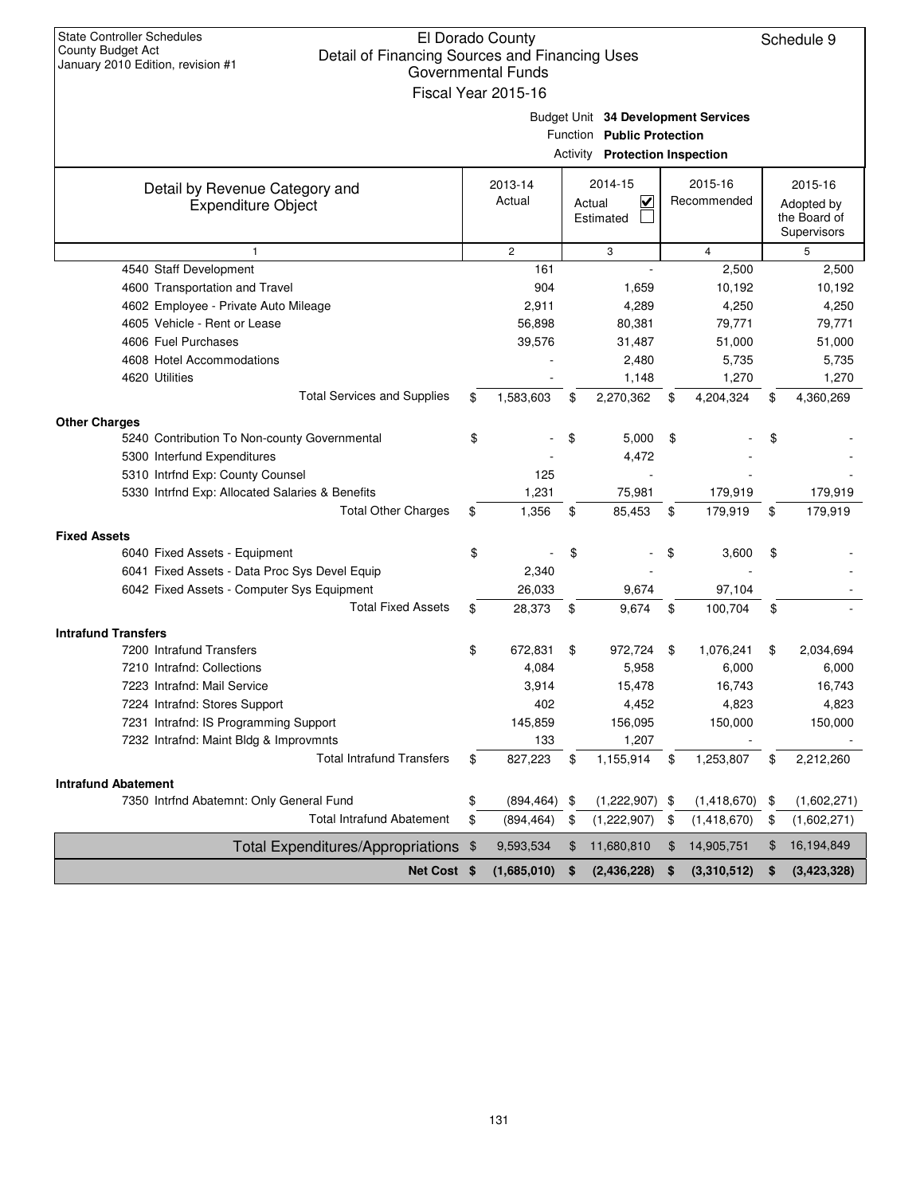| <b>State Controller Schedules</b><br>County Budget Act<br>Detail of Financing Sources and Financing Uses | El Dorado County          |                                                                   |                         | Schedule 9        |
|----------------------------------------------------------------------------------------------------------|---------------------------|-------------------------------------------------------------------|-------------------------|-------------------|
| January 2010 Edition, revision #1                                                                        | <b>Governmental Funds</b> |                                                                   |                         |                   |
|                                                                                                          | Fiscal Year 2015-16       |                                                                   |                         |                   |
|                                                                                                          |                           |                                                                   |                         |                   |
|                                                                                                          |                           | Budget Unit 34 Development Services<br>Function Public Protection |                         |                   |
|                                                                                                          |                           |                                                                   |                         |                   |
|                                                                                                          |                           | <b>Activity Protection Inspection</b>                             |                         |                   |
| Detail by Revenue Category and                                                                           | 2013-14                   | 2014-15                                                           | 2015-16                 | 2015-16           |
| <b>Expenditure Object</b>                                                                                | Actual                    | V<br>Actual                                                       | Recommended             | Adopted by        |
|                                                                                                          |                           | Estimated                                                         |                         | the Board of      |
|                                                                                                          |                           |                                                                   |                         | Supervisors       |
| $\mathbf{1}$<br>4540 Staff Development                                                                   | $\overline{2}$<br>161     | 3                                                                 | $\overline{4}$<br>2,500 | 5<br>2,500        |
| 4600 Transportation and Travel                                                                           | 904                       | 1,659                                                             | 10,192                  | 10,192            |
| 4602 Employee - Private Auto Mileage                                                                     | 2,911                     | 4,289                                                             | 4,250                   | 4,250             |
| 4605 Vehicle - Rent or Lease                                                                             | 56,898                    | 80,381                                                            | 79,771                  | 79,771            |
| 4606 Fuel Purchases                                                                                      | 39,576                    | 31,487                                                            | 51,000                  | 51,000            |
| 4608 Hotel Accommodations                                                                                |                           | 2,480                                                             | 5,735                   | 5,735             |
| 4620 Utilities                                                                                           |                           | 1,148                                                             | 1,270                   | 1,270             |
| <b>Total Services and Supplies</b>                                                                       | \$<br>1,583,603           | \$<br>2,270,362                                                   | \$<br>4,204,324         | \$<br>4,360,269   |
| <b>Other Charges</b>                                                                                     |                           |                                                                   |                         |                   |
| 5240 Contribution To Non-county Governmental                                                             | \$                        | \$<br>5,000                                                       | \$                      |                   |
| 5300 Interfund Expenditures                                                                              |                           | 4,472                                                             |                         |                   |
| 5310 Intrfnd Exp: County Counsel                                                                         | 125                       |                                                                   |                         |                   |
| 5330 Intrfnd Exp: Allocated Salaries & Benefits                                                          | 1,231                     | 75,981                                                            | 179,919                 | 179,919           |
| <b>Total Other Charges</b>                                                                               | \$<br>1,356               | \$<br>85,453                                                      | \$<br>179,919           | \$<br>179,919     |
| <b>Fixed Assets</b>                                                                                      |                           |                                                                   |                         |                   |
| 6040 Fixed Assets - Equipment                                                                            | \$                        | \$                                                                | \$<br>3,600             | \$                |
| 6041 Fixed Assets - Data Proc Sys Devel Equip                                                            | 2,340                     |                                                                   |                         |                   |
| 6042 Fixed Assets - Computer Sys Equipment                                                               | 26,033                    | 9,674                                                             | 97,104                  |                   |
| <b>Total Fixed Assets</b>                                                                                | \$<br>28,373              | \$<br>9,674                                                       | \$<br>100,704           | \$                |
| <b>Intrafund Transfers</b>                                                                               |                           |                                                                   |                         |                   |
| 7200 Intrafund Transfers                                                                                 | \$<br>672,831             | \$<br>972,724                                                     | \$<br>1,076,241         | \$<br>2,034,694   |
| 7210 Intrafnd: Collections                                                                               | 4,084                     | 5,958                                                             | 6,000                   | 6,000             |
| 7223 Intrafnd: Mail Service                                                                              | 3,914                     | 15,478                                                            | 16,743                  | 16,743            |
| 7224 Intrafnd: Stores Support                                                                            | 402                       | 4,452                                                             | 4,823                   | 4,823             |
| 7231 Intrafnd: IS Programming Support                                                                    | 145,859                   | 156,095                                                           | 150,000                 | 150,000           |
| 7232 Intrafnd: Maint Bldg & Improvmnts                                                                   | 133                       | 1,207                                                             |                         |                   |
| <b>Total Intrafund Transfers</b>                                                                         | \$<br>827,223             | \$<br>1,155,914                                                   | \$<br>1,253,807         | \$<br>2,212,260   |
| <b>Intrafund Abatement</b>                                                                               |                           |                                                                   |                         |                   |
| 7350 Intrfnd Abatemnt: Only General Fund                                                                 | \$<br>$(894, 464)$ \$     | $(1,222,907)$ \$                                                  | $(1,418,670)$ \$        | (1,602,271)       |
| <b>Total Intrafund Abatement</b>                                                                         | \$<br>(894, 464)          | \$<br>(1,222,907)                                                 | \$<br>(1,418,670)       | \$<br>(1,602,271) |
| Total Expenditures/Appropriations \$                                                                     | 9,593,534                 | \$<br>11,680,810                                                  | \$<br>14,905,751        | \$<br>16,194,849  |
| Net Cost \$                                                                                              | (1,685,010)               | \$<br>(2,436,228)                                                 | \$<br>(3,310,512)       | \$<br>(3,423,328) |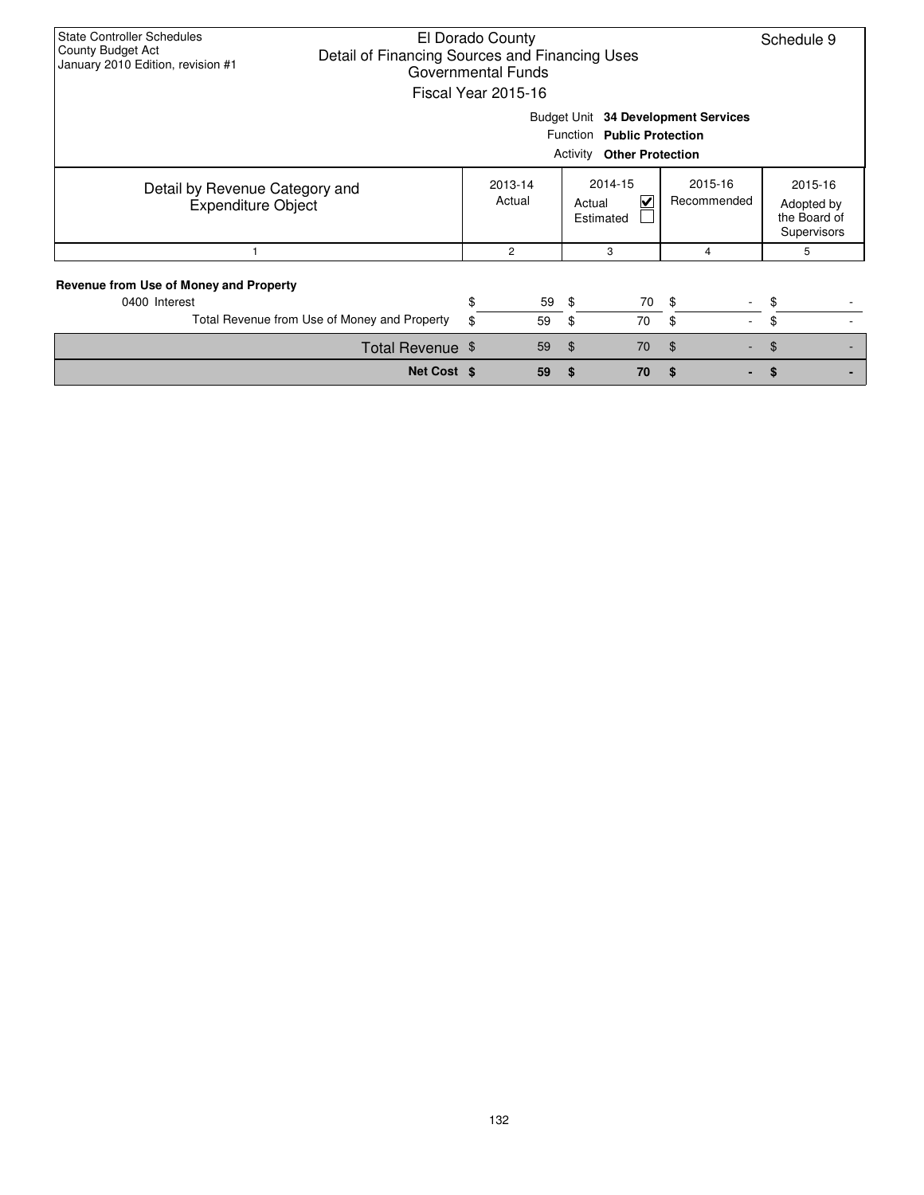| <b>State Controller Schedules</b><br>County Budget Act<br>Detail of Financing Sources and Financing Uses<br>January 2010 Edition, revision #1 |             | El Dorado County<br><b>Governmental Funds</b><br>Fiscal Year 2015-16 |                        |                                                                |                                     | Schedule 9 |  |
|-----------------------------------------------------------------------------------------------------------------------------------------------|-------------|----------------------------------------------------------------------|------------------------|----------------------------------------------------------------|-------------------------------------|------------|--|
|                                                                                                                                               |             |                                                                      |                        | Function Public Protection<br><b>Activity Other Protection</b> | Budget Unit 34 Development Services |            |  |
| Detail by Revenue Category and<br><b>Expenditure Object</b>                                                                                   |             | 2013-14<br>Actual                                                    | 2015-16<br>Recommended | 2015-16<br>Adopted by<br>the Board of<br>Supervisors           |                                     |            |  |
|                                                                                                                                               |             | 2                                                                    |                        | 3                                                              | 4                                   | 5          |  |
| Revenue from Use of Money and Property<br>0400 Interest                                                                                       |             | \$<br>59                                                             | -\$                    | 70                                                             | -\$                                 | \$         |  |
| Total Revenue from Use of Money and Property                                                                                                  |             | \$<br>59                                                             | \$                     | 70                                                             | \$<br>$\sim$                        | \$         |  |
| Total Revenue \$                                                                                                                              |             | 59                                                                   | $\mathfrak{F}$         | 70                                                             | $\mathfrak{F}$                      | \$         |  |
|                                                                                                                                               | Net Cost \$ | 59                                                                   | \$                     | 70                                                             | S                                   | \$         |  |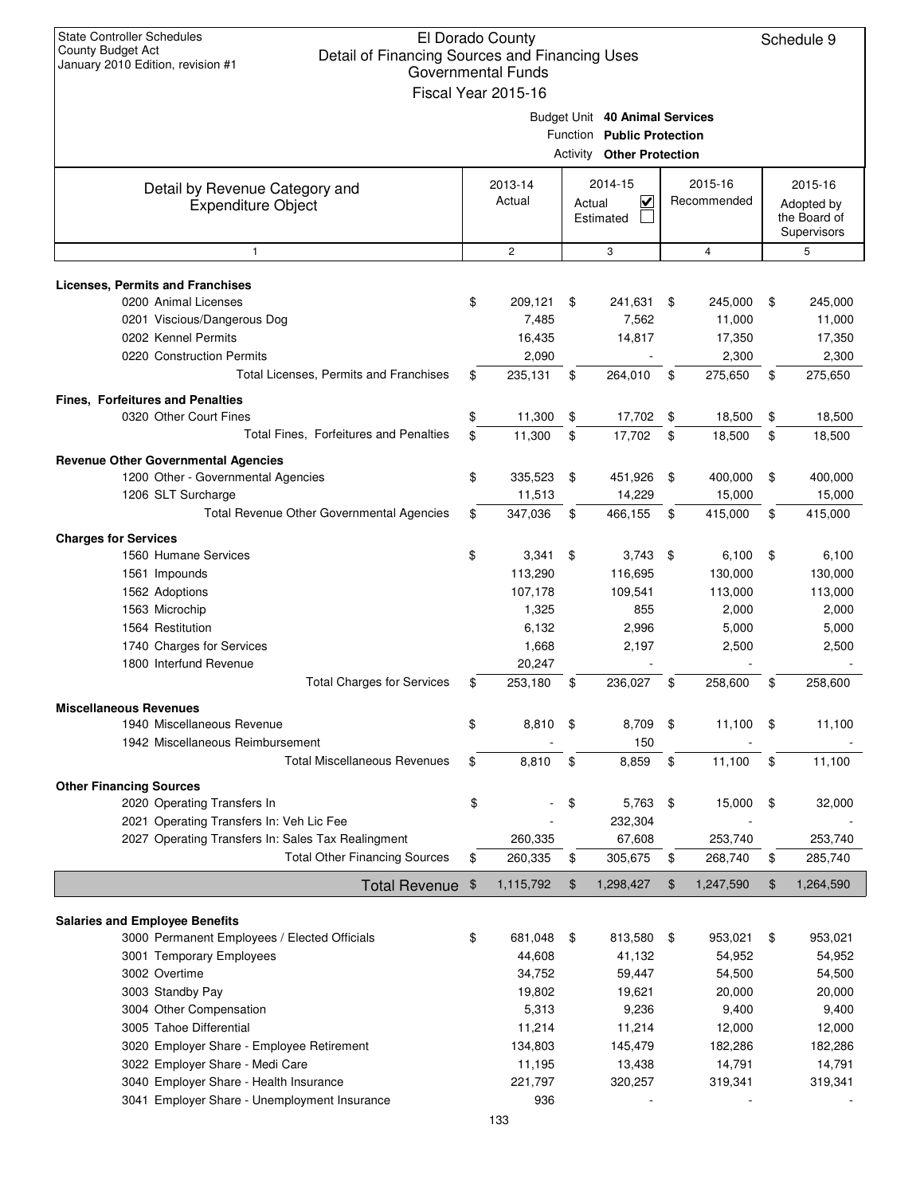| <b>State Controller Schedules</b><br>County Budget Act<br>January 2010 Edition, revision #1                                                        | El Dorado County<br>Schedule 9<br>Detail of Financing Sources and Financing Uses<br><b>Governmental Funds</b><br>Fiscal Year 2015-16 |                                     |        |                                                                                                  |    |                                      |    |                                                      |  |  |
|----------------------------------------------------------------------------------------------------------------------------------------------------|--------------------------------------------------------------------------------------------------------------------------------------|-------------------------------------|--------|--------------------------------------------------------------------------------------------------|----|--------------------------------------|----|------------------------------------------------------|--|--|
|                                                                                                                                                    |                                                                                                                                      |                                     |        | Budget Unit 40 Animal Services<br>Function Public Protection<br><b>Activity Other Protection</b> |    |                                      |    |                                                      |  |  |
| Detail by Revenue Category and<br><b>Expenditure Object</b>                                                                                        |                                                                                                                                      | 2013-14<br>Actual                   | Actual | 2014-15<br>⊽<br>Estimated                                                                        |    | 2015-16<br>Recommended               |    | 2015-16<br>Adopted by<br>the Board of<br>Supervisors |  |  |
| $\mathbf{1}$                                                                                                                                       |                                                                                                                                      | $\overline{c}$                      |        | 3                                                                                                |    | 4                                    |    | 5                                                    |  |  |
| <b>Licenses, Permits and Franchises</b><br>0200 Animal Licenses<br>0201 Viscious/Dangerous Dog<br>0202 Kennel Permits<br>0220 Construction Permits | \$                                                                                                                                   | 209,121<br>7,485<br>16,435<br>2,090 | \$     | 241,631<br>7,562<br>14,817                                                                       | \$ | 245,000<br>11,000<br>17,350<br>2,300 | \$ | 245,000<br>11,000<br>17,350<br>2,300                 |  |  |
| Total Licenses, Permits and Franchises                                                                                                             | \$                                                                                                                                   | 235,131                             | \$     | 264,010                                                                                          | \$ | 275,650                              | \$ | 275,650                                              |  |  |
| <b>Fines, Forfeitures and Penalties</b>                                                                                                            |                                                                                                                                      |                                     |        |                                                                                                  |    |                                      |    |                                                      |  |  |
| 0320 Other Court Fines                                                                                                                             | \$                                                                                                                                   | 11,300                              | \$     | 17,702                                                                                           | \$ | 18,500                               | \$ | 18,500                                               |  |  |
| Total Fines, Forfeitures and Penalties                                                                                                             | \$                                                                                                                                   | 11,300                              | \$     | 17,702                                                                                           | \$ | 18,500                               | \$ | 18,500                                               |  |  |
| <b>Revenue Other Governmental Agencies</b>                                                                                                         |                                                                                                                                      |                                     |        |                                                                                                  |    |                                      |    |                                                      |  |  |
| 1200 Other - Governmental Agencies                                                                                                                 | \$                                                                                                                                   | 335,523                             | \$     | 451,926                                                                                          | \$ | 400,000                              | \$ | 400,000                                              |  |  |
| 1206 SLT Surcharge                                                                                                                                 |                                                                                                                                      | 11,513                              |        | 14,229                                                                                           |    | 15,000                               |    | 15,000                                               |  |  |
| Total Revenue Other Governmental Agencies                                                                                                          | \$                                                                                                                                   | 347,036                             | \$     | 466,155                                                                                          | \$ | 415,000                              | \$ | 415,000                                              |  |  |
| <b>Charges for Services</b>                                                                                                                        |                                                                                                                                      |                                     |        |                                                                                                  |    |                                      |    |                                                      |  |  |
| 1560 Humane Services                                                                                                                               | \$                                                                                                                                   | 3,341                               | \$     | 3,743                                                                                            | \$ | 6,100                                | \$ | 6,100                                                |  |  |
| 1561 Impounds<br>1562 Adoptions                                                                                                                    |                                                                                                                                      | 113,290<br>107,178                  |        | 116,695<br>109,541                                                                               |    | 130,000<br>113,000                   |    | 130,000<br>113,000                                   |  |  |
| 1563 Microchip                                                                                                                                     |                                                                                                                                      | 1,325                               |        | 855                                                                                              |    | 2,000                                |    | 2,000                                                |  |  |
| 1564 Restitution                                                                                                                                   |                                                                                                                                      | 6,132                               |        | 2,996                                                                                            |    | 5,000                                |    | 5,000                                                |  |  |
| 1740 Charges for Services                                                                                                                          |                                                                                                                                      | 1,668                               |        | 2,197                                                                                            |    | 2,500                                |    | 2,500                                                |  |  |
| 1800 Interfund Revenue                                                                                                                             |                                                                                                                                      | 20,247                              |        |                                                                                                  |    |                                      |    |                                                      |  |  |
| <b>Total Charges for Services</b>                                                                                                                  | \$                                                                                                                                   | 253,180                             | \$     | 236,027                                                                                          | \$ | 258,600                              | \$ | 258,600                                              |  |  |
| <b>Miscellaneous Revenues</b>                                                                                                                      |                                                                                                                                      |                                     |        |                                                                                                  |    |                                      |    |                                                      |  |  |
| 1940 Miscellaneous Revenue                                                                                                                         | \$                                                                                                                                   | 8,810                               | -\$    | 8,709                                                                                            | \$ | 11,100                               | \$ | 11,100                                               |  |  |
| 1942 Miscellaneous Reimbursement<br><b>Total Miscellaneous Revenues</b>                                                                            |                                                                                                                                      |                                     |        | 150<br>8,859                                                                                     |    |                                      |    |                                                      |  |  |
|                                                                                                                                                    | \$                                                                                                                                   | 8,810                               | \$     |                                                                                                  | \$ | 11,100                               | \$ | 11,100                                               |  |  |
| <b>Other Financing Sources</b><br>2020 Operating Transfers In<br>2021 Operating Transfers In: Veh Lic Fee                                          | \$                                                                                                                                   |                                     | \$     | 5,763<br>232,304                                                                                 | \$ | 15,000                               | \$ | 32,000                                               |  |  |
| 2027 Operating Transfers In: Sales Tax Realingment                                                                                                 |                                                                                                                                      | 260,335                             |        | 67,608                                                                                           |    | 253,740                              |    | 253,740                                              |  |  |
| <b>Total Other Financing Sources</b>                                                                                                               | \$                                                                                                                                   | 260,335                             | \$     | 305,675                                                                                          | \$ | 268,740                              | \$ | 285,740                                              |  |  |
| <b>Total Revenue</b>                                                                                                                               | \$                                                                                                                                   | 1,115,792                           | \$     | 1,298,427                                                                                        | \$ | 1,247,590                            | \$ | 1,264,590                                            |  |  |
|                                                                                                                                                    |                                                                                                                                      |                                     |        |                                                                                                  |    |                                      |    |                                                      |  |  |
| <b>Salaries and Employee Benefits</b>                                                                                                              |                                                                                                                                      |                                     |        |                                                                                                  |    |                                      |    |                                                      |  |  |
| 3000 Permanent Employees / Elected Officials<br>3001 Temporary Employees                                                                           | \$                                                                                                                                   | 681,048<br>44,608                   | \$     | 813,580<br>41,132                                                                                | \$ | 953,021<br>54,952                    | \$ | 953,021<br>54,952                                    |  |  |
| 3002 Overtime                                                                                                                                      |                                                                                                                                      | 34,752                              |        | 59,447                                                                                           |    | 54,500                               |    | 54,500                                               |  |  |
| 3003 Standby Pay                                                                                                                                   |                                                                                                                                      | 19,802                              |        | 19,621                                                                                           |    | 20,000                               |    | 20,000                                               |  |  |
| 3004 Other Compensation                                                                                                                            |                                                                                                                                      | 5,313                               |        | 9,236                                                                                            |    | 9,400                                |    | 9,400                                                |  |  |
| 3005 Tahoe Differential                                                                                                                            |                                                                                                                                      | 11,214                              |        | 11,214                                                                                           |    | 12,000                               |    | 12,000                                               |  |  |
| 3020 Employer Share - Employee Retirement                                                                                                          |                                                                                                                                      | 134,803                             |        | 145,479                                                                                          |    | 182,286                              |    | 182,286                                              |  |  |
| 3022 Employer Share - Medi Care                                                                                                                    |                                                                                                                                      | 11,195                              |        | 13,438                                                                                           |    | 14,791                               |    | 14,791                                               |  |  |
| 3040 Employer Share - Health Insurance<br>3041 Employer Share - Unemployment Insurance                                                             |                                                                                                                                      | 221,797<br>936                      |        | 320,257                                                                                          |    | 319,341                              |    | 319,341                                              |  |  |
|                                                                                                                                                    |                                                                                                                                      |                                     |        |                                                                                                  |    |                                      |    |                                                      |  |  |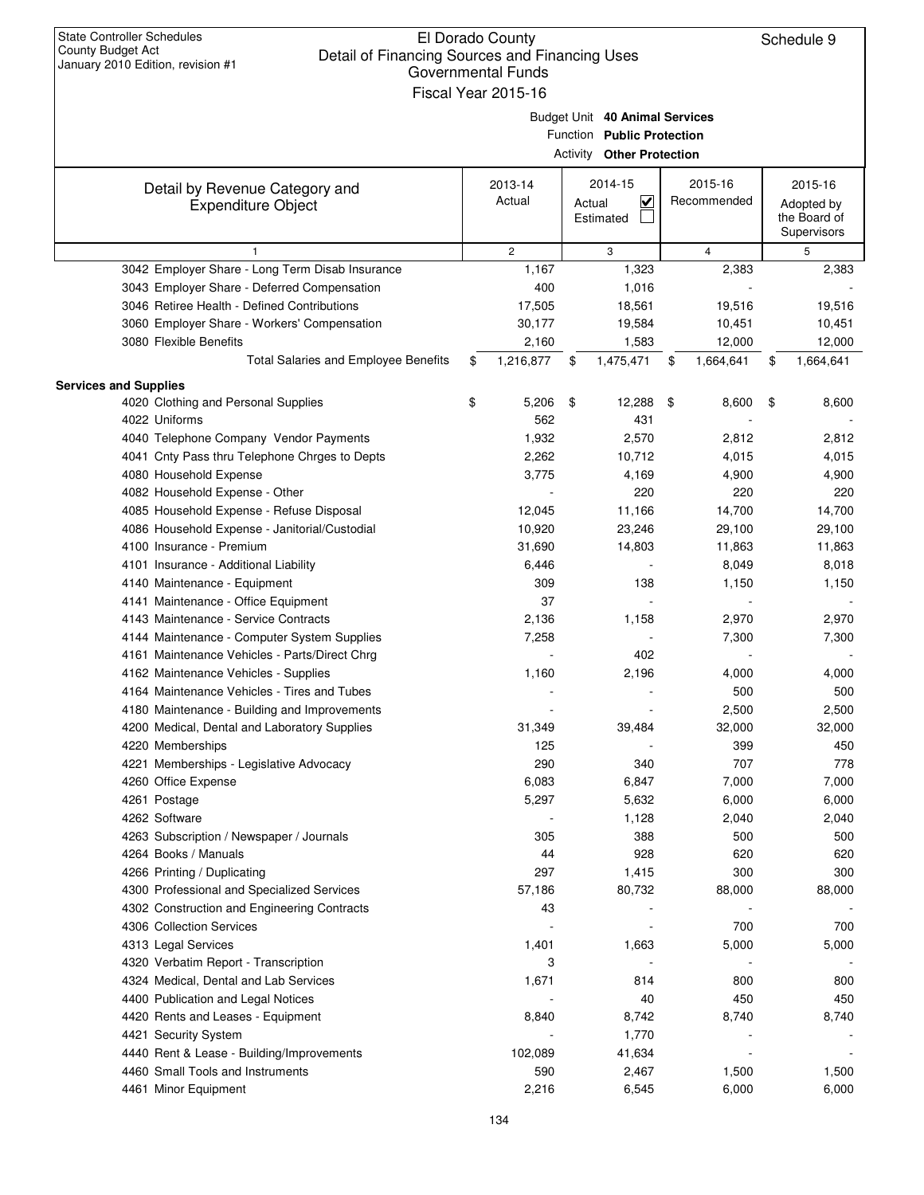| January 2010 Edition, revision #1                                                     | Governmental Funds<br>Fiscal Year 2015-16 |                                  |     |                |                 |
|---------------------------------------------------------------------------------------|-------------------------------------------|----------------------------------|-----|----------------|-----------------|
|                                                                                       |                                           |                                  |     |                |                 |
|                                                                                       |                                           | Budget Unit 40 Animal Services   |     |                |                 |
|                                                                                       |                                           | Function Public Protection       |     |                |                 |
|                                                                                       |                                           | <b>Activity Other Protection</b> |     |                |                 |
| Detail by Revenue Category and                                                        | 2013-14                                   | 2014-15                          |     | 2015-16        | 2015-16         |
| <b>Expenditure Object</b>                                                             | Actual                                    | $\checkmark$<br>Actual           |     | Recommended    | Adopted by      |
|                                                                                       |                                           | Estimated                        |     |                | the Board of    |
|                                                                                       |                                           |                                  |     |                | Supervisors     |
| $\mathbf{1}$                                                                          | $\overline{2}$                            | 3                                |     | $\overline{4}$ | 5               |
| 3042 Employer Share - Long Term Disab Insurance                                       | 1,167                                     | 1,323                            |     | 2,383          | 2,383           |
| 3043 Employer Share - Deferred Compensation                                           | 400                                       | 1,016                            |     |                |                 |
| 3046 Retiree Health - Defined Contributions                                           | 17,505                                    | 18,561                           |     | 19,516         | 19,516          |
| 3060 Employer Share - Workers' Compensation                                           | 30,177                                    | 19,584                           |     | 10,451         | 10,451          |
| 3080 Flexible Benefits                                                                | 2,160                                     | 1,583                            |     | 12,000         | 12,000          |
| Total Salaries and Employee Benefits                                                  | \$<br>1,216,877                           | \$<br>1,475,471                  | \$  | 1,664,641      | \$<br>1,664,641 |
| <b>Services and Supplies</b>                                                          |                                           |                                  |     |                |                 |
| 4020 Clothing and Personal Supplies                                                   | \$<br>5,206                               | \$<br>12,288                     | -\$ | 8,600          | \$<br>8,600     |
| 4022 Uniforms                                                                         | 562                                       | 431                              |     |                |                 |
| 4040 Telephone Company Vendor Payments                                                | 1,932                                     | 2,570                            |     | 2,812          | 2,812           |
| 4041 Cnty Pass thru Telephone Chrges to Depts                                         | 2,262                                     | 10,712                           |     | 4,015          | 4,015           |
| 4080 Household Expense                                                                | 3,775                                     | 4,169                            |     | 4,900          | 4,900           |
| 4082 Household Expense - Other                                                        |                                           | 220                              |     | 220            | 220             |
| 4085 Household Expense - Refuse Disposal                                              | 12,045                                    | 11,166                           |     | 14,700         | 14,700          |
| 4086 Household Expense - Janitorial/Custodial                                         | 10,920                                    | 23,246                           |     | 29,100         | 29,100          |
| 4100 Insurance - Premium                                                              | 31,690                                    | 14,803                           |     | 11,863         | 11,863          |
| 4101 Insurance - Additional Liability                                                 | 6,446                                     |                                  |     | 8,049          | 8,018           |
| 4140 Maintenance - Equipment                                                          | 309                                       | 138                              |     | 1,150          | 1,150           |
| 4141 Maintenance - Office Equipment                                                   | 37                                        |                                  |     |                |                 |
| 4143 Maintenance - Service Contracts                                                  | 2,136                                     | 1,158                            |     | 2,970          | 2,970           |
| 4144 Maintenance - Computer System Supplies                                           | 7,258                                     |                                  |     | 7,300          | 7,300           |
| 4161 Maintenance Vehicles - Parts/Direct Chrg<br>4162 Maintenance Vehicles - Supplies |                                           | 402                              |     | 4,000          |                 |
| 4164 Maintenance Vehicles - Tires and Tubes                                           | 1,160                                     | 2,196                            |     | 500            | 4,000           |
| 4180 Maintenance - Building and Improvements                                          |                                           |                                  |     | 2,500          | 500<br>2,500    |
| 4200 Medical, Dental and Laboratory Supplies                                          | 31,349                                    | 39,484                           |     | 32,000         | 32,000          |
| 4220 Memberships                                                                      |                                           |                                  |     | 399            | 450             |
| 4221 Memberships - Legislative Advocacy                                               | 125<br>290                                | 340                              |     | 707            | 778             |
| 4260 Office Expense                                                                   | 6,083                                     | 6,847                            |     | 7,000          | 7,000           |
| 4261 Postage                                                                          | 5,297                                     | 5,632                            |     | 6,000          | 6,000           |
| 4262 Software                                                                         |                                           | 1,128                            |     | 2,040          | 2,040           |
| 4263 Subscription / Newspaper / Journals                                              | 305                                       | 388                              |     | 500            | 500             |
| 4264 Books / Manuals                                                                  | 44                                        | 928                              |     | 620            | 620             |
| 4266 Printing / Duplicating                                                           | 297                                       | 1,415                            |     | 300            | 300             |
| 4300 Professional and Specialized Services                                            | 57,186                                    | 80,732                           |     | 88,000         | 88,000          |
| 4302 Construction and Engineering Contracts                                           | 43                                        |                                  |     |                |                 |
| 4306 Collection Services                                                              |                                           |                                  |     | 700            | 700             |
| 4313 Legal Services                                                                   | 1,401                                     | 1,663                            |     | 5,000          | 5,000           |
| 4320 Verbatim Report - Transcription                                                  | 3                                         |                                  |     |                |                 |
| 4324 Medical, Dental and Lab Services                                                 | 1,671                                     | 814                              |     | 800            | 800             |
| 4400 Publication and Legal Notices                                                    |                                           | 40                               |     | 450            | 450             |
| 4420 Rents and Leases - Equipment                                                     | 8,840                                     | 8,742                            |     | 8,740          | 8,740           |
| 4421 Security System                                                                  |                                           | 1,770                            |     |                |                 |
| 4440 Rent & Lease - Building/Improvements                                             | 102,089                                   | 41,634                           |     |                |                 |
| 4460 Small Tools and Instruments                                                      | 590                                       | 2,467                            |     | 1,500          | 1,500           |
| 4461 Minor Equipment                                                                  | 2,216                                     | 6,545                            |     | 6,000          | 6,000           |
|                                                                                       |                                           |                                  |     |                |                 |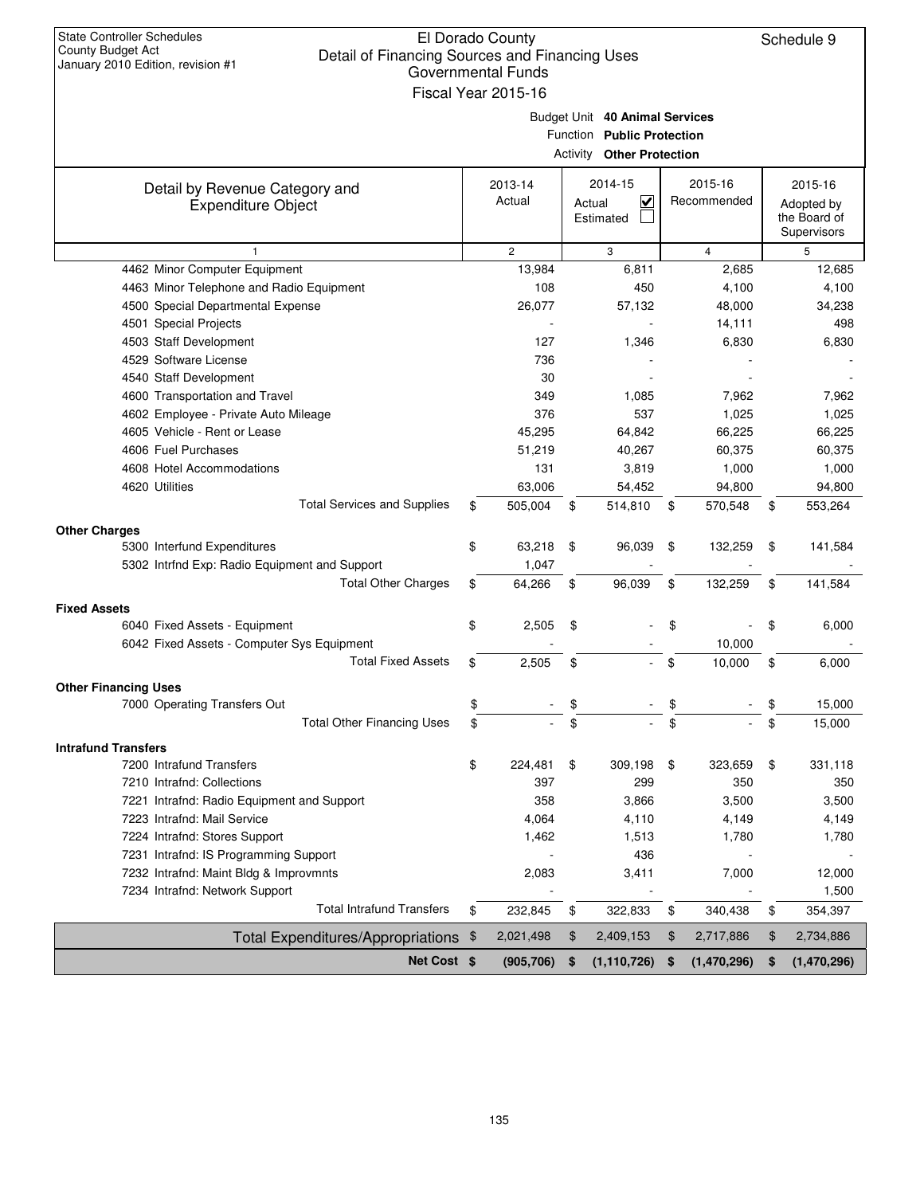| <b>State Controller Schedules</b><br>El Dorado County<br><b>County Budget Act</b><br>Detail of Financing Sources and Financing Uses<br>January 2010 Edition, revision #1<br><b>Governmental Funds</b><br>Fiscal Year 2015-16 |    |                   |    |                                                                                                  |    |                        |    |                                                      |  |  |
|------------------------------------------------------------------------------------------------------------------------------------------------------------------------------------------------------------------------------|----|-------------------|----|--------------------------------------------------------------------------------------------------|----|------------------------|----|------------------------------------------------------|--|--|
|                                                                                                                                                                                                                              |    |                   |    | Budget Unit 40 Animal Services<br>Function Public Protection<br><b>Activity Other Protection</b> |    |                        |    |                                                      |  |  |
| Detail by Revenue Category and<br><b>Expenditure Object</b>                                                                                                                                                                  |    | 2013-14<br>Actual |    | 2014-15<br>V<br>Actual<br>Estimated                                                              |    | 2015-16<br>Recommended |    | 2015-16<br>Adopted by<br>the Board of<br>Supervisors |  |  |
| $\mathbf{1}$                                                                                                                                                                                                                 |    | $\overline{2}$    |    | 3                                                                                                |    | $\overline{4}$         |    | 5                                                    |  |  |
| 4462 Minor Computer Equipment                                                                                                                                                                                                |    | 13,984            |    | 6,811                                                                                            |    | 2,685                  |    | 12,685                                               |  |  |
| 4463 Minor Telephone and Radio Equipment                                                                                                                                                                                     |    | 108               |    | 450                                                                                              |    | 4,100                  |    | 4,100                                                |  |  |
| 4500 Special Departmental Expense                                                                                                                                                                                            |    | 26,077            |    | 57,132                                                                                           |    | 48,000                 |    | 34,238                                               |  |  |
| 4501 Special Projects                                                                                                                                                                                                        |    |                   |    |                                                                                                  |    | 14,111                 |    | 498                                                  |  |  |
| 4503 Staff Development                                                                                                                                                                                                       |    | 127               |    | 1,346                                                                                            |    | 6,830                  |    | 6,830                                                |  |  |
| 4529 Software License                                                                                                                                                                                                        |    | 736               |    |                                                                                                  |    |                        |    |                                                      |  |  |
| 4540 Staff Development                                                                                                                                                                                                       |    | 30                |    |                                                                                                  |    |                        |    |                                                      |  |  |
| 4600 Transportation and Travel                                                                                                                                                                                               |    | 349               |    | 1,085                                                                                            |    | 7,962                  |    | 7,962                                                |  |  |
| 4602 Employee - Private Auto Mileage                                                                                                                                                                                         |    | 376               |    | 537                                                                                              |    | 1,025                  |    | 1,025                                                |  |  |
| 4605 Vehicle - Rent or Lease                                                                                                                                                                                                 |    | 45,295            |    | 64,842                                                                                           |    | 66,225                 |    | 66,225                                               |  |  |
| 4606 Fuel Purchases                                                                                                                                                                                                          |    | 51,219            |    | 40,267                                                                                           |    | 60,375                 |    | 60,375                                               |  |  |
| 4608 Hotel Accommodations                                                                                                                                                                                                    |    | 131               |    | 3,819                                                                                            |    | 1,000                  |    | 1,000                                                |  |  |
| 4620 Utilities                                                                                                                                                                                                               |    | 63,006            |    | 54,452                                                                                           |    | 94,800                 |    | 94,800                                               |  |  |
| <b>Total Services and Supplies</b>                                                                                                                                                                                           | \$ | 505,004           | \$ | 514,810                                                                                          | \$ | 570,548                | \$ | 553,264                                              |  |  |
| <b>Other Charges</b>                                                                                                                                                                                                         |    |                   |    |                                                                                                  |    |                        |    |                                                      |  |  |
| 5300 Interfund Expenditures                                                                                                                                                                                                  | \$ | 63,218            | \$ | 96,039                                                                                           | \$ | 132,259                | \$ | 141,584                                              |  |  |
| 5302 Intrfnd Exp: Radio Equipment and Support                                                                                                                                                                                |    | 1,047             |    |                                                                                                  |    |                        |    |                                                      |  |  |
| <b>Total Other Charges</b>                                                                                                                                                                                                   | \$ | 64,266            | \$ | 96,039                                                                                           | \$ | 132,259                | \$ | 141,584                                              |  |  |
| <b>Fixed Assets</b>                                                                                                                                                                                                          |    |                   |    |                                                                                                  |    |                        |    |                                                      |  |  |
| 6040 Fixed Assets - Equipment                                                                                                                                                                                                | \$ | 2,505             | \$ |                                                                                                  | \$ |                        | \$ | 6,000                                                |  |  |
| 6042 Fixed Assets - Computer Sys Equipment                                                                                                                                                                                   |    |                   |    |                                                                                                  |    | 10,000                 |    |                                                      |  |  |
| <b>Total Fixed Assets</b>                                                                                                                                                                                                    | \$ | 2,505             | \$ |                                                                                                  | \$ | 10,000                 | \$ | 6,000                                                |  |  |
| <b>Other Financing Uses</b>                                                                                                                                                                                                  |    |                   |    |                                                                                                  |    |                        |    |                                                      |  |  |
| 7000 Operating Transfers Out                                                                                                                                                                                                 | \$ |                   | \$ |                                                                                                  | \$ |                        | \$ | 15,000                                               |  |  |
| <b>Total Other Financing Uses</b>                                                                                                                                                                                            | \$ |                   | \$ |                                                                                                  | \$ |                        | \$ | 15,000                                               |  |  |
|                                                                                                                                                                                                                              |    |                   |    |                                                                                                  |    |                        |    |                                                      |  |  |
| <b>Intrafund Transfers</b><br>7200 Intrafund Transfers                                                                                                                                                                       | \$ | 224,481           | \$ | 309,198                                                                                          | \$ | 323,659                | \$ | 331,118                                              |  |  |
| 7210 Intrafnd: Collections                                                                                                                                                                                                   |    | 397               |    | 299                                                                                              |    | 350                    |    | 350                                                  |  |  |
| 7221 Intrafnd: Radio Equipment and Support                                                                                                                                                                                   |    | 358               |    | 3,866                                                                                            |    | 3,500                  |    | 3,500                                                |  |  |
| 7223 Intrafnd: Mail Service                                                                                                                                                                                                  |    | 4,064             |    | 4,110                                                                                            |    | 4,149                  |    | 4,149                                                |  |  |
| 7224 Intrafnd: Stores Support                                                                                                                                                                                                |    | 1,462             |    | 1,513                                                                                            |    | 1,780                  |    | 1,780                                                |  |  |
| 7231 Intrafnd: IS Programming Support                                                                                                                                                                                        |    |                   |    | 436                                                                                              |    |                        |    |                                                      |  |  |
| 7232 Intrafnd: Maint Bldg & Improvmnts                                                                                                                                                                                       |    | 2,083             |    | 3,411                                                                                            |    | 7,000                  |    | 12,000                                               |  |  |
| 7234 Intrafnd: Network Support                                                                                                                                                                                               |    |                   |    |                                                                                                  |    |                        |    | 1,500                                                |  |  |
| <b>Total Intrafund Transfers</b>                                                                                                                                                                                             | \$ | 232,845           | \$ | 322,833                                                                                          | \$ | 340,438                | \$ | 354,397                                              |  |  |
| <b>Total Expenditures/Appropriations</b>                                                                                                                                                                                     | \$ | 2,021,498         | \$ | 2,409,153                                                                                        | \$ | 2,717,886              | \$ | 2,734,886                                            |  |  |
| Net Cost \$                                                                                                                                                                                                                  |    | (905, 706)        | \$ | (1, 110, 726)                                                                                    | \$ | (1,470,296)            | \$ | (1,470,296)                                          |  |  |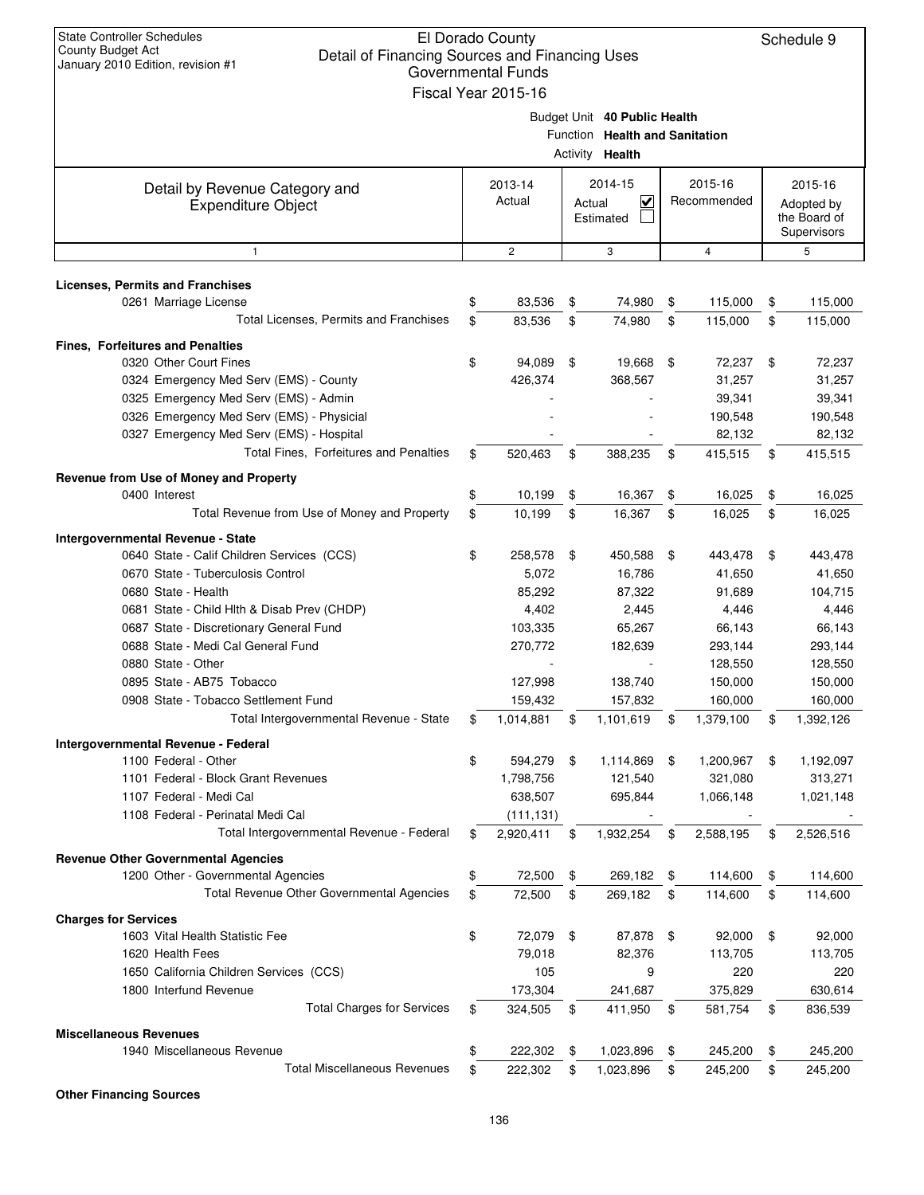| <b>State Controller Schedules</b><br>El Dorado County<br>County Budget Act<br>Detail of Financing Sources and Financing Uses<br>January 2010 Edition, revision #1<br><b>Governmental Funds</b><br>Fiscal Year 2015-16 |    |                   |        |                                                                                          |    |                        |      |                                                      |
|-----------------------------------------------------------------------------------------------------------------------------------------------------------------------------------------------------------------------|----|-------------------|--------|------------------------------------------------------------------------------------------|----|------------------------|------|------------------------------------------------------|
|                                                                                                                                                                                                                       |    |                   |        | Budget Unit 40 Public Health<br>Function Health and Sanitation<br>Activity <b>Health</b> |    |                        |      |                                                      |
| Detail by Revenue Category and<br><b>Expenditure Object</b>                                                                                                                                                           |    | 2013-14<br>Actual | Actual | 2014-15<br>V<br>Estimated                                                                |    | 2015-16<br>Recommended |      | 2015-16<br>Adopted by<br>the Board of<br>Supervisors |
| $\mathbf{1}$                                                                                                                                                                                                          |    | $\overline{c}$    |        | 3                                                                                        |    | $\overline{4}$         |      | 5                                                    |
| <b>Licenses, Permits and Franchises</b>                                                                                                                                                                               |    |                   |        |                                                                                          |    |                        |      |                                                      |
| 0261 Marriage License                                                                                                                                                                                                 | \$ | 83,536            | \$     | 74,980                                                                                   | \$ | 115,000                | \$   | 115,000                                              |
| Total Licenses, Permits and Franchises                                                                                                                                                                                | \$ | 83,536            | \$     | 74,980                                                                                   | \$ | 115,000                | \$   | 115,000                                              |
| <b>Fines, Forfeitures and Penalties</b>                                                                                                                                                                               |    |                   |        |                                                                                          |    |                        |      |                                                      |
| 0320 Other Court Fines                                                                                                                                                                                                | \$ | 94,089            | \$     | 19,668                                                                                   | \$ | 72,237                 | - \$ | 72,237                                               |
| 0324 Emergency Med Serv (EMS) - County                                                                                                                                                                                |    | 426,374           |        | 368,567                                                                                  |    | 31,257                 |      | 31,257                                               |
| 0325 Emergency Med Serv (EMS) - Admin                                                                                                                                                                                 |    |                   |        |                                                                                          |    | 39,341                 |      | 39,341                                               |
| 0326 Emergency Med Serv (EMS) - Physicial                                                                                                                                                                             |    |                   |        |                                                                                          |    | 190,548                |      | 190,548                                              |
| 0327 Emergency Med Serv (EMS) - Hospital                                                                                                                                                                              |    |                   |        |                                                                                          |    | 82,132                 |      | 82,132                                               |
| Total Fines, Forfeitures and Penalties                                                                                                                                                                                | \$ | 520,463           | \$     | 388,235                                                                                  | \$ | 415,515                | \$   | 415,515                                              |
| Revenue from Use of Money and Property                                                                                                                                                                                |    |                   |        |                                                                                          |    |                        |      |                                                      |
| 0400 Interest                                                                                                                                                                                                         | \$ | 10,199            | \$     | 16,367                                                                                   | \$ | 16,025                 | \$   | 16,025                                               |
| Total Revenue from Use of Money and Property                                                                                                                                                                          | \$ | 10,199            | \$     | 16,367                                                                                   | \$ | 16,025                 | \$   | 16,025                                               |
| Intergovernmental Revenue - State                                                                                                                                                                                     |    |                   |        |                                                                                          |    |                        |      |                                                      |
| 0640 State - Calif Children Services (CCS)                                                                                                                                                                            | \$ | 258,578           | \$     | 450,588                                                                                  | \$ | 443,478                | \$   | 443,478                                              |
| 0670 State - Tuberculosis Control                                                                                                                                                                                     |    | 5,072             |        | 16,786                                                                                   |    | 41,650                 |      | 41,650                                               |
| 0680 State - Health<br>0681 State - Child Hlth & Disab Prev (CHDP)                                                                                                                                                    |    | 85,292<br>4,402   |        | 87,322<br>2,445                                                                          |    | 91,689<br>4,446        |      | 104,715<br>4,446                                     |
| 0687 State - Discretionary General Fund                                                                                                                                                                               |    | 103,335           |        | 65,267                                                                                   |    | 66,143                 |      | 66,143                                               |
| 0688 State - Medi Cal General Fund                                                                                                                                                                                    |    | 270,772           |        | 182,639                                                                                  |    | 293,144                |      | 293,144                                              |
| 0880 State - Other                                                                                                                                                                                                    |    |                   |        |                                                                                          |    | 128,550                |      | 128,550                                              |
| 0895 State - AB75 Tobacco                                                                                                                                                                                             |    | 127,998           |        | 138,740                                                                                  |    | 150,000                |      | 150,000                                              |
| 0908 State - Tobacco Settlement Fund                                                                                                                                                                                  |    | 159,432           |        | 157,832                                                                                  |    | 160,000                |      | 160,000                                              |
| Total Intergovernmental Revenue - State                                                                                                                                                                               | \$ | 1,014,881         | \$     | 1,101,619                                                                                | \$ | 1,379,100              | \$   | 1,392,126                                            |
| Intergovernmental Revenue - Federal                                                                                                                                                                                   |    |                   |        |                                                                                          |    |                        |      |                                                      |
| 1100 Federal - Other                                                                                                                                                                                                  | \$ | 594,279           | \$     | 1,114,869                                                                                | \$ | 1,200,967              | \$   | 1,192,097                                            |
| 1101 Federal - Block Grant Revenues                                                                                                                                                                                   |    | 1,798,756         |        | 121,540                                                                                  |    | 321,080                |      | 313,271                                              |
| 1107 Federal - Medi Cal                                                                                                                                                                                               |    | 638,507           |        | 695,844                                                                                  |    | 1,066,148              |      | 1,021,148                                            |
| 1108 Federal - Perinatal Medi Cal                                                                                                                                                                                     |    | (111, 131)        |        |                                                                                          |    |                        |      |                                                      |
| Total Intergovernmental Revenue - Federal                                                                                                                                                                             | \$ | 2,920,411         | \$     | 1,932,254                                                                                | \$ | 2,588,195              | \$   | 2,526,516                                            |
| <b>Revenue Other Governmental Agencies</b>                                                                                                                                                                            |    |                   |        |                                                                                          |    |                        |      |                                                      |
| 1200 Other - Governmental Agencies                                                                                                                                                                                    | \$ | 72,500            | \$     | 269,182                                                                                  | \$ | 114,600                | \$   | 114,600                                              |
| Total Revenue Other Governmental Agencies                                                                                                                                                                             | \$ | 72,500            | \$     | 269,182                                                                                  | \$ | 114,600                | \$   | 114,600                                              |
| <b>Charges for Services</b>                                                                                                                                                                                           |    |                   |        |                                                                                          |    |                        |      |                                                      |
| 1603 Vital Health Statistic Fee                                                                                                                                                                                       | \$ | 72,079            | \$     | 87,878                                                                                   | \$ | 92,000                 | \$   | 92,000                                               |
| 1620 Health Fees                                                                                                                                                                                                      |    | 79,018            |        | 82,376                                                                                   |    | 113,705                |      | 113,705                                              |
| 1650 California Children Services (CCS)                                                                                                                                                                               |    | 105               |        | 9                                                                                        |    | 220                    |      | 220                                                  |
| 1800 Interfund Revenue<br><b>Total Charges for Services</b>                                                                                                                                                           |    | 173,304           |        | 241,687                                                                                  |    | 375,829                |      | 630,614                                              |
|                                                                                                                                                                                                                       | \$ | 324,505           | \$     | 411,950                                                                                  | \$ | 581,754                | \$   | 836,539                                              |
| <b>Miscellaneous Revenues</b>                                                                                                                                                                                         |    |                   |        |                                                                                          |    |                        |      |                                                      |
| 1940 Miscellaneous Revenue<br><b>Total Miscellaneous Revenues</b>                                                                                                                                                     | \$ | 222,302           | \$     | 1,023,896                                                                                | \$ | 245,200                | \$   | 245,200                                              |
|                                                                                                                                                                                                                       | \$ | 222,302           | \$     | 1,023,896                                                                                | \$ | 245,200                | \$   | 245,200                                              |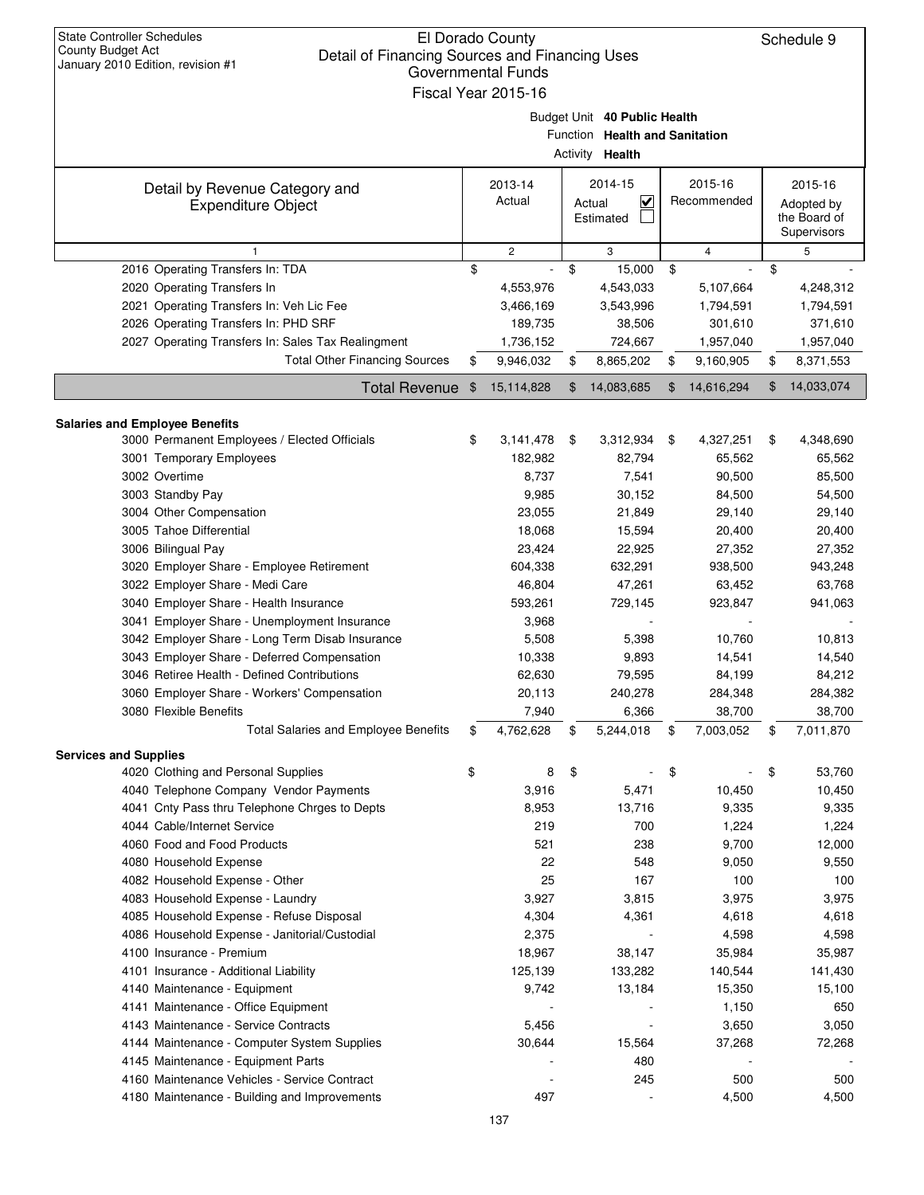| <b>State Controller Schedules</b><br>El Dorado County<br>County Budget Act<br>Detail of Financing Sources and Financing Uses<br>January 2010 Edition, revision #1<br><b>Governmental Funds</b><br>Fiscal Year 2015-16 |    |                   |    |                                                                                   |    |                        |    |                                                      |  |
|-----------------------------------------------------------------------------------------------------------------------------------------------------------------------------------------------------------------------|----|-------------------|----|-----------------------------------------------------------------------------------|----|------------------------|----|------------------------------------------------------|--|
|                                                                                                                                                                                                                       |    |                   |    | Budget Unit 40 Public Health<br>Function Health and Sanitation<br>Activity Health |    |                        |    |                                                      |  |
| Detail by Revenue Category and<br><b>Expenditure Object</b>                                                                                                                                                           |    | 2013-14<br>Actual |    | 2014-15<br>$\overline{\mathbf{v}}$<br>Actual<br>Estimated                         |    | 2015-16<br>Recommended |    | 2015-16<br>Adopted by<br>the Board of<br>Supervisors |  |
| 1                                                                                                                                                                                                                     |    | $\overline{c}$    |    | 3                                                                                 |    | $\overline{4}$         |    | 5                                                    |  |
| 2016 Operating Transfers In: TDA                                                                                                                                                                                      | \$ |                   | \$ | 15,000                                                                            | \$ |                        | \$ |                                                      |  |
| 2020 Operating Transfers In                                                                                                                                                                                           |    | 4,553,976         |    | 4,543,033                                                                         |    | 5,107,664              |    | 4,248,312                                            |  |
| 2021 Operating Transfers In: Veh Lic Fee                                                                                                                                                                              |    | 3,466,169         |    | 3,543,996                                                                         |    | 1,794,591              |    | 1,794,591                                            |  |
| 2026 Operating Transfers In: PHD SRF                                                                                                                                                                                  |    | 189,735           |    | 38,506                                                                            |    | 301,610                |    | 371,610                                              |  |
| 2027 Operating Transfers In: Sales Tax Realingment                                                                                                                                                                    |    | 1,736,152         |    | 724,667                                                                           |    | 1,957,040              |    | 1,957,040                                            |  |
| <b>Total Other Financing Sources</b>                                                                                                                                                                                  | \$ | 9,946,032         | \$ | 8,865,202                                                                         | \$ | 9,160,905              | \$ | 8,371,553                                            |  |
| <b>Total Revenue</b>                                                                                                                                                                                                  | \$ | 15,114,828        | \$ | 14,083,685                                                                        | \$ | 14,616,294             | \$ | 14,033,074                                           |  |
| <b>Salaries and Employee Benefits</b>                                                                                                                                                                                 |    |                   |    |                                                                                   |    |                        |    |                                                      |  |
| 3000 Permanent Employees / Elected Officials                                                                                                                                                                          | \$ | 3,141,478         | \$ | 3,312,934                                                                         | \$ | 4,327,251              | \$ | 4,348,690                                            |  |
| 3001 Temporary Employees                                                                                                                                                                                              |    | 182,982           |    | 82,794                                                                            |    | 65,562                 |    | 65,562                                               |  |
| 3002 Overtime                                                                                                                                                                                                         |    | 8,737             |    | 7,541                                                                             |    | 90,500                 |    | 85,500                                               |  |
| 3003 Standby Pay                                                                                                                                                                                                      |    | 9,985             |    | 30,152                                                                            |    | 84,500                 |    | 54,500                                               |  |
| 3004 Other Compensation                                                                                                                                                                                               |    | 23,055            |    | 21,849                                                                            |    | 29,140                 |    | 29,140                                               |  |
| 3005 Tahoe Differential                                                                                                                                                                                               |    | 18,068            |    | 15,594                                                                            |    | 20,400                 |    | 20,400                                               |  |
| 3006 Bilingual Pay                                                                                                                                                                                                    |    | 23,424            |    | 22,925                                                                            |    | 27,352                 |    | 27,352                                               |  |
| 3020 Employer Share - Employee Retirement                                                                                                                                                                             |    | 604,338           |    | 632,291                                                                           |    | 938,500                |    | 943,248                                              |  |
| 3022 Employer Share - Medi Care                                                                                                                                                                                       |    | 46,804            |    | 47,261                                                                            |    | 63,452                 |    | 63,768                                               |  |
| 3040 Employer Share - Health Insurance                                                                                                                                                                                |    | 593,261           |    | 729,145                                                                           |    | 923,847                |    | 941,063                                              |  |
| 3041 Employer Share - Unemployment Insurance                                                                                                                                                                          |    | 3,968             |    |                                                                                   |    |                        |    |                                                      |  |
| 3042 Employer Share - Long Term Disab Insurance                                                                                                                                                                       |    | 5,508             |    | 5,398                                                                             |    | 10,760                 |    | 10,813                                               |  |
| 3043 Employer Share - Deferred Compensation                                                                                                                                                                           |    | 10,338            |    | 9,893                                                                             |    | 14,541                 |    | 14,540                                               |  |
| 3046 Retiree Health - Defined Contributions                                                                                                                                                                           |    | 62,630            |    | 79,595                                                                            |    | 84,199                 |    | 84,212                                               |  |
| 3060 Employer Share - Workers' Compensation                                                                                                                                                                           |    | 20,113            |    | 240,278                                                                           |    | 284,348                |    | 284,382                                              |  |
| 3080 Flexible Benefits                                                                                                                                                                                                |    | 7,940             |    | 6,366                                                                             |    | 38,700                 |    | 38,700                                               |  |
| <b>Total Salaries and Employee Benefits</b>                                                                                                                                                                           | \$ | 4,762,628         | \$ | 5,244,018                                                                         | \$ | 7,003,052              | \$ | 7,011,870                                            |  |
| <b>Services and Supplies</b>                                                                                                                                                                                          |    |                   |    |                                                                                   |    |                        |    |                                                      |  |
| 4020 Clothing and Personal Supplies                                                                                                                                                                                   | \$ | 8                 | \$ |                                                                                   | \$ |                        | \$ | 53,760                                               |  |
| 4040 Telephone Company Vendor Payments                                                                                                                                                                                |    | 3,916             |    | 5,471                                                                             |    | 10,450                 |    | 10,450                                               |  |
| 4041 Cnty Pass thru Telephone Chrges to Depts                                                                                                                                                                         |    | 8,953             |    | 13,716                                                                            |    | 9,335                  |    | 9,335                                                |  |
| 4044 Cable/Internet Service<br>4060 Food and Food Products                                                                                                                                                            |    | 219               |    | 700                                                                               |    | 1,224                  |    | 1,224                                                |  |
|                                                                                                                                                                                                                       |    | 521<br>22         |    | 238<br>548                                                                        |    | 9,700<br>9,050         |    | 12,000                                               |  |
| 4080 Household Expense<br>4082 Household Expense - Other                                                                                                                                                              |    | 25                |    | 167                                                                               |    | 100                    |    | 9,550<br>100                                         |  |
| 4083 Household Expense - Laundry                                                                                                                                                                                      |    | 3,927             |    | 3,815                                                                             |    | 3,975                  |    | 3,975                                                |  |
| 4085 Household Expense - Refuse Disposal                                                                                                                                                                              |    | 4,304             |    | 4,361                                                                             |    | 4,618                  |    | 4,618                                                |  |
| 4086 Household Expense - Janitorial/Custodial                                                                                                                                                                         |    | 2,375             |    | $\blacksquare$                                                                    |    | 4,598                  |    | 4,598                                                |  |
| 4100 Insurance - Premium                                                                                                                                                                                              |    | 18,967            |    | 38,147                                                                            |    | 35,984                 |    | 35,987                                               |  |
| 4101 Insurance - Additional Liability                                                                                                                                                                                 |    | 125,139           |    | 133,282                                                                           |    | 140,544                |    | 141,430                                              |  |
| 4140 Maintenance - Equipment                                                                                                                                                                                          |    | 9,742             |    | 13,184                                                                            |    | 15,350                 |    | 15,100                                               |  |
| 4141 Maintenance - Office Equipment                                                                                                                                                                                   |    |                   |    |                                                                                   |    | 1,150                  |    | 650                                                  |  |
| 4143 Maintenance - Service Contracts                                                                                                                                                                                  |    | 5,456             |    | $\overline{\phantom{m}}$                                                          |    | 3,650                  |    | 3,050                                                |  |
| 4144 Maintenance - Computer System Supplies                                                                                                                                                                           |    | 30,644            |    | 15,564                                                                            |    | 37,268                 |    | 72,268                                               |  |
| 4145 Maintenance - Equipment Parts                                                                                                                                                                                    |    |                   |    | 480                                                                               |    |                        |    |                                                      |  |
| 4160 Maintenance Vehicles - Service Contract                                                                                                                                                                          |    |                   |    | 245                                                                               |    | 500                    |    | 500                                                  |  |
| 4180 Maintenance - Building and Improvements                                                                                                                                                                          |    | 497               |    |                                                                                   |    | 4,500                  |    | 4,500                                                |  |
|                                                                                                                                                                                                                       |    | 137               |    |                                                                                   |    |                        |    |                                                      |  |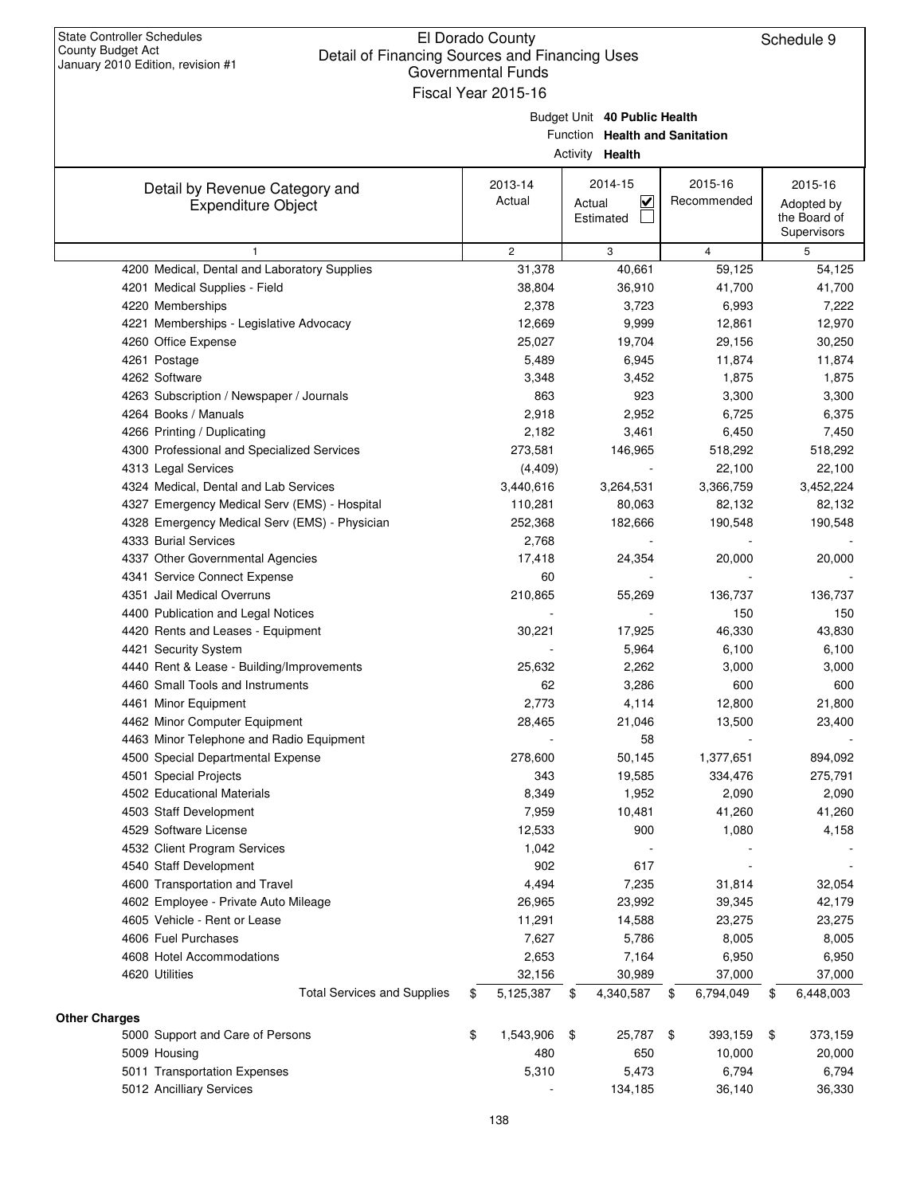|                                               | Governmental Funds  |        |                                |                        |                            |
|-----------------------------------------------|---------------------|--------|--------------------------------|------------------------|----------------------------|
|                                               | Fiscal Year 2015-16 |        |                                |                        |                            |
|                                               |                     |        | Budget Unit 40 Public Health   |                        |                            |
|                                               |                     |        | Function Health and Sanitation |                        |                            |
|                                               |                     |        | Activity <b>Health</b>         |                        |                            |
|                                               |                     |        |                                |                        |                            |
| Detail by Revenue Category and                | 2013-14<br>Actual   |        | 2014-15<br><u>V</u>            | 2015-16<br>Recommended | 2015-16                    |
| <b>Expenditure Object</b>                     |                     | Actual | Estimated                      |                        | Adopted by<br>the Board of |
|                                               |                     |        |                                |                        | Supervisors                |
| $\mathbf{1}$                                  | $\overline{2}$      |        | 3                              | 4                      | 5                          |
| 4200 Medical, Dental and Laboratory Supplies  | 31,378              |        | 40,661                         | 59,125                 | 54,125                     |
| 4201 Medical Supplies - Field                 | 38,804              |        | 36,910                         | 41,700                 | 41,700                     |
| 4220 Memberships                              | 2,378               |        | 3,723                          | 6,993                  | 7,222                      |
| 4221 Memberships - Legislative Advocacy       | 12,669              |        | 9,999                          | 12,861                 | 12,970                     |
| 4260 Office Expense                           | 25,027              |        | 19,704                         | 29,156                 | 30,250                     |
| 4261 Postage                                  | 5,489               |        | 6,945                          | 11,874                 | 11,874                     |
| 4262 Software                                 | 3,348               |        | 3,452                          | 1,875                  | 1,875                      |
| 4263 Subscription / Newspaper / Journals      | 863                 |        | 923                            | 3,300                  | 3,300                      |
| 4264 Books / Manuals                          | 2,918               |        | 2,952                          | 6,725                  | 6,375                      |
| 4266 Printing / Duplicating                   | 2,182               |        | 3,461                          | 6,450                  | 7,450                      |
| 4300 Professional and Specialized Services    | 273,581             |        | 146,965                        | 518,292                | 518,292                    |
| 4313 Legal Services                           | (4, 409)            |        |                                | 22,100                 | 22,100                     |
| 4324 Medical, Dental and Lab Services         | 3,440,616           |        | 3,264,531                      | 3,366,759              | 3,452,224                  |
| 4327 Emergency Medical Serv (EMS) - Hospital  | 110,281             |        | 80,063                         | 82,132                 | 82,132                     |
| 4328 Emergency Medical Serv (EMS) - Physician | 252,368             |        | 182,666                        | 190,548                | 190,548                    |
| 4333 Burial Services                          | 2,768               |        |                                |                        |                            |
| 4337 Other Governmental Agencies              | 17,418              |        | 24,354                         | 20,000                 | 20,000                     |
| 4341 Service Connect Expense                  | 60                  |        |                                |                        |                            |
| 4351 Jail Medical Overruns                    | 210,865             |        | 55,269                         | 136,737                | 136,737                    |
| 4400 Publication and Legal Notices            |                     |        |                                | 150                    | 150                        |
| 4420 Rents and Leases - Equipment             | 30,221              |        | 17,925                         | 46,330                 | 43,830                     |
| 4421 Security System                          |                     |        | 5,964                          | 6,100                  | 6,100                      |
| 4440 Rent & Lease - Building/Improvements     | 25,632              |        | 2,262                          | 3,000                  | 3,000                      |
| 4460 Small Tools and Instruments              | 62                  |        | 3,286                          | 600                    | 600                        |
| 4461 Minor Equipment                          | 2,773               |        | 4,114                          | 12,800                 | 21,800                     |
| 4462 Minor Computer Equipment                 | 28,465              |        | 21,046                         | 13,500                 | 23,400                     |
| 4463 Minor Telephone and Radio Equipment      |                     |        | 58                             |                        |                            |
| 4500 Special Departmental Expense             | 278,600             |        | 50,145                         | 1,377,651              | 894,092                    |
| 4501 Special Projects                         | 343                 |        | 19,585                         | 334,476                | 275,791                    |
| 4502 Educational Materials                    | 8,349               |        | 1,952                          | 2,090                  | 2,090                      |
| 4503 Staff Development                        | 7,959               |        | 10,481                         | 41,260                 | 41,260                     |
| 4529 Software License                         | 12,533              |        | 900                            | 1,080                  | 4,158                      |
| 4532 Client Program Services                  | 1,042               |        |                                |                        |                            |
| 4540 Staff Development                        | 902                 |        | 617                            |                        |                            |
| 4600 Transportation and Travel                | 4,494               |        | 7,235                          | 31,814                 | 32,054                     |
| 4602 Employee - Private Auto Mileage          | 26,965              |        | 23,992                         | 39,345                 | 42,179                     |
| 4605 Vehicle - Rent or Lease                  | 11,291              |        | 14,588                         | 23,275                 | 23,275                     |
| 4606 Fuel Purchases                           | 7,627               |        | 5,786                          | 8,005                  | 8,005                      |
| 4608 Hotel Accommodations                     | 2,653               |        | 7,164                          | 6,950                  | 6,950                      |
| 4620 Utilities                                | 32,156              |        | 30,989                         | 37,000                 | 37,000                     |
| <b>Total Services and Supplies</b>            | \$<br>5,125,387     | \$     | 4,340,587                      | \$<br>6,794,049        | \$<br>6,448,003            |
| <b>Other Charges</b>                          |                     |        |                                |                        |                            |
| 5000 Support and Care of Persons              | \$<br>1,543,906     | \$     | 25,787                         | \$<br>393,159          | \$<br>373,159              |
| 5009 Housing                                  | 480                 |        | 650                            | 10,000                 | 20,000                     |
| 5011 Transportation Expenses                  | 5,310               |        | 5,473                          | 6,794                  | 6,794                      |
| 5012 Ancilliary Services                      |                     |        | 134,185                        | 36,140                 | 36,330                     |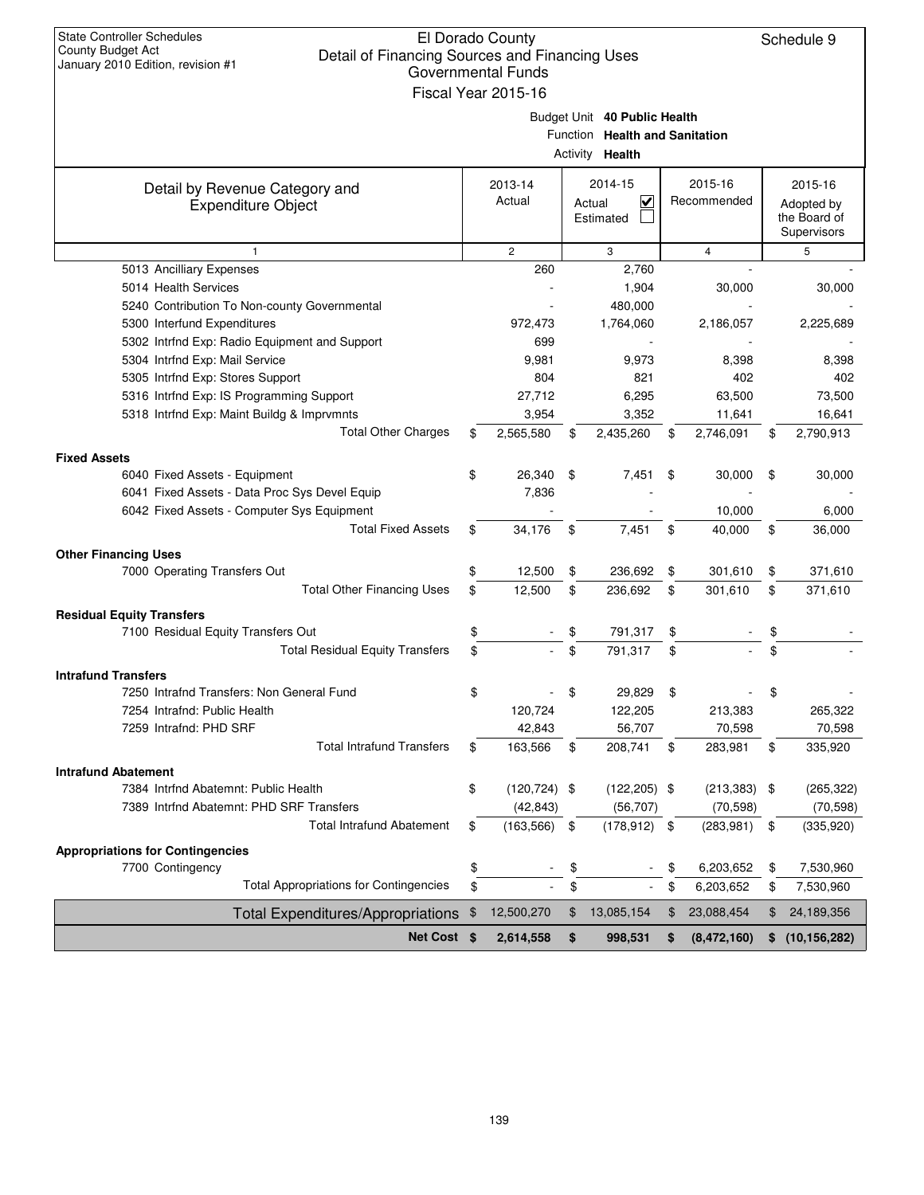| <b>State Controller Schedules</b><br>County Budget Act<br>Detail of Financing Sources and Financing Uses<br>January 2010 Edition, revision #1 | El Dorado County<br><b>Governmental Funds</b><br>Fiscal Year 2015-16 |                                                                                          |                        | Schedule 9                                           |
|-----------------------------------------------------------------------------------------------------------------------------------------------|----------------------------------------------------------------------|------------------------------------------------------------------------------------------|------------------------|------------------------------------------------------|
|                                                                                                                                               |                                                                      | Budget Unit 40 Public Health<br>Function Health and Sanitation<br>Activity <b>Health</b> |                        |                                                      |
| Detail by Revenue Category and<br><b>Expenditure Object</b>                                                                                   | 2013-14<br>Actual                                                    | 2014-15<br>$\overline{\mathsf{v}}$<br>Actual<br>Estimated                                | 2015-16<br>Recommended | 2015-16<br>Adopted by<br>the Board of<br>Supervisors |
| $\mathbf{1}$                                                                                                                                  | $\overline{c}$                                                       | 3                                                                                        | 4                      | 5                                                    |
| 5013 Ancilliary Expenses                                                                                                                      | 260                                                                  | 2,760                                                                                    |                        |                                                      |
| 5014 Health Services                                                                                                                          |                                                                      | 1,904                                                                                    | 30,000                 | 30,000                                               |
| 5240 Contribution To Non-county Governmental                                                                                                  |                                                                      | 480,000                                                                                  |                        |                                                      |
| 5300 Interfund Expenditures                                                                                                                   | 972,473                                                              | 1,764,060                                                                                | 2,186,057              | 2,225,689                                            |
| 5302 Intrfnd Exp: Radio Equipment and Support                                                                                                 | 699                                                                  |                                                                                          |                        |                                                      |
| 5304 Intrfnd Exp: Mail Service                                                                                                                | 9,981                                                                | 9,973                                                                                    | 8,398                  | 8,398                                                |
| 5305 Intrfnd Exp: Stores Support                                                                                                              | 804                                                                  | 821                                                                                      | 402                    | 402                                                  |
| 5316 Intrfnd Exp: IS Programming Support                                                                                                      | 27,712                                                               | 6,295                                                                                    | 63,500                 | 73,500                                               |
| 5318 Intrfnd Exp: Maint Buildg & Imprvmnts                                                                                                    | 3,954                                                                | 3,352                                                                                    | 11,641                 | 16,641                                               |
| <b>Total Other Charges</b>                                                                                                                    | \$<br>2,565,580                                                      | \$<br>2,435,260                                                                          | \$<br>2,746,091        | \$<br>2,790,913                                      |
| <b>Fixed Assets</b>                                                                                                                           |                                                                      |                                                                                          |                        |                                                      |
| 6040 Fixed Assets - Equipment                                                                                                                 | \$<br>26,340                                                         | \$<br>7,451                                                                              | \$<br>30,000           | \$<br>30,000                                         |
| 6041 Fixed Assets - Data Proc Sys Devel Equip                                                                                                 | 7,836                                                                |                                                                                          |                        |                                                      |
| 6042 Fixed Assets - Computer Sys Equipment                                                                                                    |                                                                      |                                                                                          | 10,000                 | 6,000                                                |
| <b>Total Fixed Assets</b>                                                                                                                     | \$<br>34,176                                                         | \$<br>7,451                                                                              | \$<br>40,000           | \$<br>36,000                                         |
| <b>Other Financing Uses</b>                                                                                                                   |                                                                      |                                                                                          |                        |                                                      |
| 7000 Operating Transfers Out                                                                                                                  | \$<br>12,500                                                         | \$<br>236,692                                                                            | \$<br>301,610          | \$<br>371,610                                        |
| <b>Total Other Financing Uses</b>                                                                                                             | \$<br>12,500                                                         | \$<br>236,692                                                                            | \$<br>301,610          | \$<br>371,610                                        |
|                                                                                                                                               |                                                                      |                                                                                          |                        |                                                      |
| <b>Residual Equity Transfers</b>                                                                                                              |                                                                      |                                                                                          |                        |                                                      |
| 7100 Residual Equity Transfers Out                                                                                                            | \$                                                                   | \$<br>791,317                                                                            | \$                     | \$                                                   |
| <b>Total Residual Equity Transfers</b>                                                                                                        | \$                                                                   | \$<br>791,317                                                                            | \$                     | \$                                                   |
| <b>Intrafund Transfers</b>                                                                                                                    |                                                                      |                                                                                          |                        |                                                      |
| 7250 Intrafnd Transfers: Non General Fund                                                                                                     | \$                                                                   | \$<br>29,829                                                                             |                        |                                                      |
| 7254 Intrafnd: Public Health                                                                                                                  | 120,724                                                              | 122,205                                                                                  | 213,383                | 265,322                                              |
| 7259 Intrafnd: PHD SRF                                                                                                                        | 42,843                                                               | 56,707                                                                                   | 70,598                 | 70,598                                               |
| <b>Total Intrafund Transfers</b>                                                                                                              | \$<br>163,566                                                        | \$<br>208,741                                                                            | \$<br>283,981          | \$<br>335,920                                        |
| <b>Intrafund Abatement</b>                                                                                                                    |                                                                      |                                                                                          |                        |                                                      |
| 7384 Intrfnd Abatemnt: Public Health                                                                                                          | \$<br>$(120, 724)$ \$                                                | $(122, 205)$ \$                                                                          | $(213, 383)$ \$        | (265, 322)                                           |
| 7389 Intrfnd Abatemnt: PHD SRF Transfers                                                                                                      | (42, 843)                                                            | (56, 707)                                                                                | (70, 598)              | (70, 598)                                            |
| <b>Total Intrafund Abatement</b>                                                                                                              | \$<br>(163, 566)                                                     | \$<br>$(178, 912)$ \$                                                                    | (283, 981)             | \$<br>(335, 920)                                     |
|                                                                                                                                               |                                                                      |                                                                                          |                        |                                                      |
| <b>Appropriations for Contingencies</b>                                                                                                       |                                                                      |                                                                                          |                        |                                                      |
| 7700 Contingency<br><b>Total Appropriations for Contingencies</b>                                                                             | \$                                                                   | \$                                                                                       | \$<br>6,203,652        | \$<br>7,530,960                                      |
|                                                                                                                                               | \$                                                                   | \$                                                                                       | \$<br>6,203,652        | \$<br>7,530,960                                      |
| <b>Total Expenditures/Appropriations</b>                                                                                                      | \$<br>12,500,270                                                     | \$<br>13,085,154                                                                         | \$<br>23,088,454       | \$<br>24,189,356                                     |
| Net Cost \$                                                                                                                                   | 2,614,558                                                            | \$<br>998,531                                                                            | \$<br>(8,472,160)      | \$(10, 156, 282)                                     |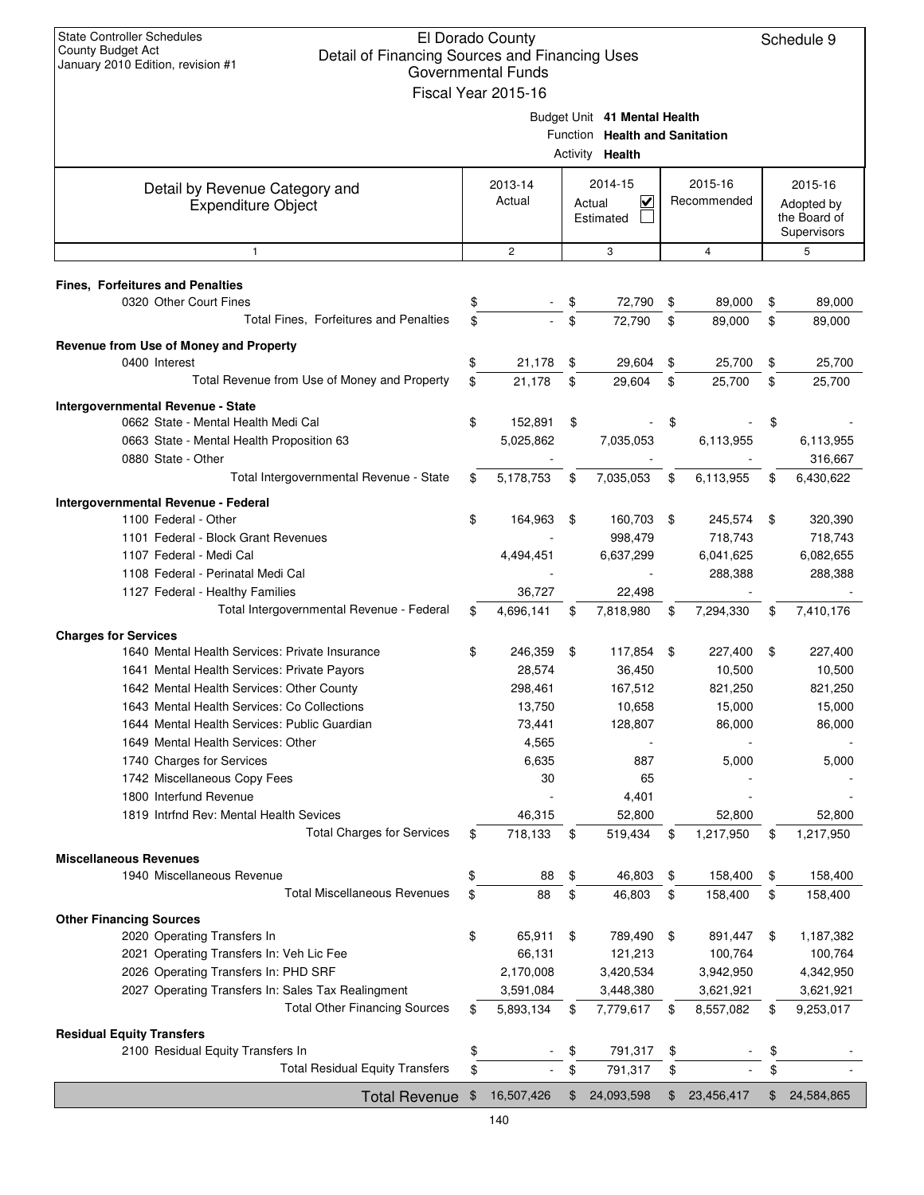| <b>State Controller Schedules</b><br>El Dorado County<br><b>County Budget Act</b><br>Detail of Financing Sources and Financing Uses<br>January 2010 Edition, revision #1<br><b>Governmental Funds</b><br>Fiscal Year 2015-16 |    |                   |    |                                                                                   |    |                        |    |                                                      |  |
|------------------------------------------------------------------------------------------------------------------------------------------------------------------------------------------------------------------------------|----|-------------------|----|-----------------------------------------------------------------------------------|----|------------------------|----|------------------------------------------------------|--|
|                                                                                                                                                                                                                              |    |                   |    | Budget Unit 41 Mental Health<br>Function Health and Sanitation<br>Activity Health |    |                        |    |                                                      |  |
| Detail by Revenue Category and<br><b>Expenditure Object</b>                                                                                                                                                                  |    | 2013-14<br>Actual |    | 2014-15<br>V<br>Actual<br>Estimated                                               |    | 2015-16<br>Recommended |    | 2015-16<br>Adopted by<br>the Board of<br>Supervisors |  |
| $\mathbf{1}$                                                                                                                                                                                                                 |    | $\mathbf{2}$      |    | 3                                                                                 |    | $\overline{4}$         |    | 5                                                    |  |
| <b>Fines, Forfeitures and Penalties</b>                                                                                                                                                                                      |    |                   |    |                                                                                   |    |                        |    |                                                      |  |
| 0320 Other Court Fines                                                                                                                                                                                                       | \$ |                   | \$ | 72,790                                                                            | \$ | 89,000                 | \$ | 89,000                                               |  |
| Total Fines, Forfeitures and Penalties                                                                                                                                                                                       | \$ |                   | \$ | 72.790                                                                            | \$ | 89,000                 | \$ | 89,000                                               |  |
| Revenue from Use of Money and Property                                                                                                                                                                                       |    |                   |    |                                                                                   |    |                        |    |                                                      |  |
| 0400 Interest                                                                                                                                                                                                                | \$ | 21,178            | \$ | 29,604                                                                            | \$ | 25,700                 | \$ | 25,700                                               |  |
| Total Revenue from Use of Money and Property                                                                                                                                                                                 | \$ | 21,178            | \$ | 29,604                                                                            | \$ | 25,700                 | \$ | 25,700                                               |  |
| <b>Intergovernmental Revenue - State</b>                                                                                                                                                                                     |    |                   |    |                                                                                   |    |                        |    |                                                      |  |
| 0662 State - Mental Health Medi Cal                                                                                                                                                                                          | \$ | 152,891           | \$ |                                                                                   | \$ |                        | \$ |                                                      |  |
| 0663 State - Mental Health Proposition 63                                                                                                                                                                                    |    | 5,025,862         |    | 7,035,053                                                                         |    | 6,113,955              |    | 6,113,955                                            |  |
| 0880 State - Other                                                                                                                                                                                                           |    |                   |    |                                                                                   |    |                        |    | 316,667                                              |  |
| Total Intergovernmental Revenue - State                                                                                                                                                                                      | \$ | 5,178,753         | \$ | 7,035,053                                                                         | \$ | 6,113,955              | \$ | 6,430,622                                            |  |
| Intergovernmental Revenue - Federal                                                                                                                                                                                          |    |                   |    |                                                                                   |    |                        |    |                                                      |  |
| 1100 Federal - Other                                                                                                                                                                                                         | \$ | 164,963           | \$ | 160,703                                                                           | \$ | 245,574                | \$ | 320,390                                              |  |
| 1101 Federal - Block Grant Revenues                                                                                                                                                                                          |    |                   |    | 998,479                                                                           |    | 718,743                |    | 718,743                                              |  |
| 1107 Federal - Medi Cal                                                                                                                                                                                                      |    | 4,494,451         |    | 6,637,299                                                                         |    | 6,041,625              |    | 6,082,655                                            |  |
| 1108 Federal - Perinatal Medi Cal                                                                                                                                                                                            |    |                   |    |                                                                                   |    | 288,388                |    | 288,388                                              |  |
| 1127 Federal - Healthy Families                                                                                                                                                                                              |    | 36,727            |    | 22,498                                                                            |    |                        |    |                                                      |  |
| Total Intergovernmental Revenue - Federal                                                                                                                                                                                    | \$ | 4,696,141         | \$ | 7,818,980                                                                         | \$ | 7,294,330              | \$ | 7,410,176                                            |  |
| <b>Charges for Services</b>                                                                                                                                                                                                  |    |                   |    |                                                                                   |    |                        |    |                                                      |  |
| 1640 Mental Health Services: Private Insurance                                                                                                                                                                               | \$ | 246,359           | \$ | 117,854                                                                           | \$ | 227,400                | \$ | 227,400                                              |  |
| 1641 Mental Health Services: Private Payors                                                                                                                                                                                  |    | 28,574            |    | 36,450                                                                            |    | 10,500                 |    | 10,500                                               |  |
| 1642 Mental Health Services: Other County                                                                                                                                                                                    |    | 298,461           |    | 167,512                                                                           |    | 821,250                |    | 821,250                                              |  |
| 1643 Mental Health Services: Co Collections                                                                                                                                                                                  |    | 13,750            |    | 10,658                                                                            |    | 15,000                 |    | 15,000                                               |  |
| 1644 Mental Health Services: Public Guardian<br>1649 Mental Health Services: Other                                                                                                                                           |    | 73,441<br>4,565   |    | 128,807                                                                           |    | 86,000                 |    | 86,000                                               |  |
| 1740 Charges for Services                                                                                                                                                                                                    |    | 6,635             |    | 887                                                                               |    | 5,000                  |    | 5,000                                                |  |
| 1742 Miscellaneous Copy Fees                                                                                                                                                                                                 |    | 30                |    | 65                                                                                |    |                        |    |                                                      |  |
| 1800 Interfund Revenue                                                                                                                                                                                                       |    |                   |    | 4,401                                                                             |    |                        |    |                                                      |  |
| 1819 Intrfnd Rev: Mental Health Sevices                                                                                                                                                                                      |    | 46,315            |    | 52,800                                                                            |    | 52,800                 |    | 52,800                                               |  |
| <b>Total Charges for Services</b>                                                                                                                                                                                            | \$ | 718,133           | \$ | 519,434                                                                           | \$ | 1,217,950              | \$ | 1,217,950                                            |  |
| <b>Miscellaneous Revenues</b>                                                                                                                                                                                                |    |                   |    |                                                                                   |    |                        |    |                                                      |  |
| 1940 Miscellaneous Revenue                                                                                                                                                                                                   | \$ | 88                | \$ | 46,803                                                                            | \$ | 158,400                | \$ | 158,400                                              |  |
| <b>Total Miscellaneous Revenues</b>                                                                                                                                                                                          | \$ | 88                | \$ | 46,803                                                                            | \$ | 158,400                | \$ | 158,400                                              |  |
| <b>Other Financing Sources</b>                                                                                                                                                                                               |    |                   |    |                                                                                   |    |                        |    |                                                      |  |
| 2020 Operating Transfers In                                                                                                                                                                                                  | \$ | 65,911            | \$ | 789,490                                                                           | \$ | 891,447                | \$ | 1,187,382                                            |  |
| 2021 Operating Transfers In: Veh Lic Fee                                                                                                                                                                                     |    | 66,131            |    | 121,213                                                                           |    | 100,764                |    | 100,764                                              |  |
| 2026 Operating Transfers In: PHD SRF                                                                                                                                                                                         |    | 2,170,008         |    | 3,420,534                                                                         |    | 3,942,950              |    | 4,342,950                                            |  |
| 2027 Operating Transfers In: Sales Tax Realingment                                                                                                                                                                           |    | 3,591,084         |    | 3,448,380                                                                         |    | 3,621,921              |    | 3,621,921                                            |  |
| <b>Total Other Financing Sources</b>                                                                                                                                                                                         | \$ | 5,893,134         | \$ | 7,779,617                                                                         | \$ | 8,557,082              | \$ | 9,253,017                                            |  |
| <b>Residual Equity Transfers</b>                                                                                                                                                                                             |    |                   |    |                                                                                   |    |                        |    |                                                      |  |
| 2100 Residual Equity Transfers In                                                                                                                                                                                            | \$ |                   | \$ | 791,317                                                                           | \$ |                        | \$ |                                                      |  |
| <b>Total Residual Equity Transfers</b>                                                                                                                                                                                       | \$ |                   | \$ | 791,317                                                                           | \$ |                        | \$ |                                                      |  |
| Total Revenue \$                                                                                                                                                                                                             |    | 16,507,426        | \$ | 24,093,598                                                                        | \$ | 23,456,417             | \$ | 24,584,865                                           |  |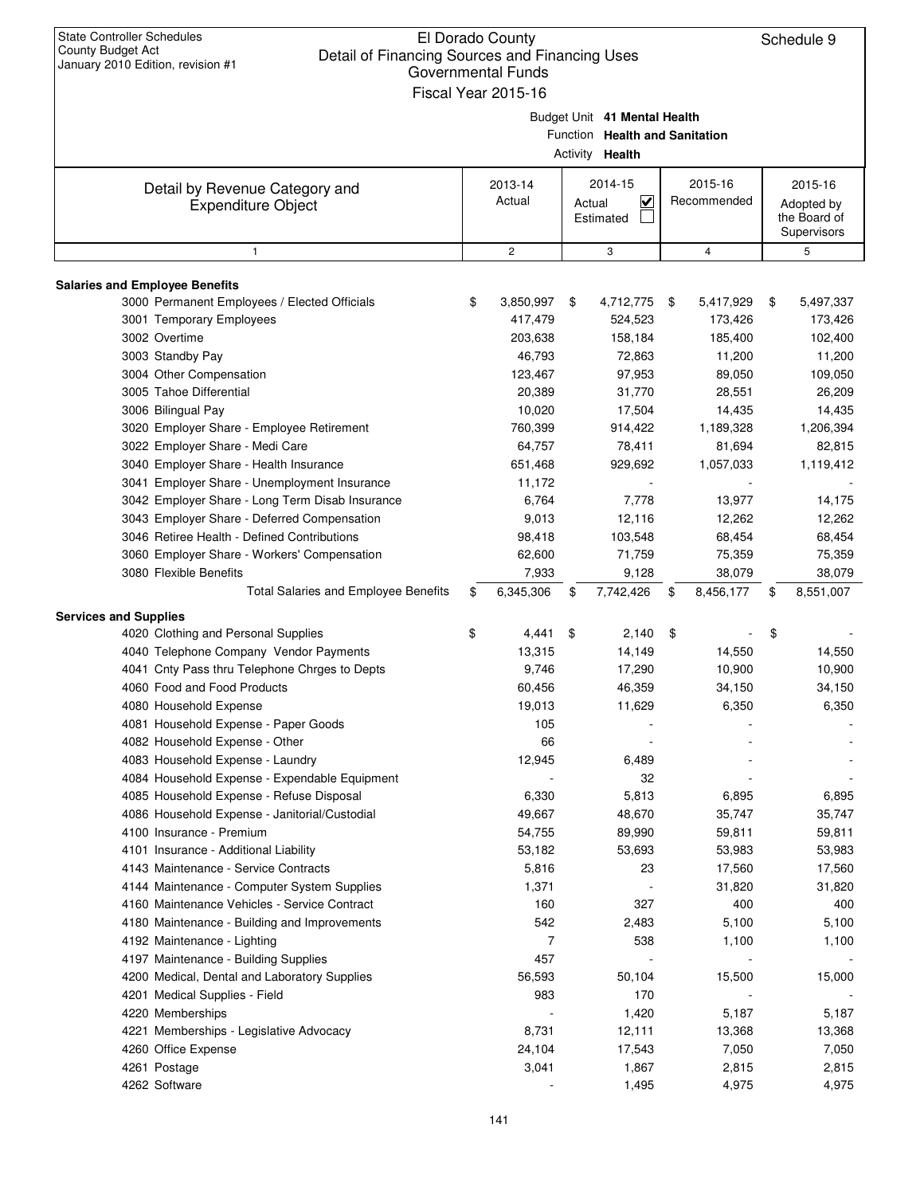| <b>State Controller Schedules</b><br>El Dorado County<br>County Budget Act<br>Detail of Financing Sources and Financing Uses<br>January 2010 Edition, revision #1<br><b>Governmental Funds</b><br>Fiscal Year 2015-16   |    |                                              |        |                                                                                   |    |                                                |    |                                                      |  |  |
|-------------------------------------------------------------------------------------------------------------------------------------------------------------------------------------------------------------------------|----|----------------------------------------------|--------|-----------------------------------------------------------------------------------|----|------------------------------------------------|----|------------------------------------------------------|--|--|
|                                                                                                                                                                                                                         |    |                                              |        | Budget Unit 41 Mental Health<br>Function Health and Sanitation<br>Activity Health |    |                                                |    |                                                      |  |  |
| Detail by Revenue Category and<br><b>Expenditure Object</b>                                                                                                                                                             |    | 2013-14<br>Actual                            | Actual | 2014-15<br>$\checkmark$<br>Estimated                                              |    | 2015-16<br>Recommended                         |    | 2015-16<br>Adopted by<br>the Board of<br>Supervisors |  |  |
| $\mathbf{1}$                                                                                                                                                                                                            |    | $\overline{c}$                               |        | 3                                                                                 |    | $\overline{4}$                                 |    | 5                                                    |  |  |
| <b>Salaries and Employee Benefits</b><br>3000 Permanent Employees / Elected Officials<br>3001 Temporary Employees<br>3002 Overtime<br>3003 Standby Pay                                                                  | \$ | 3,850,997<br>417,479<br>203,638<br>46,793    | \$     | 4,712,775<br>524,523<br>158,184<br>72,863                                         | \$ | 5,417,929<br>173,426<br>185,400<br>11,200      | \$ | 5,497,337<br>173,426<br>102,400<br>11,200            |  |  |
| 3004 Other Compensation<br>3005 Tahoe Differential<br>3006 Bilingual Pay<br>3020 Employer Share - Employee Retirement                                                                                                   |    | 123,467<br>20,389<br>10,020<br>760,399       |        | 97,953<br>31,770<br>17,504<br>914,422                                             |    | 89,050<br>28,551<br>14,435<br>1,189,328        |    | 109,050<br>26,209<br>14,435<br>1,206,394             |  |  |
| 3022 Employer Share - Medi Care<br>3040 Employer Share - Health Insurance<br>3041 Employer Share - Unemployment Insurance<br>3042 Employer Share - Long Term Disab Insurance                                            |    | 64,757<br>651,468<br>11,172<br>6,764         |        | 78,411<br>929,692<br>7,778                                                        |    | 81,694<br>1,057,033<br>13,977                  |    | 82,815<br>1,119,412<br>14,175                        |  |  |
| 3043 Employer Share - Deferred Compensation<br>3046 Retiree Health - Defined Contributions<br>3060 Employer Share - Workers' Compensation<br>3080 Flexible Benefits                                                     |    | 9,013<br>98,418<br>62,600<br>7,933           |        | 12,116<br>103,548<br>71,759<br>9,128                                              |    | 12,262<br>68,454<br>75,359<br>38,079           |    | 12,262<br>68,454<br>75,359<br>38,079                 |  |  |
| Total Salaries and Employee Benefits                                                                                                                                                                                    | \$ | 6,345,306                                    | \$     | 7,742,426                                                                         | \$ | 8,456,177                                      | \$ | 8,551,007                                            |  |  |
| <b>Services and Supplies</b><br>4020 Clothing and Personal Supplies<br>4040 Telephone Company Vendor Payments<br>4041 Cnty Pass thru Telephone Chrges to Depts<br>4060 Food and Food Products<br>4080 Household Expense | \$ | 4,441<br>13,315<br>9,746<br>60,456<br>19,013 | \$     | 2,140<br>14,149<br>17,290<br>46,359<br>11,629                                     | \$ | 14,550<br>10,900<br>34,150<br>6,350            | \$ | 14,550<br>10,900<br>34,150<br>6,350                  |  |  |
| 4081 Household Expense - Paper Goods<br>4082 Household Expense - Other<br>4083 Household Expense - Laundry<br>4084 Household Expense - Expendable Equipment<br>4085 Household Expense - Refuse Disposal                 |    | 105<br>66<br>12,945<br>6,330                 |        | 6,489<br>32<br>5,813                                                              |    | 6,895                                          |    | 6,895                                                |  |  |
| 4086 Household Expense - Janitorial/Custodial<br>4100 Insurance - Premium<br>4101 Insurance - Additional Liability<br>4143 Maintenance - Service Contracts<br>4144 Maintenance - Computer System Supplies               |    | 49,667<br>54,755<br>53,182<br>5,816<br>1,371 |        | 48,670<br>89,990<br>53,693<br>23                                                  |    | 35,747<br>59,811<br>53,983<br>17,560<br>31,820 |    | 35,747<br>59,811<br>53,983<br>17,560<br>31,820       |  |  |
| 4160 Maintenance Vehicles - Service Contract<br>4180 Maintenance - Building and Improvements<br>4192 Maintenance - Lighting<br>4197 Maintenance - Building Supplies                                                     |    | 160<br>542<br>7<br>457                       |        | 327<br>2,483<br>538<br>$\overline{\phantom{a}}$                                   |    | 400<br>5,100<br>1,100                          |    | 400<br>5,100<br>1,100                                |  |  |
| 4200 Medical, Dental and Laboratory Supplies<br>4201 Medical Supplies - Field<br>4220 Memberships<br>4221 Memberships - Legislative Advocacy<br>4260 Office Expense<br>4261 Postage                                     |    | 56,593<br>983<br>8,731<br>24,104<br>3,041    |        | 50,104<br>170<br>1,420<br>12,111<br>17,543<br>1,867                               |    | 15,500<br>5,187<br>13,368<br>7,050<br>2,815    |    | 15,000<br>5,187<br>13,368<br>7,050<br>2,815          |  |  |
| 4262 Software                                                                                                                                                                                                           |    |                                              |        | 1,495                                                                             |    | 4,975                                          |    | 4,975                                                |  |  |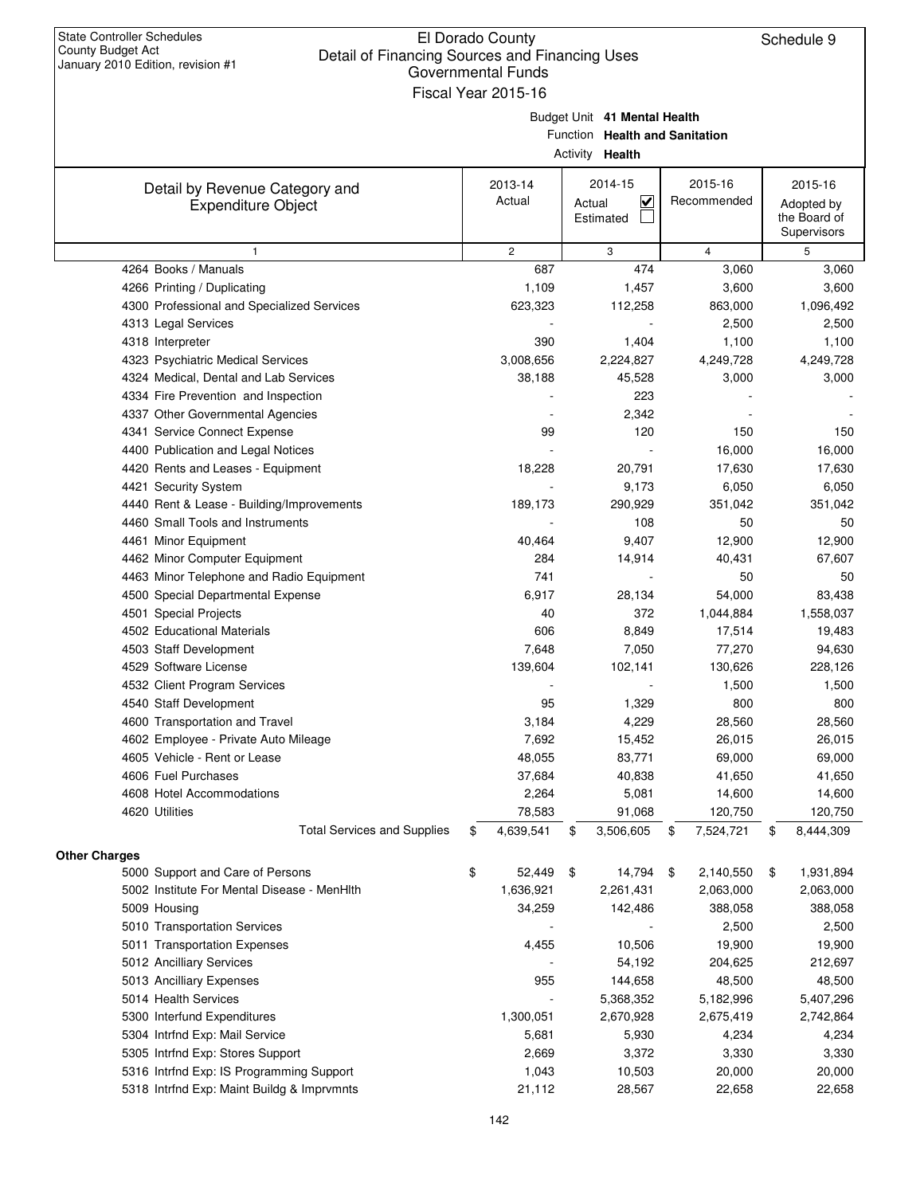| Detail of Financing Obdices and Financing Oses<br>January 2010 Edition, revision #1 | Governmental Funds    |                                   |                 |                             |
|-------------------------------------------------------------------------------------|-----------------------|-----------------------------------|-----------------|-----------------------------|
|                                                                                     | Fiscal Year 2015-16   |                                   |                 |                             |
|                                                                                     |                       | Budget Unit 41 Mental Health      |                 |                             |
|                                                                                     |                       | Function Health and Sanitation    |                 |                             |
|                                                                                     |                       | Activity Health                   |                 |                             |
|                                                                                     |                       |                                   |                 |                             |
| Detail by Revenue Category and                                                      | 2013-14               | 2014-15                           | 2015-16         | 2015-16                     |
| <b>Expenditure Object</b>                                                           | Actual                | $\overline{\mathsf{v}}$<br>Actual | Recommended     | Adopted by                  |
|                                                                                     |                       | Estimated                         |                 | the Board of<br>Supervisors |
| $\mathbf{1}$                                                                        | $\mathbf{2}^{\prime}$ | 3                                 | $\overline{4}$  | 5                           |
| 4264 Books / Manuals                                                                | 687                   | 474                               | 3,060           | 3,060                       |
| 4266 Printing / Duplicating                                                         | 1,109                 | 1,457                             | 3,600           | 3,600                       |
| 4300 Professional and Specialized Services                                          | 623,323               | 112,258                           | 863,000         | 1,096,492                   |
| 4313 Legal Services                                                                 |                       |                                   | 2,500           | 2,500                       |
| 4318 Interpreter                                                                    | 390                   | 1,404                             | 1,100           | 1,100                       |
| 4323 Psychiatric Medical Services                                                   | 3,008,656             | 2,224,827                         | 4,249,728       | 4,249,728                   |
| 4324 Medical, Dental and Lab Services                                               | 38,188                | 45,528                            | 3,000           | 3,000                       |
| 4334 Fire Prevention and Inspection                                                 |                       | 223                               |                 |                             |
| 4337 Other Governmental Agencies                                                    |                       | 2,342                             |                 |                             |
| 4341 Service Connect Expense                                                        | 99                    | 120                               | 150             | 150                         |
| 4400 Publication and Legal Notices                                                  |                       |                                   | 16,000          | 16,000                      |
| 4420 Rents and Leases - Equipment                                                   | 18,228                | 20,791                            | 17,630          | 17,630                      |
| 4421 Security System                                                                |                       | 9,173                             | 6,050           | 6,050                       |
| 4440 Rent & Lease - Building/Improvements                                           | 189,173               | 290,929                           | 351,042         | 351,042                     |
| 4460 Small Tools and Instruments                                                    |                       | 108                               | 50              | 50                          |
| 4461 Minor Equipment                                                                | 40,464                | 9,407                             | 12,900          | 12,900                      |
| 4462 Minor Computer Equipment                                                       | 284                   | 14,914                            | 40,431          | 67,607                      |
| 4463 Minor Telephone and Radio Equipment                                            | 741                   |                                   | 50              | 50                          |
| 4500 Special Departmental Expense                                                   | 6,917                 | 28,134                            | 54,000          | 83,438                      |
| 4501 Special Projects                                                               | 40                    | 372                               | 1,044,884       | 1,558,037                   |
| 4502 Educational Materials                                                          | 606                   | 8,849                             | 17,514          | 19,483                      |
| 4503 Staff Development                                                              | 7,648                 | 7,050                             | 77,270          | 94,630                      |
| 4529 Software License                                                               | 139,604               | 102,141                           | 130,626         | 228,126                     |
| 4532 Client Program Services                                                        |                       |                                   | 1,500           | 1,500                       |
| 4540 Staff Development                                                              | 95                    | 1,329                             | 800             | 800                         |
| 4600 Transportation and Travel                                                      | 3,184                 | 4,229                             | 28,560          | 28,560                      |
| 4602 Employee - Private Auto Mileage                                                | 7,692                 | 15,452                            | 26,015          | 26,015                      |
| 4605 Vehicle - Rent or Lease                                                        | 48,055                | 83,771                            | 69,000          | 69,000                      |
| 4606 Fuel Purchases                                                                 | 37,684                | 40,838                            | 41,650          | 41,650                      |
| 4608 Hotel Accommodations                                                           | 2,264                 | 5,081                             | 14,600          | 14,600                      |
| 4620 Utilities                                                                      | 78,583                | 91,068                            | 120,750         | 120,750                     |
| <b>Total Services and Supplies</b>                                                  | \$<br>4,639,541       | 3,506,605<br>\$                   | \$<br>7,524,721 | \$<br>8,444,309             |
| <b>Other Charges</b>                                                                |                       |                                   |                 |                             |
| 5000 Support and Care of Persons                                                    | \$<br>52,449          | \$<br>14,794                      | \$<br>2,140,550 | \$<br>1,931,894             |
| 5002 Institute For Mental Disease - MenHIth                                         | 1,636,921             | 2,261,431                         | 2,063,000       | 2,063,000                   |
| 5009 Housing                                                                        | 34,259                | 142,486                           | 388,058         | 388,058                     |
| 5010 Transportation Services                                                        |                       |                                   | 2,500           | 2,500                       |
| 5011 Transportation Expenses                                                        | 4,455                 | 10,506                            | 19,900          | 19,900                      |
| 5012 Ancilliary Services                                                            |                       | 54,192                            | 204,625         | 212,697                     |
| 5013 Ancilliary Expenses                                                            | 955                   | 144,658                           | 48,500          | 48,500                      |
| 5014 Health Services                                                                |                       | 5,368,352                         | 5,182,996       | 5,407,296                   |
| 5300 Interfund Expenditures                                                         | 1,300,051             | 2,670,928                         | 2,675,419       | 2,742,864                   |
| 5304 Intrfnd Exp: Mail Service                                                      | 5,681                 | 5,930                             | 4,234           | 4,234                       |
| 5305 Intrfnd Exp: Stores Support                                                    | 2,669                 | 3,372                             | 3,330           | 3,330                       |
| 5316 Intrfnd Exp: IS Programming Support                                            | 1,043                 | 10,503                            | 20,000          | 20,000                      |
| 5318 Intrfnd Exp: Maint Buildg & Imprvmnts                                          | 21,112                | 28,567                            | 22,658          | 22,658                      |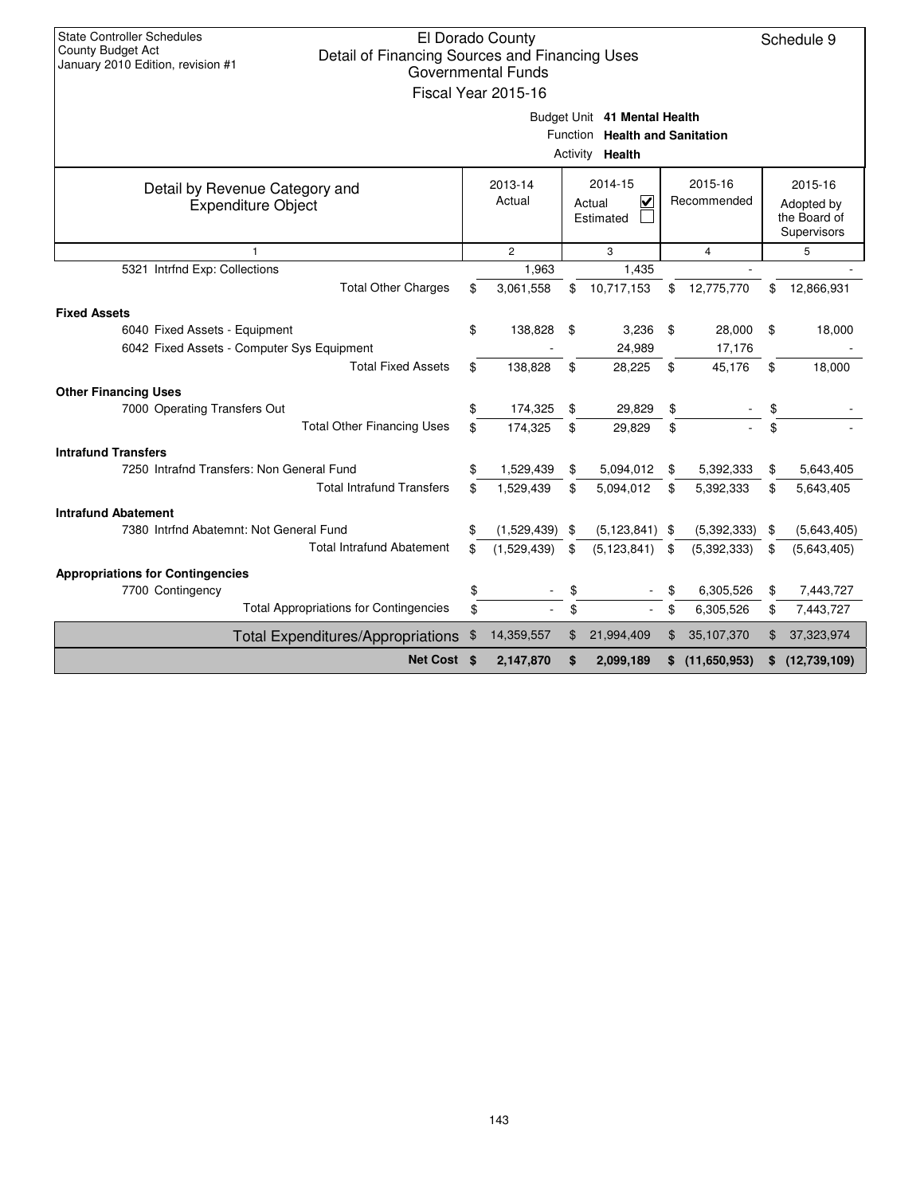| <b>State Controller Schedules</b><br>El Dorado County<br><b>County Budget Act</b><br>Detail of Financing Sources and Financing Uses<br>January 2010 Edition, revision #1<br><b>Governmental Funds</b><br>Fiscal Year 2015-16<br>Budget Unit 41 Mental Health |                                                                                                          |             |      |                                                          |    |              |    |              |  |  |  |
|--------------------------------------------------------------------------------------------------------------------------------------------------------------------------------------------------------------------------------------------------------------|----------------------------------------------------------------------------------------------------------|-------------|------|----------------------------------------------------------|----|--------------|----|--------------|--|--|--|
|                                                                                                                                                                                                                                                              |                                                                                                          |             |      | Function Health and Sanitation<br>Activity <b>Health</b> |    |              |    |              |  |  |  |
| Detail by Revenue Category and<br><b>Expenditure Object</b>                                                                                                                                                                                                  | 2014-15<br>2015-16<br>2013-14<br>Actual<br>$\overline{\mathbf{v}}$<br>Recommended<br>Actual<br>Estimated |             |      |                                                          |    |              |    |              |  |  |  |
| 1                                                                                                                                                                                                                                                            | $\overline{c}$<br>3<br>$\overline{4}$<br>5                                                               |             |      |                                                          |    |              |    |              |  |  |  |
| 5321 Intrfnd Exp: Collections                                                                                                                                                                                                                                |                                                                                                          | 1,963       |      | 1.435                                                    |    |              |    |              |  |  |  |
| <b>Total Other Charges</b>                                                                                                                                                                                                                                   | \$                                                                                                       | 3,061,558   | \$   | 10,717,153                                               | \$ | 12,775,770   | \$ | 12,866,931   |  |  |  |
| <b>Fixed Assets</b>                                                                                                                                                                                                                                          |                                                                                                          |             |      |                                                          |    |              |    |              |  |  |  |
| 6040 Fixed Assets - Equipment                                                                                                                                                                                                                                | \$                                                                                                       | 138,828     | \$   | 3,236                                                    | \$ | 28,000       | \$ | 18,000       |  |  |  |
| 6042 Fixed Assets - Computer Sys Equipment                                                                                                                                                                                                                   |                                                                                                          |             |      | 24,989                                                   |    | 17,176       |    |              |  |  |  |
| <b>Total Fixed Assets</b>                                                                                                                                                                                                                                    | \$                                                                                                       | 138,828     | \$   | 28,225                                                   | \$ | 45,176       | \$ | 18,000       |  |  |  |
| <b>Other Financing Uses</b>                                                                                                                                                                                                                                  |                                                                                                          |             |      |                                                          |    |              |    |              |  |  |  |
| 7000 Operating Transfers Out                                                                                                                                                                                                                                 | \$                                                                                                       | 174,325     | \$   | 29,829                                                   | \$ |              | \$ |              |  |  |  |
| <b>Total Other Financing Uses</b>                                                                                                                                                                                                                            | \$                                                                                                       | 174,325     | \$   | 29,829                                                   | \$ |              | \$ |              |  |  |  |
|                                                                                                                                                                                                                                                              |                                                                                                          |             |      |                                                          |    |              |    |              |  |  |  |
| <b>Intrafund Transfers</b><br>7250 Intrafnd Transfers: Non General Fund                                                                                                                                                                                      | \$                                                                                                       |             |      |                                                          |    |              |    |              |  |  |  |
| <b>Total Intrafund Transfers</b>                                                                                                                                                                                                                             |                                                                                                          | 1,529,439   | \$   | 5,094,012                                                | \$ | 5,392,333    | \$ | 5,643,405    |  |  |  |
|                                                                                                                                                                                                                                                              | \$                                                                                                       | 1,529,439   | \$   | 5,094,012                                                | \$ | 5,392,333    | \$ | 5,643,405    |  |  |  |
| <b>Intrafund Abatement</b>                                                                                                                                                                                                                                   |                                                                                                          |             |      |                                                          |    |              |    |              |  |  |  |
| 7380 Intrfnd Abatemnt: Not General Fund                                                                                                                                                                                                                      | \$                                                                                                       | (1,529,439) | - \$ | $(5, 123, 841)$ \$                                       |    | (5,392,333)  | \$ | (5,643,405)  |  |  |  |
| <b>Total Intrafund Abatement</b>                                                                                                                                                                                                                             | \$                                                                                                       | (1,529,439) | \$   | (5, 123, 841)                                            | \$ | (5,392,333)  | \$ | (5,643,405)  |  |  |  |
| <b>Appropriations for Contingencies</b>                                                                                                                                                                                                                      |                                                                                                          |             |      |                                                          |    |              |    |              |  |  |  |
| 7700 Contingency                                                                                                                                                                                                                                             | \$                                                                                                       |             | \$   |                                                          | \$ | 6,305,526    | \$ | 7,443,727    |  |  |  |
| <b>Total Appropriations for Contingencies</b>                                                                                                                                                                                                                | \$                                                                                                       |             | \$   | $\blacksquare$                                           | \$ | 6,305,526    | \$ | 7,443,727    |  |  |  |
| <b>Total Expenditures/Appropriations</b>                                                                                                                                                                                                                     | \$                                                                                                       | 14,359,557  | \$   | 21,994,409                                               | \$ | 35,107,370   | \$ | 37,323,974   |  |  |  |
| Net Cost \$                                                                                                                                                                                                                                                  |                                                                                                          | 2,147,870   | \$   | 2,099,189                                                | \$ | (11,650,953) | \$ | (12,739,109) |  |  |  |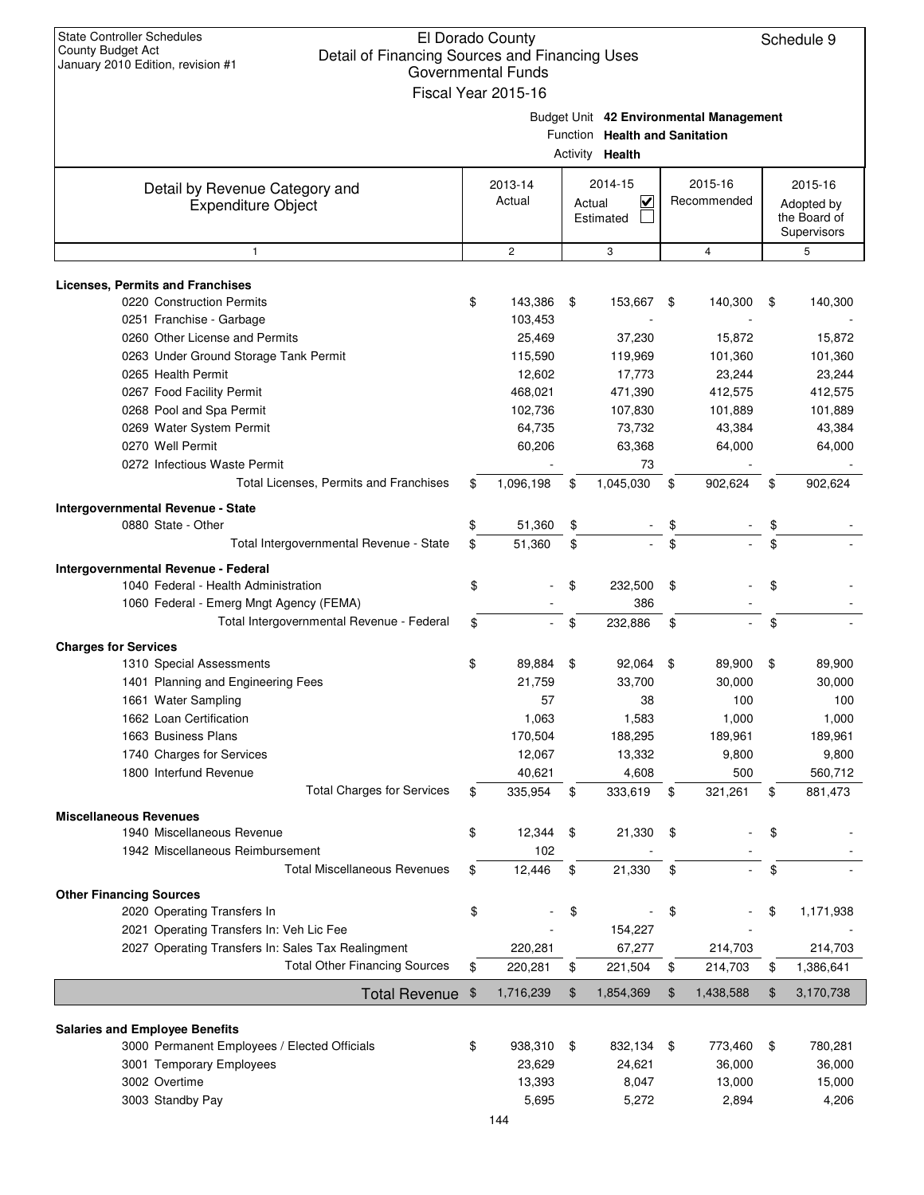| <b>State Controller Schedules</b><br>El Dorado County<br>Schedule 9<br>County Budget Act<br>Detail of Financing Sources and Financing Uses<br>January 2010 Edition, revision #1<br><b>Governmental Funds</b><br>Fiscal Year 2015-16 |    |                |        |                                                   |    |                                         |    |                                           |  |  |  |
|-------------------------------------------------------------------------------------------------------------------------------------------------------------------------------------------------------------------------------------|----|----------------|--------|---------------------------------------------------|----|-----------------------------------------|----|-------------------------------------------|--|--|--|
|                                                                                                                                                                                                                                     |    |                |        | Function Health and Sanitation<br>Activity Health |    | Budget Unit 42 Environmental Management |    |                                           |  |  |  |
| Detail by Revenue Category and                                                                                                                                                                                                      |    | 2013-14        |        | 2014-15                                           |    | 2015-16                                 |    | 2015-16                                   |  |  |  |
| <b>Expenditure Object</b>                                                                                                                                                                                                           |    | Actual         | Actual | $\checkmark$<br>Estimated                         |    | Recommended                             |    | Adopted by<br>the Board of<br>Supervisors |  |  |  |
| $\mathbf{1}$                                                                                                                                                                                                                        |    | $\overline{c}$ |        | 3                                                 |    | $\overline{4}$                          |    | 5                                         |  |  |  |
| <b>Licenses, Permits and Franchises</b>                                                                                                                                                                                             |    |                |        |                                                   |    |                                         |    |                                           |  |  |  |
| 0220 Construction Permits                                                                                                                                                                                                           | \$ | 143,386        | \$     | 153,667                                           | \$ | 140,300                                 | \$ | 140,300                                   |  |  |  |
| 0251 Franchise - Garbage                                                                                                                                                                                                            |    | 103,453        |        |                                                   |    |                                         |    |                                           |  |  |  |
| 0260 Other License and Permits                                                                                                                                                                                                      |    | 25,469         |        | 37,230                                            |    | 15,872                                  |    | 15,872                                    |  |  |  |
| 0263 Under Ground Storage Tank Permit                                                                                                                                                                                               |    | 115,590        |        | 119,969                                           |    | 101,360                                 |    | 101,360                                   |  |  |  |
| 0265 Health Permit                                                                                                                                                                                                                  |    | 12,602         |        | 17,773                                            |    | 23,244                                  |    | 23,244                                    |  |  |  |
| 0267 Food Facility Permit                                                                                                                                                                                                           |    | 468.021        |        | 471,390                                           |    | 412,575                                 |    | 412,575                                   |  |  |  |
| 0268 Pool and Spa Permit                                                                                                                                                                                                            |    | 102,736        |        | 107,830                                           |    | 101,889                                 |    | 101,889                                   |  |  |  |
| 0269 Water System Permit                                                                                                                                                                                                            |    | 64,735         |        | 73,732                                            |    | 43,384                                  |    | 43,384                                    |  |  |  |
| 0270 Well Permit                                                                                                                                                                                                                    |    | 60,206         |        | 63,368                                            |    | 64,000                                  |    | 64,000                                    |  |  |  |
| 0272 Infectious Waste Permit                                                                                                                                                                                                        |    |                |        | 73                                                |    |                                         |    |                                           |  |  |  |
| Total Licenses, Permits and Franchises                                                                                                                                                                                              | \$ | 1,096,198      | \$     | 1,045,030                                         | \$ | 902,624                                 | \$ | 902,624                                   |  |  |  |
| Intergovernmental Revenue - State                                                                                                                                                                                                   |    |                |        |                                                   |    |                                         |    |                                           |  |  |  |
| 0880 State - Other                                                                                                                                                                                                                  |    | 51,360         | \$     |                                                   | \$ |                                         |    |                                           |  |  |  |
| Total Intergovernmental Revenue - State                                                                                                                                                                                             | \$ | 51,360         | \$     |                                                   | \$ |                                         |    |                                           |  |  |  |
| Intergovernmental Revenue - Federal                                                                                                                                                                                                 |    |                |        |                                                   |    |                                         |    |                                           |  |  |  |
| 1040 Federal - Health Administration                                                                                                                                                                                                | \$ |                | \$     | 232,500                                           | \$ |                                         | \$ |                                           |  |  |  |
| 1060 Federal - Emerg Mngt Agency (FEMA)                                                                                                                                                                                             |    |                |        | 386                                               |    |                                         |    |                                           |  |  |  |
| Total Intergovernmental Revenue - Federal                                                                                                                                                                                           | \$ |                | \$     | 232,886                                           | \$ |                                         | \$ |                                           |  |  |  |
| <b>Charges for Services</b>                                                                                                                                                                                                         |    |                |        |                                                   |    |                                         |    |                                           |  |  |  |
| 1310 Special Assessments                                                                                                                                                                                                            | \$ | 89,884         | \$     | 92,064                                            | \$ | 89,900                                  | \$ | 89,900                                    |  |  |  |
| 1401 Planning and Engineering Fees                                                                                                                                                                                                  |    | 21,759         |        | 33,700                                            |    | 30,000                                  |    | 30,000                                    |  |  |  |
| 1661 Water Sampling                                                                                                                                                                                                                 |    | 57             |        | 38                                                |    | 100                                     |    | 100                                       |  |  |  |
| 1662 Loan Certification                                                                                                                                                                                                             |    | 1,063          |        | 1,583                                             |    | 1,000                                   |    | 1,000                                     |  |  |  |
| 1663 Business Plans                                                                                                                                                                                                                 |    | 170,504        |        | 188,295                                           |    | 189,961                                 |    | 189,961                                   |  |  |  |
| 1740 Charges for Services                                                                                                                                                                                                           |    | 12,067         |        | 13,332                                            |    | 9,800                                   |    | 9,800                                     |  |  |  |
| 1800 Interfund Revenue                                                                                                                                                                                                              |    | 40,621         |        | 4,608                                             |    | 500                                     |    | 560,712                                   |  |  |  |
| <b>Total Charges for Services</b>                                                                                                                                                                                                   | \$ | 335,954        | \$     | 333,619                                           | \$ | 321,261                                 | \$ | 881,473                                   |  |  |  |
| <b>Miscellaneous Revenues</b>                                                                                                                                                                                                       |    |                |        |                                                   |    |                                         |    |                                           |  |  |  |
| 1940 Miscellaneous Revenue                                                                                                                                                                                                          | \$ | 12,344         | \$     | 21,330                                            | \$ |                                         | \$ |                                           |  |  |  |
| 1942 Miscellaneous Reimbursement                                                                                                                                                                                                    |    | 102            |        |                                                   |    |                                         |    |                                           |  |  |  |
| <b>Total Miscellaneous Revenues</b>                                                                                                                                                                                                 | \$ | 12,446         | \$     | 21,330                                            | \$ |                                         | \$ |                                           |  |  |  |
| <b>Other Financing Sources</b>                                                                                                                                                                                                      |    |                |        |                                                   |    |                                         |    |                                           |  |  |  |
| 2020 Operating Transfers In                                                                                                                                                                                                         | \$ |                | \$     |                                                   | \$ |                                         | \$ | 1,171,938                                 |  |  |  |
| 2021 Operating Transfers In: Veh Lic Fee                                                                                                                                                                                            |    |                |        | 154,227                                           |    |                                         |    |                                           |  |  |  |
| 2027 Operating Transfers In: Sales Tax Realingment                                                                                                                                                                                  |    | 220,281        |        | 67,277                                            |    | 214,703                                 |    | 214,703                                   |  |  |  |
| <b>Total Other Financing Sources</b>                                                                                                                                                                                                | \$ | 220,281        | \$     | 221,504                                           | \$ | 214,703                                 | \$ | 1,386,641                                 |  |  |  |
| <b>Total Revenue</b>                                                                                                                                                                                                                | \$ | 1,716,239      | \$     | 1,854,369                                         | \$ | 1,438,588                               | \$ | 3,170,738                                 |  |  |  |
|                                                                                                                                                                                                                                     |    |                |        |                                                   |    |                                         |    |                                           |  |  |  |
| <b>Salaries and Employee Benefits</b>                                                                                                                                                                                               |    |                |        |                                                   |    |                                         |    |                                           |  |  |  |
| 3000 Permanent Employees / Elected Officials                                                                                                                                                                                        | \$ | 938,310 \$     |        | 832,134 \$                                        |    | 773,460                                 | \$ | 780,281                                   |  |  |  |
| 3001 Temporary Employees                                                                                                                                                                                                            |    | 23,629         |        | 24,621                                            |    | 36,000                                  |    | 36,000                                    |  |  |  |
| 3002 Overtime                                                                                                                                                                                                                       |    | 13,393         |        | 8,047                                             |    | 13,000                                  |    | 15,000                                    |  |  |  |
| 3003 Standby Pay                                                                                                                                                                                                                    |    | 5,695          |        | 5,272                                             |    | 2,894                                   |    | 4,206                                     |  |  |  |
|                                                                                                                                                                                                                                     |    | 144            |        |                                                   |    |                                         |    |                                           |  |  |  |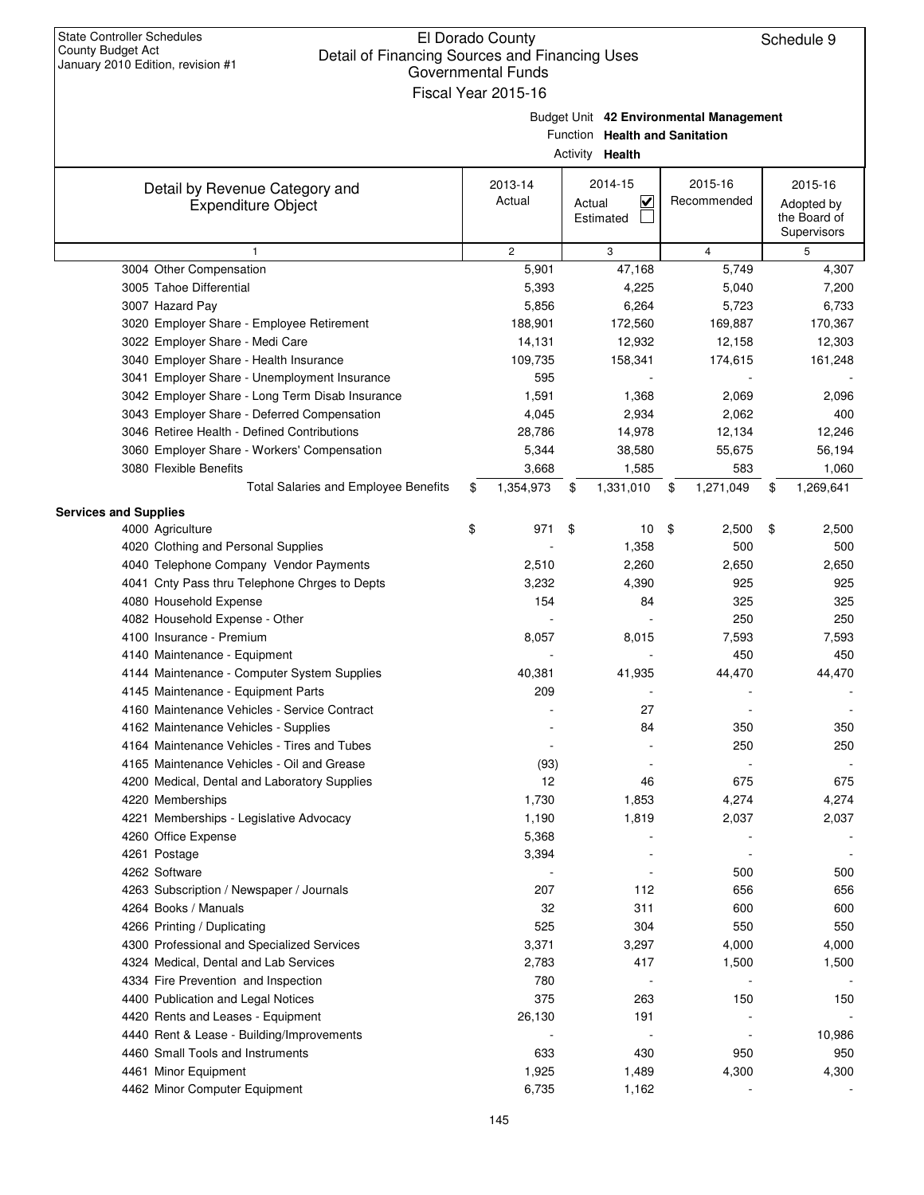| <b>State Controller Schedules</b><br><b>County Budget Act</b><br>January 2010 Edition, revision #1 | El Dorado County<br>Schedule 9<br>Detail of Financing Sources and Financing Uses<br><b>Governmental Funds</b><br>Fiscal Year 2015-16 |    |                                                          |    |                                         |    |                                           |  |  |  |  |
|----------------------------------------------------------------------------------------------------|--------------------------------------------------------------------------------------------------------------------------------------|----|----------------------------------------------------------|----|-----------------------------------------|----|-------------------------------------------|--|--|--|--|
|                                                                                                    |                                                                                                                                      |    | Function Health and Sanitation<br>Activity <b>Health</b> |    | Budget Unit 42 Environmental Management |    |                                           |  |  |  |  |
| Detail by Revenue Category and                                                                     | 2013-14                                                                                                                              |    | 2014-15                                                  |    | 2015-16                                 |    | 2015-16                                   |  |  |  |  |
| <b>Expenditure Object</b>                                                                          | Actual                                                                                                                               |    | $\checkmark$<br>Actual<br>Estimated                      |    | Recommended                             |    | Adopted by<br>the Board of<br>Supervisors |  |  |  |  |
| $\mathbf{1}$                                                                                       | $\mathbf{2}$                                                                                                                         |    | 3                                                        |    | $\overline{4}$                          |    | 5                                         |  |  |  |  |
| 3004 Other Compensation                                                                            | 5,901                                                                                                                                |    | 47,168                                                   |    | 5,749                                   |    | 4,307                                     |  |  |  |  |
| 3005 Tahoe Differential                                                                            | 5,393                                                                                                                                |    | 4,225                                                    |    | 5,040                                   |    | 7,200                                     |  |  |  |  |
| 3007 Hazard Pay                                                                                    | 5,856                                                                                                                                |    | 6,264                                                    |    | 5,723                                   |    | 6,733                                     |  |  |  |  |
| 3020 Employer Share - Employee Retirement                                                          | 188,901                                                                                                                              |    | 172,560                                                  |    | 169,887                                 |    | 170,367                                   |  |  |  |  |
| 3022 Employer Share - Medi Care                                                                    | 14,131                                                                                                                               |    | 12,932                                                   |    | 12,158                                  |    | 12,303                                    |  |  |  |  |
| 3040 Employer Share - Health Insurance                                                             | 109,735                                                                                                                              |    | 158,341                                                  |    | 174,615                                 |    | 161,248                                   |  |  |  |  |
| 3041 Employer Share - Unemployment Insurance<br>3042 Employer Share - Long Term Disab Insurance    | 595<br>1,591                                                                                                                         |    | 1,368                                                    |    | 2,069                                   |    | 2,096                                     |  |  |  |  |
| 3043 Employer Share - Deferred Compensation                                                        | 4,045                                                                                                                                |    | 2,934                                                    |    | 2,062                                   |    | 400                                       |  |  |  |  |
| 3046 Retiree Health - Defined Contributions                                                        | 28,786                                                                                                                               |    | 14,978                                                   |    | 12,134                                  |    | 12,246                                    |  |  |  |  |
| 3060 Employer Share - Workers' Compensation                                                        | 5,344                                                                                                                                |    | 38,580                                                   |    | 55,675                                  |    | 56,194                                    |  |  |  |  |
| 3080 Flexible Benefits                                                                             | 3,668                                                                                                                                |    | 1,585                                                    |    | 583                                     |    | 1,060                                     |  |  |  |  |
| Total Salaries and Employee Benefits                                                               | \$<br>1,354,973                                                                                                                      | \$ | 1,331,010                                                | \$ | 1,271,049                               | \$ | 1,269,641                                 |  |  |  |  |
| <b>Services and Supplies</b>                                                                       |                                                                                                                                      |    |                                                          |    |                                         |    |                                           |  |  |  |  |
| 4000 Agriculture                                                                                   | \$<br>971                                                                                                                            | \$ | 10                                                       | \$ | 2,500                                   | \$ | 2,500                                     |  |  |  |  |
| 4020 Clothing and Personal Supplies                                                                |                                                                                                                                      |    | 1,358                                                    |    | 500                                     |    | 500                                       |  |  |  |  |
| 4040 Telephone Company Vendor Payments                                                             | 2,510                                                                                                                                |    | 2,260                                                    |    | 2,650                                   |    | 2,650                                     |  |  |  |  |
| 4041 Cnty Pass thru Telephone Chrges to Depts                                                      | 3,232                                                                                                                                |    | 4,390                                                    |    | 925                                     |    | 925                                       |  |  |  |  |
| 4080 Household Expense                                                                             | 154                                                                                                                                  |    | 84                                                       |    | 325                                     |    | 325                                       |  |  |  |  |
| 4082 Household Expense - Other                                                                     |                                                                                                                                      |    |                                                          |    | 250                                     |    | 250                                       |  |  |  |  |
| 4100 Insurance - Premium                                                                           | 8,057                                                                                                                                |    | 8,015                                                    |    | 7,593                                   |    | 7,593                                     |  |  |  |  |
| 4140 Maintenance - Equipment                                                                       |                                                                                                                                      |    |                                                          |    | 450                                     |    | 450                                       |  |  |  |  |
| 4144 Maintenance - Computer System Supplies                                                        | 40,381                                                                                                                               |    | 41,935                                                   |    | 44,470                                  |    | 44,470                                    |  |  |  |  |
| 4145 Maintenance - Equipment Parts                                                                 | 209                                                                                                                                  |    |                                                          |    |                                         |    |                                           |  |  |  |  |
| 4160 Maintenance Vehicles - Service Contract                                                       |                                                                                                                                      |    | 27                                                       |    |                                         |    |                                           |  |  |  |  |
| 4162 Maintenance Vehicles - Supplies                                                               |                                                                                                                                      |    | 84                                                       |    | 350                                     |    | 350                                       |  |  |  |  |
| 4164 Maintenance Vehicles - Tires and Tubes                                                        |                                                                                                                                      |    |                                                          |    | 250                                     |    | 250                                       |  |  |  |  |
| 4165 Maintenance Vehicles - Oil and Grease                                                         | (93)<br>12                                                                                                                           |    |                                                          |    |                                         |    |                                           |  |  |  |  |
| 4200 Medical, Dental and Laboratory Supplies<br>4220 Memberships                                   | 1,730                                                                                                                                |    | 46<br>1,853                                              |    | 675<br>4,274                            |    | 675<br>4,274                              |  |  |  |  |
| 4221 Memberships - Legislative Advocacy                                                            | 1,190                                                                                                                                |    | 1,819                                                    |    | 2,037                                   |    | 2,037                                     |  |  |  |  |
| 4260 Office Expense                                                                                | 5,368                                                                                                                                |    |                                                          |    |                                         |    |                                           |  |  |  |  |
| 4261 Postage                                                                                       | 3,394                                                                                                                                |    |                                                          |    |                                         |    |                                           |  |  |  |  |
| 4262 Software                                                                                      |                                                                                                                                      |    |                                                          |    | 500                                     |    | 500                                       |  |  |  |  |
| 4263 Subscription / Newspaper / Journals                                                           | 207                                                                                                                                  |    | 112                                                      |    | 656                                     |    | 656                                       |  |  |  |  |
| 4264 Books / Manuals                                                                               | 32                                                                                                                                   |    | 311                                                      |    | 600                                     |    | 600                                       |  |  |  |  |
| 4266 Printing / Duplicating                                                                        | 525                                                                                                                                  |    | 304                                                      |    | 550                                     |    | 550                                       |  |  |  |  |
| 4300 Professional and Specialized Services                                                         | 3,371                                                                                                                                |    | 3,297                                                    |    | 4,000                                   |    | 4,000                                     |  |  |  |  |
| 4324 Medical, Dental and Lab Services                                                              | 2,783                                                                                                                                |    | 417                                                      |    | 1,500                                   |    | 1,500                                     |  |  |  |  |
| 4334 Fire Prevention and Inspection                                                                | 780                                                                                                                                  |    |                                                          |    |                                         |    |                                           |  |  |  |  |
| 4400 Publication and Legal Notices                                                                 | 375                                                                                                                                  |    | 263                                                      |    | 150                                     |    | 150                                       |  |  |  |  |
| 4420 Rents and Leases - Equipment                                                                  | 26,130                                                                                                                               |    | 191                                                      |    |                                         |    |                                           |  |  |  |  |
| 4440 Rent & Lease - Building/Improvements                                                          |                                                                                                                                      |    |                                                          |    |                                         |    | 10,986                                    |  |  |  |  |
| 4460 Small Tools and Instruments                                                                   | 633                                                                                                                                  |    | 430                                                      |    | 950                                     |    | 950                                       |  |  |  |  |
| 4461 Minor Equipment                                                                               | 1,925                                                                                                                                |    | 1,489                                                    |    | 4,300                                   |    | 4,300                                     |  |  |  |  |
| 4462 Minor Computer Equipment                                                                      | 6,735                                                                                                                                |    | 1,162                                                    |    |                                         |    |                                           |  |  |  |  |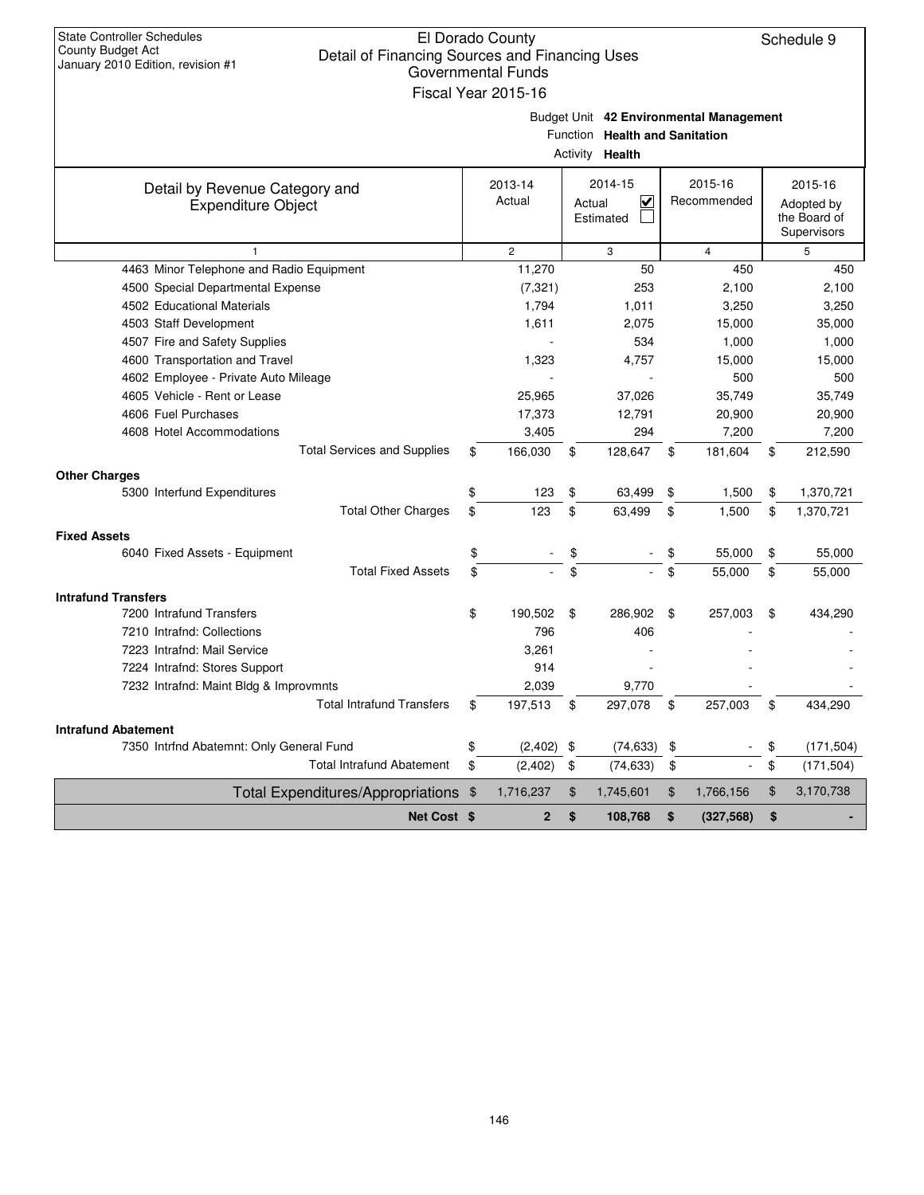| <b>State Controller Schedules</b><br>County Budget Act                              | El Dorado County          |        |                                |                                         | Schedule 9       |
|-------------------------------------------------------------------------------------|---------------------------|--------|--------------------------------|-----------------------------------------|------------------|
| Detail of Financing Sources and Financing Uses<br>January 2010 Edition, revision #1 |                           |        |                                |                                         |                  |
|                                                                                     | <b>Governmental Funds</b> |        |                                |                                         |                  |
|                                                                                     | Fiscal Year 2015-16       |        |                                |                                         |                  |
|                                                                                     |                           |        |                                | Budget Unit 42 Environmental Management |                  |
|                                                                                     |                           |        | Function Health and Sanitation |                                         |                  |
|                                                                                     |                           |        | Activity <b>Health</b>         |                                         |                  |
| Detail by Revenue Category and                                                      | 2013-14                   |        | 2014-15                        | 2015-16                                 | 2015-16          |
| <b>Expenditure Object</b>                                                           | Actual                    | Actual | $\overline{\mathsf{v}}$        | Recommended                             | Adopted by       |
|                                                                                     |                           |        | Estimated                      |                                         | the Board of     |
|                                                                                     |                           |        |                                |                                         | Supervisors      |
| $\mathbf{1}$                                                                        | $\mathbf{2}$              |        | 3                              | $\overline{4}$                          | 5                |
| 4463 Minor Telephone and Radio Equipment                                            | 11,270                    |        | 50                             | 450                                     | 450              |
| 4500 Special Departmental Expense                                                   | (7, 321)                  |        | 253                            | 2,100                                   | 2,100            |
| 4502 Educational Materials                                                          | 1,794                     |        | 1,011                          | 3,250                                   | 3,250            |
| 4503 Staff Development                                                              | 1,611                     |        | 2,075                          | 15,000                                  | 35,000           |
| 4507 Fire and Safety Supplies                                                       |                           |        | 534                            | 1,000                                   | 1,000            |
| 4600 Transportation and Travel                                                      | 1,323                     |        | 4,757                          | 15,000                                  | 15,000           |
| 4602 Employee - Private Auto Mileage<br>4605 Vehicle - Rent or Lease                |                           |        |                                | 500                                     | 500              |
| 4606 Fuel Purchases                                                                 | 25,965                    |        | 37,026                         | 35,749                                  | 35,749           |
| 4608 Hotel Accommodations                                                           | 17,373<br>3,405           |        | 12,791<br>294                  | 20,900<br>7,200                         | 20,900           |
| <b>Total Services and Supplies</b>                                                  | \$<br>166,030             | \$     | 128,647                        | \$<br>181,604                           | \$<br>7,200      |
|                                                                                     |                           |        |                                |                                         | 212,590          |
| <b>Other Charges</b>                                                                |                           |        |                                |                                         |                  |
| 5300 Interfund Expenditures                                                         | \$<br>123                 | \$     | 63,499                         | \$<br>1,500                             | \$<br>1,370,721  |
| <b>Total Other Charges</b>                                                          | \$<br>123                 | \$     | 63,499                         | \$<br>1,500                             | \$<br>1,370,721  |
| <b>Fixed Assets</b>                                                                 |                           |        |                                |                                         |                  |
| 6040 Fixed Assets - Equipment                                                       | \$                        | \$     |                                | \$<br>55,000                            | \$<br>55,000     |
| <b>Total Fixed Assets</b>                                                           | \$                        | \$     | $\blacksquare$                 | \$<br>55,000                            | \$<br>55,000     |
| <b>Intrafund Transfers</b>                                                          |                           |        |                                |                                         |                  |
| 7200 Intrafund Transfers                                                            | \$<br>190,502             | \$     | 286,902                        | \$<br>257,003                           | \$<br>434,290    |
| 7210 Intrafnd: Collections                                                          | 796                       |        | 406                            |                                         |                  |
| 7223 Intrafnd: Mail Service                                                         | 3,261                     |        |                                |                                         |                  |
| 7224 Intrafnd: Stores Support                                                       | 914                       |        |                                |                                         |                  |
| 7232 Intrafnd: Maint Bldg & Improvmnts                                              | 2,039                     |        | 9,770                          |                                         |                  |
| <b>Total Intrafund Transfers</b>                                                    | \$<br>197,513             | \$     | 297,078                        | \$<br>257,003                           | \$<br>434,290    |
| <b>Intrafund Abatement</b>                                                          |                           |        |                                |                                         |                  |
| 7350 Intrfnd Abatemnt: Only General Fund                                            | \$<br>$(2,402)$ \$        |        | (74, 633)                      | \$                                      | \$<br>(171, 504) |
| <b>Total Intrafund Abatement</b>                                                    | \$<br>(2, 402)            | \$     | (74, 633)                      | \$                                      | \$<br>(171, 504) |
| Total Expenditures/Appropriations \$                                                | 1,716,237                 | \$     | 1,745,601                      | \$<br>1,766,156                         | \$<br>3,170,738  |
| Net Cost \$                                                                         | $\overline{\mathbf{2}}$   | \$     | 108,768                        | \$<br>(327, 568)                        | \$               |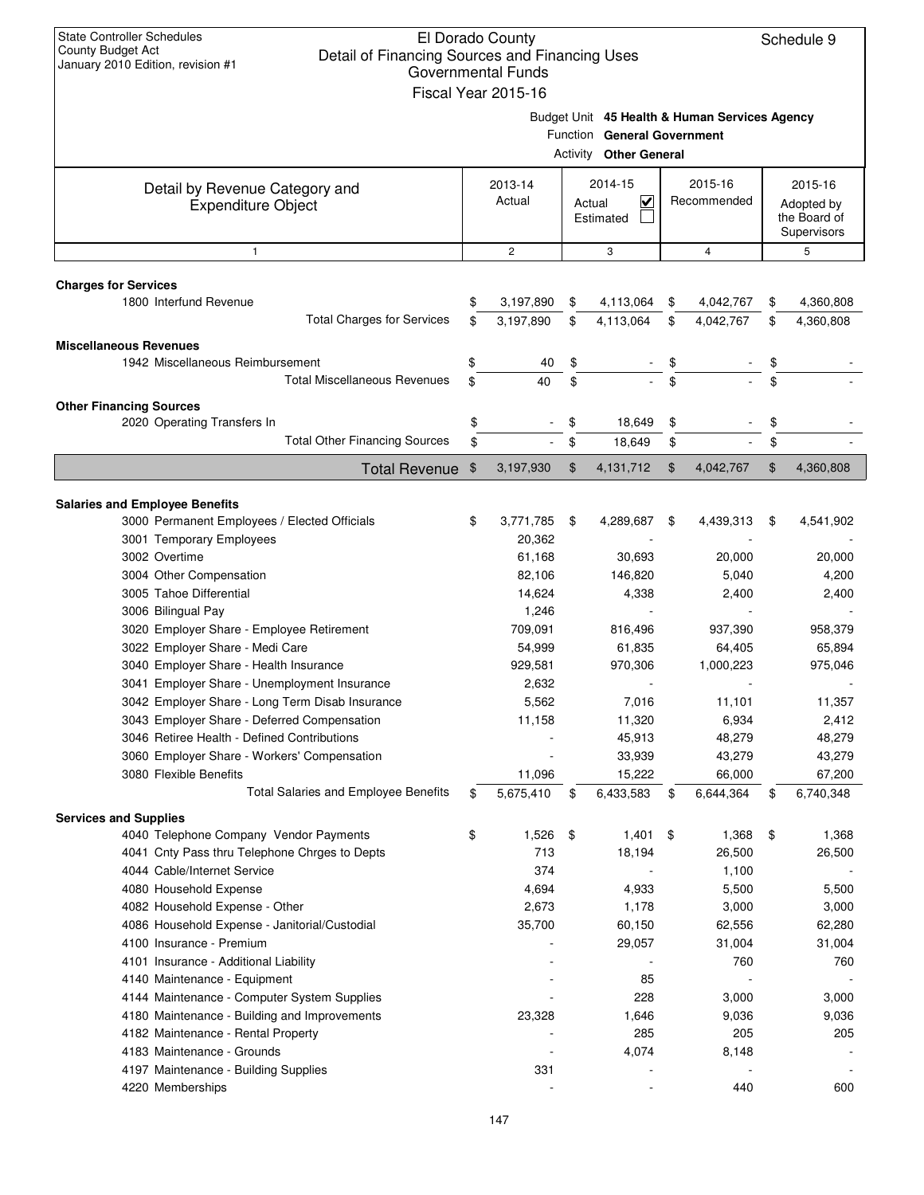| <b>State Controller Schedules</b><br>El Dorado County<br>Schedule 9<br>County Budget Act<br>Detail of Financing Sources and Financing Uses<br>January 2010 Edition, revision #1<br><b>Governmental Funds</b><br>Fiscal Year 2015-16 |    |                 |    |                                                              |    |                                               |    |                                           |  |
|-------------------------------------------------------------------------------------------------------------------------------------------------------------------------------------------------------------------------------------|----|-----------------|----|--------------------------------------------------------------|----|-----------------------------------------------|----|-------------------------------------------|--|
|                                                                                                                                                                                                                                     |    |                 |    | Function General Government<br><b>Activity Other General</b> |    | Budget Unit 45 Health & Human Services Agency |    |                                           |  |
|                                                                                                                                                                                                                                     |    | 2013-14         |    | 2014-15                                                      |    | 2015-16                                       |    | 2015-16                                   |  |
| Detail by Revenue Category and<br><b>Expenditure Object</b>                                                                                                                                                                         |    | Actual          |    | $\checkmark$<br>Actual<br>Estimated                          |    | Recommended                                   |    | Adopted by<br>the Board of<br>Supervisors |  |
| $\mathbf{1}$                                                                                                                                                                                                                        |    | $\overline{c}$  |    | 3                                                            |    | $\overline{4}$                                |    | 5                                         |  |
| <b>Charges for Services</b>                                                                                                                                                                                                         |    |                 |    |                                                              |    |                                               |    |                                           |  |
| 1800 Interfund Revenue                                                                                                                                                                                                              | \$ | 3,197,890       | \$ | 4,113,064                                                    | \$ | 4,042,767                                     | \$ | 4,360,808                                 |  |
| <b>Total Charges for Services</b>                                                                                                                                                                                                   | \$ | 3,197,890       | \$ | 4,113,064                                                    | \$ | 4,042,767                                     | \$ | 4,360,808                                 |  |
| <b>Miscellaneous Revenues</b>                                                                                                                                                                                                       |    |                 |    |                                                              |    |                                               |    |                                           |  |
| 1942 Miscellaneous Reimbursement                                                                                                                                                                                                    | \$ | 40              | \$ |                                                              | \$ |                                               | \$ |                                           |  |
| <b>Total Miscellaneous Revenues</b>                                                                                                                                                                                                 | \$ | 40              | \$ |                                                              | \$ |                                               | \$ |                                           |  |
| <b>Other Financing Sources</b>                                                                                                                                                                                                      |    |                 |    |                                                              |    |                                               |    |                                           |  |
| 2020 Operating Transfers In                                                                                                                                                                                                         | \$ |                 | \$ | 18,649                                                       | \$ |                                               | \$ |                                           |  |
| <b>Total Other Financing Sources</b>                                                                                                                                                                                                | \$ |                 | \$ | 18,649                                                       | \$ |                                               | \$ |                                           |  |
| Total Revenue \$                                                                                                                                                                                                                    |    | 3,197,930       | \$ | 4,131,712                                                    | \$ | 4,042,767                                     | \$ | 4,360,808                                 |  |
|                                                                                                                                                                                                                                     |    |                 |    |                                                              |    |                                               |    |                                           |  |
| <b>Salaries and Employee Benefits</b>                                                                                                                                                                                               |    |                 |    |                                                              |    |                                               |    |                                           |  |
| 3000 Permanent Employees / Elected Officials                                                                                                                                                                                        | \$ | 3,771,785       | \$ | 4,289,687                                                    | \$ | 4,439,313                                     | \$ | 4,541,902                                 |  |
| 3001 Temporary Employees                                                                                                                                                                                                            |    | 20,362          |    |                                                              |    |                                               |    |                                           |  |
| 3002 Overtime                                                                                                                                                                                                                       |    | 61,168          |    | 30,693                                                       |    | 20,000                                        |    | 20,000                                    |  |
| 3004 Other Compensation                                                                                                                                                                                                             |    | 82,106          |    | 146,820                                                      |    | 5,040                                         |    | 4,200                                     |  |
| 3005 Tahoe Differential<br>3006 Bilingual Pay                                                                                                                                                                                       |    | 14,624<br>1,246 |    | 4,338                                                        |    | 2,400                                         |    | 2,400                                     |  |
| 3020 Employer Share - Employee Retirement                                                                                                                                                                                           |    | 709,091         |    | 816,496                                                      |    | 937,390                                       |    | 958,379                                   |  |
| 3022 Employer Share - Medi Care                                                                                                                                                                                                     |    | 54,999          |    | 61,835                                                       |    | 64,405                                        |    | 65,894                                    |  |
| 3040 Employer Share - Health Insurance                                                                                                                                                                                              |    | 929,581         |    | 970,306                                                      |    | 1,000,223                                     |    | 975,046                                   |  |
| 3041 Employer Share - Unemployment Insurance                                                                                                                                                                                        |    | 2,632           |    |                                                              |    |                                               |    |                                           |  |
| 3042 Employer Share - Long Term Disab Insurance                                                                                                                                                                                     |    | 5,562           |    | 7,016                                                        |    | 11,101                                        |    | 11,357                                    |  |
| 3043 Employer Share - Deferred Compensation                                                                                                                                                                                         |    | 11,158          |    | 11,320                                                       |    | 6,934                                         |    | 2,412                                     |  |
| 3046 Retiree Health - Defined Contributions                                                                                                                                                                                         |    |                 |    | 45,913                                                       |    | 48,279                                        |    | 48,279                                    |  |
| 3060 Employer Share - Workers' Compensation                                                                                                                                                                                         |    |                 |    | 33,939                                                       |    | 43,279                                        |    | 43,279                                    |  |
| 3080 Flexible Benefits                                                                                                                                                                                                              |    | 11,096          |    | 15,222                                                       |    | 66,000                                        |    | 67,200                                    |  |
| <b>Total Salaries and Employee Benefits</b>                                                                                                                                                                                         | \$ | 5,675,410       | \$ | 6,433,583                                                    | \$ | 6,644,364                                     | \$ | 6,740,348                                 |  |
| <b>Services and Supplies</b>                                                                                                                                                                                                        |    |                 |    |                                                              |    |                                               |    |                                           |  |
| 4040 Telephone Company Vendor Payments                                                                                                                                                                                              | \$ | 1,526           | \$ | 1,401                                                        | \$ | 1,368                                         | \$ | 1,368                                     |  |
| 4041 Cnty Pass thru Telephone Chrges to Depts                                                                                                                                                                                       |    | 713             |    | 18,194                                                       |    | 26,500                                        |    | 26,500                                    |  |
| 4044 Cable/Internet Service                                                                                                                                                                                                         |    | 374             |    |                                                              |    | 1,100                                         |    |                                           |  |
| 4080 Household Expense                                                                                                                                                                                                              |    | 4,694           |    | 4,933                                                        |    | 5,500                                         |    | 5,500                                     |  |
| 4082 Household Expense - Other                                                                                                                                                                                                      |    | 2,673           |    | 1,178                                                        |    | 3,000                                         |    | 3,000                                     |  |
| 4086 Household Expense - Janitorial/Custodial                                                                                                                                                                                       |    | 35,700          |    | 60,150                                                       |    | 62,556                                        |    | 62,280                                    |  |
| 4100 Insurance - Premium<br>4101 Insurance - Additional Liability                                                                                                                                                                   |    |                 |    | 29,057                                                       |    | 31,004                                        |    | 31,004                                    |  |
| 4140 Maintenance - Equipment                                                                                                                                                                                                        |    |                 |    | 85                                                           |    | 760                                           |    | 760                                       |  |
| 4144 Maintenance - Computer System Supplies                                                                                                                                                                                         |    |                 |    | 228                                                          |    | 3,000                                         |    | 3,000                                     |  |
| 4180 Maintenance - Building and Improvements                                                                                                                                                                                        |    | 23,328          |    | 1,646                                                        |    | 9,036                                         |    | 9,036                                     |  |
| 4182 Maintenance - Rental Property                                                                                                                                                                                                  |    |                 |    | 285                                                          |    | 205                                           |    | 205                                       |  |
| 4183 Maintenance - Grounds                                                                                                                                                                                                          |    |                 |    | 4,074                                                        |    | 8,148                                         |    |                                           |  |
| 4197 Maintenance - Building Supplies                                                                                                                                                                                                |    | 331             |    |                                                              |    |                                               |    |                                           |  |
| 4220 Memberships                                                                                                                                                                                                                    |    |                 |    |                                                              |    | 440                                           |    | 600                                       |  |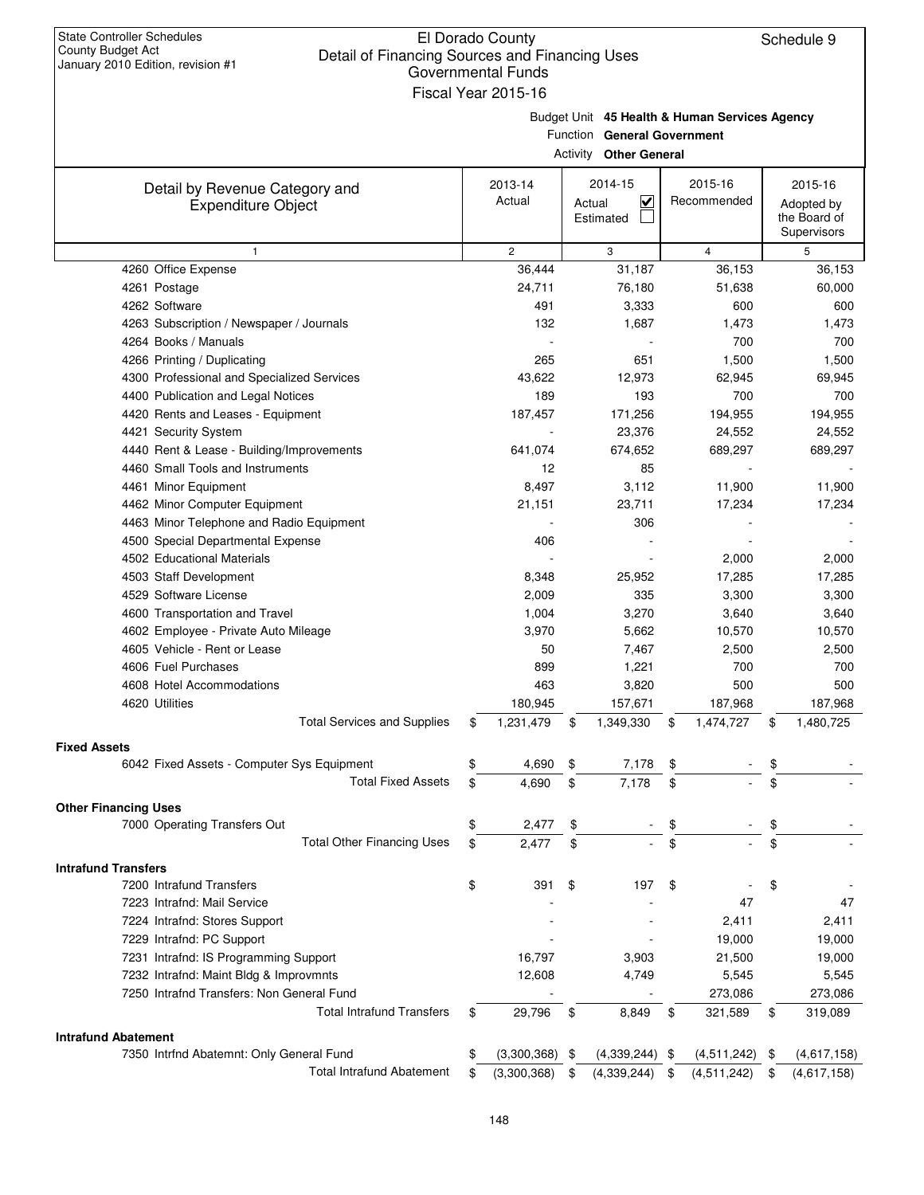| January 2010 Edition, revision #1                           |    | Governmental Funds  |                                                                              |     |                  |                             |
|-------------------------------------------------------------|----|---------------------|------------------------------------------------------------------------------|-----|------------------|-----------------------------|
|                                                             |    | Fiscal Year 2015-16 |                                                                              |     |                  |                             |
|                                                             |    |                     | Budget Unit 45 Health & Human Services Agency<br>Function General Government |     |                  |                             |
|                                                             |    |                     | <b>Activity Other General</b>                                                |     |                  |                             |
|                                                             |    | 2013-14             | 2014-15                                                                      |     | 2015-16          | 2015-16                     |
| Detail by Revenue Category and<br><b>Expenditure Object</b> |    | Actual              | $\overline{\mathbf{v}}$<br>Actual                                            |     | Recommended      | Adopted by                  |
|                                                             |    |                     | Estimated                                                                    |     |                  | the Board of<br>Supervisors |
| $\mathbf{1}$                                                |    | $\overline{c}$      | 3                                                                            |     | $\overline{4}$   | 5                           |
| 4260 Office Expense                                         |    | 36,444              | 31,187                                                                       |     | 36,153           | 36,153                      |
| 4261 Postage                                                |    | 24,711              | 76,180                                                                       |     | 51,638           | 60,000                      |
| 4262 Software                                               |    | 491                 | 3,333                                                                        |     | 600              | 600                         |
| 4263 Subscription / Newspaper / Journals                    |    | 132                 | 1,687                                                                        |     | 1,473            | 1,473                       |
| 4264 Books / Manuals                                        |    |                     |                                                                              |     | 700              | 700                         |
| 4266 Printing / Duplicating                                 |    | 265                 | 651                                                                          |     | 1,500            | 1,500                       |
| 4300 Professional and Specialized Services                  |    | 43,622              | 12,973                                                                       |     | 62,945           | 69,945                      |
| 4400 Publication and Legal Notices                          |    | 189                 | 193                                                                          |     | 700              | 700                         |
| 4420 Rents and Leases - Equipment                           |    | 187,457             | 171,256                                                                      |     | 194,955          | 194,955                     |
| 4421 Security System                                        |    |                     | 23,376                                                                       |     | 24,552           | 24,552                      |
| 4440 Rent & Lease - Building/Improvements                   |    | 641,074             | 674,652                                                                      |     | 689,297          | 689,297                     |
| 4460 Small Tools and Instruments                            |    | 12                  | 85                                                                           |     |                  |                             |
| 4461 Minor Equipment                                        |    | 8,497               | 3,112                                                                        |     | 11,900           | 11,900                      |
| 4462 Minor Computer Equipment                               |    | 21,151              | 23,711                                                                       |     | 17,234           | 17,234                      |
| 4463 Minor Telephone and Radio Equipment                    |    |                     | 306                                                                          |     |                  |                             |
| 4500 Special Departmental Expense                           |    | 406                 |                                                                              |     |                  |                             |
| 4502 Educational Materials                                  |    |                     |                                                                              |     | 2,000            | 2,000                       |
| 4503 Staff Development                                      |    | 8,348               | 25,952                                                                       |     | 17,285           | 17,285                      |
| 4529 Software License                                       |    | 2,009               | 335                                                                          |     | 3,300            | 3,300                       |
| 4600 Transportation and Travel                              |    | 1,004               | 3,270                                                                        |     | 3,640            | 3,640                       |
| 4602 Employee - Private Auto Mileage                        |    | 3,970               | 5,662                                                                        |     | 10,570           | 10,570                      |
| 4605 Vehicle - Rent or Lease                                |    | 50                  | 7,467                                                                        |     | 2,500            | 2,500                       |
| 4606 Fuel Purchases                                         |    | 899                 | 1,221                                                                        |     | 700              | 700                         |
| 4608 Hotel Accommodations                                   |    | 463                 | 3,820                                                                        |     | 500              | 500                         |
| 4620 Utilities                                              |    | 180,945             | 157,671                                                                      |     | 187,968          | 187,968                     |
| <b>Total Services and Supplies</b>                          | \$ | 1,231,479           | \$<br>1,349,330                                                              | \$  | 1,474,727        | \$<br>1,480,725             |
| <b>Fixed Assets</b>                                         |    |                     |                                                                              |     |                  |                             |
| 6042 Fixed Assets - Computer Sys Equipment                  | \$ | 4,690               | \$<br>7,178                                                                  | \$  |                  | \$                          |
| <b>Total Fixed Assets</b>                                   | \$ | 4,690               | \$<br>7,178                                                                  | \$  |                  | \$                          |
| <b>Other Financing Uses</b>                                 |    |                     |                                                                              |     |                  |                             |
| 7000 Operating Transfers Out                                | \$ | 2,477               | \$                                                                           | \$  |                  | \$                          |
| <b>Total Other Financing Uses</b>                           | \$ | 2,477               | \$                                                                           |     |                  |                             |
| <b>Intrafund Transfers</b>                                  |    |                     |                                                                              |     |                  |                             |
| 7200 Intrafund Transfers                                    | \$ | 391                 | \$<br>197                                                                    | \$  |                  | \$                          |
| 7223 Intrafnd: Mail Service                                 |    |                     |                                                                              |     | 47               | 47                          |
| 7224 Intrafnd: Stores Support                               |    |                     |                                                                              |     | 2,411            | 2,411                       |
| 7229 Intrafnd: PC Support                                   |    |                     |                                                                              |     | 19,000           | 19,000                      |
| 7231 Intrafnd: IS Programming Support                       |    | 16,797              | 3,903                                                                        |     | 21,500           | 19,000                      |
| 7232 Intrafnd: Maint Bldg & Improvmnts                      |    | 12,608              | 4,749                                                                        |     | 5,545            | 5,545                       |
| 7250 Intrafnd Transfers: Non General Fund                   |    |                     |                                                                              |     | 273,086          | 273,086                     |
| <b>Total Intrafund Transfers</b>                            | S  | 29,796              | \$<br>8,849                                                                  | \$  | 321,589          | \$<br>319,089               |
| <b>Intrafund Abatement</b>                                  |    |                     |                                                                              |     |                  |                             |
| 7350 Intrfnd Abatemnt: Only General Fund                    | \$ | $(3,300,368)$ \$    | $(4,339,244)$ \$                                                             |     | $(4,511,242)$ \$ | (4,617,158)                 |
| <b>Total Intrafund Abatement</b>                            | \$ | (3,300,368)         | \$<br>(4,339,244)                                                            | -\$ | (4, 511, 242)    | \$<br>(4,617,158)           |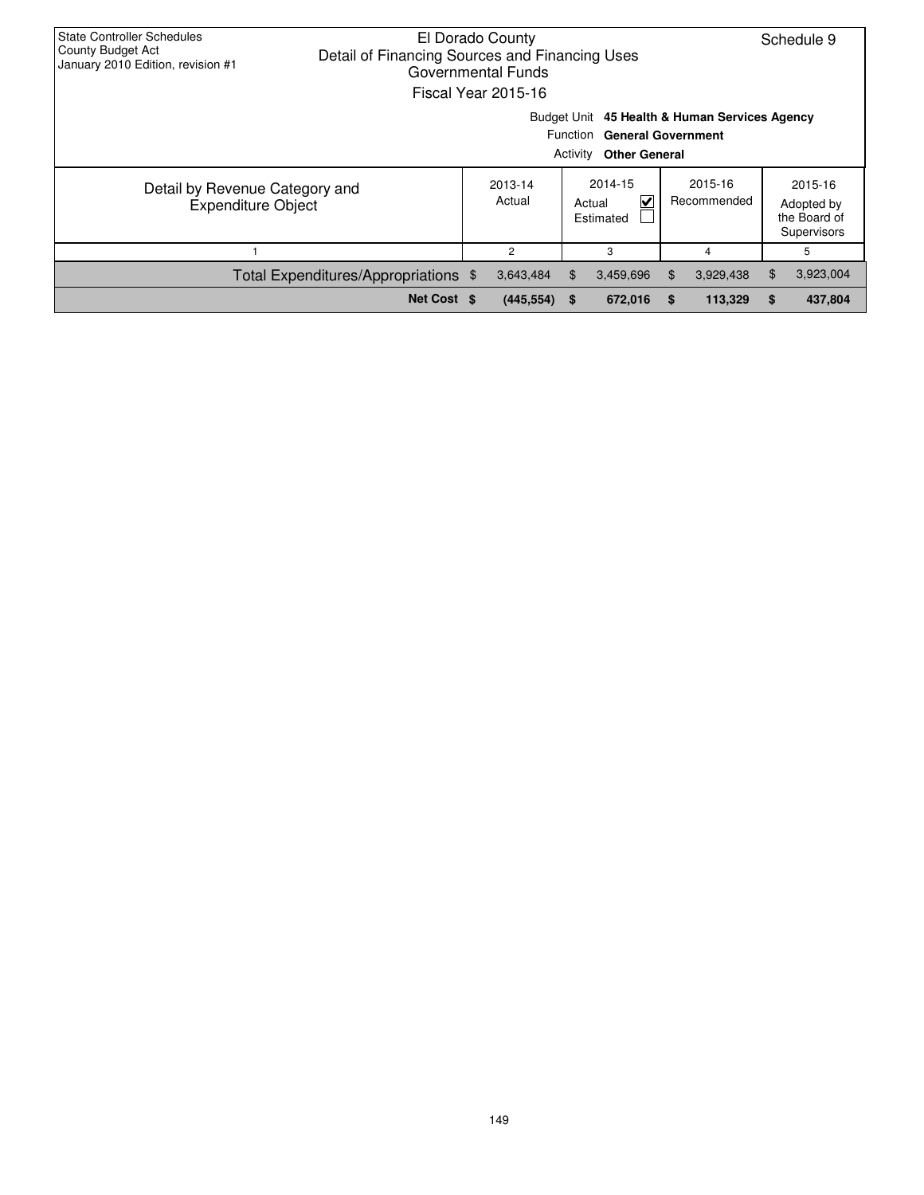| <b>State Controller Schedules</b><br>County Budget Act<br>Detail of Financing Sources and Financing Uses<br>January 2010 Edition, revision #1 | El Dorado County<br>Governmental Funds<br>Fiscal Year 2015-16 |          |                                                     |     |                                               |    | Schedule 9                                           |
|-----------------------------------------------------------------------------------------------------------------------------------------------|---------------------------------------------------------------|----------|-----------------------------------------------------|-----|-----------------------------------------------|----|------------------------------------------------------|
|                                                                                                                                               |                                                               | Activity | Function General Government<br><b>Other General</b> |     | Budget Unit 45 Health & Human Services Agency |    |                                                      |
| Detail by Revenue Category and<br><b>Expenditure Object</b>                                                                                   | 2013-14<br>Actual                                             |          | 2014-15<br>V<br>Actual<br>Estimated                 |     | 2015-16<br>Recommended                        |    | 2015-16<br>Adopted by<br>the Board of<br>Supervisors |
|                                                                                                                                               | $\overline{2}$                                                |          | 3                                                   |     | 4                                             |    | 5                                                    |
| Total Expenditures/Appropriations \$                                                                                                          | 3,643,484                                                     | \$.      | 3,459,696                                           | \$. | 3,929,438                                     | \$ | 3,923,004                                            |
| Net Cost \$                                                                                                                                   | (445, 554)                                                    | -S       | 672,016                                             | S   | 113,329                                       | S  | 437,804                                              |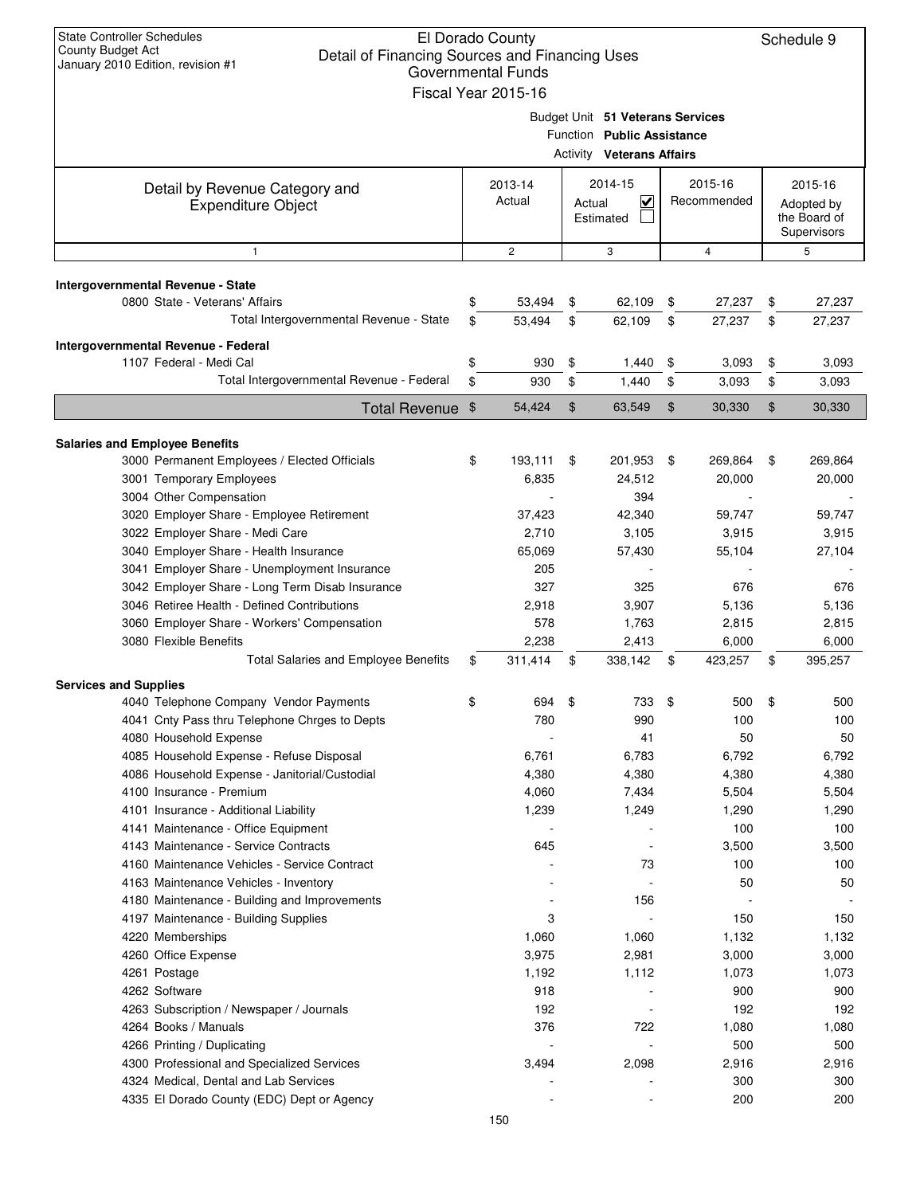| Budget Unit 51 Veterans Services<br>Function Public Assistance<br><b>Activity Veterans Affairs</b><br>2014-15<br>2015-16<br>2013-14<br>2015-16<br>Detail by Revenue Category and<br>Actual<br>$\checkmark$<br>Recommended<br>Actual<br>Adopted by<br><b>Expenditure Object</b><br>Estimated<br>the Board of<br>Supervisors<br>$\mathbf{2}$<br>3<br>4<br>5<br>$\mathbf{1}$<br>Intergovernmental Revenue - State<br>0800 State - Veterans' Affairs<br>\$<br>53,494<br>\$<br>62,109<br>27,237<br>27,237<br>\$<br>\$<br>Total Intergovernmental Revenue - State<br>53,494<br>\$<br>\$<br>\$<br>62,109<br>27,237<br>\$<br>27,237<br>Intergovernmental Revenue - Federal<br>1107 Federal - Medi Cal<br>\$<br>930<br>\$<br>\$<br>3,093<br>3,093<br>1,440<br>\$<br>Total Intergovernmental Revenue - Federal<br>\$<br>\$<br>\$<br>930<br>1,440<br>3,093<br>\$<br>3,093<br>Total Revenue \$<br>\$<br>$\mathfrak{S}$<br>\$<br>30,330<br>54,424<br>63,549<br>30,330<br><b>Salaries and Employee Benefits</b><br>3000 Permanent Employees / Elected Officials<br>193,111<br>201,953<br>\$<br>269,864<br>269,864<br>\$<br>\$<br>\$<br>3001 Temporary Employees<br>6,835<br>24,512<br>20,000<br>20,000<br>3004 Other Compensation<br>394<br>3020 Employer Share - Employee Retirement<br>42,340<br>59,747<br>59,747<br>37,423<br>3022 Employer Share - Medi Care<br>2,710<br>3,105<br>3,915<br>3,915<br>3040 Employer Share - Health Insurance<br>65,069<br>57,430<br>55,104<br>27,104<br>3041 Employer Share - Unemployment Insurance<br>205<br>3042 Employer Share - Long Term Disab Insurance<br>327<br>325<br>676<br>676<br>3046 Retiree Health - Defined Contributions<br>2,918<br>3,907<br>5,136<br>5,136<br>578<br>1,763<br>3060 Employer Share - Workers' Compensation<br>2,815<br>2,815<br>3080 Flexible Benefits<br>2,238<br>2,413<br>6,000<br>6,000<br>Total Salaries and Employee Benefits<br>395,257<br>\$<br>311,414<br>\$<br>338,142<br>\$<br>423,257<br>\$<br><b>Services and Supplies</b><br>4040 Telephone Company Vendor Payments<br>694<br>\$<br>733<br>\$<br>500<br>\$<br>500<br>ъ<br>4041 Cnty Pass thru Telephone Chrges to Depts<br>780<br>990<br>100<br>100<br>50<br>4080 Household Expense<br>41<br>50<br>4085 Household Expense - Refuse Disposal<br>6,761<br>6,783<br>6,792<br>6,792<br>4086 Household Expense - Janitorial/Custodial<br>4,380<br>4,380<br>4,380<br>4,380<br>4100 Insurance - Premium<br>7,434<br>5,504<br>5,504<br>4,060<br>4101 Insurance - Additional Liability<br>1,290<br>1,239<br>1,249<br>1,290<br>4141 Maintenance - Office Equipment<br>100<br>100<br>4143 Maintenance - Service Contracts<br>645<br>3,500<br>3,500<br>$\overline{a}$<br>4160 Maintenance Vehicles - Service Contract<br>73<br>100<br>100<br>50<br>4163 Maintenance Vehicles - Inventory<br>50<br>$\overline{\phantom{a}}$<br>156<br>4180 Maintenance - Building and Improvements<br>4197 Maintenance - Building Supplies<br>3<br>150<br>150<br>4220 Memberships<br>1,060<br>1,132<br>1,060<br>1,132<br>4260 Office Expense<br>3,975<br>2,981<br>3,000<br>3,000<br>4261 Postage<br>1,192<br>1,112<br>1,073<br>1,073<br>4262 Software<br>918<br>900<br>900<br>192<br>192<br>4263 Subscription / Newspaper / Journals<br>192<br>$\overline{a}$<br>4264 Books / Manuals<br>376<br>722<br>1,080<br>1,080<br>4266 Printing / Duplicating<br>500<br>500<br>$\overline{\phantom{a}}$<br>3,494<br>2,098<br>2,916<br>2,916<br>4300 Professional and Specialized Services<br>4324 Medical, Dental and Lab Services<br>300<br>300<br>4335 El Dorado County (EDC) Dept or Agency<br>200<br>200<br>150 | <b>State Controller Schedules</b><br>El Dorado County<br><b>County Budget Act</b><br>Detail of Financing Sources and Financing Uses<br>January 2010 Edition, revision #1<br><b>Governmental Funds</b><br>Fiscal Year 2015-16 |  |  |  |  |  |  |  |  |  |  |
|--------------------------------------------------------------------------------------------------------------------------------------------------------------------------------------------------------------------------------------------------------------------------------------------------------------------------------------------------------------------------------------------------------------------------------------------------------------------------------------------------------------------------------------------------------------------------------------------------------------------------------------------------------------------------------------------------------------------------------------------------------------------------------------------------------------------------------------------------------------------------------------------------------------------------------------------------------------------------------------------------------------------------------------------------------------------------------------------------------------------------------------------------------------------------------------------------------------------------------------------------------------------------------------------------------------------------------------------------------------------------------------------------------------------------------------------------------------------------------------------------------------------------------------------------------------------------------------------------------------------------------------------------------------------------------------------------------------------------------------------------------------------------------------------------------------------------------------------------------------------------------------------------------------------------------------------------------------------------------------------------------------------------------------------------------------------------------------------------------------------------------------------------------------------------------------------------------------------------------------------------------------------------------------------------------------------------------------------------------------------------------------------------------------------------------------------------------------------------------------------------------------------------------------------------------------------------------------------------------------------------------------------------------------------------------------------------------------------------------------------------------------------------------------------------------------------------------------------------------------------------------------------------------------------------------------------------------------------------------------------------------------------------------------------------------------------------------------------------------------------------------------------------------------------------------------------------------------------------------------------------------------------------------------------------------------------------------------------------------------------------------------------------------------------------------------------------------------------------------------------------------------------------------------------------------------------------------------------------|------------------------------------------------------------------------------------------------------------------------------------------------------------------------------------------------------------------------------|--|--|--|--|--|--|--|--|--|--|
|                                                                                                                                                                                                                                                                                                                                                                                                                                                                                                                                                                                                                                                                                                                                                                                                                                                                                                                                                                                                                                                                                                                                                                                                                                                                                                                                                                                                                                                                                                                                                                                                                                                                                                                                                                                                                                                                                                                                                                                                                                                                                                                                                                                                                                                                                                                                                                                                                                                                                                                                                                                                                                                                                                                                                                                                                                                                                                                                                                                                                                                                                                                                                                                                                                                                                                                                                                                                                                                                                                                                                                                                  |                                                                                                                                                                                                                              |  |  |  |  |  |  |  |  |  |  |
|                                                                                                                                                                                                                                                                                                                                                                                                                                                                                                                                                                                                                                                                                                                                                                                                                                                                                                                                                                                                                                                                                                                                                                                                                                                                                                                                                                                                                                                                                                                                                                                                                                                                                                                                                                                                                                                                                                                                                                                                                                                                                                                                                                                                                                                                                                                                                                                                                                                                                                                                                                                                                                                                                                                                                                                                                                                                                                                                                                                                                                                                                                                                                                                                                                                                                                                                                                                                                                                                                                                                                                                                  |                                                                                                                                                                                                                              |  |  |  |  |  |  |  |  |  |  |
|                                                                                                                                                                                                                                                                                                                                                                                                                                                                                                                                                                                                                                                                                                                                                                                                                                                                                                                                                                                                                                                                                                                                                                                                                                                                                                                                                                                                                                                                                                                                                                                                                                                                                                                                                                                                                                                                                                                                                                                                                                                                                                                                                                                                                                                                                                                                                                                                                                                                                                                                                                                                                                                                                                                                                                                                                                                                                                                                                                                                                                                                                                                                                                                                                                                                                                                                                                                                                                                                                                                                                                                                  |                                                                                                                                                                                                                              |  |  |  |  |  |  |  |  |  |  |
|                                                                                                                                                                                                                                                                                                                                                                                                                                                                                                                                                                                                                                                                                                                                                                                                                                                                                                                                                                                                                                                                                                                                                                                                                                                                                                                                                                                                                                                                                                                                                                                                                                                                                                                                                                                                                                                                                                                                                                                                                                                                                                                                                                                                                                                                                                                                                                                                                                                                                                                                                                                                                                                                                                                                                                                                                                                                                                                                                                                                                                                                                                                                                                                                                                                                                                                                                                                                                                                                                                                                                                                                  |                                                                                                                                                                                                                              |  |  |  |  |  |  |  |  |  |  |
|                                                                                                                                                                                                                                                                                                                                                                                                                                                                                                                                                                                                                                                                                                                                                                                                                                                                                                                                                                                                                                                                                                                                                                                                                                                                                                                                                                                                                                                                                                                                                                                                                                                                                                                                                                                                                                                                                                                                                                                                                                                                                                                                                                                                                                                                                                                                                                                                                                                                                                                                                                                                                                                                                                                                                                                                                                                                                                                                                                                                                                                                                                                                                                                                                                                                                                                                                                                                                                                                                                                                                                                                  |                                                                                                                                                                                                                              |  |  |  |  |  |  |  |  |  |  |
|                                                                                                                                                                                                                                                                                                                                                                                                                                                                                                                                                                                                                                                                                                                                                                                                                                                                                                                                                                                                                                                                                                                                                                                                                                                                                                                                                                                                                                                                                                                                                                                                                                                                                                                                                                                                                                                                                                                                                                                                                                                                                                                                                                                                                                                                                                                                                                                                                                                                                                                                                                                                                                                                                                                                                                                                                                                                                                                                                                                                                                                                                                                                                                                                                                                                                                                                                                                                                                                                                                                                                                                                  |                                                                                                                                                                                                                              |  |  |  |  |  |  |  |  |  |  |
|                                                                                                                                                                                                                                                                                                                                                                                                                                                                                                                                                                                                                                                                                                                                                                                                                                                                                                                                                                                                                                                                                                                                                                                                                                                                                                                                                                                                                                                                                                                                                                                                                                                                                                                                                                                                                                                                                                                                                                                                                                                                                                                                                                                                                                                                                                                                                                                                                                                                                                                                                                                                                                                                                                                                                                                                                                                                                                                                                                                                                                                                                                                                                                                                                                                                                                                                                                                                                                                                                                                                                                                                  |                                                                                                                                                                                                                              |  |  |  |  |  |  |  |  |  |  |
|                                                                                                                                                                                                                                                                                                                                                                                                                                                                                                                                                                                                                                                                                                                                                                                                                                                                                                                                                                                                                                                                                                                                                                                                                                                                                                                                                                                                                                                                                                                                                                                                                                                                                                                                                                                                                                                                                                                                                                                                                                                                                                                                                                                                                                                                                                                                                                                                                                                                                                                                                                                                                                                                                                                                                                                                                                                                                                                                                                                                                                                                                                                                                                                                                                                                                                                                                                                                                                                                                                                                                                                                  |                                                                                                                                                                                                                              |  |  |  |  |  |  |  |  |  |  |
|                                                                                                                                                                                                                                                                                                                                                                                                                                                                                                                                                                                                                                                                                                                                                                                                                                                                                                                                                                                                                                                                                                                                                                                                                                                                                                                                                                                                                                                                                                                                                                                                                                                                                                                                                                                                                                                                                                                                                                                                                                                                                                                                                                                                                                                                                                                                                                                                                                                                                                                                                                                                                                                                                                                                                                                                                                                                                                                                                                                                                                                                                                                                                                                                                                                                                                                                                                                                                                                                                                                                                                                                  |                                                                                                                                                                                                                              |  |  |  |  |  |  |  |  |  |  |
|                                                                                                                                                                                                                                                                                                                                                                                                                                                                                                                                                                                                                                                                                                                                                                                                                                                                                                                                                                                                                                                                                                                                                                                                                                                                                                                                                                                                                                                                                                                                                                                                                                                                                                                                                                                                                                                                                                                                                                                                                                                                                                                                                                                                                                                                                                                                                                                                                                                                                                                                                                                                                                                                                                                                                                                                                                                                                                                                                                                                                                                                                                                                                                                                                                                                                                                                                                                                                                                                                                                                                                                                  |                                                                                                                                                                                                                              |  |  |  |  |  |  |  |  |  |  |
|                                                                                                                                                                                                                                                                                                                                                                                                                                                                                                                                                                                                                                                                                                                                                                                                                                                                                                                                                                                                                                                                                                                                                                                                                                                                                                                                                                                                                                                                                                                                                                                                                                                                                                                                                                                                                                                                                                                                                                                                                                                                                                                                                                                                                                                                                                                                                                                                                                                                                                                                                                                                                                                                                                                                                                                                                                                                                                                                                                                                                                                                                                                                                                                                                                                                                                                                                                                                                                                                                                                                                                                                  |                                                                                                                                                                                                                              |  |  |  |  |  |  |  |  |  |  |
|                                                                                                                                                                                                                                                                                                                                                                                                                                                                                                                                                                                                                                                                                                                                                                                                                                                                                                                                                                                                                                                                                                                                                                                                                                                                                                                                                                                                                                                                                                                                                                                                                                                                                                                                                                                                                                                                                                                                                                                                                                                                                                                                                                                                                                                                                                                                                                                                                                                                                                                                                                                                                                                                                                                                                                                                                                                                                                                                                                                                                                                                                                                                                                                                                                                                                                                                                                                                                                                                                                                                                                                                  |                                                                                                                                                                                                                              |  |  |  |  |  |  |  |  |  |  |
|                                                                                                                                                                                                                                                                                                                                                                                                                                                                                                                                                                                                                                                                                                                                                                                                                                                                                                                                                                                                                                                                                                                                                                                                                                                                                                                                                                                                                                                                                                                                                                                                                                                                                                                                                                                                                                                                                                                                                                                                                                                                                                                                                                                                                                                                                                                                                                                                                                                                                                                                                                                                                                                                                                                                                                                                                                                                                                                                                                                                                                                                                                                                                                                                                                                                                                                                                                                                                                                                                                                                                                                                  |                                                                                                                                                                                                                              |  |  |  |  |  |  |  |  |  |  |
|                                                                                                                                                                                                                                                                                                                                                                                                                                                                                                                                                                                                                                                                                                                                                                                                                                                                                                                                                                                                                                                                                                                                                                                                                                                                                                                                                                                                                                                                                                                                                                                                                                                                                                                                                                                                                                                                                                                                                                                                                                                                                                                                                                                                                                                                                                                                                                                                                                                                                                                                                                                                                                                                                                                                                                                                                                                                                                                                                                                                                                                                                                                                                                                                                                                                                                                                                                                                                                                                                                                                                                                                  |                                                                                                                                                                                                                              |  |  |  |  |  |  |  |  |  |  |
|                                                                                                                                                                                                                                                                                                                                                                                                                                                                                                                                                                                                                                                                                                                                                                                                                                                                                                                                                                                                                                                                                                                                                                                                                                                                                                                                                                                                                                                                                                                                                                                                                                                                                                                                                                                                                                                                                                                                                                                                                                                                                                                                                                                                                                                                                                                                                                                                                                                                                                                                                                                                                                                                                                                                                                                                                                                                                                                                                                                                                                                                                                                                                                                                                                                                                                                                                                                                                                                                                                                                                                                                  |                                                                                                                                                                                                                              |  |  |  |  |  |  |  |  |  |  |
|                                                                                                                                                                                                                                                                                                                                                                                                                                                                                                                                                                                                                                                                                                                                                                                                                                                                                                                                                                                                                                                                                                                                                                                                                                                                                                                                                                                                                                                                                                                                                                                                                                                                                                                                                                                                                                                                                                                                                                                                                                                                                                                                                                                                                                                                                                                                                                                                                                                                                                                                                                                                                                                                                                                                                                                                                                                                                                                                                                                                                                                                                                                                                                                                                                                                                                                                                                                                                                                                                                                                                                                                  |                                                                                                                                                                                                                              |  |  |  |  |  |  |  |  |  |  |
|                                                                                                                                                                                                                                                                                                                                                                                                                                                                                                                                                                                                                                                                                                                                                                                                                                                                                                                                                                                                                                                                                                                                                                                                                                                                                                                                                                                                                                                                                                                                                                                                                                                                                                                                                                                                                                                                                                                                                                                                                                                                                                                                                                                                                                                                                                                                                                                                                                                                                                                                                                                                                                                                                                                                                                                                                                                                                                                                                                                                                                                                                                                                                                                                                                                                                                                                                                                                                                                                                                                                                                                                  |                                                                                                                                                                                                                              |  |  |  |  |  |  |  |  |  |  |
|                                                                                                                                                                                                                                                                                                                                                                                                                                                                                                                                                                                                                                                                                                                                                                                                                                                                                                                                                                                                                                                                                                                                                                                                                                                                                                                                                                                                                                                                                                                                                                                                                                                                                                                                                                                                                                                                                                                                                                                                                                                                                                                                                                                                                                                                                                                                                                                                                                                                                                                                                                                                                                                                                                                                                                                                                                                                                                                                                                                                                                                                                                                                                                                                                                                                                                                                                                                                                                                                                                                                                                                                  |                                                                                                                                                                                                                              |  |  |  |  |  |  |  |  |  |  |
|                                                                                                                                                                                                                                                                                                                                                                                                                                                                                                                                                                                                                                                                                                                                                                                                                                                                                                                                                                                                                                                                                                                                                                                                                                                                                                                                                                                                                                                                                                                                                                                                                                                                                                                                                                                                                                                                                                                                                                                                                                                                                                                                                                                                                                                                                                                                                                                                                                                                                                                                                                                                                                                                                                                                                                                                                                                                                                                                                                                                                                                                                                                                                                                                                                                                                                                                                                                                                                                                                                                                                                                                  |                                                                                                                                                                                                                              |  |  |  |  |  |  |  |  |  |  |
|                                                                                                                                                                                                                                                                                                                                                                                                                                                                                                                                                                                                                                                                                                                                                                                                                                                                                                                                                                                                                                                                                                                                                                                                                                                                                                                                                                                                                                                                                                                                                                                                                                                                                                                                                                                                                                                                                                                                                                                                                                                                                                                                                                                                                                                                                                                                                                                                                                                                                                                                                                                                                                                                                                                                                                                                                                                                                                                                                                                                                                                                                                                                                                                                                                                                                                                                                                                                                                                                                                                                                                                                  |                                                                                                                                                                                                                              |  |  |  |  |  |  |  |  |  |  |
|                                                                                                                                                                                                                                                                                                                                                                                                                                                                                                                                                                                                                                                                                                                                                                                                                                                                                                                                                                                                                                                                                                                                                                                                                                                                                                                                                                                                                                                                                                                                                                                                                                                                                                                                                                                                                                                                                                                                                                                                                                                                                                                                                                                                                                                                                                                                                                                                                                                                                                                                                                                                                                                                                                                                                                                                                                                                                                                                                                                                                                                                                                                                                                                                                                                                                                                                                                                                                                                                                                                                                                                                  |                                                                                                                                                                                                                              |  |  |  |  |  |  |  |  |  |  |
|                                                                                                                                                                                                                                                                                                                                                                                                                                                                                                                                                                                                                                                                                                                                                                                                                                                                                                                                                                                                                                                                                                                                                                                                                                                                                                                                                                                                                                                                                                                                                                                                                                                                                                                                                                                                                                                                                                                                                                                                                                                                                                                                                                                                                                                                                                                                                                                                                                                                                                                                                                                                                                                                                                                                                                                                                                                                                                                                                                                                                                                                                                                                                                                                                                                                                                                                                                                                                                                                                                                                                                                                  |                                                                                                                                                                                                                              |  |  |  |  |  |  |  |  |  |  |
|                                                                                                                                                                                                                                                                                                                                                                                                                                                                                                                                                                                                                                                                                                                                                                                                                                                                                                                                                                                                                                                                                                                                                                                                                                                                                                                                                                                                                                                                                                                                                                                                                                                                                                                                                                                                                                                                                                                                                                                                                                                                                                                                                                                                                                                                                                                                                                                                                                                                                                                                                                                                                                                                                                                                                                                                                                                                                                                                                                                                                                                                                                                                                                                                                                                                                                                                                                                                                                                                                                                                                                                                  |                                                                                                                                                                                                                              |  |  |  |  |  |  |  |  |  |  |
|                                                                                                                                                                                                                                                                                                                                                                                                                                                                                                                                                                                                                                                                                                                                                                                                                                                                                                                                                                                                                                                                                                                                                                                                                                                                                                                                                                                                                                                                                                                                                                                                                                                                                                                                                                                                                                                                                                                                                                                                                                                                                                                                                                                                                                                                                                                                                                                                                                                                                                                                                                                                                                                                                                                                                                                                                                                                                                                                                                                                                                                                                                                                                                                                                                                                                                                                                                                                                                                                                                                                                                                                  |                                                                                                                                                                                                                              |  |  |  |  |  |  |  |  |  |  |
|                                                                                                                                                                                                                                                                                                                                                                                                                                                                                                                                                                                                                                                                                                                                                                                                                                                                                                                                                                                                                                                                                                                                                                                                                                                                                                                                                                                                                                                                                                                                                                                                                                                                                                                                                                                                                                                                                                                                                                                                                                                                                                                                                                                                                                                                                                                                                                                                                                                                                                                                                                                                                                                                                                                                                                                                                                                                                                                                                                                                                                                                                                                                                                                                                                                                                                                                                                                                                                                                                                                                                                                                  |                                                                                                                                                                                                                              |  |  |  |  |  |  |  |  |  |  |
|                                                                                                                                                                                                                                                                                                                                                                                                                                                                                                                                                                                                                                                                                                                                                                                                                                                                                                                                                                                                                                                                                                                                                                                                                                                                                                                                                                                                                                                                                                                                                                                                                                                                                                                                                                                                                                                                                                                                                                                                                                                                                                                                                                                                                                                                                                                                                                                                                                                                                                                                                                                                                                                                                                                                                                                                                                                                                                                                                                                                                                                                                                                                                                                                                                                                                                                                                                                                                                                                                                                                                                                                  |                                                                                                                                                                                                                              |  |  |  |  |  |  |  |  |  |  |
|                                                                                                                                                                                                                                                                                                                                                                                                                                                                                                                                                                                                                                                                                                                                                                                                                                                                                                                                                                                                                                                                                                                                                                                                                                                                                                                                                                                                                                                                                                                                                                                                                                                                                                                                                                                                                                                                                                                                                                                                                                                                                                                                                                                                                                                                                                                                                                                                                                                                                                                                                                                                                                                                                                                                                                                                                                                                                                                                                                                                                                                                                                                                                                                                                                                                                                                                                                                                                                                                                                                                                                                                  |                                                                                                                                                                                                                              |  |  |  |  |  |  |  |  |  |  |
|                                                                                                                                                                                                                                                                                                                                                                                                                                                                                                                                                                                                                                                                                                                                                                                                                                                                                                                                                                                                                                                                                                                                                                                                                                                                                                                                                                                                                                                                                                                                                                                                                                                                                                                                                                                                                                                                                                                                                                                                                                                                                                                                                                                                                                                                                                                                                                                                                                                                                                                                                                                                                                                                                                                                                                                                                                                                                                                                                                                                                                                                                                                                                                                                                                                                                                                                                                                                                                                                                                                                                                                                  |                                                                                                                                                                                                                              |  |  |  |  |  |  |  |  |  |  |
|                                                                                                                                                                                                                                                                                                                                                                                                                                                                                                                                                                                                                                                                                                                                                                                                                                                                                                                                                                                                                                                                                                                                                                                                                                                                                                                                                                                                                                                                                                                                                                                                                                                                                                                                                                                                                                                                                                                                                                                                                                                                                                                                                                                                                                                                                                                                                                                                                                                                                                                                                                                                                                                                                                                                                                                                                                                                                                                                                                                                                                                                                                                                                                                                                                                                                                                                                                                                                                                                                                                                                                                                  |                                                                                                                                                                                                                              |  |  |  |  |  |  |  |  |  |  |
|                                                                                                                                                                                                                                                                                                                                                                                                                                                                                                                                                                                                                                                                                                                                                                                                                                                                                                                                                                                                                                                                                                                                                                                                                                                                                                                                                                                                                                                                                                                                                                                                                                                                                                                                                                                                                                                                                                                                                                                                                                                                                                                                                                                                                                                                                                                                                                                                                                                                                                                                                                                                                                                                                                                                                                                                                                                                                                                                                                                                                                                                                                                                                                                                                                                                                                                                                                                                                                                                                                                                                                                                  |                                                                                                                                                                                                                              |  |  |  |  |  |  |  |  |  |  |
|                                                                                                                                                                                                                                                                                                                                                                                                                                                                                                                                                                                                                                                                                                                                                                                                                                                                                                                                                                                                                                                                                                                                                                                                                                                                                                                                                                                                                                                                                                                                                                                                                                                                                                                                                                                                                                                                                                                                                                                                                                                                                                                                                                                                                                                                                                                                                                                                                                                                                                                                                                                                                                                                                                                                                                                                                                                                                                                                                                                                                                                                                                                                                                                                                                                                                                                                                                                                                                                                                                                                                                                                  |                                                                                                                                                                                                                              |  |  |  |  |  |  |  |  |  |  |
|                                                                                                                                                                                                                                                                                                                                                                                                                                                                                                                                                                                                                                                                                                                                                                                                                                                                                                                                                                                                                                                                                                                                                                                                                                                                                                                                                                                                                                                                                                                                                                                                                                                                                                                                                                                                                                                                                                                                                                                                                                                                                                                                                                                                                                                                                                                                                                                                                                                                                                                                                                                                                                                                                                                                                                                                                                                                                                                                                                                                                                                                                                                                                                                                                                                                                                                                                                                                                                                                                                                                                                                                  |                                                                                                                                                                                                                              |  |  |  |  |  |  |  |  |  |  |
|                                                                                                                                                                                                                                                                                                                                                                                                                                                                                                                                                                                                                                                                                                                                                                                                                                                                                                                                                                                                                                                                                                                                                                                                                                                                                                                                                                                                                                                                                                                                                                                                                                                                                                                                                                                                                                                                                                                                                                                                                                                                                                                                                                                                                                                                                                                                                                                                                                                                                                                                                                                                                                                                                                                                                                                                                                                                                                                                                                                                                                                                                                                                                                                                                                                                                                                                                                                                                                                                                                                                                                                                  |                                                                                                                                                                                                                              |  |  |  |  |  |  |  |  |  |  |
|                                                                                                                                                                                                                                                                                                                                                                                                                                                                                                                                                                                                                                                                                                                                                                                                                                                                                                                                                                                                                                                                                                                                                                                                                                                                                                                                                                                                                                                                                                                                                                                                                                                                                                                                                                                                                                                                                                                                                                                                                                                                                                                                                                                                                                                                                                                                                                                                                                                                                                                                                                                                                                                                                                                                                                                                                                                                                                                                                                                                                                                                                                                                                                                                                                                                                                                                                                                                                                                                                                                                                                                                  |                                                                                                                                                                                                                              |  |  |  |  |  |  |  |  |  |  |
|                                                                                                                                                                                                                                                                                                                                                                                                                                                                                                                                                                                                                                                                                                                                                                                                                                                                                                                                                                                                                                                                                                                                                                                                                                                                                                                                                                                                                                                                                                                                                                                                                                                                                                                                                                                                                                                                                                                                                                                                                                                                                                                                                                                                                                                                                                                                                                                                                                                                                                                                                                                                                                                                                                                                                                                                                                                                                                                                                                                                                                                                                                                                                                                                                                                                                                                                                                                                                                                                                                                                                                                                  |                                                                                                                                                                                                                              |  |  |  |  |  |  |  |  |  |  |
|                                                                                                                                                                                                                                                                                                                                                                                                                                                                                                                                                                                                                                                                                                                                                                                                                                                                                                                                                                                                                                                                                                                                                                                                                                                                                                                                                                                                                                                                                                                                                                                                                                                                                                                                                                                                                                                                                                                                                                                                                                                                                                                                                                                                                                                                                                                                                                                                                                                                                                                                                                                                                                                                                                                                                                                                                                                                                                                                                                                                                                                                                                                                                                                                                                                                                                                                                                                                                                                                                                                                                                                                  |                                                                                                                                                                                                                              |  |  |  |  |  |  |  |  |  |  |
|                                                                                                                                                                                                                                                                                                                                                                                                                                                                                                                                                                                                                                                                                                                                                                                                                                                                                                                                                                                                                                                                                                                                                                                                                                                                                                                                                                                                                                                                                                                                                                                                                                                                                                                                                                                                                                                                                                                                                                                                                                                                                                                                                                                                                                                                                                                                                                                                                                                                                                                                                                                                                                                                                                                                                                                                                                                                                                                                                                                                                                                                                                                                                                                                                                                                                                                                                                                                                                                                                                                                                                                                  |                                                                                                                                                                                                                              |  |  |  |  |  |  |  |  |  |  |
|                                                                                                                                                                                                                                                                                                                                                                                                                                                                                                                                                                                                                                                                                                                                                                                                                                                                                                                                                                                                                                                                                                                                                                                                                                                                                                                                                                                                                                                                                                                                                                                                                                                                                                                                                                                                                                                                                                                                                                                                                                                                                                                                                                                                                                                                                                                                                                                                                                                                                                                                                                                                                                                                                                                                                                                                                                                                                                                                                                                                                                                                                                                                                                                                                                                                                                                                                                                                                                                                                                                                                                                                  |                                                                                                                                                                                                                              |  |  |  |  |  |  |  |  |  |  |
|                                                                                                                                                                                                                                                                                                                                                                                                                                                                                                                                                                                                                                                                                                                                                                                                                                                                                                                                                                                                                                                                                                                                                                                                                                                                                                                                                                                                                                                                                                                                                                                                                                                                                                                                                                                                                                                                                                                                                                                                                                                                                                                                                                                                                                                                                                                                                                                                                                                                                                                                                                                                                                                                                                                                                                                                                                                                                                                                                                                                                                                                                                                                                                                                                                                                                                                                                                                                                                                                                                                                                                                                  |                                                                                                                                                                                                                              |  |  |  |  |  |  |  |  |  |  |
|                                                                                                                                                                                                                                                                                                                                                                                                                                                                                                                                                                                                                                                                                                                                                                                                                                                                                                                                                                                                                                                                                                                                                                                                                                                                                                                                                                                                                                                                                                                                                                                                                                                                                                                                                                                                                                                                                                                                                                                                                                                                                                                                                                                                                                                                                                                                                                                                                                                                                                                                                                                                                                                                                                                                                                                                                                                                                                                                                                                                                                                                                                                                                                                                                                                                                                                                                                                                                                                                                                                                                                                                  |                                                                                                                                                                                                                              |  |  |  |  |  |  |  |  |  |  |
|                                                                                                                                                                                                                                                                                                                                                                                                                                                                                                                                                                                                                                                                                                                                                                                                                                                                                                                                                                                                                                                                                                                                                                                                                                                                                                                                                                                                                                                                                                                                                                                                                                                                                                                                                                                                                                                                                                                                                                                                                                                                                                                                                                                                                                                                                                                                                                                                                                                                                                                                                                                                                                                                                                                                                                                                                                                                                                                                                                                                                                                                                                                                                                                                                                                                                                                                                                                                                                                                                                                                                                                                  |                                                                                                                                                                                                                              |  |  |  |  |  |  |  |  |  |  |
|                                                                                                                                                                                                                                                                                                                                                                                                                                                                                                                                                                                                                                                                                                                                                                                                                                                                                                                                                                                                                                                                                                                                                                                                                                                                                                                                                                                                                                                                                                                                                                                                                                                                                                                                                                                                                                                                                                                                                                                                                                                                                                                                                                                                                                                                                                                                                                                                                                                                                                                                                                                                                                                                                                                                                                                                                                                                                                                                                                                                                                                                                                                                                                                                                                                                                                                                                                                                                                                                                                                                                                                                  |                                                                                                                                                                                                                              |  |  |  |  |  |  |  |  |  |  |
|                                                                                                                                                                                                                                                                                                                                                                                                                                                                                                                                                                                                                                                                                                                                                                                                                                                                                                                                                                                                                                                                                                                                                                                                                                                                                                                                                                                                                                                                                                                                                                                                                                                                                                                                                                                                                                                                                                                                                                                                                                                                                                                                                                                                                                                                                                                                                                                                                                                                                                                                                                                                                                                                                                                                                                                                                                                                                                                                                                                                                                                                                                                                                                                                                                                                                                                                                                                                                                                                                                                                                                                                  |                                                                                                                                                                                                                              |  |  |  |  |  |  |  |  |  |  |
|                                                                                                                                                                                                                                                                                                                                                                                                                                                                                                                                                                                                                                                                                                                                                                                                                                                                                                                                                                                                                                                                                                                                                                                                                                                                                                                                                                                                                                                                                                                                                                                                                                                                                                                                                                                                                                                                                                                                                                                                                                                                                                                                                                                                                                                                                                                                                                                                                                                                                                                                                                                                                                                                                                                                                                                                                                                                                                                                                                                                                                                                                                                                                                                                                                                                                                                                                                                                                                                                                                                                                                                                  |                                                                                                                                                                                                                              |  |  |  |  |  |  |  |  |  |  |
|                                                                                                                                                                                                                                                                                                                                                                                                                                                                                                                                                                                                                                                                                                                                                                                                                                                                                                                                                                                                                                                                                                                                                                                                                                                                                                                                                                                                                                                                                                                                                                                                                                                                                                                                                                                                                                                                                                                                                                                                                                                                                                                                                                                                                                                                                                                                                                                                                                                                                                                                                                                                                                                                                                                                                                                                                                                                                                                                                                                                                                                                                                                                                                                                                                                                                                                                                                                                                                                                                                                                                                                                  |                                                                                                                                                                                                                              |  |  |  |  |  |  |  |  |  |  |
|                                                                                                                                                                                                                                                                                                                                                                                                                                                                                                                                                                                                                                                                                                                                                                                                                                                                                                                                                                                                                                                                                                                                                                                                                                                                                                                                                                                                                                                                                                                                                                                                                                                                                                                                                                                                                                                                                                                                                                                                                                                                                                                                                                                                                                                                                                                                                                                                                                                                                                                                                                                                                                                                                                                                                                                                                                                                                                                                                                                                                                                                                                                                                                                                                                                                                                                                                                                                                                                                                                                                                                                                  |                                                                                                                                                                                                                              |  |  |  |  |  |  |  |  |  |  |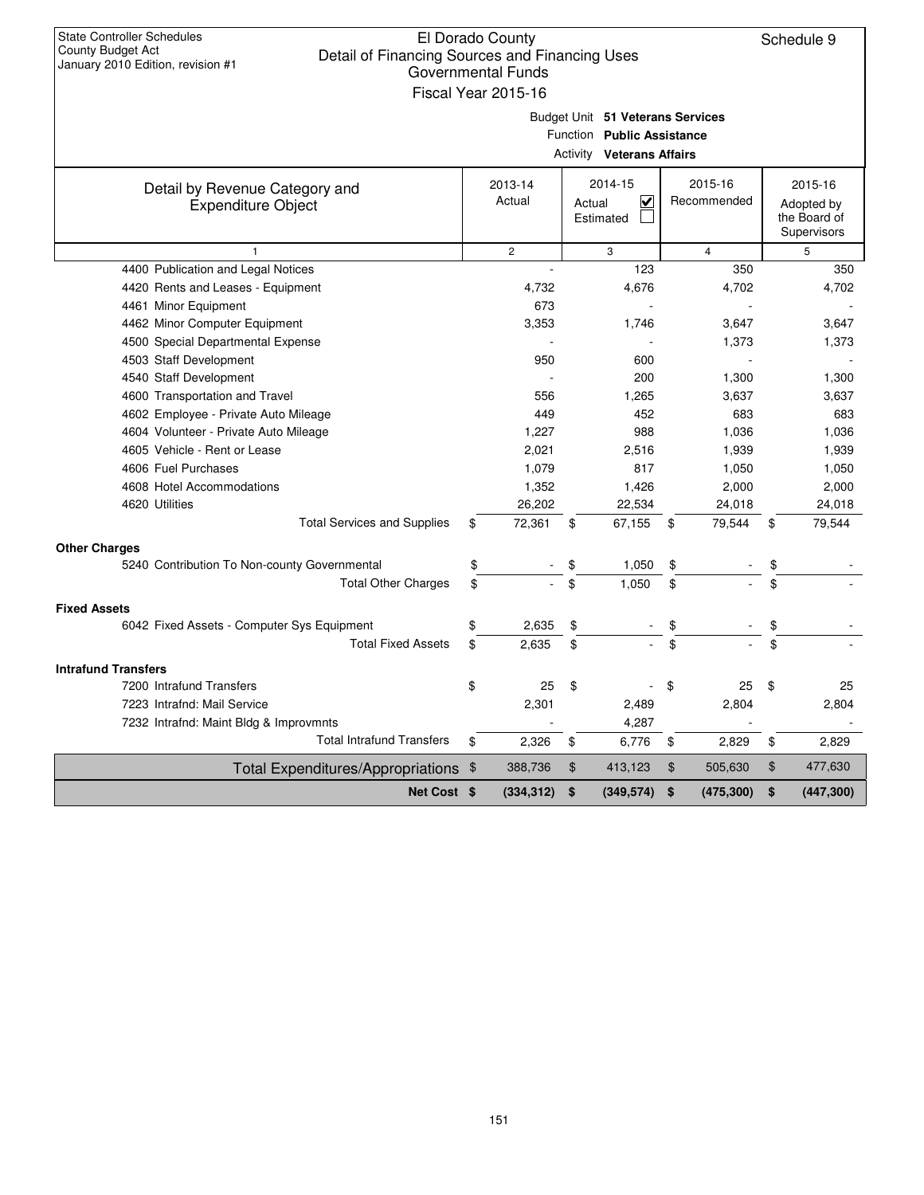| <b>State Controller Schedules</b><br>County Budget Act<br>Detail of Financing Sources and Financing Uses | El Dorado County          |                                  |                        | Schedule 9                 |
|----------------------------------------------------------------------------------------------------------|---------------------------|----------------------------------|------------------------|----------------------------|
| January 2010 Edition, revision #1                                                                        | <b>Governmental Funds</b> |                                  |                        |                            |
|                                                                                                          | Fiscal Year 2015-16       |                                  |                        |                            |
|                                                                                                          |                           | Budget Unit 51 Veterans Services |                        |                            |
|                                                                                                          |                           | Function Public Assistance       |                        |                            |
|                                                                                                          |                           | <b>Activity Veterans Affairs</b> |                        |                            |
|                                                                                                          |                           |                                  |                        |                            |
| Detail by Revenue Category and                                                                           | 2013-14<br>Actual         | 2014-15<br>$\checkmark$          | 2015-16<br>Recommended | 2015-16                    |
| <b>Expenditure Object</b>                                                                                |                           | Actual<br>Estimated              |                        | Adopted by<br>the Board of |
|                                                                                                          |                           |                                  |                        | Supervisors                |
| $\mathbf{1}$                                                                                             | $\overline{c}$            | 3                                | $\overline{4}$         | 5                          |
| 4400 Publication and Legal Notices                                                                       |                           | 123                              | 350                    | 350                        |
| 4420 Rents and Leases - Equipment                                                                        | 4,732                     | 4,676                            | 4,702                  | 4,702                      |
| 4461 Minor Equipment                                                                                     | 673                       |                                  |                        |                            |
| 4462 Minor Computer Equipment                                                                            | 3,353                     | 1,746                            | 3,647                  | 3,647                      |
| 4500 Special Departmental Expense                                                                        |                           |                                  | 1,373                  | 1,373                      |
| 4503 Staff Development                                                                                   | 950                       | 600                              |                        |                            |
| 4540 Staff Development                                                                                   |                           | 200                              | 1,300                  | 1,300                      |
| 4600 Transportation and Travel                                                                           | 556                       | 1,265                            | 3,637                  | 3,637                      |
| 4602 Employee - Private Auto Mileage                                                                     | 449                       | 452                              | 683                    | 683                        |
| 4604 Volunteer - Private Auto Mileage                                                                    | 1,227                     | 988                              | 1,036                  | 1,036                      |
| 4605 Vehicle - Rent or Lease                                                                             | 2,021                     | 2,516                            | 1,939                  | 1,939                      |
| 4606 Fuel Purchases                                                                                      | 1,079                     | 817                              | 1,050                  | 1,050                      |
| 4608 Hotel Accommodations                                                                                | 1,352                     | 1,426                            | 2,000                  | 2,000                      |
| 4620 Utilities                                                                                           | 26,202                    | 22,534                           | 24,018                 | 24,018                     |
| <b>Total Services and Supplies</b>                                                                       | 72,361<br>\$              | 67,155<br>\$                     | 79,544<br>\$           | 79,544<br>\$               |
| <b>Other Charges</b>                                                                                     |                           |                                  |                        |                            |
| 5240 Contribution To Non-county Governmental                                                             | \$                        | 1,050<br>\$                      | \$                     |                            |
| <b>Total Other Charges</b>                                                                               | \$                        | \$<br>1,050                      | \$                     |                            |
| <b>Fixed Assets</b>                                                                                      |                           |                                  |                        |                            |
| 6042 Fixed Assets - Computer Sys Equipment                                                               | \$<br>2,635               | \$                               | \$                     | \$                         |
| <b>Total Fixed Assets</b>                                                                                | \$<br>2,635               | \$                               | \$                     | \$                         |
| <b>Intrafund Transfers</b>                                                                               |                           |                                  |                        |                            |
| 7200 Intrafund Transfers                                                                                 | \$<br>25                  | \$                               | \$<br>25               | \$<br>25                   |
| 7223 Intrafnd: Mail Service                                                                              | 2,301                     | 2,489                            | 2,804                  | 2,804                      |
| 7232 Intrafnd: Maint Bldg & Improvmnts                                                                   |                           | 4,287                            |                        |                            |
| <b>Total Intrafund Transfers</b>                                                                         | \$<br>2,326               | \$<br>6,776                      | \$<br>2,829            | \$<br>2,829                |
| <b>Total Expenditures/Appropriations</b>                                                                 | 388,736<br>\$             | \$<br>413,123                    | \$<br>505,630          | \$<br>477,630              |
| Net Cost \$                                                                                              | (334, 312)                | \$<br>(349, 574)                 | \$<br>(475, 300)       | \$<br>(447, 300)           |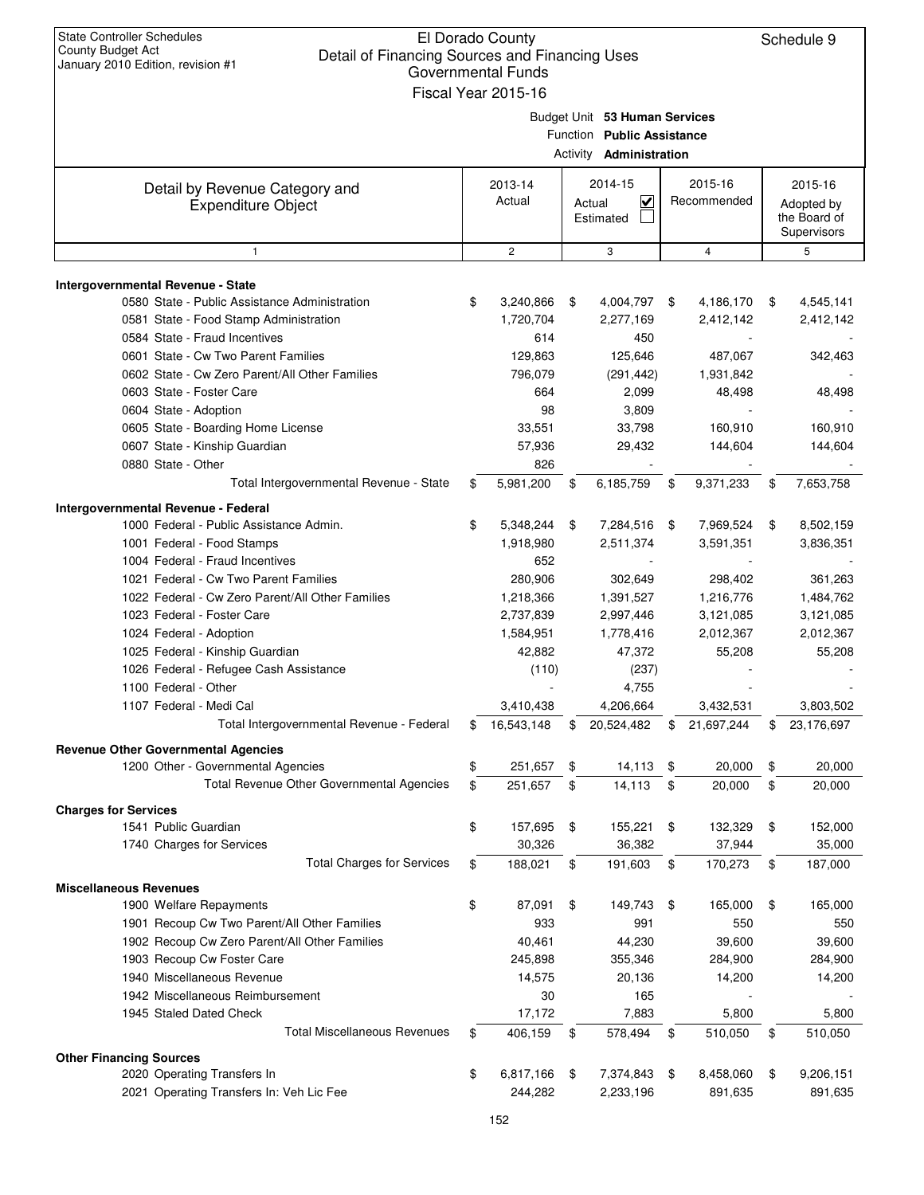| <b>State Controller Schedules</b><br>El Dorado County<br>County Budget Act<br>Detail of Financing Sources and Financing Uses<br>January 2010 Edition, revision #1<br><b>Governmental Funds</b><br>Fiscal Year 2015-16 |    |                   |    |                                                                                               |    |                        |    |                                       |
|-----------------------------------------------------------------------------------------------------------------------------------------------------------------------------------------------------------------------|----|-------------------|----|-----------------------------------------------------------------------------------------------|----|------------------------|----|---------------------------------------|
|                                                                                                                                                                                                                       |    |                   |    | Budget Unit 53 Human Services<br>Function Public Assistance<br>Activity <b>Administration</b> |    |                        |    |                                       |
| Detail by Revenue Category and<br><b>Expenditure Object</b>                                                                                                                                                           |    | 2013-14<br>Actual |    | 2014-15<br>V<br>Actual<br>Estimated                                                           |    | 2015-16<br>Recommended |    | 2015-16<br>Adopted by<br>the Board of |
|                                                                                                                                                                                                                       |    |                   |    |                                                                                               |    |                        |    | Supervisors                           |
| $\mathbf{1}$                                                                                                                                                                                                          |    | $\overline{2}$    |    | 3                                                                                             |    | $\overline{4}$         |    | 5                                     |
| Intergovernmental Revenue - State                                                                                                                                                                                     |    |                   |    |                                                                                               |    |                        |    |                                       |
| 0580 State - Public Assistance Administration                                                                                                                                                                         | \$ | 3,240,866         | \$ | 4,004,797                                                                                     | \$ | 4,186,170              | \$ | 4,545,141                             |
| 0581 State - Food Stamp Administration                                                                                                                                                                                |    | 1,720,704         |    | 2,277,169                                                                                     |    | 2,412,142              |    | 2,412,142                             |
| 0584 State - Fraud Incentives                                                                                                                                                                                         |    | 614               |    | 450                                                                                           |    |                        |    |                                       |
| 0601 State - Cw Two Parent Families                                                                                                                                                                                   |    | 129,863           |    | 125,646                                                                                       |    | 487,067                |    | 342,463                               |
| 0602 State - Cw Zero Parent/All Other Families                                                                                                                                                                        |    | 796,079           |    | (291, 442)                                                                                    |    | 1,931,842              |    |                                       |
| 0603 State - Foster Care                                                                                                                                                                                              |    | 664               |    | 2,099                                                                                         |    | 48,498                 |    | 48,498                                |
| 0604 State - Adoption                                                                                                                                                                                                 |    | 98                |    | 3,809                                                                                         |    |                        |    |                                       |
| 0605 State - Boarding Home License                                                                                                                                                                                    |    | 33,551            |    | 33,798                                                                                        |    | 160,910                |    | 160,910                               |
| 0607 State - Kinship Guardian                                                                                                                                                                                         |    | 57,936            |    | 29,432                                                                                        |    | 144,604                |    | 144,604                               |
| 0880 State - Other                                                                                                                                                                                                    |    | 826               |    |                                                                                               |    |                        |    |                                       |
| Total Intergovernmental Revenue - State                                                                                                                                                                               | \$ | 5,981,200         | \$ | 6,185,759                                                                                     | \$ | 9,371,233              | \$ | 7,653,758                             |
| Intergovernmental Revenue - Federal                                                                                                                                                                                   |    |                   |    |                                                                                               |    |                        |    |                                       |
| 1000 Federal - Public Assistance Admin.                                                                                                                                                                               | \$ | 5,348,244         | \$ | 7,284,516                                                                                     | \$ | 7,969,524              | \$ | 8,502,159                             |
| 1001 Federal - Food Stamps                                                                                                                                                                                            |    | 1,918,980         |    | 2,511,374                                                                                     |    | 3,591,351              |    | 3,836,351                             |
| 1004 Federal - Fraud Incentives                                                                                                                                                                                       |    | 652               |    |                                                                                               |    |                        |    |                                       |
| 1021 Federal - Cw Two Parent Families                                                                                                                                                                                 |    | 280,906           |    | 302,649                                                                                       |    | 298,402                |    | 361,263                               |
| 1022 Federal - Cw Zero Parent/All Other Families                                                                                                                                                                      |    | 1,218,366         |    | 1,391,527                                                                                     |    | 1,216,776              |    | 1,484,762                             |
| 1023 Federal - Foster Care                                                                                                                                                                                            |    | 2,737,839         |    | 2,997,446                                                                                     |    | 3,121,085              |    | 3,121,085                             |
| 1024 Federal - Adoption                                                                                                                                                                                               |    | 1,584,951         |    | 1,778,416                                                                                     |    | 2,012,367              |    | 2,012,367                             |
| 1025 Federal - Kinship Guardian                                                                                                                                                                                       |    | 42,882            |    | 47,372                                                                                        |    | 55,208                 |    | 55,208                                |
| 1026 Federal - Refugee Cash Assistance                                                                                                                                                                                |    | (110)             |    | (237)                                                                                         |    |                        |    |                                       |
| 1100 Federal - Other                                                                                                                                                                                                  |    |                   |    | 4,755                                                                                         |    |                        |    |                                       |
| 1107 Federal - Medi Cal                                                                                                                                                                                               |    | 3,410,438         |    | 4,206,664                                                                                     |    | 3,432,531              |    | 3,803,502                             |
| Total Intergovernmental Revenue - Federal                                                                                                                                                                             | \$ | 16,543,148        | \$ | 20,524,482                                                                                    | \$ | 21,697,244             | \$ | 23,176,697                            |
| <b>Revenue Other Governmental Agencies</b>                                                                                                                                                                            |    |                   |    |                                                                                               |    |                        |    |                                       |
| 1200 Other - Governmental Agencies                                                                                                                                                                                    | \$ | 251,657           | \$ | 14,113                                                                                        | \$ | 20,000                 | \$ | 20,000                                |
| Total Revenue Other Governmental Agencies                                                                                                                                                                             | \$ | 251,657           | \$ | 14,113                                                                                        | \$ | 20,000                 | \$ | 20,000                                |
| <b>Charges for Services</b>                                                                                                                                                                                           |    |                   |    |                                                                                               |    |                        |    |                                       |
| 1541 Public Guardian                                                                                                                                                                                                  | \$ | 157,695           | \$ | 155,221                                                                                       | \$ | 132,329                | \$ | 152,000                               |
| 1740 Charges for Services                                                                                                                                                                                             |    | 30,326            |    | 36,382                                                                                        |    | 37,944                 |    | 35,000                                |
| <b>Total Charges for Services</b>                                                                                                                                                                                     | \$ | 188,021           | \$ | 191,603                                                                                       | \$ | 170,273                | \$ | 187,000                               |
| <b>Miscellaneous Revenues</b>                                                                                                                                                                                         |    |                   |    |                                                                                               |    |                        |    |                                       |
| 1900 Welfare Repayments                                                                                                                                                                                               | \$ | 87,091            | \$ | 149,743                                                                                       | \$ | 165,000                | \$ | 165,000                               |
| 1901 Recoup Cw Two Parent/All Other Families                                                                                                                                                                          |    | 933               |    | 991                                                                                           |    | 550                    |    | 550                                   |
| 1902 Recoup Cw Zero Parent/All Other Families                                                                                                                                                                         |    | 40,461            |    | 44,230                                                                                        |    | 39,600                 |    | 39,600                                |
| 1903 Recoup Cw Foster Care                                                                                                                                                                                            |    | 245,898           |    | 355,346                                                                                       |    | 284,900                |    | 284,900                               |
| 1940 Miscellaneous Revenue                                                                                                                                                                                            |    | 14,575            |    | 20,136                                                                                        |    | 14,200                 |    | 14,200                                |
| 1942 Miscellaneous Reimbursement                                                                                                                                                                                      |    | 30                |    | 165                                                                                           |    |                        |    |                                       |
| 1945 Staled Dated Check                                                                                                                                                                                               |    | 17,172            |    | 7,883                                                                                         |    | 5,800                  |    | 5,800                                 |
| <b>Total Miscellaneous Revenues</b>                                                                                                                                                                                   | \$ | 406,159           | \$ | 578,494                                                                                       | \$ | 510,050                | \$ | 510,050                               |
| <b>Other Financing Sources</b>                                                                                                                                                                                        |    |                   |    |                                                                                               |    |                        |    |                                       |
| 2020 Operating Transfers In                                                                                                                                                                                           | \$ | 6,817,166         | \$ | 7,374,843                                                                                     | \$ | 8,458,060              | \$ | 9,206,151                             |
| 2021 Operating Transfers In: Veh Lic Fee                                                                                                                                                                              |    | 244,282           |    | 2,233,196                                                                                     |    | 891,635                |    | 891,635                               |
|                                                                                                                                                                                                                       |    |                   |    |                                                                                               |    |                        |    |                                       |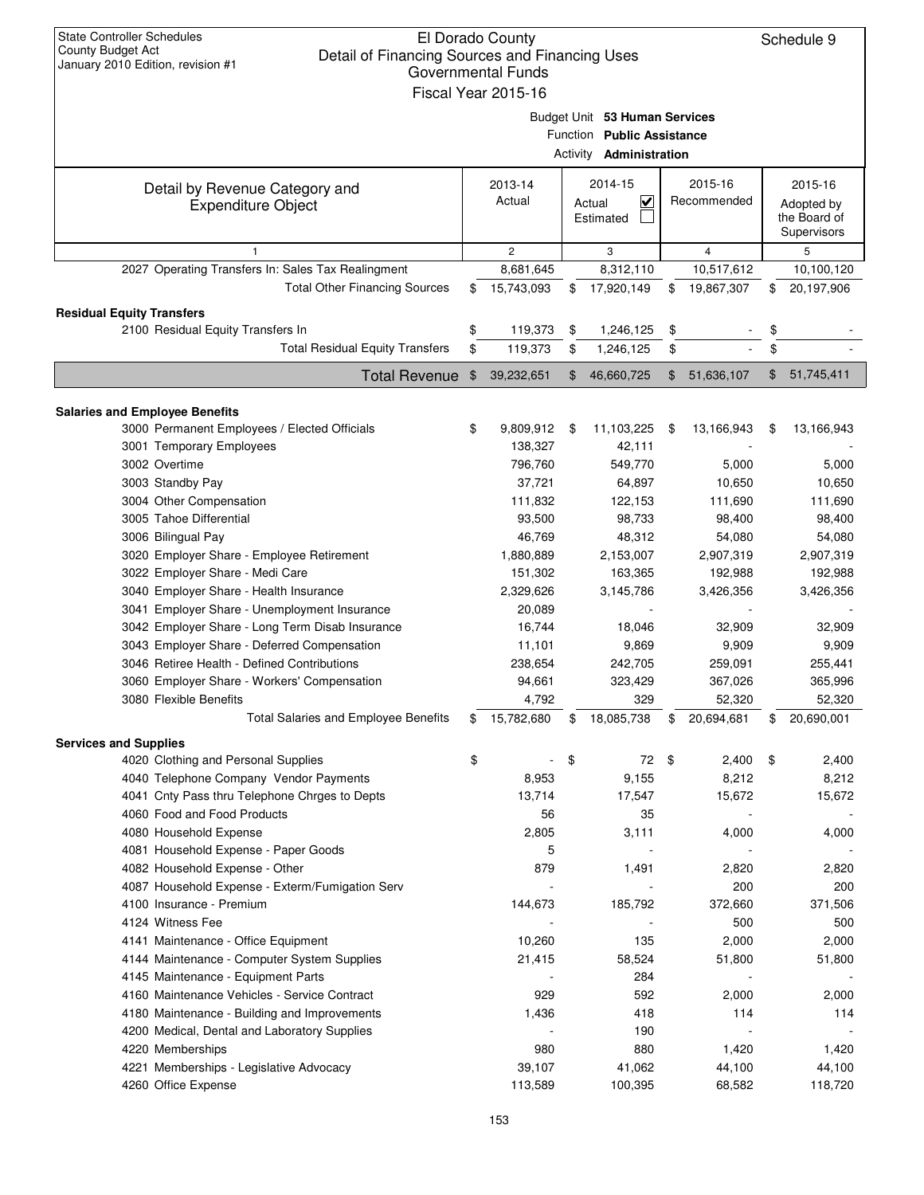| <b>State Controller Schedules</b><br><b>County Budget Act</b><br>Detail of Financing Sources and Financing Uses<br>January 2010 Edition, revision #1 | El Dorado County<br><b>Governmental Funds</b><br>Fiscal Year 2015-16 |                                                                                               |                        | Schedule 9                                           |
|------------------------------------------------------------------------------------------------------------------------------------------------------|----------------------------------------------------------------------|-----------------------------------------------------------------------------------------------|------------------------|------------------------------------------------------|
|                                                                                                                                                      |                                                                      | Budget Unit 53 Human Services<br>Function Public Assistance<br>Activity <b>Administration</b> |                        |                                                      |
| Detail by Revenue Category and<br><b>Expenditure Object</b>                                                                                          | 2013-14<br>Actual                                                    | 2014-15<br>$\overline{\mathbf{v}}$<br>Actual<br>Estimated                                     | 2015-16<br>Recommended | 2015-16<br>Adopted by<br>the Board of<br>Supervisors |
| 1                                                                                                                                                    | $\overline{c}$                                                       | 3                                                                                             | $\overline{4}$         | 5                                                    |
| 2027 Operating Transfers In: Sales Tax Realingment                                                                                                   | 8,681,645                                                            | 8,312,110                                                                                     | 10,517,612             | 10,100,120                                           |
| <b>Total Other Financing Sources</b>                                                                                                                 | \$<br>15,743,093                                                     | \$<br>17,920,149                                                                              | \$<br>19,867,307       | \$<br>20,197,906                                     |
| <b>Residual Equity Transfers</b>                                                                                                                     |                                                                      |                                                                                               |                        |                                                      |
| 2100 Residual Equity Transfers In                                                                                                                    | \$<br>119,373                                                        | \$<br>1,246,125                                                                               | \$                     | \$                                                   |
| <b>Total Residual Equity Transfers</b>                                                                                                               | \$<br>119,373                                                        | \$<br>1,246,125                                                                               | \$                     | \$                                                   |
|                                                                                                                                                      | 39,232,651                                                           | \$<br>46,660,725                                                                              | \$<br>51,636,107       | \$                                                   |
| <b>Total Revenue</b>                                                                                                                                 | \$                                                                   |                                                                                               |                        | 51,745,411                                           |
| <b>Salaries and Employee Benefits</b>                                                                                                                |                                                                      |                                                                                               |                        |                                                      |
| 3000 Permanent Employees / Elected Officials                                                                                                         | \$<br>9,809,912                                                      | \$<br>11,103,225                                                                              | \$<br>13,166,943       | \$<br>13,166,943                                     |
| 3001 Temporary Employees                                                                                                                             | 138,327                                                              | 42,111                                                                                        |                        |                                                      |
| 3002 Overtime                                                                                                                                        | 796,760                                                              | 549,770                                                                                       | 5,000                  | 5,000                                                |
| 3003 Standby Pay                                                                                                                                     | 37,721                                                               | 64,897                                                                                        | 10,650                 | 10,650                                               |
| 3004 Other Compensation                                                                                                                              | 111,832                                                              | 122,153                                                                                       | 111,690                | 111,690                                              |
| 3005 Tahoe Differential                                                                                                                              | 93,500                                                               | 98,733                                                                                        | 98,400                 | 98,400                                               |
| 3006 Bilingual Pay                                                                                                                                   | 46,769                                                               | 48,312                                                                                        | 54,080                 | 54,080                                               |
| 3020 Employer Share - Employee Retirement                                                                                                            | 1,880,889                                                            | 2,153,007                                                                                     | 2,907,319              | 2,907,319                                            |
| 3022 Employer Share - Medi Care                                                                                                                      | 151,302                                                              | 163,365                                                                                       | 192,988                | 192,988                                              |
| 3040 Employer Share - Health Insurance                                                                                                               | 2,329,626                                                            | 3,145,786                                                                                     | 3,426,356              | 3,426,356                                            |
| 3041 Employer Share - Unemployment Insurance                                                                                                         | 20,089                                                               |                                                                                               |                        |                                                      |
| 3042 Employer Share - Long Term Disab Insurance                                                                                                      | 16,744                                                               | 18.046                                                                                        | 32,909                 | 32,909                                               |
| 3043 Employer Share - Deferred Compensation                                                                                                          | 11,101                                                               | 9,869                                                                                         | 9,909                  | 9,909                                                |
| 3046 Retiree Health - Defined Contributions                                                                                                          | 238,654                                                              | 242,705                                                                                       | 259,091                | 255,441                                              |
| 3060 Employer Share - Workers' Compensation                                                                                                          | 94,661                                                               | 323,429                                                                                       | 367,026                | 365,996                                              |
| 3080 Flexible Benefits                                                                                                                               | 4,792                                                                | 329                                                                                           | 52,320                 | 52,320                                               |
| <b>Total Salaries and Employee Benefits</b>                                                                                                          | \$<br>15,782,680                                                     | \$<br>18,085,738                                                                              | \$<br>20,694,681       | \$<br>20,690,001                                     |
| <b>Services and Supplies</b>                                                                                                                         |                                                                      |                                                                                               |                        |                                                      |
| 4020 Clothing and Personal Supplies                                                                                                                  | \$                                                                   | \$<br>72                                                                                      | \$<br>2,400            | \$<br>2,400                                          |
| 4040 Telephone Company Vendor Payments                                                                                                               | 8,953                                                                | 9,155                                                                                         | 8,212                  | 8,212                                                |
| 4041 Cnty Pass thru Telephone Chrges to Depts                                                                                                        | 13,714                                                               | 17,547                                                                                        | 15,672                 | 15,672                                               |
| 4060 Food and Food Products                                                                                                                          | 56                                                                   | 35                                                                                            |                        |                                                      |
| 4080 Household Expense                                                                                                                               | 2,805                                                                | 3,111                                                                                         | 4,000                  | 4,000                                                |
| 4081 Household Expense - Paper Goods                                                                                                                 | 5                                                                    |                                                                                               |                        |                                                      |
| 4082 Household Expense - Other                                                                                                                       | 879                                                                  | 1,491                                                                                         | 2,820                  | 2,820                                                |
| 4087 Household Expense - Exterm/Fumigation Serv                                                                                                      |                                                                      |                                                                                               | 200                    | 200                                                  |
| 4100 Insurance - Premium                                                                                                                             | 144,673                                                              | 185,792                                                                                       | 372,660                | 371,506                                              |
| 4124 Witness Fee                                                                                                                                     |                                                                      |                                                                                               | 500                    | 500                                                  |
| 4141 Maintenance - Office Equipment                                                                                                                  | 10,260                                                               | 135                                                                                           | 2,000                  | 2,000                                                |
| 4144 Maintenance - Computer System Supplies                                                                                                          | 21,415                                                               | 58,524                                                                                        | 51,800                 | 51,800                                               |
| 4145 Maintenance - Equipment Parts<br>4160 Maintenance Vehicles - Service Contract                                                                   | 929                                                                  | 284<br>592                                                                                    | 2,000                  | 2,000                                                |
| 4180 Maintenance - Building and Improvements                                                                                                         | 1,436                                                                | 418                                                                                           | 114                    | 114                                                  |
| 4200 Medical, Dental and Laboratory Supplies                                                                                                         |                                                                      | 190                                                                                           |                        |                                                      |
| 4220 Memberships                                                                                                                                     | 980                                                                  | 880                                                                                           | 1,420                  | 1,420                                                |
| 4221 Memberships - Legislative Advocacy                                                                                                              | 39,107                                                               | 41,062                                                                                        | 44,100                 | 44,100                                               |
| 4260 Office Expense                                                                                                                                  | 113,589                                                              | 100,395                                                                                       | 68,582                 | 118,720                                              |
|                                                                                                                                                      |                                                                      |                                                                                               |                        |                                                      |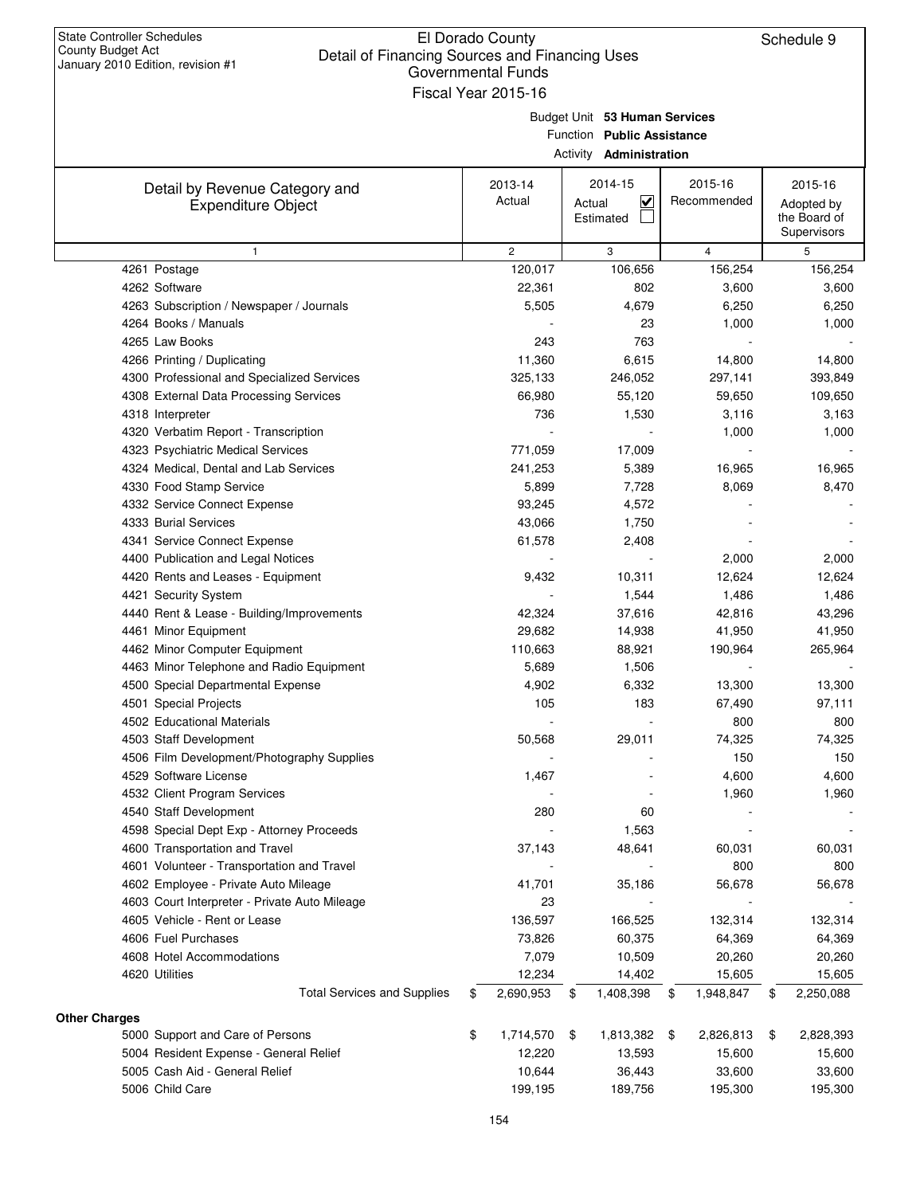| January 2010 Edition, revision #1 |                                               | Governmental Funds<br>Fiscal Year 2015-16 |                                                             |                 |                                           |
|-----------------------------------|-----------------------------------------------|-------------------------------------------|-------------------------------------------------------------|-----------------|-------------------------------------------|
|                                   |                                               |                                           | Budget Unit 53 Human Services<br>Function Public Assistance |                 |                                           |
|                                   |                                               |                                           | Activity <b>Administration</b>                              |                 |                                           |
|                                   | Detail by Revenue Category and                | 2013-14                                   | 2014-15                                                     | 2015-16         | 2015-16                                   |
|                                   | <b>Expenditure Object</b>                     | Actual                                    | ⊻<br>Actual<br>Estimated                                    | Recommended     | Adopted by<br>the Board of<br>Supervisors |
|                                   | $\mathbf{1}$                                  | $\mathbf{2}^{\prime}$                     | 3                                                           | $\overline{4}$  | 5                                         |
|                                   | 4261 Postage                                  | 120,017                                   | 106,656                                                     | 156,254         | 156,254                                   |
|                                   | 4262 Software                                 | 22,361                                    | 802                                                         | 3,600           | 3,600                                     |
|                                   | 4263 Subscription / Newspaper / Journals      | 5,505                                     | 4,679                                                       | 6,250           | 6,250                                     |
|                                   | 4264 Books / Manuals                          |                                           | 23                                                          | 1,000           | 1,000                                     |
|                                   | 4265 Law Books                                | 243                                       | 763                                                         |                 |                                           |
|                                   | 4266 Printing / Duplicating                   | 11,360                                    | 6,615                                                       | 14,800          | 14,800                                    |
|                                   | 4300 Professional and Specialized Services    | 325,133                                   | 246,052                                                     | 297,141         | 393,849                                   |
|                                   | 4308 External Data Processing Services        | 66,980                                    | 55,120                                                      | 59,650          | 109,650                                   |
|                                   | 4318 Interpreter                              | 736                                       | 1,530                                                       | 3,116           | 3,163                                     |
|                                   | 4320 Verbatim Report - Transcription          |                                           |                                                             | 1,000           | 1,000                                     |
|                                   | 4323 Psychiatric Medical Services             | 771,059                                   | 17,009                                                      |                 |                                           |
|                                   | 4324 Medical, Dental and Lab Services         | 241,253                                   | 5,389                                                       | 16,965          | 16,965                                    |
|                                   | 4330 Food Stamp Service                       | 5,899                                     | 7,728                                                       | 8,069           | 8,470                                     |
|                                   | 4332 Service Connect Expense                  | 93,245                                    | 4,572                                                       |                 |                                           |
|                                   | 4333 Burial Services                          | 43,066                                    | 1,750                                                       |                 |                                           |
|                                   | 4341 Service Connect Expense                  | 61,578                                    | 2,408                                                       |                 |                                           |
|                                   | 4400 Publication and Legal Notices            |                                           |                                                             | 2,000           | 2,000                                     |
|                                   | 4420 Rents and Leases - Equipment             | 9,432                                     | 10,311                                                      | 12,624          | 12,624                                    |
|                                   | 4421 Security System                          |                                           | 1,544                                                       | 1,486           | 1,486                                     |
|                                   | 4440 Rent & Lease - Building/Improvements     | 42,324                                    | 37,616                                                      | 42,816          | 43,296                                    |
|                                   | 4461 Minor Equipment                          | 29,682                                    | 14,938                                                      | 41,950          | 41,950                                    |
|                                   | 4462 Minor Computer Equipment                 | 110,663                                   | 88,921                                                      | 190,964         | 265,964                                   |
|                                   | 4463 Minor Telephone and Radio Equipment      | 5,689                                     | 1,506                                                       |                 |                                           |
|                                   | 4500 Special Departmental Expense             | 4,902                                     | 6,332                                                       | 13,300          | 13,300                                    |
|                                   | 4501 Special Projects                         | 105                                       | 183                                                         | 67,490          | 97,111                                    |
|                                   | 4502 Educational Materials                    |                                           |                                                             | 800             | 800                                       |
|                                   | 4503 Staff Development                        | 50,568                                    | 29,011                                                      | 74,325          | 74,325                                    |
|                                   | 4506 Film Development/Photography Supplies    |                                           |                                                             | 150             | 150                                       |
|                                   | 4529 Software License                         | 1,467                                     |                                                             | 4,600           | 4,600                                     |
|                                   | 4532 Client Program Services                  |                                           |                                                             | 1,960           | 1,960                                     |
|                                   | 4540 Staff Development                        | 280                                       | 60                                                          |                 |                                           |
|                                   | 4598 Special Dept Exp - Attorney Proceeds     |                                           | 1,563                                                       |                 |                                           |
|                                   | 4600 Transportation and Travel                | 37,143                                    | 48,641                                                      | 60,031          | 60,031                                    |
|                                   | 4601 Volunteer - Transportation and Travel    |                                           |                                                             | 800             | 800                                       |
|                                   | 4602 Employee - Private Auto Mileage          | 41,701                                    | 35,186                                                      | 56,678          | 56,678                                    |
|                                   | 4603 Court Interpreter - Private Auto Mileage | 23                                        |                                                             |                 |                                           |
|                                   | 4605 Vehicle - Rent or Lease                  | 136,597                                   | 166,525                                                     | 132,314         | 132,314                                   |
|                                   | 4606 Fuel Purchases                           | 73,826                                    | 60,375                                                      | 64,369          | 64,369                                    |
|                                   | 4608 Hotel Accommodations                     | 7,079                                     | 10,509                                                      | 20,260          | 20,260                                    |
|                                   | 4620 Utilities                                | 12,234                                    | 14,402                                                      | 15,605          | 15,605                                    |
|                                   | <b>Total Services and Supplies</b>            | \$<br>2,690,953                           | \$<br>1,408,398                                             | \$<br>1,948,847 | \$<br>2,250,088                           |
| <b>Other Charges</b>              |                                               |                                           |                                                             |                 |                                           |
|                                   | 5000 Support and Care of Persons              | \$<br>1,714,570                           | \$<br>1,813,382                                             | \$<br>2,826,813 | \$<br>2,828,393                           |
|                                   | 5004 Resident Expense - General Relief        | 12,220                                    | 13,593                                                      | 15,600          | 15,600                                    |
|                                   | 5005 Cash Aid - General Relief                | 10,644                                    | 36,443                                                      | 33,600          | 33,600                                    |
|                                   | 5006 Child Care                               | 199,195                                   | 189,756                                                     | 195,300         | 195,300                                   |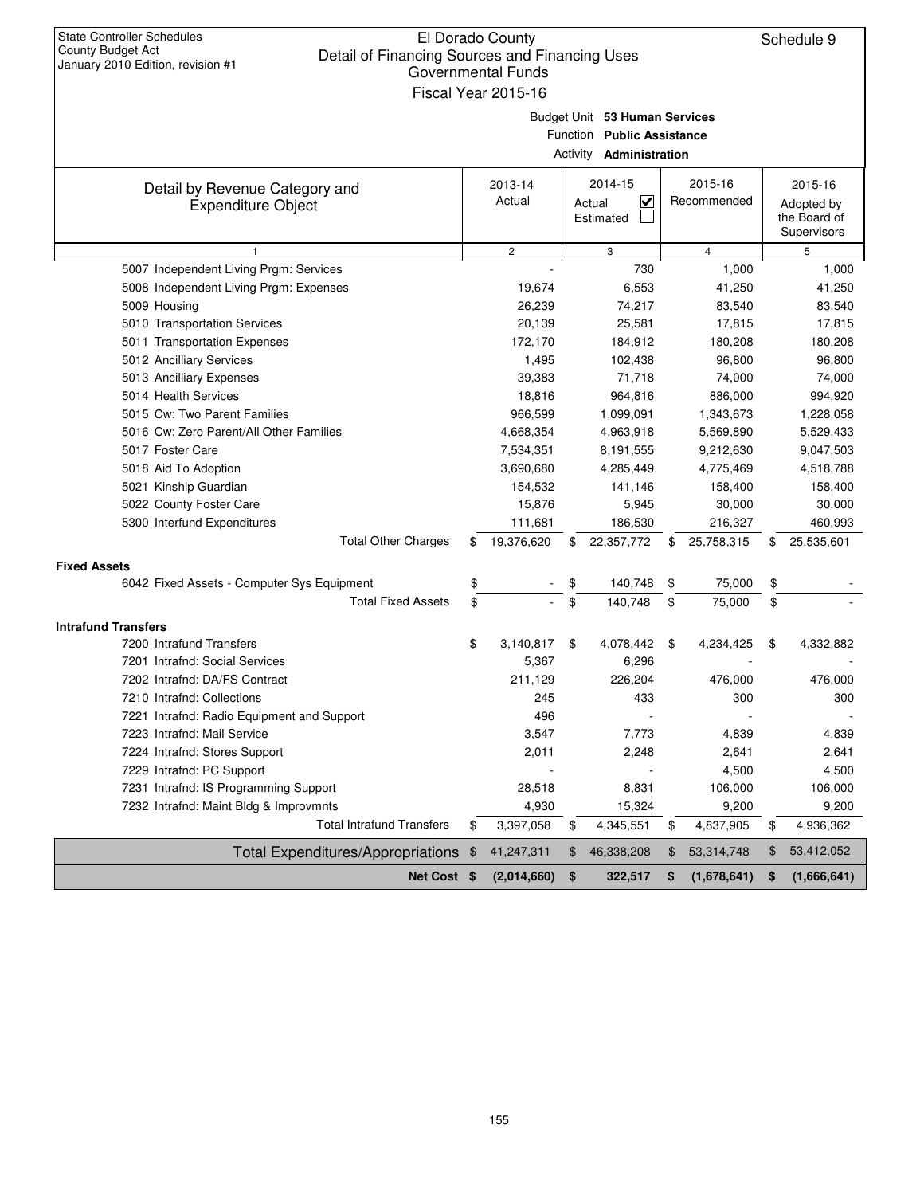| <b>State Controller Schedules</b><br>County Budget Act<br>Detail of Financing Sources and Financing Uses | El Dorado County    |          |                                   |                   | Schedule 9        |
|----------------------------------------------------------------------------------------------------------|---------------------|----------|-----------------------------------|-------------------|-------------------|
| January 2010 Edition, revision #1                                                                        | Governmental Funds  |          |                                   |                   |                   |
|                                                                                                          | Fiscal Year 2015-16 |          |                                   |                   |                   |
|                                                                                                          |                     |          |                                   |                   |                   |
|                                                                                                          |                     |          | Budget Unit 53 Human Services     |                   |                   |
|                                                                                                          |                     | Function | <b>Public Assistance</b>          |                   |                   |
|                                                                                                          |                     |          | Activity <b>Administration</b>    |                   |                   |
| Detail by Revenue Category and                                                                           | 2013-14             |          | 2014-15                           | 2015-16           | 2015-16           |
| <b>Expenditure Object</b>                                                                                | Actual              |          | $\overline{\mathbf{v}}$<br>Actual | Recommended       | Adopted by        |
|                                                                                                          |                     |          | Estimated                         |                   | the Board of      |
|                                                                                                          |                     |          |                                   |                   | Supervisors       |
| 1                                                                                                        | $\overline{c}$      |          | 3<br>730                          | $\overline{4}$    | 5                 |
| 5007 Independent Living Prgm: Services                                                                   |                     |          |                                   | 1,000             | 1,000             |
| 5008 Independent Living Prgm: Expenses<br>5009 Housing                                                   | 19,674<br>26,239    |          | 6,553<br>74,217                   | 41,250<br>83,540  | 41,250<br>83,540  |
| 5010 Transportation Services                                                                             | 20,139              |          | 25,581                            | 17,815            | 17,815            |
| 5011 Transportation Expenses                                                                             | 172,170             |          | 184,912                           | 180,208           | 180,208           |
| 5012 Ancilliary Services                                                                                 | 1,495               |          | 102,438                           | 96,800            | 96,800            |
| 5013 Ancilliary Expenses                                                                                 | 39,383              |          | 71,718                            | 74,000            | 74,000            |
| 5014 Health Services                                                                                     | 18,816              |          | 964,816                           | 886,000           | 994,920           |
| 5015 Cw: Two Parent Families                                                                             | 966,599             |          | 1,099,091                         | 1,343,673         | 1,228,058         |
| 5016 Cw: Zero Parent/All Other Families                                                                  | 4,668,354           |          | 4,963,918                         | 5,569,890         | 5,529,433         |
| 5017 Foster Care                                                                                         | 7,534,351           |          | 8,191,555                         | 9,212,630         | 9,047,503         |
| 5018 Aid To Adoption                                                                                     | 3,690,680           |          | 4,285,449                         | 4,775,469         | 4,518,788         |
| 5021 Kinship Guardian                                                                                    | 154,532             |          | 141,146                           | 158,400           | 158,400           |
| 5022 County Foster Care                                                                                  | 15,876              |          | 5,945                             | 30,000            | 30,000            |
| 5300 Interfund Expenditures                                                                              | 111,681             |          | 186,530                           | 216,327           | 460,993           |
| <b>Total Other Charges</b>                                                                               | \$<br>19,376,620    | \$       | 22,357,772                        | \$<br>25,758,315  | \$<br>25,535,601  |
| <b>Fixed Assets</b>                                                                                      |                     |          |                                   |                   |                   |
| 6042 Fixed Assets - Computer Sys Equipment                                                               | \$                  | \$       | 140,748                           | \$<br>75,000      | \$                |
| <b>Total Fixed Assets</b>                                                                                | \$                  | \$       | 140,748                           | \$<br>75,000      | \$                |
| <b>Intrafund Transfers</b>                                                                               |                     |          |                                   |                   |                   |
| 7200 Intrafund Transfers                                                                                 | \$<br>3,140,817     | \$       | 4,078,442                         | \$<br>4.234.425   | \$<br>4,332,882   |
| 7201 Intrafnd: Social Services                                                                           | 5,367               |          | 6,296                             |                   |                   |
| 7202 Intrafnd: DA/FS Contract                                                                            | 211,129             |          | 226,204                           | 476,000           | 476,000           |
| 7210 Intrafnd: Collections                                                                               | 245                 |          | 433                               | 300               | 300               |
| 7221 Intrafnd: Radio Equipment and Support                                                               | 496                 |          |                                   |                   |                   |
| 7223 Intrafnd: Mail Service                                                                              | 3,547               |          | 7,773                             | 4,839             | 4,839             |
| 7224 Intrafnd: Stores Support                                                                            | 2,011               |          | 2,248                             | 2,641             | 2,641             |
| 7229 Intrafnd: PC Support                                                                                |                     |          |                                   | 4,500             | 4,500             |
| 7231 Intrafnd: IS Programming Support                                                                    | 28,518              |          | 8,831                             | 106,000           | 106,000           |
| 7232 Intrafnd: Maint Bldg & Improvmnts                                                                   | 4,930               |          | 15,324                            | 9,200             | 9,200             |
| <b>Total Intrafund Transfers</b>                                                                         | \$<br>3,397,058     | \$       | 4,345,551                         | \$<br>4,837,905   | \$<br>4,936,362   |
| <b>Total Expenditures/Appropriations</b>                                                                 | \$<br>41,247,311    | \$       | 46,338,208                        | \$<br>53,314,748  | \$<br>53,412,052  |
| Net Cost \$                                                                                              | (2,014,660)         | \$       | 322,517                           | \$<br>(1,678,641) | \$<br>(1,666,641) |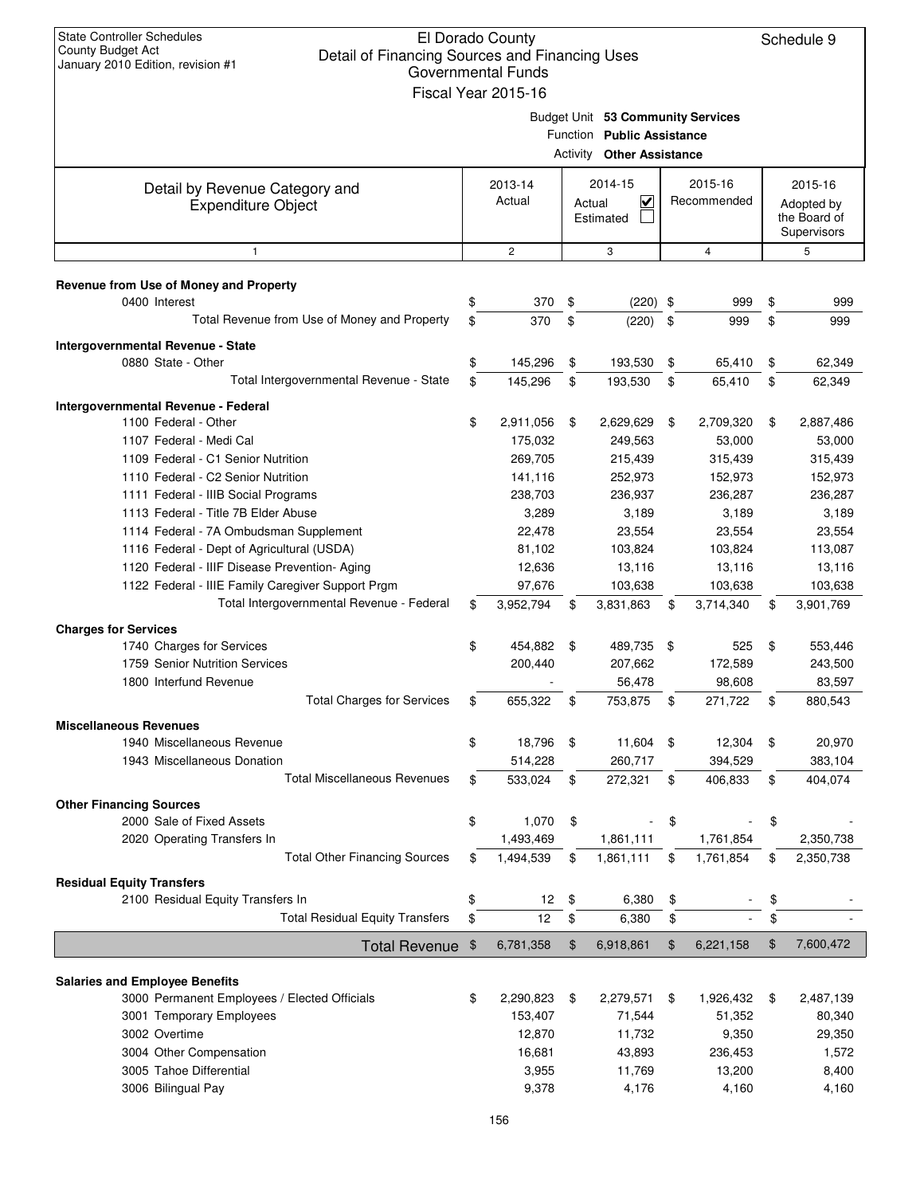| <b>State Controller Schedules</b><br>County Budget Act<br>Detail of Financing Sources and Financing Uses<br>January 2010 Edition, revision #1 |    | El Dorado County<br><b>Governmental Funds</b><br>Fiscal Year 2015-16 |          |                                                                                            |     |                        |    | Schedule 9                                           |
|-----------------------------------------------------------------------------------------------------------------------------------------------|----|----------------------------------------------------------------------|----------|--------------------------------------------------------------------------------------------|-----|------------------------|----|------------------------------------------------------|
|                                                                                                                                               |    |                                                                      | Activity | Budget Unit 53 Community Services<br>Function Public Assistance<br><b>Other Assistance</b> |     |                        |    |                                                      |
| Detail by Revenue Category and<br><b>Expenditure Object</b>                                                                                   |    | 2013-14<br>Actual                                                    | Actual   | 2014-15<br>$\overline{\mathbf{v}}$<br>Estimated                                            |     | 2015-16<br>Recommended |    | 2015-16<br>Adopted by<br>the Board of<br>Supervisors |
| $\mathbf{1}$                                                                                                                                  |    | $\overline{c}$                                                       |          | 3                                                                                          |     | 4                      |    | 5                                                    |
| Revenue from Use of Money and Property                                                                                                        |    |                                                                      |          |                                                                                            |     |                        |    |                                                      |
| 0400 Interest                                                                                                                                 | \$ | 370                                                                  | \$       | $(220)$ \$                                                                                 |     | 999                    | \$ | 999                                                  |
| Total Revenue from Use of Money and Property                                                                                                  | \$ | 370                                                                  | \$       | (220)                                                                                      | \$  | 999                    | \$ | 999                                                  |
| Intergovernmental Revenue - State                                                                                                             |    |                                                                      |          |                                                                                            |     |                        |    |                                                      |
| 0880 State - Other                                                                                                                            | \$ | 145,296                                                              | \$       | 193,530                                                                                    | \$  | 65,410                 | \$ | 62,349                                               |
| Total Intergovernmental Revenue - State                                                                                                       | \$ | 145,296                                                              | \$       | 193,530                                                                                    | \$  | 65,410                 | \$ | 62,349                                               |
| Intergovernmental Revenue - Federal                                                                                                           |    |                                                                      |          |                                                                                            |     |                        |    |                                                      |
| 1100 Federal - Other                                                                                                                          | \$ | 2,911,056                                                            | \$       | 2,629,629                                                                                  | \$  | 2,709,320              | \$ | 2,887,486                                            |
| 1107 Federal - Medi Cal                                                                                                                       |    | 175,032                                                              |          | 249,563                                                                                    |     | 53,000                 |    | 53,000                                               |
| 1109 Federal - C1 Senior Nutrition                                                                                                            |    | 269,705                                                              |          | 215,439                                                                                    |     | 315,439                |    | 315,439                                              |
| 1110 Federal - C2 Senior Nutrition                                                                                                            |    | 141,116                                                              |          | 252,973                                                                                    |     | 152,973                |    | 152,973                                              |
| 1111 Federal - IIIB Social Programs                                                                                                           |    | 238,703                                                              |          | 236,937                                                                                    |     | 236,287                |    | 236,287                                              |
| 1113 Federal - Title 7B Elder Abuse                                                                                                           |    | 3,289                                                                |          | 3,189                                                                                      |     | 3,189                  |    | 3,189                                                |
| 1114 Federal - 7A Ombudsman Supplement                                                                                                        |    | 22,478                                                               |          | 23,554                                                                                     |     | 23,554                 |    | 23,554                                               |
| 1116 Federal - Dept of Agricultural (USDA)                                                                                                    |    | 81,102                                                               |          | 103,824                                                                                    |     | 103,824                |    | 113,087                                              |
| 1120 Federal - IIIF Disease Prevention- Aging                                                                                                 |    | 12,636                                                               |          | 13,116                                                                                     |     | 13,116                 |    | 13,116                                               |
| 1122 Federal - IIIE Family Caregiver Support Prgm                                                                                             |    | 97,676                                                               |          | 103,638                                                                                    |     | 103,638                |    | 103,638                                              |
| Total Intergovernmental Revenue - Federal                                                                                                     | \$ | 3,952,794                                                            | \$       | 3,831,863                                                                                  | \$  | 3,714,340              | \$ | 3,901,769                                            |
| <b>Charges for Services</b>                                                                                                                   |    |                                                                      |          |                                                                                            |     |                        |    |                                                      |
| 1740 Charges for Services                                                                                                                     | \$ | 454,882                                                              | - \$     | 489,735                                                                                    | -\$ | 525                    | \$ | 553,446                                              |
| 1759 Senior Nutrition Services                                                                                                                |    | 200,440                                                              |          | 207,662                                                                                    |     | 172,589                |    | 243,500                                              |
| 1800 Interfund Revenue                                                                                                                        |    |                                                                      |          | 56,478                                                                                     |     | 98,608                 |    | 83,597                                               |
| <b>Total Charges for Services</b>                                                                                                             | Ф  | 655,322                                                              | Ф        | 753,875                                                                                    | Φ   | 271,722                | Φ  | 880,543                                              |
| <b>Miscellaneous Revenues</b>                                                                                                                 |    |                                                                      |          |                                                                                            |     |                        |    |                                                      |
| 1940 Miscellaneous Revenue                                                                                                                    | \$ | 18,796                                                               | \$       | 11,604 \$                                                                                  |     | 12,304                 | \$ | 20,970                                               |
| 1943 Miscellaneous Donation                                                                                                                   |    | 514,228                                                              |          | 260,717                                                                                    |     | 394,529                |    | 383,104                                              |
| <b>Total Miscellaneous Revenues</b>                                                                                                           | \$ | 533,024                                                              | \$       | 272,321                                                                                    | \$  | 406,833                | \$ | 404,074                                              |
| <b>Other Financing Sources</b>                                                                                                                |    |                                                                      |          |                                                                                            |     |                        |    |                                                      |
| 2000 Sale of Fixed Assets                                                                                                                     | \$ | 1,070                                                                | \$       |                                                                                            | \$  |                        | \$ |                                                      |
| 2020 Operating Transfers In                                                                                                                   |    | 1,493,469                                                            |          | 1,861,111                                                                                  |     | 1,761,854              |    | 2,350,738                                            |
| <b>Total Other Financing Sources</b>                                                                                                          | \$ | 1,494,539                                                            | \$       | 1,861,111                                                                                  | \$  | 1,761,854              | \$ | 2,350,738                                            |
| <b>Residual Equity Transfers</b>                                                                                                              |    |                                                                      |          |                                                                                            |     |                        |    |                                                      |
| 2100 Residual Equity Transfers In                                                                                                             | \$ | 12                                                                   | \$       | 6,380                                                                                      | \$  |                        | \$ |                                                      |
| <b>Total Residual Equity Transfers</b>                                                                                                        | \$ | 12                                                                   | \$       | 6,380                                                                                      | \$  |                        | \$ |                                                      |
| Total Revenue \$                                                                                                                              |    | 6,781,358                                                            | \$       | 6,918,861                                                                                  | \$  | 6,221,158              | \$ | 7,600,472                                            |
|                                                                                                                                               |    |                                                                      |          |                                                                                            |     |                        |    |                                                      |
| <b>Salaries and Employee Benefits</b>                                                                                                         |    |                                                                      |          |                                                                                            |     |                        |    |                                                      |
| 3000 Permanent Employees / Elected Officials                                                                                                  | \$ | 2,290,823                                                            | \$       | 2,279,571                                                                                  | \$  | 1,926,432              | \$ | 2,487,139                                            |
| 3001 Temporary Employees                                                                                                                      |    | 153,407                                                              |          | 71,544                                                                                     |     | 51,352                 |    | 80,340                                               |
| 3002 Overtime                                                                                                                                 |    | 12,870                                                               |          | 11,732                                                                                     |     | 9,350                  |    | 29,350                                               |
| 3004 Other Compensation                                                                                                                       |    | 16,681                                                               |          | 43,893                                                                                     |     | 236,453                |    | 1,572                                                |
| 3005 Tahoe Differential                                                                                                                       |    | 3,955                                                                |          | 11,769                                                                                     |     | 13,200                 |    | 8,400                                                |
| 3006 Bilingual Pay                                                                                                                            |    | 9,378                                                                |          | 4,176                                                                                      |     | 4,160                  |    | 4,160                                                |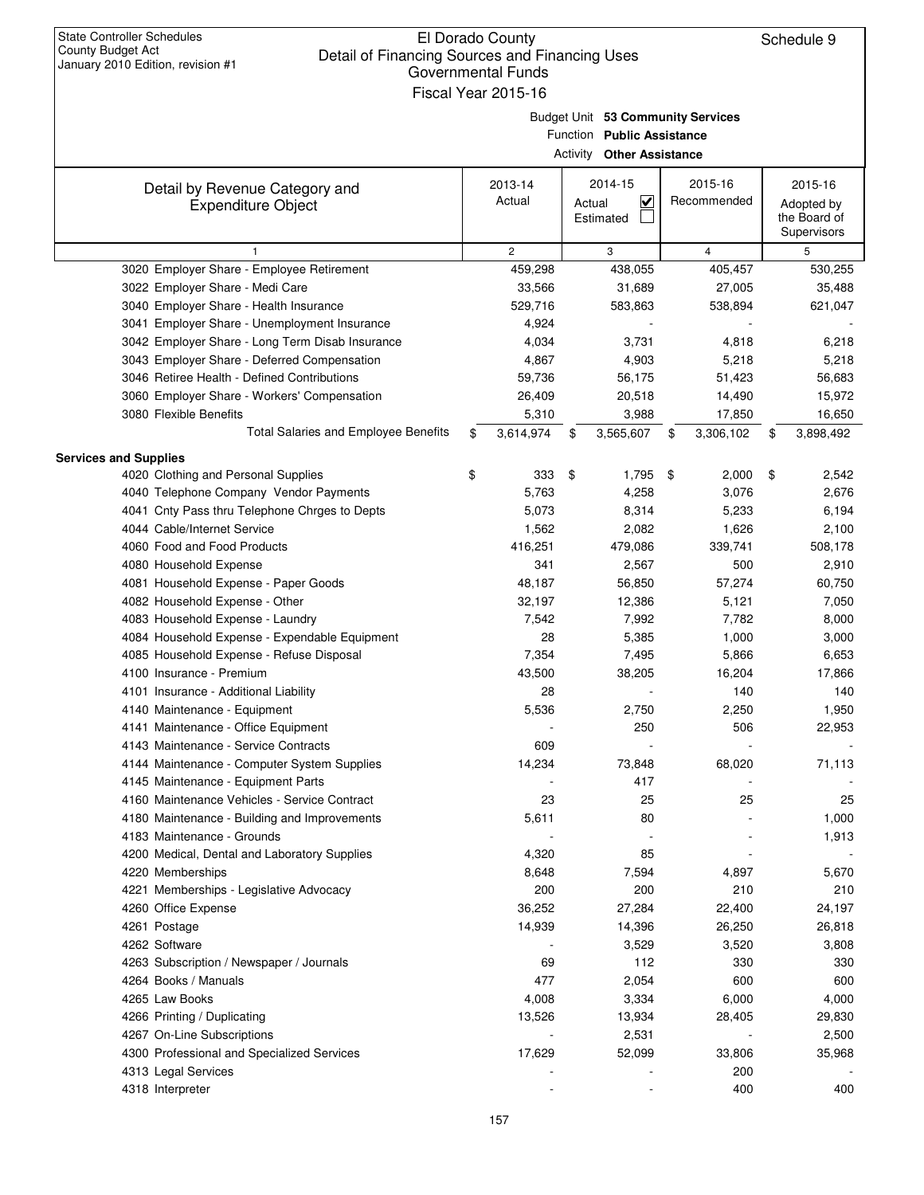| January 2010 Edition, revision #1               | Governmental Funds  |                                                |      |                |                            |
|-------------------------------------------------|---------------------|------------------------------------------------|------|----------------|----------------------------|
|                                                 | Fiscal Year 2015-16 |                                                |      |                |                            |
|                                                 |                     | Budget Unit 53 Community Services              |      |                |                            |
|                                                 |                     | Function Public Assistance                     |      |                |                            |
|                                                 |                     | <b>Activity Other Assistance</b>               |      |                |                            |
|                                                 |                     |                                                |      |                |                            |
| Detail by Revenue Category and                  | 2013-14<br>Actual   | 2014-15                                        |      | 2015-16        | 2015-16                    |
| <b>Expenditure Object</b>                       |                     | $\overline{\mathbf{v}}$<br>Actual<br>Estimated |      | Recommended    | Adopted by<br>the Board of |
|                                                 |                     |                                                |      |                | Supervisors                |
| 1                                               | $\mathbf{2}$        | 3                                              |      | $\overline{4}$ | 5                          |
| 3020 Employer Share - Employee Retirement       | 459,298             | 438,055                                        |      | 405,457        | 530,255                    |
| 3022 Employer Share - Medi Care                 | 33,566              | 31,689                                         |      | 27,005         | 35,488                     |
| 3040 Employer Share - Health Insurance          | 529,716             | 583,863                                        |      | 538,894        | 621,047                    |
| 3041 Employer Share - Unemployment Insurance    | 4,924               |                                                |      |                |                            |
| 3042 Employer Share - Long Term Disab Insurance | 4,034               | 3,731                                          |      | 4,818          | 6,218                      |
| 3043 Employer Share - Deferred Compensation     | 4,867               | 4,903                                          |      | 5,218          | 5,218                      |
| 3046 Retiree Health - Defined Contributions     | 59,736              | 56,175                                         |      | 51,423         | 56,683                     |
| 3060 Employer Share - Workers' Compensation     | 26,409              | 20,518                                         |      | 14,490         | 15,972                     |
| 3080 Flexible Benefits                          | 5,310               | 3,988                                          |      | 17,850         | 16,650                     |
| Total Salaries and Employee Benefits            | \$<br>3,614,974     | \$<br>3,565,607                                | \$   | 3,306,102      | \$<br>3,898,492            |
| <b>Services and Supplies</b>                    |                     |                                                |      |                |                            |
| 4020 Clothing and Personal Supplies             | \$<br>333           | \$<br>1,795                                    | - \$ | 2,000          | \$<br>2,542                |
| 4040 Telephone Company Vendor Payments          | 5,763               | 4,258                                          |      | 3,076          | 2,676                      |
| 4041 Cnty Pass thru Telephone Chrges to Depts   | 5,073               | 8,314                                          |      | 5,233          | 6,194                      |
| 4044 Cable/Internet Service                     | 1,562               | 2,082                                          |      | 1,626          | 2,100                      |
| 4060 Food and Food Products                     | 416,251             | 479,086                                        |      | 339,741        | 508,178                    |
| 4080 Household Expense                          | 341                 | 2,567                                          |      | 500            | 2,910                      |
| 4081 Household Expense - Paper Goods            | 48,187              | 56,850                                         |      | 57,274         | 60,750                     |
| 4082 Household Expense - Other                  | 32,197              | 12,386                                         |      | 5,121          | 7,050                      |
| 4083 Household Expense - Laundry                | 7,542               | 7,992                                          |      | 7,782          | 8,000                      |
| 4084 Household Expense - Expendable Equipment   | 28                  | 5,385                                          |      | 1,000          | 3,000                      |
| 4085 Household Expense - Refuse Disposal        | 7,354               | 7,495                                          |      | 5,866          | 6,653                      |
| 4100 Insurance - Premium                        | 43,500              | 38,205                                         |      | 16,204         | 17,866                     |
| 4101 Insurance - Additional Liability           | 28                  |                                                |      | 140            | 140                        |
| 4140 Maintenance - Equipment                    | 5,536               | 2,750                                          |      | 2,250          | 1,950                      |
| 4141 Maintenance - Office Equipment             |                     | 250                                            |      | 506            | 22,953                     |
| 4143 Maintenance - Service Contracts            | 609                 |                                                |      |                |                            |
| 4144 Maintenance - Computer System Supplies     | 14,234              | 73,848                                         |      | 68,020         | 71,113                     |
| 4145 Maintenance - Equipment Parts              |                     | 417                                            |      |                |                            |
| 4160 Maintenance Vehicles - Service Contract    | 23                  | 25                                             |      | 25             | 25                         |
| 4180 Maintenance - Building and Improvements    | 5,611               | 80                                             |      |                | 1,000                      |
| 4183 Maintenance - Grounds                      |                     |                                                |      |                | 1,913                      |
| 4200 Medical, Dental and Laboratory Supplies    | 4,320               | 85                                             |      |                |                            |
| 4220 Memberships                                | 8,648               | 7,594                                          |      | 4,897          | 5,670                      |
| 4221 Memberships - Legislative Advocacy         | 200                 | 200                                            |      | 210            | 210                        |
| 4260 Office Expense                             | 36,252              | 27,284                                         |      | 22,400         | 24,197                     |
| 4261 Postage                                    | 14,939              | 14,396                                         |      | 26,250         | 26,818                     |
| 4262 Software                                   |                     | 3,529                                          |      | 3,520          | 3,808                      |
| 4263 Subscription / Newspaper / Journals        | 69                  | 112                                            |      | 330            | 330                        |
| 4264 Books / Manuals                            | 477                 | 2,054                                          |      | 600            | 600                        |
| 4265 Law Books                                  | 4,008               | 3,334                                          |      | 6,000          | 4,000                      |
| 4266 Printing / Duplicating                     | 13,526              | 13,934                                         |      | 28,405         | 29,830                     |
| 4267 On-Line Subscriptions                      |                     | 2,531                                          |      |                | 2,500                      |
| 4300 Professional and Specialized Services      | 17,629              | 52,099                                         |      | 33,806         | 35,968                     |
| 4313 Legal Services                             |                     |                                                |      | 200            |                            |
| 4318 Interpreter                                |                     |                                                |      | 400            | 400                        |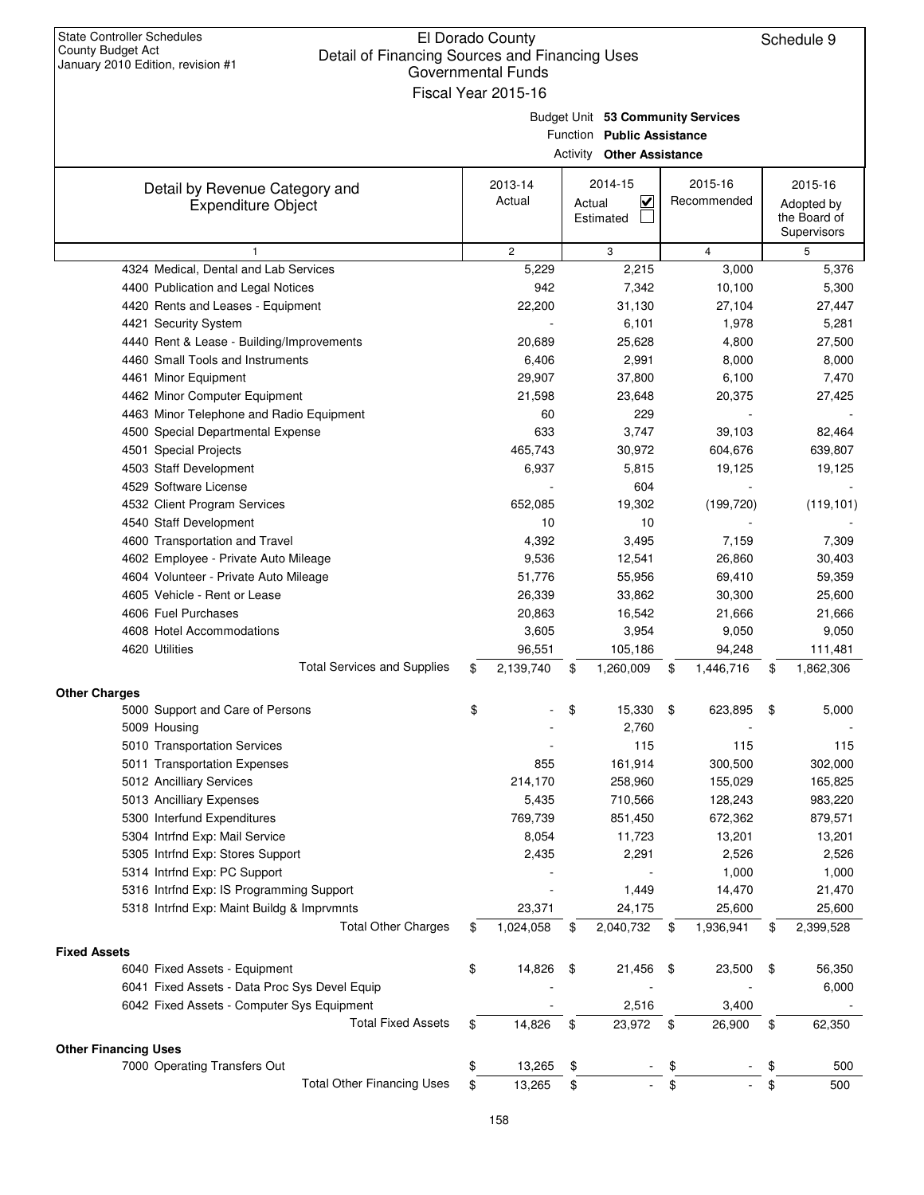| <b>State Controller Schedules</b> |
|-----------------------------------|
| County Budget Act                 |
| January 2010 Edition, revision #1 |

| January ZUTU LUNUUH, IGVISIUH # 1                           | <b>Governmental Funds</b><br>Fiscal Year 2015-16 |        |                                                                                                     |          |                        |                                                      |
|-------------------------------------------------------------|--------------------------------------------------|--------|-----------------------------------------------------------------------------------------------------|----------|------------------------|------------------------------------------------------|
|                                                             |                                                  |        | Budget Unit 53 Community Services<br>Function Public Assistance<br><b>Activity Other Assistance</b> |          |                        |                                                      |
| Detail by Revenue Category and<br><b>Expenditure Object</b> | 2013-14<br>Actual                                | Actual | 2014-15<br>$\checkmark$<br>Estimated                                                                |          | 2015-16<br>Recommended | 2015-16<br>Adopted by<br>the Board of<br>Supervisors |
| $\mathbf{1}$                                                | $\mathbf{2}$                                     |        | 3                                                                                                   |          | $\overline{4}$         | 5                                                    |
| 4324 Medical, Dental and Lab Services                       | 5,229                                            |        | 2,215                                                                                               |          | 3,000                  | 5,376                                                |
| 4400 Publication and Legal Notices                          | 942                                              |        | 7,342                                                                                               |          | 10,100                 | 5,300                                                |
| 4420 Rents and Leases - Equipment                           | 22,200                                           |        | 31,130                                                                                              |          | 27,104                 | 27,447                                               |
| 4421 Security System                                        |                                                  |        | 6,101                                                                                               |          | 1,978                  | 5,281                                                |
| 4440 Rent & Lease - Building/Improvements                   | 20,689                                           |        | 25,628                                                                                              |          | 4,800                  | 27,500                                               |
| 4460 Small Tools and Instruments                            | 6,406                                            |        | 2,991                                                                                               |          | 8,000                  | 8,000                                                |
| 4461 Minor Equipment                                        | 29,907                                           |        | 37,800                                                                                              |          | 6,100                  | 7,470                                                |
| 4462 Minor Computer Equipment                               | 21,598                                           |        | 23,648                                                                                              |          | 20,375                 | 27,425                                               |
| 4463 Minor Telephone and Radio Equipment                    | 60                                               |        | 229                                                                                                 |          |                        |                                                      |
| 4500 Special Departmental Expense                           | 633                                              |        | 3,747                                                                                               |          | 39,103                 | 82,464                                               |
| 4501 Special Projects                                       | 465,743                                          |        | 30,972                                                                                              |          | 604,676                | 639,807                                              |
| 4503 Staff Development                                      | 6,937                                            |        | 5,815                                                                                               |          | 19,125                 | 19,125                                               |
| 4529 Software License                                       |                                                  |        | 604                                                                                                 |          |                        |                                                      |
| 4532 Client Program Services                                | 652,085                                          |        | 19,302                                                                                              |          | (199, 720)             | (119, 101)                                           |
| 4540 Staff Development                                      | 10                                               |        | 10                                                                                                  |          |                        |                                                      |
| 4600 Transportation and Travel                              | 4,392                                            |        | 3,495                                                                                               |          | 7,159                  | 7,309                                                |
| 4602 Employee - Private Auto Mileage                        | 9,536                                            |        | 12,541                                                                                              |          | 26,860                 | 30,403                                               |
| 4604 Volunteer - Private Auto Mileage                       | 51,776                                           |        | 55,956                                                                                              |          | 69,410                 | 59,359                                               |
| 4605 Vehicle - Rent or Lease                                | 26,339                                           |        | 33,862                                                                                              |          | 30,300                 | 25,600                                               |
| 4606 Fuel Purchases                                         | 20,863                                           |        | 16,542                                                                                              |          | 21,666                 | 21,666                                               |
| 4608 Hotel Accommodations                                   | 3,605                                            |        | 3,954                                                                                               |          | 9,050                  | 9,050                                                |
| 4620 Utilities                                              | 96,551                                           |        | 105,186                                                                                             |          | 94,248                 | 111,481                                              |
| <b>Total Services and Supplies</b>                          | \$<br>2,139,740                                  | \$     | 1,260,009                                                                                           | \$       | 1,446,716              | \$<br>1,862,306                                      |
| <b>Other Charges</b>                                        |                                                  |        |                                                                                                     |          |                        |                                                      |
| 5000 Support and Care of Persons                            | \$                                               | \$     | 15,330                                                                                              | \$       | 623,895                | \$<br>5,000                                          |
| 5009 Housing                                                |                                                  |        | 2,760                                                                                               |          |                        |                                                      |
| 5010 Transportation Services                                |                                                  |        | 115                                                                                                 |          | 115                    | 115                                                  |
| 5011 Transportation Expenses                                | 855                                              |        | 161,914                                                                                             |          | 300,500                | 302,000                                              |
| 5012 Ancilliary Services                                    | 214,170                                          |        | 258,960                                                                                             |          | 155,029                | 165,825                                              |
| 5013 Ancilliary Expenses                                    | 5,435                                            |        | 710,566                                                                                             |          | 128,243                | 983,220                                              |
| 5300 Interfund Expenditures                                 | 769,739                                          |        | 851,450                                                                                             |          | 672,362                | 879,571                                              |
| 5304 Intrfnd Exp: Mail Service                              | 8,054                                            |        | 11,723                                                                                              |          | 13,201                 | 13,201                                               |
| 5305 Intrfnd Exp: Stores Support                            | 2,435                                            |        | 2,291                                                                                               |          | 2,526                  | 2,526                                                |
| 5314 Intrfnd Exp: PC Support                                |                                                  |        |                                                                                                     |          | 1,000                  | 1,000                                                |
| 5316 Intrfnd Exp: IS Programming Support                    |                                                  |        | 1,449                                                                                               |          | 14,470                 | 21,470                                               |
| 5318 Intrfnd Exp: Maint Buildg & Imprvmnts                  | 23,371                                           |        | 24,175                                                                                              |          | 25,600                 | 25,600                                               |
| <b>Total Other Charges</b>                                  | \$<br>1,024,058                                  | \$     | 2,040,732                                                                                           | \$       | 1,936,941              | \$<br>2,399,528                                      |
| <b>Fixed Assets</b>                                         |                                                  |        |                                                                                                     |          |                        |                                                      |
| 6040 Fixed Assets - Equipment                               | \$<br>14,826                                     | \$     | 21,456                                                                                              | \$       | 23,500                 | \$<br>56,350                                         |
| 6041 Fixed Assets - Data Proc Sys Devel Equip               |                                                  |        |                                                                                                     |          |                        | 6,000                                                |
| 6042 Fixed Assets - Computer Sys Equipment                  |                                                  |        | 2,516                                                                                               |          | 3,400                  |                                                      |
| <b>Total Fixed Assets</b>                                   | \$<br>14,826                                     | \$     | 23,972                                                                                              | \$       | 26,900                 | \$<br>62,350                                         |
|                                                             |                                                  |        |                                                                                                     |          |                        |                                                      |
| <b>Other Financing Uses</b><br>7000 Operating Transfers Out | \$<br>13,265                                     | \$     |                                                                                                     |          |                        | 500                                                  |
| <b>Total Other Financing Uses</b>                           | \$<br>13,265                                     | \$     |                                                                                                     | \$<br>\$ |                        | \$<br>500                                            |
|                                                             |                                                  |        |                                                                                                     |          |                        |                                                      |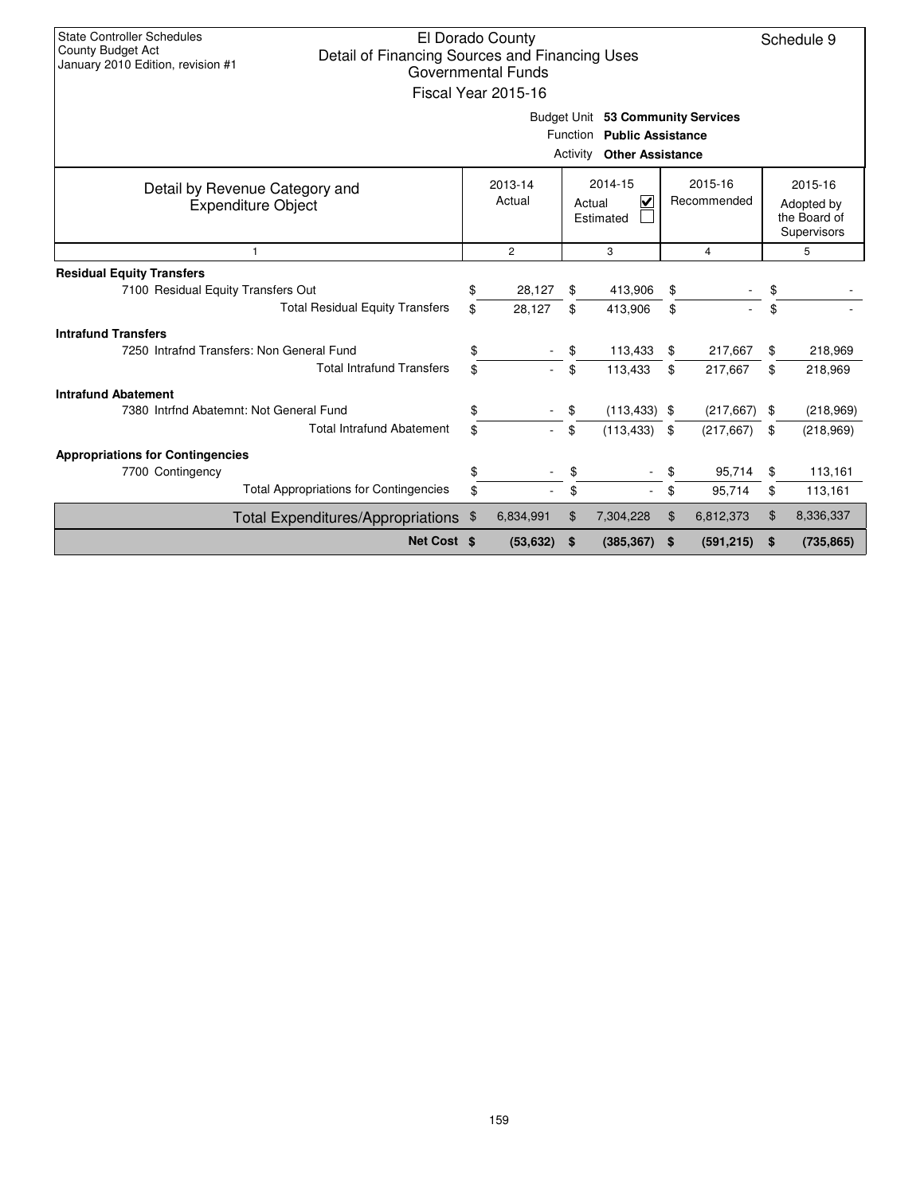| <b>State Controller Schedules</b><br>County Budget Act<br>Detail of Financing Sources and Financing Uses<br>January 2010 Edition, revision #1 |          | El Dorado County<br>Governmental Funds<br>Fiscal Year 2015-16 |          |                                     |          |                          |           | Schedule 9                                           |  |  |  |
|-----------------------------------------------------------------------------------------------------------------------------------------------|----------|---------------------------------------------------------------|----------|-------------------------------------|----------|--------------------------|-----------|------------------------------------------------------|--|--|--|
| Budget Unit 53 Community Services<br>Function Public Assistance<br><b>Activity Other Assistance</b>                                           |          |                                                               |          |                                     |          |                          |           |                                                      |  |  |  |
| Detail by Revenue Category and<br><b>Expenditure Object</b>                                                                                   |          | 2013-14<br>Actual                                             |          | 2014-15<br>⊽<br>Actual<br>Estimated |          | 2015-16<br>Recommended   |           | 2015-16<br>Adopted by<br>the Board of<br>Supervisors |  |  |  |
| $\mathbf{1}$                                                                                                                                  |          | $\overline{2}$                                                |          | 3                                   |          | 4                        |           | 5                                                    |  |  |  |
| <b>Residual Equity Transfers</b><br>7100 Residual Equity Transfers Out<br><b>Total Residual Equity Transfers</b>                              | \$<br>\$ | 28,127<br>28,127                                              | \$<br>\$ | 413,906<br>413,906                  | \$<br>\$ |                          | \$<br>\$  |                                                      |  |  |  |
| <b>Intrafund Transfers</b><br>7250 Intrafnd Transfers: Non General Fund<br><b>Total Intrafund Transfers</b>                                   | \$<br>\$ |                                                               | \$<br>\$ | 113,433<br>113,433                  | \$<br>\$ | 217,667<br>217,667       | \$<br>\$  | 218,969<br>218,969                                   |  |  |  |
| <b>Intrafund Abatement</b><br>7380 Intrfnd Abatemnt: Not General Fund<br><b>Total Intrafund Abatement</b>                                     | \$<br>\$ |                                                               | \$<br>\$ | $(113, 433)$ \$<br>(113, 433)       | -\$      | (217, 667)<br>(217, 667) | -\$<br>\$ | (218,969)<br>(218,969)                               |  |  |  |
| <b>Appropriations for Contingencies</b><br>7700 Contingency<br><b>Total Appropriations for Contingencies</b>                                  | \$<br>\$ |                                                               | \$       |                                     | \$<br>\$ | 95,714<br>95,714         | \$<br>\$  | 113,161<br>113,161                                   |  |  |  |
| <b>Total Expenditures/Appropriations</b>                                                                                                      | \$       | 6,834,991                                                     | \$       | 7,304,228                           | \$       | 6,812,373                | \$        | 8,336,337                                            |  |  |  |
| Net Cost \$                                                                                                                                   |          | (53, 632)                                                     | \$       | (385, 367)                          | \$       | (591, 215)               | \$        | (735, 865)                                           |  |  |  |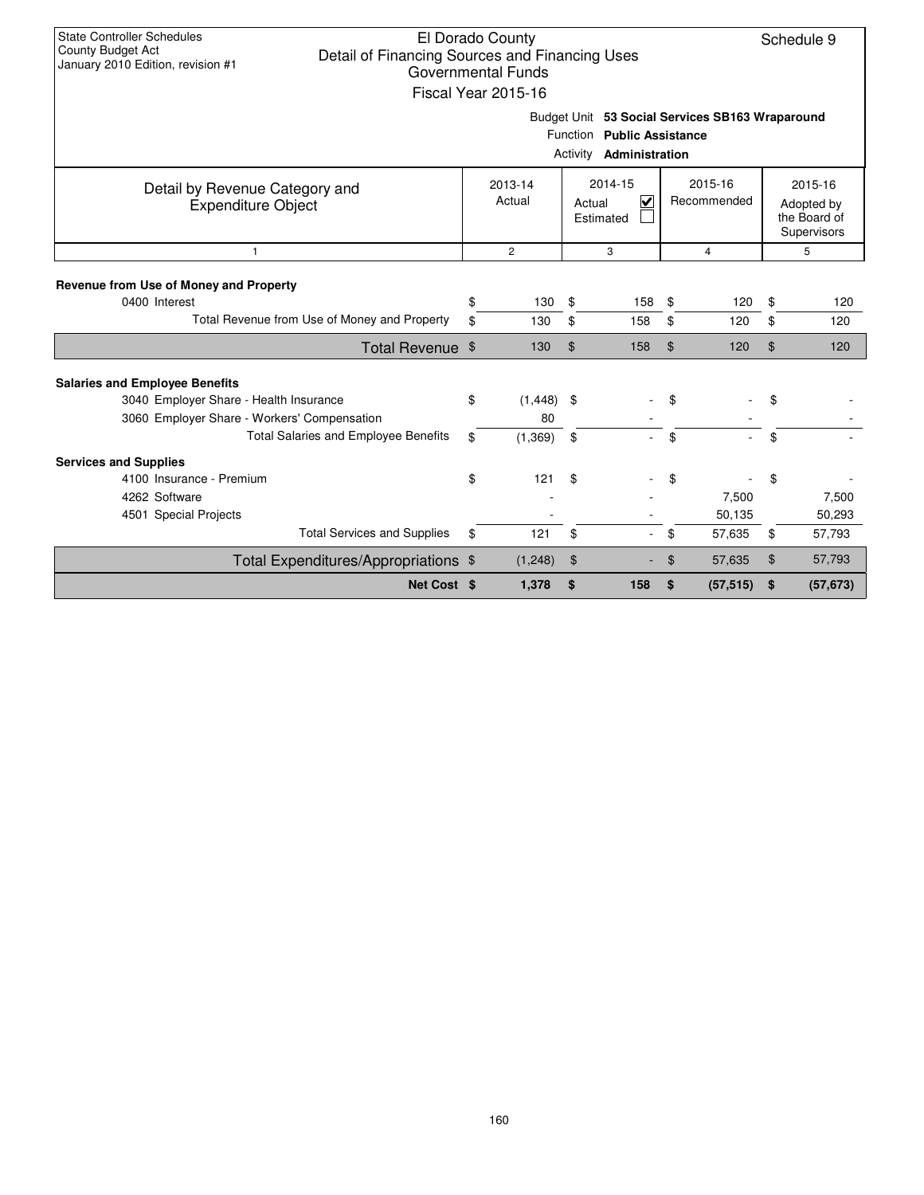| <b>State Controller Schedules</b><br>County Budget Act<br>Detail of Financing Sources and Financing Uses<br>January 2010 Edition, revision #1 | El Dorado County<br><b>Governmental Funds</b><br>Fiscal Year 2015-16 |               |                                                              |                |                                                 | Schedule 9                                           |
|-----------------------------------------------------------------------------------------------------------------------------------------------|----------------------------------------------------------------------|---------------|--------------------------------------------------------------|----------------|-------------------------------------------------|------------------------------------------------------|
|                                                                                                                                               |                                                                      |               | Function Public Assistance<br>Activity <b>Administration</b> |                | Budget Unit 53 Social Services SB163 Wraparound |                                                      |
| Detail by Revenue Category and<br><b>Expenditure Object</b>                                                                                   | 2013-14<br>Actual                                                    |               | 2014-15<br>⊽<br>Actual<br>Estimated                          |                | 2015-16<br>Recommended                          | 2015-16<br>Adopted by<br>the Board of<br>Supervisors |
| $\mathbf{1}$                                                                                                                                  | $\mathbf{2}$                                                         |               | 3                                                            |                | $\overline{4}$                                  | 5                                                    |
| Revenue from Use of Money and Property                                                                                                        |                                                                      |               |                                                              |                |                                                 |                                                      |
| 0400 Interest                                                                                                                                 | \$<br>130                                                            | \$            | 158                                                          | \$             | 120                                             | \$<br>120                                            |
| Total Revenue from Use of Money and Property                                                                                                  | \$<br>130                                                            | \$            | 158                                                          | \$             | 120                                             | \$<br>120                                            |
| Total Revenue \$                                                                                                                              | 130                                                                  | \$            | 158                                                          | \$             | 120                                             | \$<br>120                                            |
| <b>Salaries and Employee Benefits</b>                                                                                                         |                                                                      |               |                                                              |                |                                                 |                                                      |
| 3040 Employer Share - Health Insurance<br>3060 Employer Share - Workers' Compensation                                                         | \$<br>$(1,448)$ \$<br>80                                             |               |                                                              | \$             |                                                 | \$                                                   |
| <b>Total Salaries and Employee Benefits</b>                                                                                                   | \$<br>(1, 369)                                                       | \$            | ÷.                                                           | \$             |                                                 | \$                                                   |
| <b>Services and Supplies</b>                                                                                                                  |                                                                      |               |                                                              |                |                                                 |                                                      |
| 4100 Insurance - Premium                                                                                                                      | \$<br>121                                                            | \$            |                                                              | \$             |                                                 | \$                                                   |
| 4262 Software                                                                                                                                 |                                                                      |               |                                                              |                | 7,500                                           | 7,500                                                |
| 4501 Special Projects                                                                                                                         |                                                                      |               |                                                              |                | 50,135                                          | 50,293                                               |
| <b>Total Services and Supplies</b>                                                                                                            | \$<br>121                                                            | \$            |                                                              | \$             | 57,635                                          | \$<br>57,793                                         |
| Total Expenditures/Appropriations \$                                                                                                          | (1,248)                                                              | $\frac{1}{2}$ |                                                              | $\mathfrak{F}$ | 57,635                                          | \$<br>57,793                                         |
| Net Cost \$                                                                                                                                   | 1,378                                                                | \$            | 158                                                          | \$             | (57, 515)                                       | \$<br>(57, 673)                                      |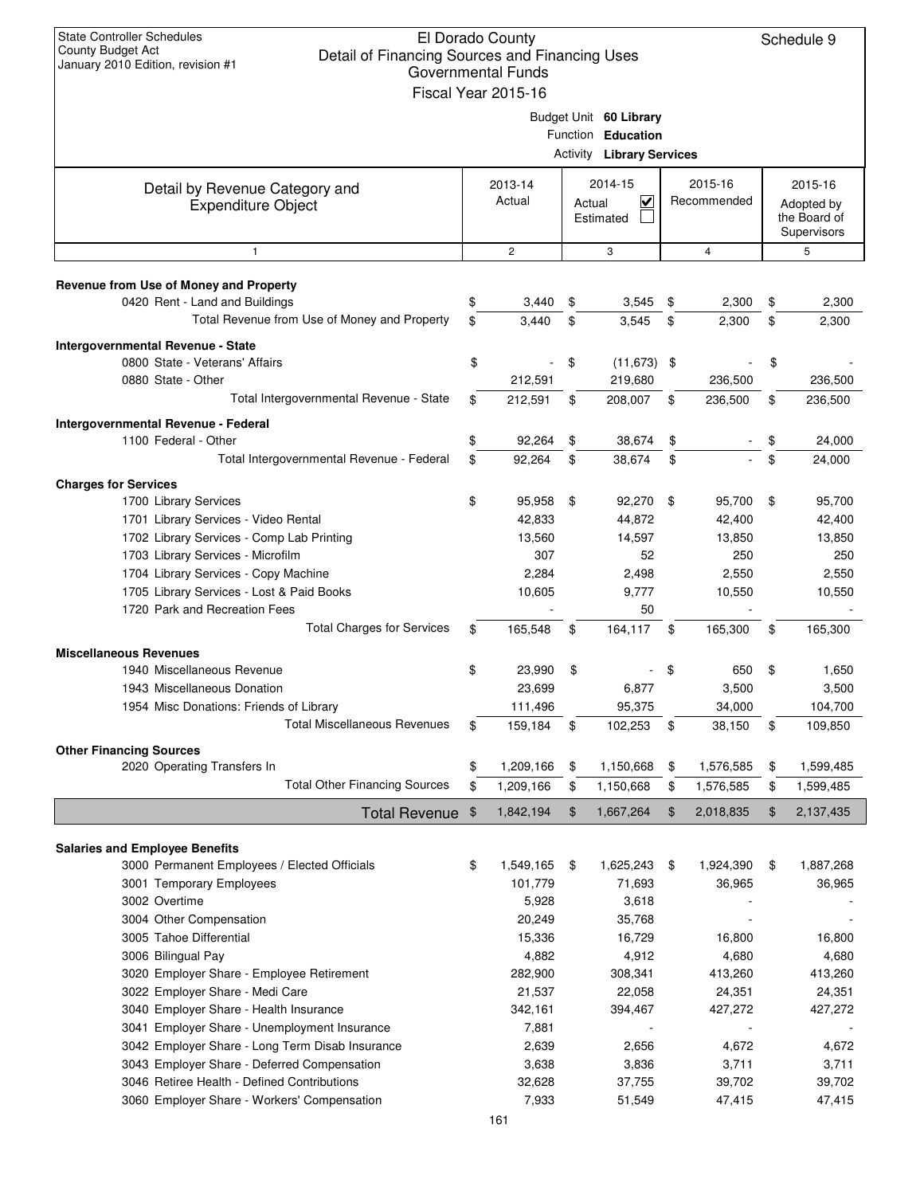| <b>State Controller Schedules</b><br>County Budget Act<br>Detail of Financing Sources and Financing Uses<br>January 2010 Edition, revision #1 | El Dorado County<br><b>Governmental Funds</b><br>Fiscal Year 2015-16 |          |                                                                         |                        |    | Schedule 9                                           |
|-----------------------------------------------------------------------------------------------------------------------------------------------|----------------------------------------------------------------------|----------|-------------------------------------------------------------------------|------------------------|----|------------------------------------------------------|
|                                                                                                                                               |                                                                      | Activity | Budget Unit 60 Library<br>Function Education<br><b>Library Services</b> |                        |    |                                                      |
| Detail by Revenue Category and<br><b>Expenditure Object</b>                                                                                   | 2013-14<br>Actual                                                    | Actual   | 2014-15<br>$\checkmark$<br>Estimated                                    | 2015-16<br>Recommended |    | 2015-16<br>Adopted by<br>the Board of<br>Supervisors |
| $\mathbf{1}$                                                                                                                                  | $\mathbf{2}$                                                         |          | 3                                                                       | $\overline{4}$         |    | 5                                                    |
| Revenue from Use of Money and Property                                                                                                        |                                                                      |          |                                                                         |                        |    |                                                      |
| 0420 Rent - Land and Buildings                                                                                                                | \$<br>3,440                                                          | \$       | 3,545                                                                   | \$<br>2,300            | \$ | 2,300                                                |
| Total Revenue from Use of Money and Property                                                                                                  | \$<br>3.440                                                          | \$       | 3,545                                                                   | \$<br>2,300            | \$ | 2,300                                                |
| Intergovernmental Revenue - State                                                                                                             |                                                                      |          |                                                                         |                        |    |                                                      |
| 0800 State - Veterans' Affairs                                                                                                                | \$                                                                   | \$       | $(11, 673)$ \$                                                          |                        | \$ |                                                      |
| 0880 State - Other<br>Total Intergovernmental Revenue - State                                                                                 | \$<br>212,591                                                        |          | 219,680<br>208,007                                                      | 236,500                |    | 236,500<br>236,500                                   |
|                                                                                                                                               | 212,591                                                              | \$       |                                                                         | \$<br>236,500          | \$ |                                                      |
| Intergovernmental Revenue - Federal<br>1100 Federal - Other                                                                                   | \$<br>92,264                                                         | \$       | 38,674                                                                  | \$                     | \$ | 24,000                                               |
| Total Intergovernmental Revenue - Federal                                                                                                     | \$<br>92,264                                                         | \$       | 38,674                                                                  | \$                     | \$ | 24,000                                               |
|                                                                                                                                               |                                                                      |          |                                                                         |                        |    |                                                      |
| <b>Charges for Services</b><br>1700 Library Services                                                                                          | \$<br>95,958                                                         | \$       | 92,270                                                                  | \$<br>95,700           | \$ | 95,700                                               |
| 1701 Library Services - Video Rental                                                                                                          | 42,833                                                               |          | 44,872                                                                  | 42,400                 |    | 42,400                                               |
| 1702 Library Services - Comp Lab Printing                                                                                                     | 13,560                                                               |          | 14,597                                                                  | 13,850                 |    | 13,850                                               |
| 1703 Library Services - Microfilm                                                                                                             | 307                                                                  |          | 52                                                                      | 250                    |    | 250                                                  |
| 1704 Library Services - Copy Machine                                                                                                          | 2,284                                                                |          | 2,498                                                                   | 2,550                  |    | 2,550                                                |
| 1705 Library Services - Lost & Paid Books                                                                                                     | 10,605                                                               |          | 9,777                                                                   | 10,550                 |    | 10,550                                               |
| 1720 Park and Recreation Fees                                                                                                                 |                                                                      |          | 50                                                                      |                        |    |                                                      |
| <b>Total Charges for Services</b>                                                                                                             | \$<br>165,548                                                        | \$       | 164,117                                                                 | \$<br>165,300          | \$ | 165,300                                              |
| <b>Miscellaneous Revenues</b>                                                                                                                 |                                                                      |          |                                                                         |                        |    |                                                      |
| 1940 Miscellaneous Revenue                                                                                                                    | \$<br>23,990                                                         | \$       |                                                                         | \$<br>650              | S  | 1,650                                                |
| 1943 Miscellaneous Donation<br>1954 Misc Donations: Friends of Library                                                                        | 23,699<br>111,496                                                    |          | 6,877<br>95,375                                                         | 3,500<br>34,000        |    | 3,500<br>104,700                                     |
| <b>Total Miscellaneous Revenues</b>                                                                                                           | \$<br>159,184                                                        | \$       | 102,253                                                                 | \$<br>38,150           | \$ | 109,850                                              |
|                                                                                                                                               |                                                                      |          |                                                                         |                        |    |                                                      |
| <b>Other Financing Sources</b><br>2020 Operating Transfers In                                                                                 | \$<br>1,209,166                                                      | \$       | 1,150,668                                                               | \$<br>1,576,585        | \$ | 1,599,485                                            |
| <b>Total Other Financing Sources</b>                                                                                                          | \$<br>1,209,166                                                      | \$       | 1,150,668                                                               | \$<br>1,576,585        | \$ | 1,599,485                                            |
| Total Revenue                                                                                                                                 | \$<br>1,842,194                                                      | \$       | 1,667,264                                                               | \$<br>2,018,835        | \$ | 2,137,435                                            |
|                                                                                                                                               |                                                                      |          |                                                                         |                        |    |                                                      |
| <b>Salaries and Employee Benefits</b>                                                                                                         |                                                                      |          |                                                                         |                        |    |                                                      |
| 3000 Permanent Employees / Elected Officials                                                                                                  | \$<br>1,549,165                                                      | \$       | 1,625,243                                                               | \$<br>1,924,390        | \$ | 1,887,268                                            |
| 3001 Temporary Employees<br>3002 Overtime                                                                                                     | 101,779<br>5,928                                                     |          | 71,693<br>3,618                                                         | 36,965                 |    | 36,965                                               |
| 3004 Other Compensation                                                                                                                       | 20,249                                                               |          | 35,768                                                                  |                        |    |                                                      |
| 3005 Tahoe Differential                                                                                                                       | 15,336                                                               |          | 16,729                                                                  | 16,800                 |    | 16,800                                               |
| 3006 Bilingual Pay                                                                                                                            | 4,882                                                                |          | 4,912                                                                   | 4,680                  |    | 4,680                                                |
| 3020 Employer Share - Employee Retirement                                                                                                     | 282,900                                                              |          | 308,341                                                                 | 413,260                |    | 413,260                                              |
| 3022 Employer Share - Medi Care                                                                                                               | 21,537                                                               |          | 22,058                                                                  | 24,351                 |    | 24,351                                               |
| 3040 Employer Share - Health Insurance                                                                                                        | 342,161                                                              |          | 394,467                                                                 | 427,272                |    | 427,272                                              |
| 3041 Employer Share - Unemployment Insurance                                                                                                  | 7,881                                                                |          |                                                                         |                        |    |                                                      |
| 3042 Employer Share - Long Term Disab Insurance<br>3043 Employer Share - Deferred Compensation                                                | 2,639                                                                |          | 2,656                                                                   | 4,672                  |    | 4,672                                                |
| 3046 Retiree Health - Defined Contributions                                                                                                   | 3,638<br>32,628                                                      |          | 3,836<br>37,755                                                         | 3,711<br>39,702        |    | 3,711<br>39,702                                      |
| 3060 Employer Share - Workers' Compensation                                                                                                   | 7,933                                                                |          | 51,549                                                                  | 47,415                 |    | 47,415                                               |
|                                                                                                                                               | 161                                                                  |          |                                                                         |                        |    |                                                      |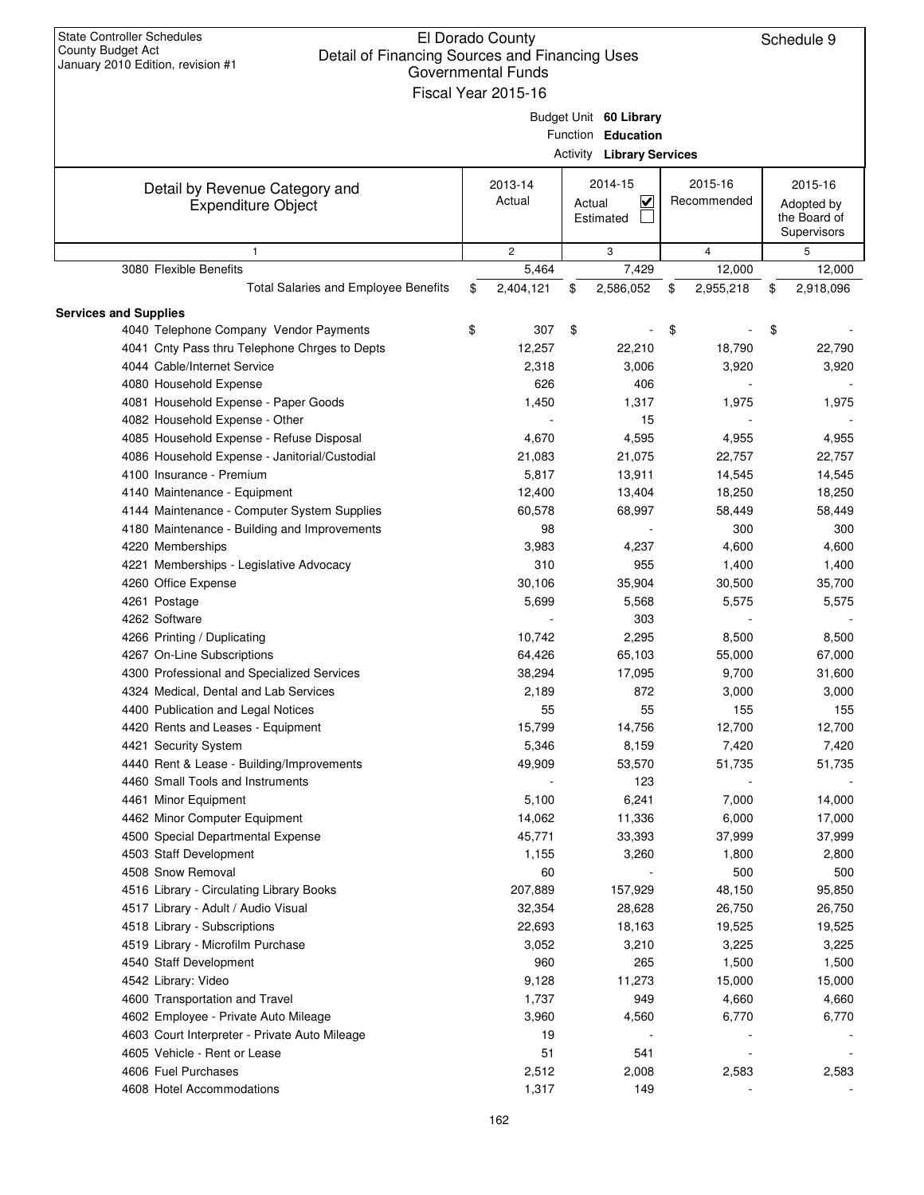| <b>State Controller Schedules</b><br><b>County Budget Act</b><br>Detail of Financing Sources and Financing Uses<br>January 2010 Edition, revision #1 | El Dorado County<br><b>Governmental Funds</b><br>Fiscal Year 2015-16 |        |                                  |                 | Schedule 9                  |
|------------------------------------------------------------------------------------------------------------------------------------------------------|----------------------------------------------------------------------|--------|----------------------------------|-----------------|-----------------------------|
|                                                                                                                                                      |                                                                      |        | Budget Unit 60 Library           |                 |                             |
|                                                                                                                                                      |                                                                      |        | Function Education               |                 |                             |
|                                                                                                                                                      |                                                                      |        | <b>Activity Library Services</b> |                 |                             |
|                                                                                                                                                      |                                                                      |        |                                  |                 |                             |
| Detail by Revenue Category and                                                                                                                       | 2013-14                                                              |        | 2014-15                          | 2015-16         | 2015-16                     |
| <b>Expenditure Object</b>                                                                                                                            | Actual                                                               | Actual | ⊻                                | Recommended     | Adopted by                  |
|                                                                                                                                                      |                                                                      |        | Estimated                        |                 | the Board of<br>Supervisors |
| $\mathbf{1}$                                                                                                                                         | $\overline{2}$                                                       |        | 3                                | $\overline{4}$  | 5                           |
| 3080 Flexible Benefits                                                                                                                               | 5,464                                                                |        | 7,429                            | 12,000          | 12,000                      |
| Total Salaries and Employee Benefits                                                                                                                 | \$<br>2,404,121                                                      | \$     | 2,586,052                        | \$<br>2,955,218 | \$<br>2,918,096             |
|                                                                                                                                                      |                                                                      |        |                                  |                 |                             |
| <b>Services and Supplies</b><br>4040 Telephone Company Vendor Payments                                                                               | \$<br>307                                                            | \$     |                                  | \$              | \$                          |
| 4041 Cnty Pass thru Telephone Chrges to Depts                                                                                                        | 12,257                                                               |        | 22,210                           | 18,790          | 22,790                      |
| 4044 Cable/Internet Service                                                                                                                          | 2,318                                                                |        | 3,006                            | 3,920           | 3,920                       |
| 4080 Household Expense                                                                                                                               | 626                                                                  |        | 406                              |                 |                             |
| 4081 Household Expense - Paper Goods                                                                                                                 | 1,450                                                                |        | 1,317                            | 1,975           | 1,975                       |
| 4082 Household Expense - Other                                                                                                                       |                                                                      |        | 15                               |                 |                             |
| 4085 Household Expense - Refuse Disposal                                                                                                             | 4,670                                                                |        | 4,595                            | 4,955           | 4,955                       |
| 4086 Household Expense - Janitorial/Custodial                                                                                                        | 21,083                                                               |        | 21,075                           | 22,757          | 22,757                      |
| 4100 Insurance - Premium                                                                                                                             | 5,817                                                                |        | 13,911                           | 14,545          | 14,545                      |
| 4140 Maintenance - Equipment                                                                                                                         | 12,400                                                               |        | 13,404                           | 18,250          | 18,250                      |
| 4144 Maintenance - Computer System Supplies                                                                                                          | 60,578                                                               |        | 68,997                           | 58,449          | 58,449                      |
| 4180 Maintenance - Building and Improvements                                                                                                         | 98                                                                   |        |                                  | 300             | 300                         |
| 4220 Memberships                                                                                                                                     | 3,983                                                                |        | 4,237                            | 4,600           | 4,600                       |
|                                                                                                                                                      | 310                                                                  |        | 955                              | 1,400           | 1,400                       |
| 4221 Memberships - Legislative Advocacy                                                                                                              | 30,106                                                               |        | 35,904                           | 30,500          | 35,700                      |
| 4260 Office Expense                                                                                                                                  |                                                                      |        |                                  |                 |                             |
| 4261 Postage                                                                                                                                         | 5,699                                                                |        | 5,568                            | 5,575           | 5,575                       |
| 4262 Software                                                                                                                                        |                                                                      |        | 303                              |                 |                             |
| 4266 Printing / Duplicating                                                                                                                          | 10,742                                                               |        | 2,295                            | 8,500           | 8,500                       |
| 4267 On-Line Subscriptions                                                                                                                           | 64,426                                                               |        | 65,103                           | 55,000          | 67,000                      |
| 4300 Professional and Specialized Services                                                                                                           | 38,294                                                               |        | 17,095                           | 9,700           | 31,600                      |
| 4324 Medical, Dental and Lab Services                                                                                                                | 2,189                                                                |        | 872                              | 3,000           | 3,000                       |
| 4400 Publication and Legal Notices                                                                                                                   | 55                                                                   |        | 55                               | 155             | 155                         |
| 4420 Rents and Leases - Equipment                                                                                                                    | 15,799                                                               |        | 14,756                           | 12,700          | 12,700                      |
| 4421 Security System                                                                                                                                 | 5,346                                                                |        | 8,159                            | 7,420           | 7,420                       |
| 4440 Rent & Lease - Building/Improvements                                                                                                            | 49,909                                                               |        | 53,570                           | 51,735          | 51,735                      |
| 4460 Small Tools and Instruments                                                                                                                     |                                                                      |        | 123                              |                 |                             |
| 4461 Minor Equipment                                                                                                                                 | 5,100                                                                |        | 6,241                            | 7,000           | 14,000                      |
| 4462 Minor Computer Equipment                                                                                                                        | 14,062                                                               |        | 11,336                           | 6,000           | 17,000                      |
| 4500 Special Departmental Expense                                                                                                                    | 45,771                                                               |        | 33,393                           | 37,999          | 37,999                      |
| 4503 Staff Development                                                                                                                               | 1,155                                                                |        | 3,260                            | 1,800           | 2,800                       |
| 4508 Snow Removal                                                                                                                                    | 60                                                                   |        |                                  | 500             | 500                         |
| 4516 Library - Circulating Library Books                                                                                                             | 207,889                                                              |        | 157,929                          | 48,150          | 95,850                      |
| 4517 Library - Adult / Audio Visual                                                                                                                  | 32,354                                                               |        | 28,628                           | 26,750          | 26,750                      |
| 4518 Library - Subscriptions                                                                                                                         | 22,693                                                               |        | 18,163                           | 19,525          | 19,525                      |
| 4519 Library - Microfilm Purchase                                                                                                                    | 3,052                                                                |        | 3,210                            | 3,225           | 3,225                       |
| 4540 Staff Development                                                                                                                               | 960                                                                  |        | 265                              | 1,500           | 1,500                       |
| 4542 Library: Video                                                                                                                                  | 9,128                                                                |        | 11,273                           | 15,000          | 15,000                      |
| 4600 Transportation and Travel                                                                                                                       | 1,737                                                                |        | 949                              | 4,660           | 4,660                       |
| 4602 Employee - Private Auto Mileage                                                                                                                 | 3,960                                                                |        | 4,560                            | 6,770           | 6,770                       |
| 4603 Court Interpreter - Private Auto Mileage                                                                                                        | 19                                                                   |        |                                  |                 |                             |
| 4605 Vehicle - Rent or Lease                                                                                                                         | 51                                                                   |        | 541                              |                 |                             |
| 4606 Fuel Purchases                                                                                                                                  | 2,512                                                                |        | 2,008                            | 2,583           | 2,583                       |
| 4608 Hotel Accommodations                                                                                                                            | 1,317                                                                |        | 149                              |                 |                             |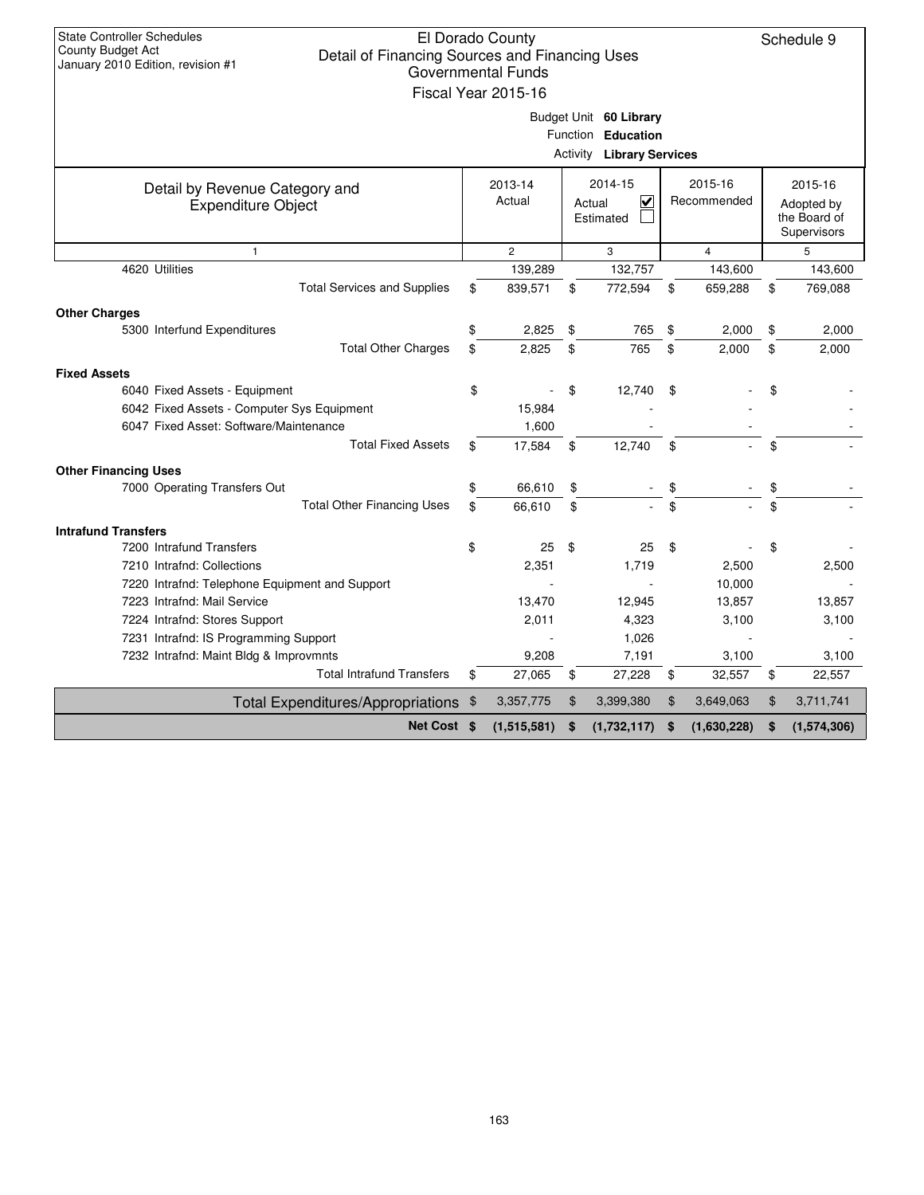| <b>State Controller Schedules</b><br>El Dorado County<br>Schedule 9<br>County Budget Act<br>Detail of Financing Sources and Financing Uses<br>January 2010 Edition, revision #1<br><b>Governmental Funds</b><br>Fiscal Year 2015-16 |                                                        |                   |    |                                    |    |                        |    |                                           |  |  |  |  |
|-------------------------------------------------------------------------------------------------------------------------------------------------------------------------------------------------------------------------------------|--------------------------------------------------------|-------------------|----|------------------------------------|----|------------------------|----|-------------------------------------------|--|--|--|--|
|                                                                                                                                                                                                                                     |                                                        |                   |    | Budget Unit 60 Library             |    |                        |    |                                           |  |  |  |  |
|                                                                                                                                                                                                                                     | Function Education<br><b>Activity Library Services</b> |                   |    |                                    |    |                        |    |                                           |  |  |  |  |
|                                                                                                                                                                                                                                     |                                                        |                   |    |                                    |    |                        |    |                                           |  |  |  |  |
| Detail by Revenue Category and                                                                                                                                                                                                      |                                                        | 2013-14<br>Actual |    | 2014-15<br>$\overline{\mathbf{v}}$ |    | 2015-16<br>Recommended |    | 2015-16                                   |  |  |  |  |
| <b>Expenditure Object</b>                                                                                                                                                                                                           |                                                        |                   |    | Actual<br>Estimated                |    |                        |    | Adopted by<br>the Board of<br>Supervisors |  |  |  |  |
| $\mathbf{1}$                                                                                                                                                                                                                        |                                                        | $\overline{2}$    |    | 3                                  |    | 4                      |    | 5                                         |  |  |  |  |
| 4620 Utilities                                                                                                                                                                                                                      |                                                        | 139,289           |    | 132,757                            |    | 143,600                |    | 143,600                                   |  |  |  |  |
| <b>Total Services and Supplies</b>                                                                                                                                                                                                  | \$                                                     | 839,571           | \$ | 772,594                            | \$ | 659,288                | \$ | 769,088                                   |  |  |  |  |
| <b>Other Charges</b>                                                                                                                                                                                                                |                                                        |                   |    |                                    |    |                        |    |                                           |  |  |  |  |
| 5300 Interfund Expenditures                                                                                                                                                                                                         | \$                                                     | 2,825             | \$ | 765                                | \$ | 2,000                  | \$ | 2,000                                     |  |  |  |  |
| <b>Total Other Charges</b>                                                                                                                                                                                                          | \$                                                     | 2,825             | \$ | 765                                | \$ | 2,000                  | \$ | 2,000                                     |  |  |  |  |
| <b>Fixed Assets</b>                                                                                                                                                                                                                 |                                                        |                   |    |                                    |    |                        |    |                                           |  |  |  |  |
| 6040 Fixed Assets - Equipment                                                                                                                                                                                                       | \$                                                     |                   | \$ | 12,740                             | \$ |                        | \$ |                                           |  |  |  |  |
| 6042 Fixed Assets - Computer Sys Equipment                                                                                                                                                                                          |                                                        | 15,984            |    |                                    |    |                        |    |                                           |  |  |  |  |
| 6047 Fixed Asset: Software/Maintenance                                                                                                                                                                                              |                                                        | 1,600             |    |                                    |    |                        |    |                                           |  |  |  |  |
| <b>Total Fixed Assets</b>                                                                                                                                                                                                           | \$                                                     | 17,584            | \$ | 12,740                             | \$ |                        | \$ |                                           |  |  |  |  |
| <b>Other Financing Uses</b>                                                                                                                                                                                                         |                                                        |                   |    |                                    |    |                        |    |                                           |  |  |  |  |
| 7000 Operating Transfers Out                                                                                                                                                                                                        | \$                                                     | 66,610            | \$ |                                    | \$ |                        | \$ |                                           |  |  |  |  |
| <b>Total Other Financing Uses</b>                                                                                                                                                                                                   | \$                                                     | 66.610            | \$ |                                    | \$ |                        | \$ |                                           |  |  |  |  |
| <b>Intrafund Transfers</b>                                                                                                                                                                                                          |                                                        |                   |    |                                    |    |                        |    |                                           |  |  |  |  |
| 7200 Intrafund Transfers                                                                                                                                                                                                            | \$                                                     | 25                | \$ | 25                                 | \$ |                        | \$ |                                           |  |  |  |  |
| 7210 Intrafnd: Collections                                                                                                                                                                                                          |                                                        | 2,351             |    | 1,719                              |    | 2,500                  |    | 2,500                                     |  |  |  |  |
| 7220 Intrafnd: Telephone Equipment and Support                                                                                                                                                                                      |                                                        |                   |    |                                    |    | 10,000                 |    |                                           |  |  |  |  |
| 7223 Intrafnd: Mail Service                                                                                                                                                                                                         |                                                        | 13,470            |    | 12,945                             |    | 13,857                 |    | 13,857                                    |  |  |  |  |
| 7224 Intrafnd: Stores Support                                                                                                                                                                                                       |                                                        | 2,011             |    | 4,323                              |    | 3,100                  |    | 3,100                                     |  |  |  |  |
| 7231 Intrafnd: IS Programming Support                                                                                                                                                                                               |                                                        |                   |    | 1,026                              |    |                        |    |                                           |  |  |  |  |
| 7232 Intrafnd: Maint Bldg & Improvmnts                                                                                                                                                                                              |                                                        | 9,208             |    | 7,191                              |    | 3,100                  |    | 3,100                                     |  |  |  |  |
| <b>Total Intrafund Transfers</b>                                                                                                                                                                                                    | \$                                                     | 27,065            | \$ | 27,228                             | \$ | 32,557                 | \$ | 22,557                                    |  |  |  |  |
| Total Expenditures/Appropriations \$                                                                                                                                                                                                |                                                        | 3,357,775         | \$ | 3,399,380                          | \$ | 3,649,063              | \$ | 3,711,741                                 |  |  |  |  |
| Net Cost \$                                                                                                                                                                                                                         |                                                        | (1,515,581)       | \$ | (1,732,117)                        | \$ | (1,630,228)            | \$ | (1,574,306)                               |  |  |  |  |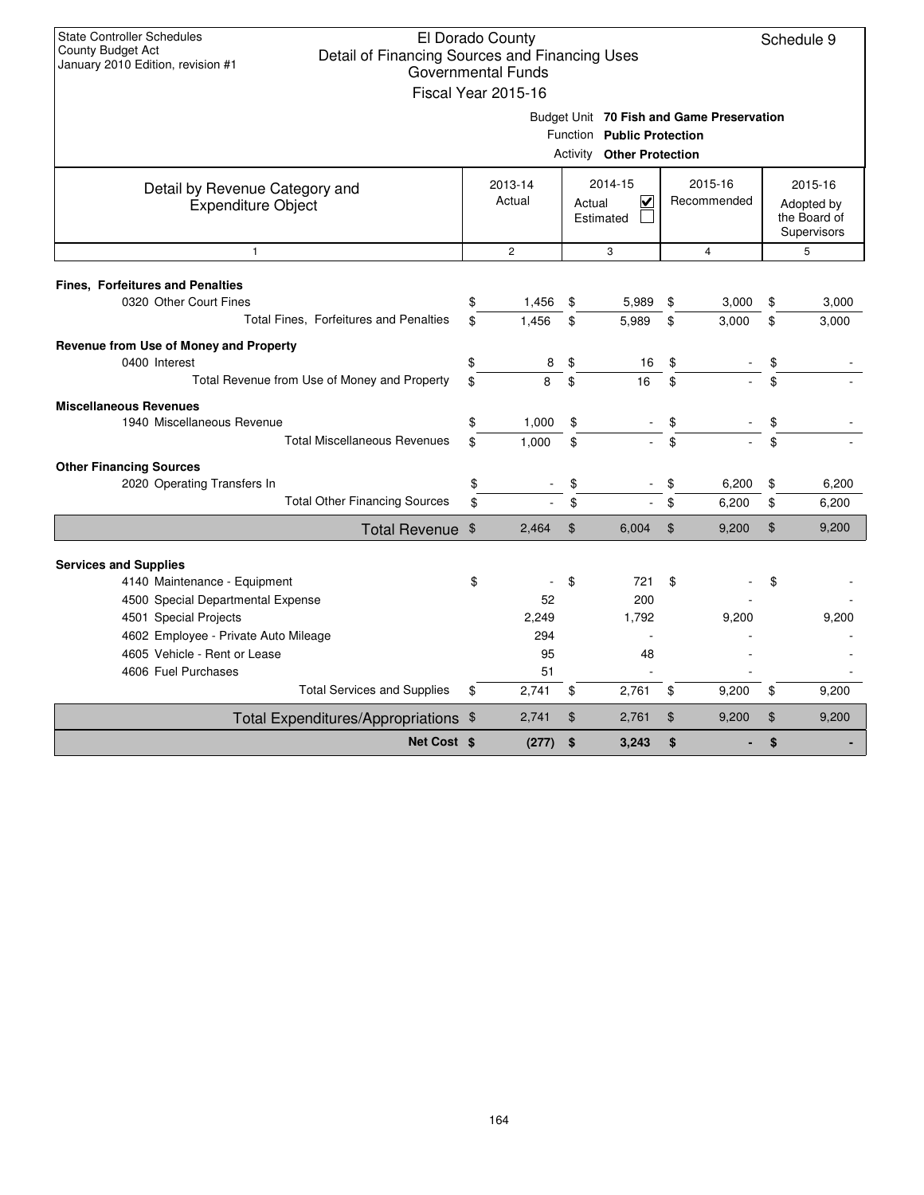| <b>State Controller Schedules</b><br>El Dorado County<br>Schedule 9<br>County Budget Act<br>Detail of Financing Sources and Financing Uses<br>January 2010 Edition, revision #1<br><b>Governmental Funds</b><br>Fiscal Year 2015-16 |          |                          |                |                                                                |                |                                           |          |                                                      |  |  |  |
|-------------------------------------------------------------------------------------------------------------------------------------------------------------------------------------------------------------------------------------|----------|--------------------------|----------------|----------------------------------------------------------------|----------------|-------------------------------------------|----------|------------------------------------------------------|--|--|--|
|                                                                                                                                                                                                                                     |          |                          |                | Function Public Protection<br><b>Activity Other Protection</b> |                | Budget Unit 70 Fish and Game Preservation |          |                                                      |  |  |  |
| Detail by Revenue Category and<br><b>Expenditure Object</b>                                                                                                                                                                         |          | 2013-14<br>Actual        | Actual         | 2014-15<br>M<br>Estimated                                      |                | 2015-16<br>Recommended                    |          | 2015-16<br>Adopted by<br>the Board of<br>Supervisors |  |  |  |
| $\mathbf{1}$                                                                                                                                                                                                                        |          | $\overline{c}$           |                | 3                                                              |                | $\overline{4}$                            |          | 5                                                    |  |  |  |
| <b>Fines, Forfeitures and Penalties</b><br>0320 Other Court Fines<br>Total Fines, Forfeitures and Penalties                                                                                                                         | \$<br>\$ | 1,456<br>1.456           | \$<br>\$       | 5,989<br>5,989                                                 | \$<br>\$       | 3,000<br>3,000                            | \$<br>\$ | 3,000<br>3,000                                       |  |  |  |
| Revenue from Use of Money and Property<br>0400 Interest<br>Total Revenue from Use of Money and Property                                                                                                                             | \$<br>\$ | 8<br>8                   | \$<br>\$       | 16<br>16                                                       | \$<br>\$       |                                           | \$<br>\$ |                                                      |  |  |  |
| <b>Miscellaneous Revenues</b><br>1940 Miscellaneous Revenue<br><b>Total Miscellaneous Revenues</b>                                                                                                                                  | \$<br>\$ | 1,000<br>1,000           | \$<br>\$       |                                                                | \$<br>\$       |                                           | \$<br>\$ |                                                      |  |  |  |
| <b>Other Financing Sources</b><br>2020 Operating Transfers In<br><b>Total Other Financing Sources</b>                                                                                                                               | \$<br>\$ |                          | \$<br>\$       |                                                                | \$<br>\$       | 6,200<br>6,200                            | \$<br>\$ | 6,200<br>6,200                                       |  |  |  |
| Total Revenue \$                                                                                                                                                                                                                    |          | 2,464                    | $\mathfrak{L}$ | 6,004                                                          | $\mathfrak{L}$ | 9,200                                     | \$       | 9,200                                                |  |  |  |
| <b>Services and Supplies</b><br>4140 Maintenance - Equipment<br>4500 Special Departmental Expense                                                                                                                                   | \$       | 52                       | \$             | 721<br>200                                                     | \$             |                                           | \$       |                                                      |  |  |  |
| 4501 Special Projects<br>4602 Employee - Private Auto Mileage<br>4605 Vehicle - Rent or Lease<br>4606 Fuel Purchases                                                                                                                |          | 2,249<br>294<br>95<br>51 |                | 1.792<br>48                                                    |                | 9,200                                     |          | 9,200                                                |  |  |  |
| <b>Total Services and Supplies</b>                                                                                                                                                                                                  | \$       | 2,741                    | \$             | 2,761                                                          | \$             | 9,200                                     | \$       | 9,200                                                |  |  |  |
| Total Expenditures/Appropriations \$<br>Net Cost \$                                                                                                                                                                                 |          | 2,741<br>(277)           | \$<br>\$       | 2,761<br>3,243                                                 | \$<br>\$       | 9,200                                     | \$<br>\$ | 9,200                                                |  |  |  |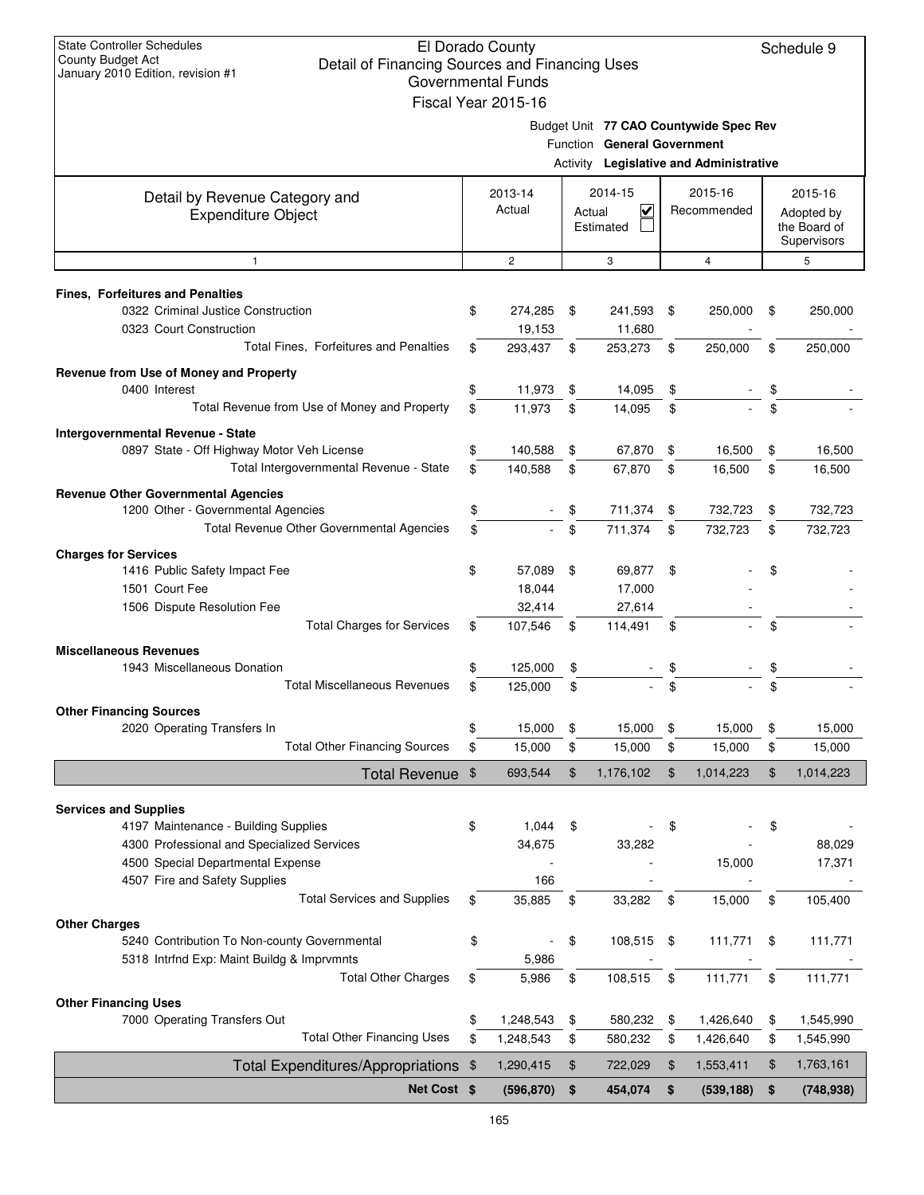| State Controller Schedules<br>El Dorado County<br>Schedule 9<br>County Budget Act<br>Detail of Financing Sources and Financing Uses<br>January 2010 Edition, revision #1<br>Governmental Funds<br>Fiscal Year 2015-16 |     |                   |    |                                     |    |                                                                                   |    |                                                      |  |  |  |
|-----------------------------------------------------------------------------------------------------------------------------------------------------------------------------------------------------------------------|-----|-------------------|----|-------------------------------------|----|-----------------------------------------------------------------------------------|----|------------------------------------------------------|--|--|--|
|                                                                                                                                                                                                                       |     |                   |    | Function General Government         |    | Budget Unit 77 CAO Countywide Spec Rev<br>Activity Legislative and Administrative |    |                                                      |  |  |  |
| Detail by Revenue Category and<br><b>Expenditure Object</b>                                                                                                                                                           |     | 2013-14<br>Actual |    | 2014-15<br>⊽<br>Actual<br>Estimated |    | 2015-16<br>Recommended                                                            |    | 2015-16<br>Adopted by<br>the Board of<br>Supervisors |  |  |  |
| $\mathbf{1}$                                                                                                                                                                                                          |     | 2                 |    | 3                                   |    | $\overline{4}$                                                                    |    | 5                                                    |  |  |  |
| Fines, Forfeitures and Penalties<br>0322 Criminal Justice Construction                                                                                                                                                | \$  | 274,285           |    | 241,593                             |    |                                                                                   |    | 250,000                                              |  |  |  |
| 0323 Court Construction                                                                                                                                                                                               |     | 19,153            | \$ | 11,680                              | \$ | 250,000                                                                           | \$ |                                                      |  |  |  |
| Total Fines, Forfeitures and Penalties                                                                                                                                                                                | \$. | 293,437           | \$ | 253,273                             | \$ | 250,000                                                                           | \$ | 250,000                                              |  |  |  |
| Revenue from Use of Money and Property                                                                                                                                                                                |     |                   |    |                                     |    |                                                                                   |    |                                                      |  |  |  |
| 0400 Interest                                                                                                                                                                                                         | \$  | 11,973            | \$ | 14,095                              | \$ |                                                                                   | \$ |                                                      |  |  |  |
| Total Revenue from Use of Money and Property                                                                                                                                                                          | \$  | 11,973            | \$ | 14,095                              | \$ |                                                                                   | \$ |                                                      |  |  |  |
| Intergovernmental Revenue - State                                                                                                                                                                                     |     |                   |    |                                     |    |                                                                                   |    |                                                      |  |  |  |
| 0897 State - Off Highway Motor Veh License                                                                                                                                                                            | \$  | 140,588           | \$ | 67,870                              | \$ | 16,500                                                                            | \$ | 16,500                                               |  |  |  |
| Total Intergovernmental Revenue - State                                                                                                                                                                               | \$  | 140,588           | \$ | 67,870                              | \$ | 16,500                                                                            | \$ | 16,500                                               |  |  |  |
| <b>Revenue Other Governmental Agencies</b>                                                                                                                                                                            |     |                   |    |                                     |    |                                                                                   |    |                                                      |  |  |  |
| 1200 Other - Governmental Agencies                                                                                                                                                                                    | \$  |                   |    | 711,374                             | \$ | 732,723                                                                           | \$ | 732,723                                              |  |  |  |
| Total Revenue Other Governmental Agencies                                                                                                                                                                             | \$  |                   | \$ | 711,374                             | \$ | 732,723                                                                           | \$ | 732,723                                              |  |  |  |
| <b>Charges for Services</b>                                                                                                                                                                                           |     |                   |    |                                     |    |                                                                                   |    |                                                      |  |  |  |
| 1416 Public Safety Impact Fee                                                                                                                                                                                         | \$  | 57,089            | \$ | 69,877                              | \$ |                                                                                   |    |                                                      |  |  |  |
| 1501 Court Fee                                                                                                                                                                                                        |     | 18,044            |    | 17,000                              |    |                                                                                   |    |                                                      |  |  |  |
| 1506 Dispute Resolution Fee<br><b>Total Charges for Services</b>                                                                                                                                                      | \$  | 32,414<br>107,546 | \$ | 27,614<br>114,491                   | \$ |                                                                                   | \$ |                                                      |  |  |  |
|                                                                                                                                                                                                                       |     |                   |    |                                     |    |                                                                                   |    |                                                      |  |  |  |
| <b>Miscellaneous Revenues</b><br>1943 Miscellaneous Donation                                                                                                                                                          |     | 125,000           | \$ |                                     |    |                                                                                   |    |                                                      |  |  |  |
| <b>Total Miscellaneous Revenues</b>                                                                                                                                                                                   | \$  | 125.000           | \$ |                                     | \$ |                                                                                   | \$ |                                                      |  |  |  |
|                                                                                                                                                                                                                       |     |                   |    |                                     |    |                                                                                   |    |                                                      |  |  |  |
| <b>Other Financing Sources</b><br>2020 Operating Transfers In                                                                                                                                                         | \$  | 15,000            | \$ | 15,000                              | \$ | 15,000                                                                            | \$ | 15,000                                               |  |  |  |
| <b>Total Other Financing Sources</b>                                                                                                                                                                                  | \$  | 15,000            | \$ | 15,000                              | \$ | 15,000                                                                            | \$ | 15,000                                               |  |  |  |
| Total Revenue \$                                                                                                                                                                                                      |     | 693,544           | \$ | 1,176,102                           | \$ | 1,014,223                                                                         | \$ | 1,014,223                                            |  |  |  |
|                                                                                                                                                                                                                       |     |                   |    |                                     |    |                                                                                   |    |                                                      |  |  |  |
| <b>Services and Supplies</b>                                                                                                                                                                                          |     |                   |    |                                     |    |                                                                                   |    |                                                      |  |  |  |
| 4197 Maintenance - Building Supplies<br>4300 Professional and Specialized Services                                                                                                                                    | \$  | 1,044             | \$ |                                     | \$ |                                                                                   | \$ | 88,029                                               |  |  |  |
| 4500 Special Departmental Expense                                                                                                                                                                                     |     | 34,675            |    | 33,282                              |    | 15,000                                                                            |    | 17,371                                               |  |  |  |
| 4507 Fire and Safety Supplies                                                                                                                                                                                         |     | 166               |    |                                     |    |                                                                                   |    |                                                      |  |  |  |
| <b>Total Services and Supplies</b>                                                                                                                                                                                    | \$  | 35,885            | \$ | 33,282                              | \$ | 15,000                                                                            | \$ | 105,400                                              |  |  |  |
| <b>Other Charges</b>                                                                                                                                                                                                  |     |                   |    |                                     |    |                                                                                   |    |                                                      |  |  |  |
| 5240 Contribution To Non-county Governmental                                                                                                                                                                          | \$  |                   | \$ | 108,515                             | \$ | 111,771                                                                           | \$ | 111,771                                              |  |  |  |
| 5318 Intrfnd Exp: Maint Buildg & Imprymnts                                                                                                                                                                            |     | 5,986             |    |                                     |    |                                                                                   |    |                                                      |  |  |  |
| <b>Total Other Charges</b>                                                                                                                                                                                            | \$  | 5,986             | \$ | 108,515                             | \$ | 111,771                                                                           | \$ | 111,771                                              |  |  |  |
| <b>Other Financing Uses</b>                                                                                                                                                                                           |     |                   |    |                                     |    |                                                                                   |    |                                                      |  |  |  |
| 7000 Operating Transfers Out                                                                                                                                                                                          | \$  | 1,248,543         | \$ | 580,232                             | \$ | 1,426,640                                                                         | \$ | 1,545,990                                            |  |  |  |
| <b>Total Other Financing Uses</b>                                                                                                                                                                                     | \$  | 1,248,543         | \$ | 580,232                             | \$ | 1,426,640                                                                         | \$ | 1,545,990                                            |  |  |  |
| Total Expenditures/Appropriations \$                                                                                                                                                                                  |     | 1,290,415         | \$ | 722,029                             | \$ | 1,553,411                                                                         | \$ | 1,763,161                                            |  |  |  |
| Net Cost \$                                                                                                                                                                                                           |     | (596, 870)        | \$ | 454,074                             | \$ | (539, 188)                                                                        | \$ | (748, 938)                                           |  |  |  |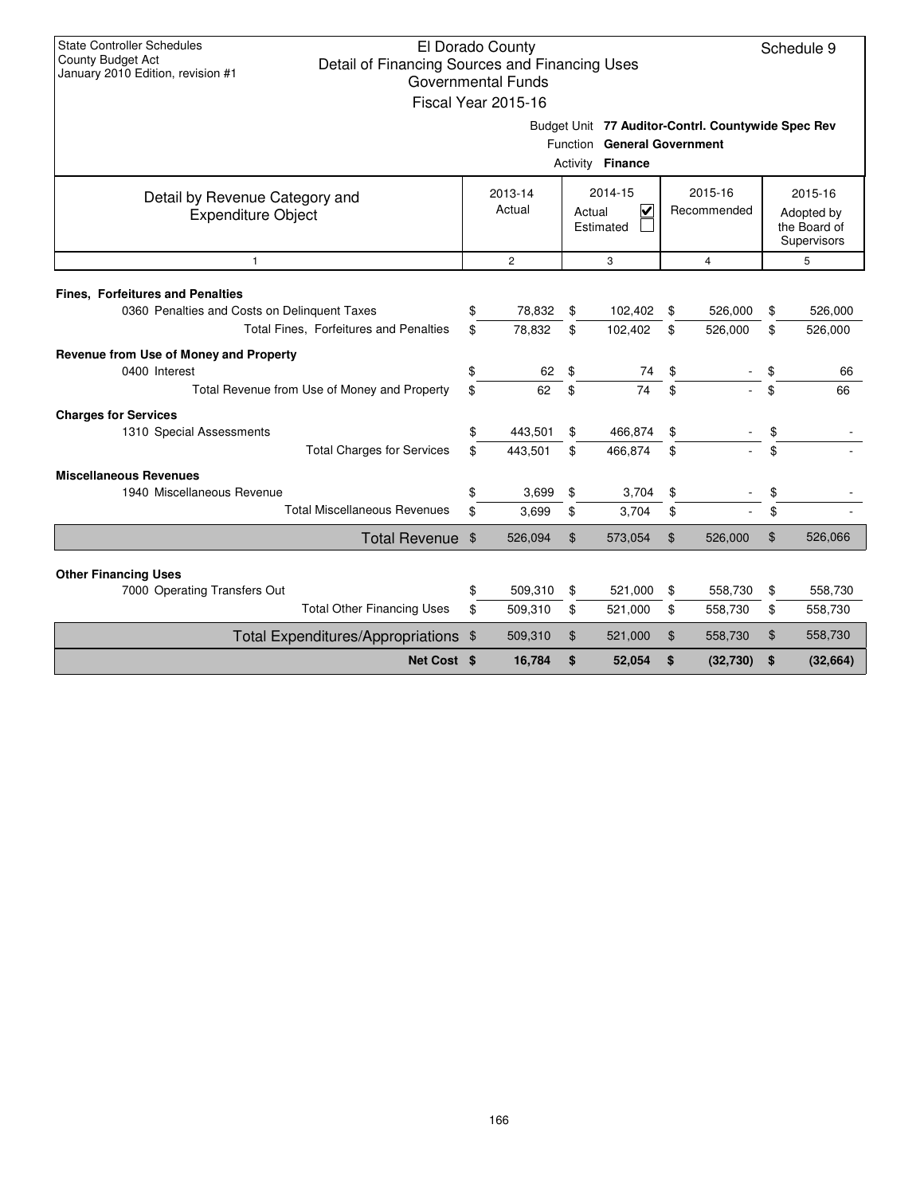| <b>State Controller Schedules</b><br>County Budget Act                              |                                     | El Dorado County          |          |                                                    |          |             |          | Schedule 9   |  |  |
|-------------------------------------------------------------------------------------|-------------------------------------|---------------------------|----------|----------------------------------------------------|----------|-------------|----------|--------------|--|--|
| Detail of Financing Sources and Financing Uses<br>January 2010 Edition, revision #1 |                                     |                           |          |                                                    |          |             |          |              |  |  |
|                                                                                     |                                     | <b>Governmental Funds</b> |          |                                                    |          |             |          |              |  |  |
|                                                                                     |                                     | Fiscal Year 2015-16       |          |                                                    |          |             |          |              |  |  |
|                                                                                     |                                     |                           |          | Budget Unit 77 Auditor-Contrl. Countywide Spec Rev |          |             |          |              |  |  |
|                                                                                     |                                     |                           |          | Function General Government                        |          |             |          |              |  |  |
|                                                                                     | Activity Finance                    |                           |          |                                                    |          |             |          |              |  |  |
| Detail by Revenue Category and                                                      |                                     | 2013-14                   |          | 2014-15                                            |          | 2015-16     |          | 2015-16      |  |  |
| <b>Expenditure Object</b>                                                           |                                     | Actual                    |          | ₹<br>Actual                                        |          | Recommended |          | Adopted by   |  |  |
|                                                                                     |                                     |                           |          | Estimated                                          |          |             |          | the Board of |  |  |
|                                                                                     |                                     |                           |          |                                                    |          |             |          | Supervisors  |  |  |
| $\mathbf{1}$                                                                        | $\mathbf{2}$<br>3<br>$\overline{4}$ |                           |          |                                                    |          |             |          |              |  |  |
| <b>Fines, Forfeitures and Penalties</b>                                             |                                     |                           |          |                                                    |          |             |          |              |  |  |
| 0360 Penalties and Costs on Delinquent Taxes                                        | \$                                  | 78,832                    | \$       | 102,402                                            | \$       | 526,000     | \$       | 526,000      |  |  |
| Total Fines, Forfeitures and Penalties                                              | \$                                  | 78,832                    | \$       | 102,402                                            | \$       | 526,000     | \$       | 526,000      |  |  |
|                                                                                     |                                     |                           |          |                                                    |          |             |          |              |  |  |
| Revenue from Use of Money and Property                                              |                                     |                           |          |                                                    |          |             |          |              |  |  |
| 0400 Interest                                                                       | \$                                  | 62                        | \$       | 74                                                 | \$       |             | \$       | 66           |  |  |
| Total Revenue from Use of Money and Property                                        | \$                                  | 62                        | \$       | 74                                                 | \$       |             | \$       | 66           |  |  |
| <b>Charges for Services</b>                                                         |                                     |                           |          |                                                    |          |             |          |              |  |  |
| 1310 Special Assessments                                                            | \$                                  | 443,501                   | \$       | 466,874                                            | \$       |             | \$       |              |  |  |
| <b>Total Charges for Services</b>                                                   | \$                                  | 443,501                   | \$       | 466,874                                            | \$       |             | \$.      |              |  |  |
| <b>Miscellaneous Revenues</b>                                                       |                                     |                           |          |                                                    |          |             |          |              |  |  |
| 1940 Miscellaneous Revenue                                                          | \$                                  | 3,699                     | \$       | 3,704                                              | \$       |             | \$       |              |  |  |
| <b>Total Miscellaneous Revenues</b>                                                 | \$                                  | 3,699                     | \$       | 3,704                                              | \$       |             | \$       |              |  |  |
| Total Revenue \$                                                                    |                                     | 526,094                   | \$       | 573,054                                            | \$       | 526,000     | \$       | 526,066      |  |  |
|                                                                                     |                                     |                           |          |                                                    |          |             |          |              |  |  |
| <b>Other Financing Uses</b><br>7000 Operating Transfers Out                         | \$                                  | 509,310                   |          |                                                    |          | 558,730     |          | 558,730      |  |  |
| <b>Total Other Financing Uses</b>                                                   | \$                                  | 509,310                   | \$<br>\$ | 521,000<br>521,000                                 | \$<br>\$ | 558,730     | \$<br>\$ | 558,730      |  |  |
|                                                                                     |                                     |                           |          |                                                    |          |             |          |              |  |  |
| <b>Total Expenditures/Appropriations</b>                                            | - \$                                | 509,310                   | \$       | 521,000                                            | \$       | 558,730     | \$       | 558,730      |  |  |
| Net Cost \$                                                                         |                                     | 16,784                    | \$       | 52,054                                             | \$       | (32,730)    | \$       | (32, 664)    |  |  |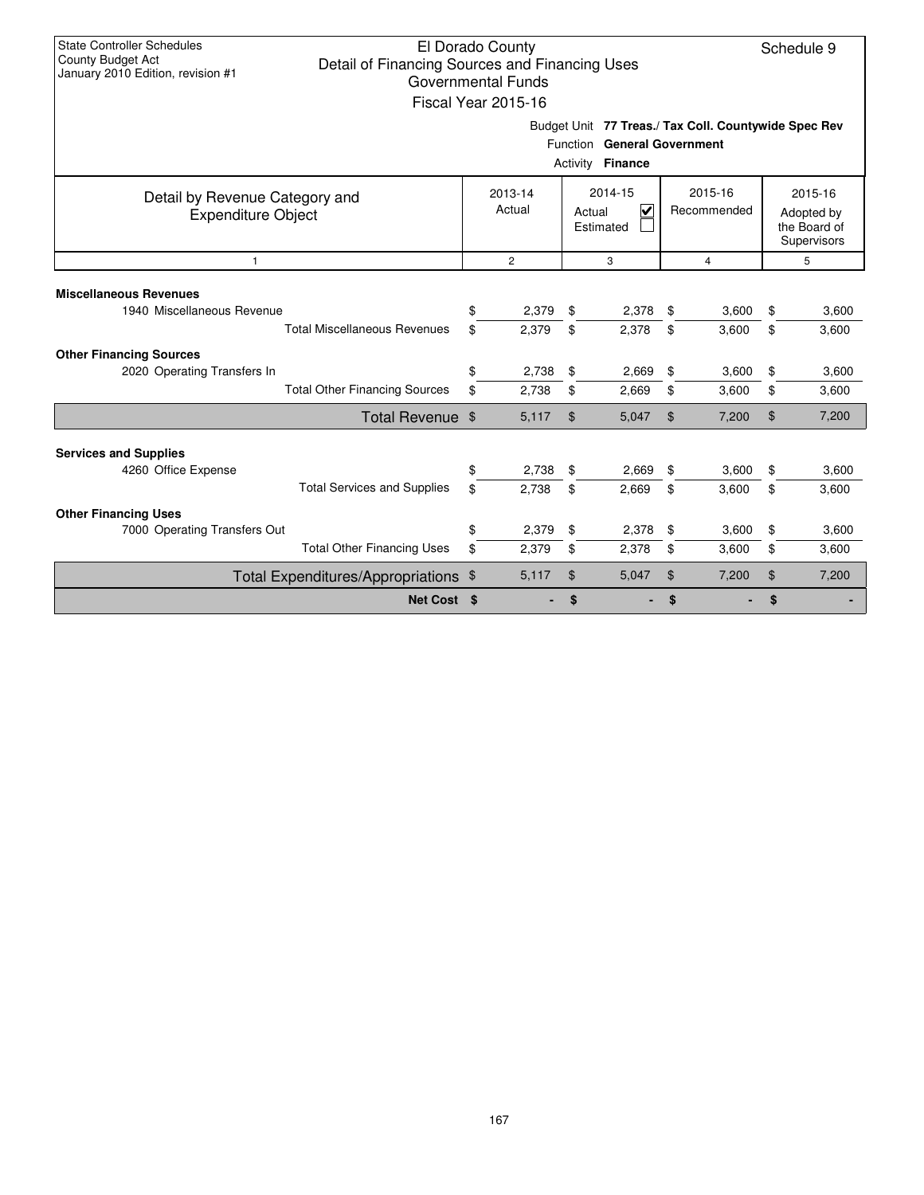| <b>State Controller Schedules</b><br>El Dorado County<br>Schedule 9<br><b>County Budget Act</b><br>Detail of Financing Sources and Financing Uses<br>January 2010 Edition, revision #1<br><b>Governmental Funds</b><br>Fiscal Year 2015-16 |          |                   |                |                                                           |                |                        |          |                                                      |  |  |
|--------------------------------------------------------------------------------------------------------------------------------------------------------------------------------------------------------------------------------------------|----------|-------------------|----------------|-----------------------------------------------------------|----------------|------------------------|----------|------------------------------------------------------|--|--|
| Budget Unit 77 Treas./ Tax Coll. Countywide Spec Rev<br>Function General Government<br>Activity <b>Finance</b>                                                                                                                             |          |                   |                |                                                           |                |                        |          |                                                      |  |  |
| Detail by Revenue Category and<br><b>Expenditure Object</b>                                                                                                                                                                                |          | 2013-14<br>Actual |                | 2014-15<br>$\overline{\mathsf{v}}$<br>Actual<br>Estimated |                | 2015-16<br>Recommended |          | 2015-16<br>Adopted by<br>the Board of<br>Supervisors |  |  |
| $\overline{2}$<br>3<br>$\mathbf{1}$<br>$\overline{4}$                                                                                                                                                                                      |          |                   |                |                                                           |                |                        |          |                                                      |  |  |
| <b>Miscellaneous Revenues</b><br>1940 Miscellaneous Revenue<br><b>Total Miscellaneous Revenues</b>                                                                                                                                         | \$<br>\$ | 2,379<br>2.379    | \$<br>\$       | 2,378<br>2,378                                            | \$<br>\$       | 3,600<br>3.600         | \$<br>\$ | 3,600<br>3,600                                       |  |  |
| <b>Other Financing Sources</b><br>2020 Operating Transfers In<br><b>Total Other Financing Sources</b>                                                                                                                                      | \$<br>\$ | 2,738<br>2,738    | \$<br>\$       | 2,669<br>2,669                                            | \$<br>\$       | 3,600<br>3,600         | \$<br>\$ | 3,600<br>3,600                                       |  |  |
| Total Revenue \$                                                                                                                                                                                                                           |          | 5,117             | \$             | 5,047                                                     | \$             | 7,200                  | \$       | 7,200                                                |  |  |
| <b>Services and Supplies</b><br>4260 Office Expense<br><b>Total Services and Supplies</b>                                                                                                                                                  | \$<br>\$ | 2,738<br>2.738    | \$<br>\$       | 2,669<br>2,669                                            | \$<br>\$       | 3,600<br>3,600         | \$<br>\$ | 3,600<br>3,600                                       |  |  |
| <b>Other Financing Uses</b><br>7000 Operating Transfers Out<br><b>Total Other Financing Uses</b>                                                                                                                                           | \$<br>\$ | 2,379<br>2,379    | \$<br>\$       | 2,378<br>2,378                                            | \$<br>\$       | 3,600<br>3,600         | \$<br>\$ | 3,600<br>3,600                                       |  |  |
| Total Expenditures/Appropriations \$                                                                                                                                                                                                       |          | 5,117             | $\mathfrak{S}$ | 5,047                                                     | $\mathfrak{F}$ | 7,200                  | \$       | 7,200                                                |  |  |
| Net Cost \$                                                                                                                                                                                                                                |          |                   | \$             |                                                           | \$             |                        | \$       |                                                      |  |  |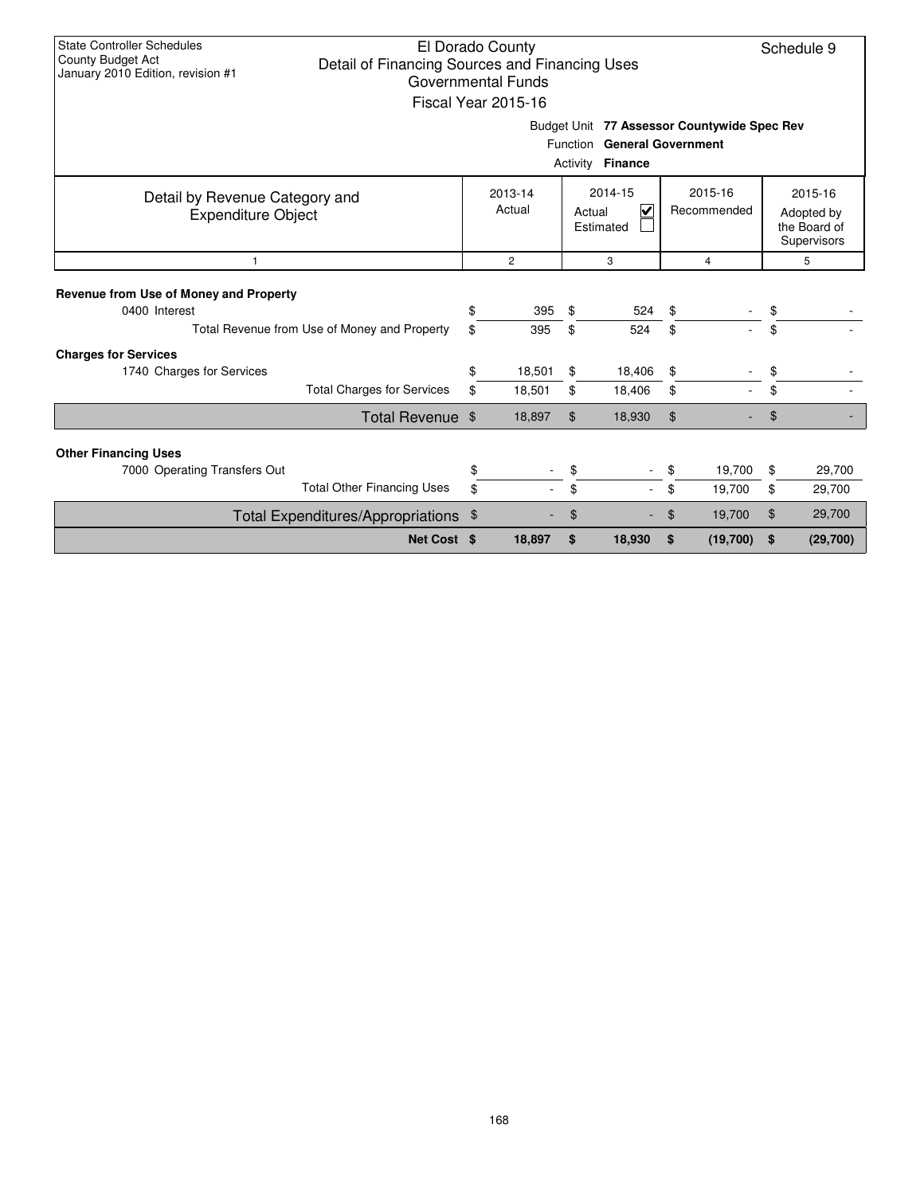| <b>State Controller Schedules</b><br>El Dorado County<br>Schedule 9<br>County Budget Act<br>Detail of Financing Sources and Financing Uses<br>January 2010 Edition, revision #1<br><b>Governmental Funds</b><br>Fiscal Year 2015-16<br>Budget Unit 77 Assessor Countywide Spec Rev<br>Function General Government<br>Activity <b>Finance</b> |                        |                  |                                                      |                  |          |                  |          |                  |  |  |  |
|----------------------------------------------------------------------------------------------------------------------------------------------------------------------------------------------------------------------------------------------------------------------------------------------------------------------------------------------|------------------------|------------------|------------------------------------------------------|------------------|----------|------------------|----------|------------------|--|--|--|
| Detail by Revenue Category and<br><b>Expenditure Object</b>                                                                                                                                                                                                                                                                                  | 2015-16<br>Recommended |                  | 2015-16<br>Adopted by<br>the Board of<br>Supervisors |                  |          |                  |          |                  |  |  |  |
| $\mathbf{1}$                                                                                                                                                                                                                                                                                                                                 |                        | $\overline{2}$   |                                                      | 3                |          | $\overline{4}$   |          | 5                |  |  |  |
| Revenue from Use of Money and Property<br>0400 Interest<br>Total Revenue from Use of Money and Property                                                                                                                                                                                                                                      | \$<br>\$               | 395<br>395       | \$<br>\$                                             | 524<br>524       | \$<br>\$ |                  | \$<br>\$ |                  |  |  |  |
| <b>Charges for Services</b><br>1740 Charges for Services<br><b>Total Charges for Services</b>                                                                                                                                                                                                                                                | \$<br>\$               | 18.501<br>18,501 | \$<br>\$                                             | 18,406<br>18,406 | \$<br>\$ |                  | \$<br>\$ |                  |  |  |  |
| Total Revenue \$                                                                                                                                                                                                                                                                                                                             |                        | 18,897           | $\mathfrak{L}$                                       | 18,930           | \$       |                  | \$       |                  |  |  |  |
| <b>Other Financing Uses</b><br>7000 Operating Transfers Out<br><b>Total Other Financing Uses</b>                                                                                                                                                                                                                                             | \$<br>\$               |                  | \$<br>\$                                             |                  | \$<br>\$ | 19,700<br>19,700 | \$<br>\$ | 29,700<br>29,700 |  |  |  |
| Total Expenditures/Appropriations \$                                                                                                                                                                                                                                                                                                         |                        |                  | \$                                                   |                  | \$       | 19,700           | \$       | 29,700           |  |  |  |
| Net Cost \$                                                                                                                                                                                                                                                                                                                                  |                        | 18,897           | \$                                                   | 18,930           | \$       | (19,700)         | \$       | (29,700)         |  |  |  |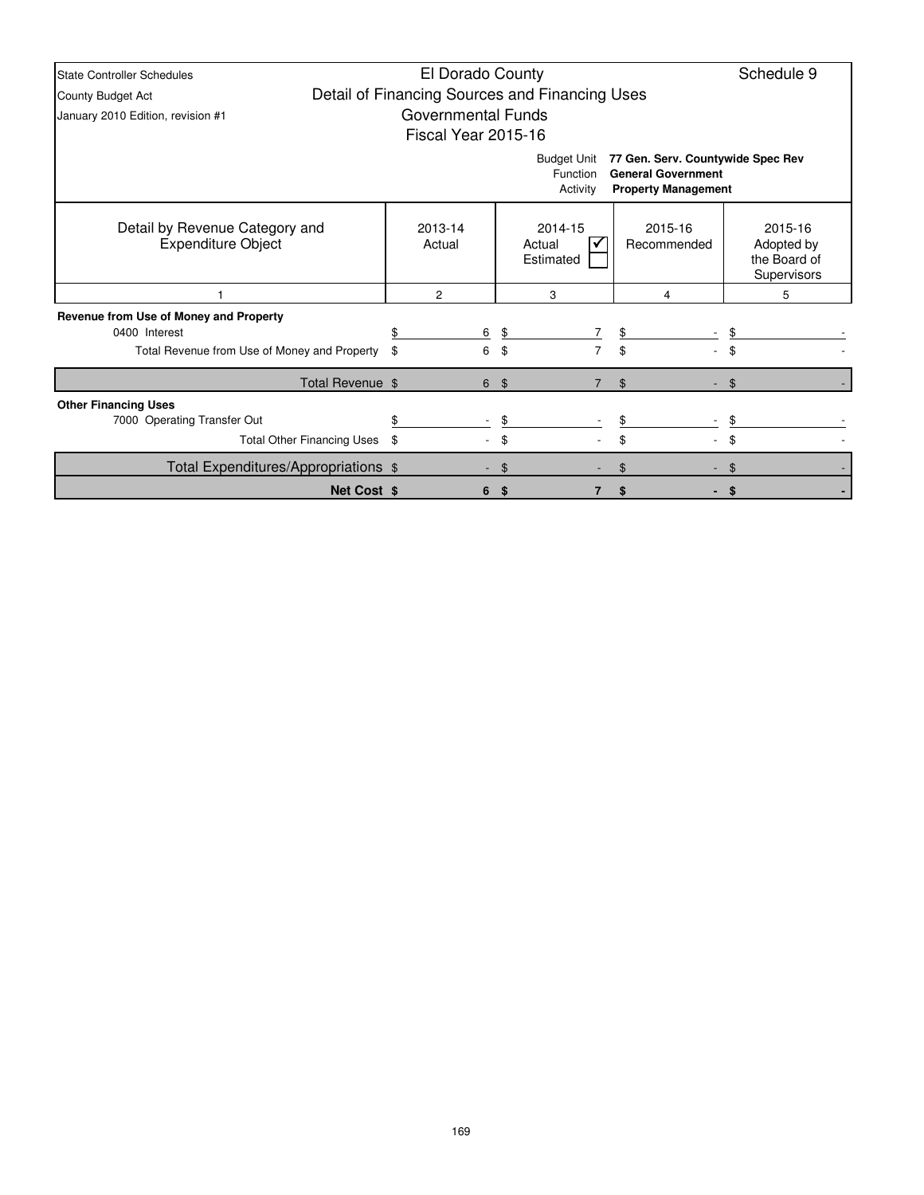| <b>State Controller Schedules</b>                           | El Dorado County                                                                             |   |                |                                |                        | Schedule 9                                           |  |  |  |  |
|-------------------------------------------------------------|----------------------------------------------------------------------------------------------|---|----------------|--------------------------------|------------------------|------------------------------------------------------|--|--|--|--|
| County Budget Act                                           | Detail of Financing Sources and Financing Uses                                               |   |                |                                |                        |                                                      |  |  |  |  |
| January 2010 Edition, revision #1                           | <b>Governmental Funds</b>                                                                    |   |                |                                |                        |                                                      |  |  |  |  |
|                                                             | Fiscal Year 2015-16                                                                          |   |                |                                |                        |                                                      |  |  |  |  |
|                                                             | 77 Gen. Serv. Countywide Spec Rev<br><b>General Government</b><br><b>Property Management</b> |   |                |                                |                        |                                                      |  |  |  |  |
| Detail by Revenue Category and<br><b>Expenditure Object</b> | 2013-14<br>Actual                                                                            |   |                | 2014-15<br>Actual<br>Estimated | 2015-16<br>Recommended | 2015-16<br>Adopted by<br>the Board of<br>Supervisors |  |  |  |  |
|                                                             | 2                                                                                            |   |                | 3                              | 4                      | 5                                                    |  |  |  |  |
| Revenue from Use of Money and Property                      |                                                                                              |   |                |                                |                        |                                                      |  |  |  |  |
| 0400 Interest                                               |                                                                                              | 6 | \$             |                                | $\frac{1}{2}$          |                                                      |  |  |  |  |
| Total Revenue from Use of Money and Property                | \$                                                                                           | 6 | \$             | $\overline{7}$                 | \$                     |                                                      |  |  |  |  |
| Total Revenue \$                                            |                                                                                              | 6 | $\mathfrak{S}$ | $\overline{7}$                 | $\mathfrak{L}$         | \$                                                   |  |  |  |  |
| <b>Other Financing Uses</b>                                 |                                                                                              |   |                |                                |                        |                                                      |  |  |  |  |
| 7000 Operating Transfer Out                                 |                                                                                              |   | \$             |                                |                        |                                                      |  |  |  |  |
| <b>Total Other Financing Uses</b>                           | \$                                                                                           |   | \$             |                                | \$                     | \$                                                   |  |  |  |  |
| Total Expenditures/Appropriations \$                        |                                                                                              |   | \$             |                                |                        |                                                      |  |  |  |  |
|                                                             | Net Cost \$<br>-\$<br>\$<br>6                                                                |   |                |                                |                        |                                                      |  |  |  |  |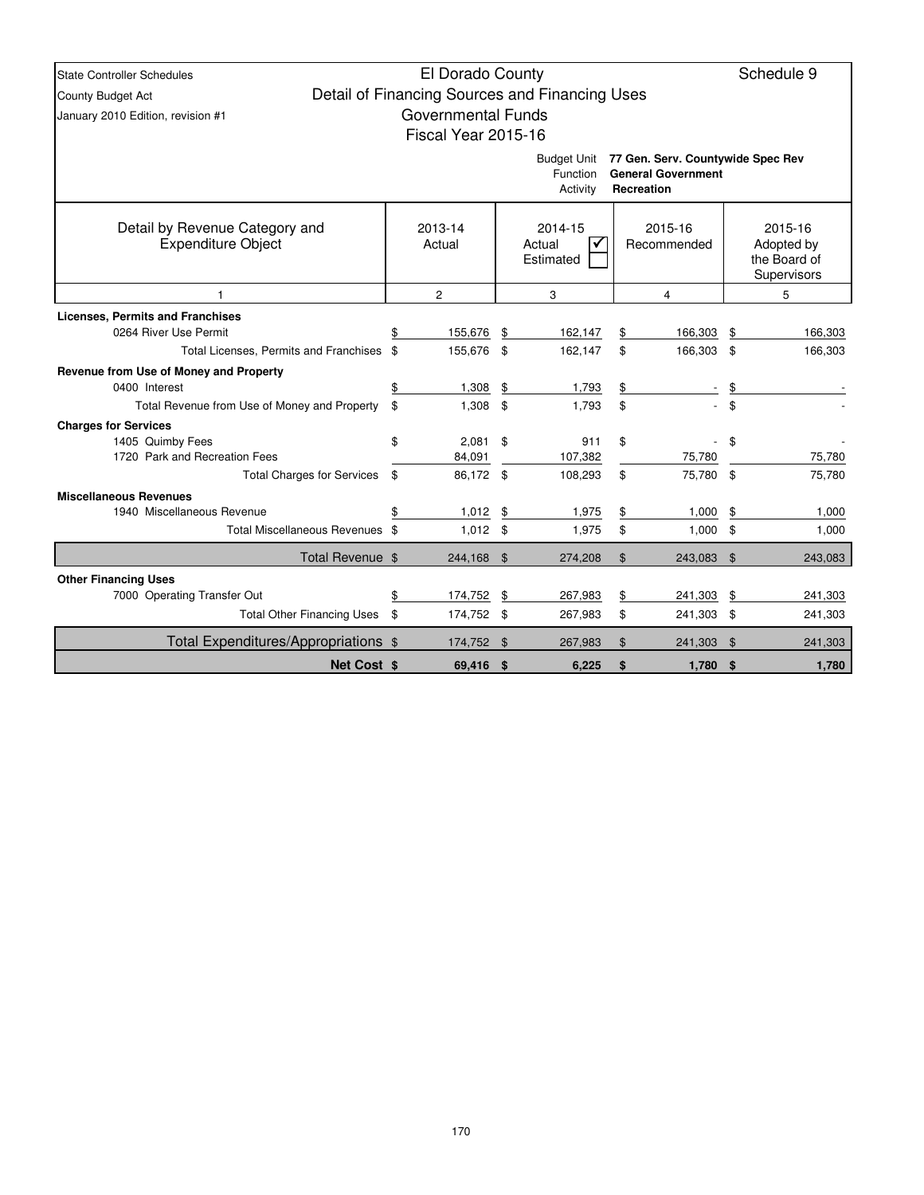| <b>State Controller Schedules</b>                           | El Dorado County          |                                                |          |                                               |          | Schedule 9                 |
|-------------------------------------------------------------|---------------------------|------------------------------------------------|----------|-----------------------------------------------|----------|----------------------------|
| County Budget Act                                           |                           | Detail of Financing Sources and Financing Uses |          |                                               |          |                            |
| January 2010 Edition, revision #1                           | <b>Governmental Funds</b> |                                                |          |                                               |          |                            |
|                                                             | Fiscal Year 2015-16       |                                                |          |                                               |          |                            |
|                                                             |                           |                                                |          | Budget Unit 77 Gen. Serv. Countywide Spec Rev |          |                            |
|                                                             |                           | Function                                       |          | <b>General Government</b>                     |          |                            |
|                                                             |                           | Activity                                       |          | Recreation                                    |          |                            |
|                                                             |                           |                                                |          |                                               |          |                            |
| Detail by Revenue Category and<br><b>Expenditure Object</b> | 2013-14                   | 2014-15                                        |          | 2015-16                                       |          | 2015-16                    |
|                                                             | Actual                    | Actual<br>Estimated                            |          | Recommended                                   |          | Adopted by<br>the Board of |
|                                                             |                           |                                                |          |                                               |          | Supervisors                |
|                                                             | $\overline{2}$            | 3                                              |          | 5                                             |          |                            |
| <b>Licenses, Permits and Franchises</b>                     |                           |                                                |          |                                               |          |                            |
| 0264 River Use Permit                                       | \$<br>155,676             | \$<br>162,147                                  | \$       | 166,303                                       | \$       | 166,303                    |
| Total Licenses, Permits and Franchises \$                   | 155,676                   | \$<br>162,147                                  | \$       | 166,303 \$                                    |          | 166,303                    |
| Revenue from Use of Money and Property                      |                           |                                                |          |                                               |          |                            |
| 0400 Interest                                               | \$<br>1,308               | \$<br>1,793                                    | \$       |                                               | \$       |                            |
| Total Revenue from Use of Money and Property                | \$<br>1,308               | \$<br>1,793                                    | \$       |                                               | \$       |                            |
| <b>Charges for Services</b>                                 |                           |                                                |          |                                               |          |                            |
| 1405 Quimby Fees                                            | \$<br>2,081               | \$<br>911                                      | \$       |                                               | \$       |                            |
| 1720 Park and Recreation Fees                               | 84,091                    | 107,382                                        |          | 75,780                                        |          | 75,780                     |
| <b>Total Charges for Services</b>                           | \$<br>86,172 \$           | 108,293                                        | \$       | 75,780 \$                                     |          | 75,780                     |
| <b>Miscellaneous Revenues</b><br>1940 Miscellaneous Revenue | 1,012                     |                                                |          | 1,000                                         |          |                            |
| Total Miscellaneous Revenues \$                             | \$<br>$1,012$ \$          | \$<br>1,975<br>1,975                           | \$<br>\$ | 1,000                                         | \$<br>\$ | 1,000<br>1,000             |
|                                                             |                           |                                                |          |                                               |          |                            |
| Total Revenue \$                                            | 244,168 \$                | 274,208                                        | \$       | 243,083 \$                                    |          | 243,083                    |
| <b>Other Financing Uses</b>                                 |                           |                                                |          |                                               |          |                            |
| 7000 Operating Transfer Out                                 | \$<br>174,752             | \$<br>267,983                                  | \$       | 241,303                                       | \$       | 241,303                    |
| Total Other Financing Uses \$                               | 174,752 \$                | 267,983                                        | \$       | 241,303 \$                                    |          | 241,303                    |
| Total Expenditures/Appropriations \$                        | 174,752 \$                | 267,983                                        | \$       | 241,303                                       | - \$     | 241,303                    |
| <b>Net Cost \$</b>                                          | 69,416 \$                 | 6,225                                          | \$       | 1,780                                         | -\$      | 1,780                      |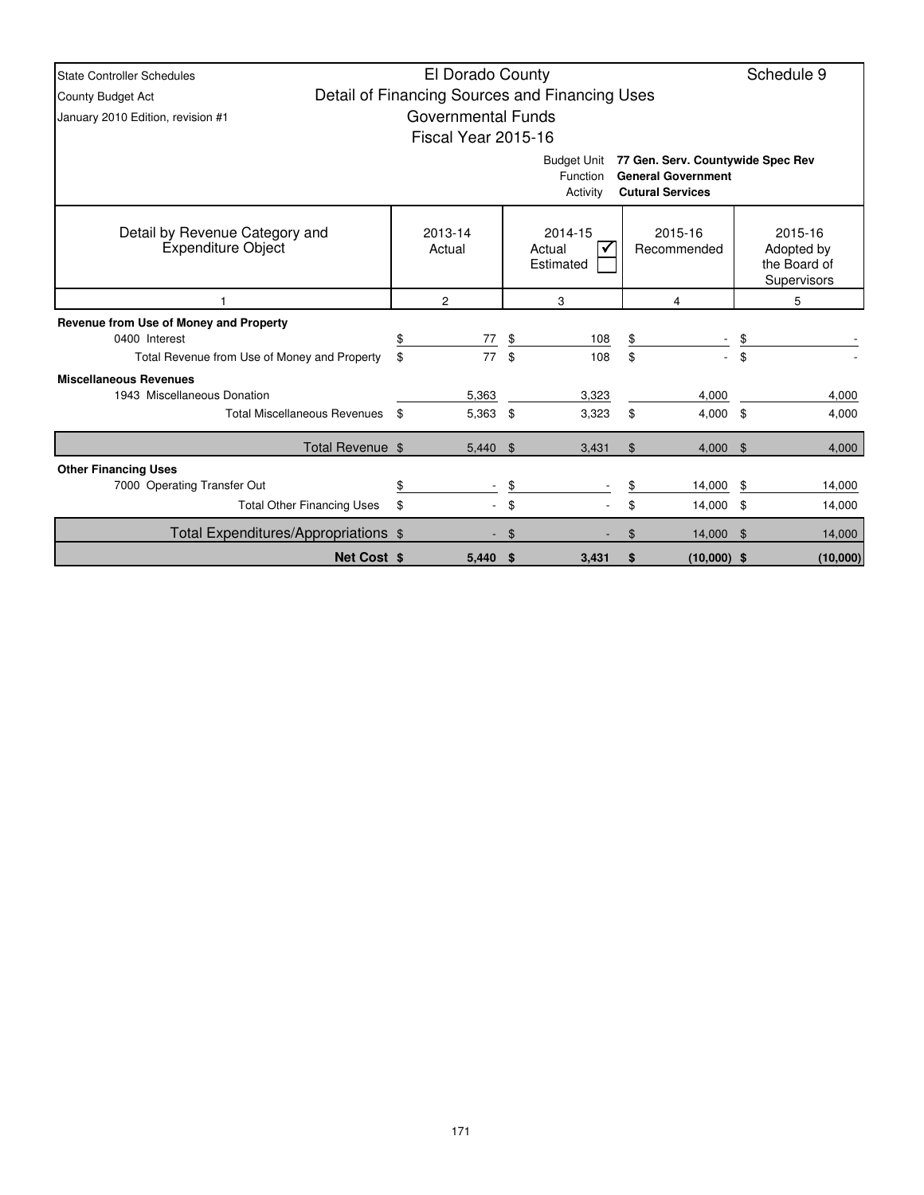| <b>State Controller Schedules</b>                                                                                                       |    | El Dorado County           |    |                                                |    |                        |     | Schedule 9                                           |  |  |  |
|-----------------------------------------------------------------------------------------------------------------------------------------|----|----------------------------|----|------------------------------------------------|----|------------------------|-----|------------------------------------------------------|--|--|--|
| County Budget Act                                                                                                                       |    |                            |    | Detail of Financing Sources and Financing Uses |    |                        |     |                                                      |  |  |  |
| January 2010 Edition, revision #1                                                                                                       |    | <b>Governmental Funds</b>  |    |                                                |    |                        |     |                                                      |  |  |  |
|                                                                                                                                         |    | <b>Fiscal Year 2015-16</b> |    |                                                |    |                        |     |                                                      |  |  |  |
| 77 Gen. Serv. Countywide Spec Rev<br><b>Budget Unit</b><br><b>General Government</b><br>Function<br><b>Cutural Services</b><br>Activity |    |                            |    |                                                |    |                        |     |                                                      |  |  |  |
| Detail by Revenue Category and<br><b>Expenditure Object</b>                                                                             |    | 2013-14<br>Actual          |    | 2014-15<br>Actual<br>Estimated                 |    | 2015-16<br>Recommended |     | 2015-16<br>Adopted by<br>the Board of<br>Supervisors |  |  |  |
|                                                                                                                                         |    | $\overline{c}$             | 3  |                                                |    | 4                      |     | 5                                                    |  |  |  |
| Revenue from Use of Money and Property                                                                                                  |    |                            |    |                                                |    |                        |     |                                                      |  |  |  |
| 0400 Interest                                                                                                                           | \$ | 77                         | \$ | 108                                            | \$ |                        | \$  |                                                      |  |  |  |
| Total Revenue from Use of Money and Property                                                                                            | \$ | 77                         | \$ | 108                                            | \$ |                        | \$  |                                                      |  |  |  |
| <b>Miscellaneous Revenues</b>                                                                                                           |    |                            |    |                                                |    |                        |     |                                                      |  |  |  |
| 1943 Miscellaneous Donation                                                                                                             |    | 5,363                      |    | 3,323                                          |    | 4,000                  |     | 4,000                                                |  |  |  |
| <b>Total Miscellaneous Revenues</b>                                                                                                     | \$ | 5,363                      | \$ | 3,323                                          | \$ | $4,000$ \$             |     | 4,000                                                |  |  |  |
| Total Revenue \$                                                                                                                        |    | $5,440$ \$                 |    | 3,431                                          | \$ | $4,000$ \$             |     | 4,000                                                |  |  |  |
| <b>Other Financing Uses</b>                                                                                                             |    |                            |    |                                                |    |                        |     |                                                      |  |  |  |
| 7000 Operating Transfer Out                                                                                                             | \$ |                            | \$ |                                                |    | 14,000                 | \$  | 14,000                                               |  |  |  |
| <b>Total Other Financing Uses</b>                                                                                                       | \$ |                            | \$ |                                                | \$ | 14,000                 | -\$ | 14,000                                               |  |  |  |
| Total Expenditures/Appropriations \$                                                                                                    |    |                            | \$ |                                                | \$ | 14,000                 | \$  | 14,000                                               |  |  |  |
| <b>Net Cost \$</b>                                                                                                                      |    | 5.440                      | \$ | 3,431                                          | \$ | $(10,000)$ \$          |     | (10,000)                                             |  |  |  |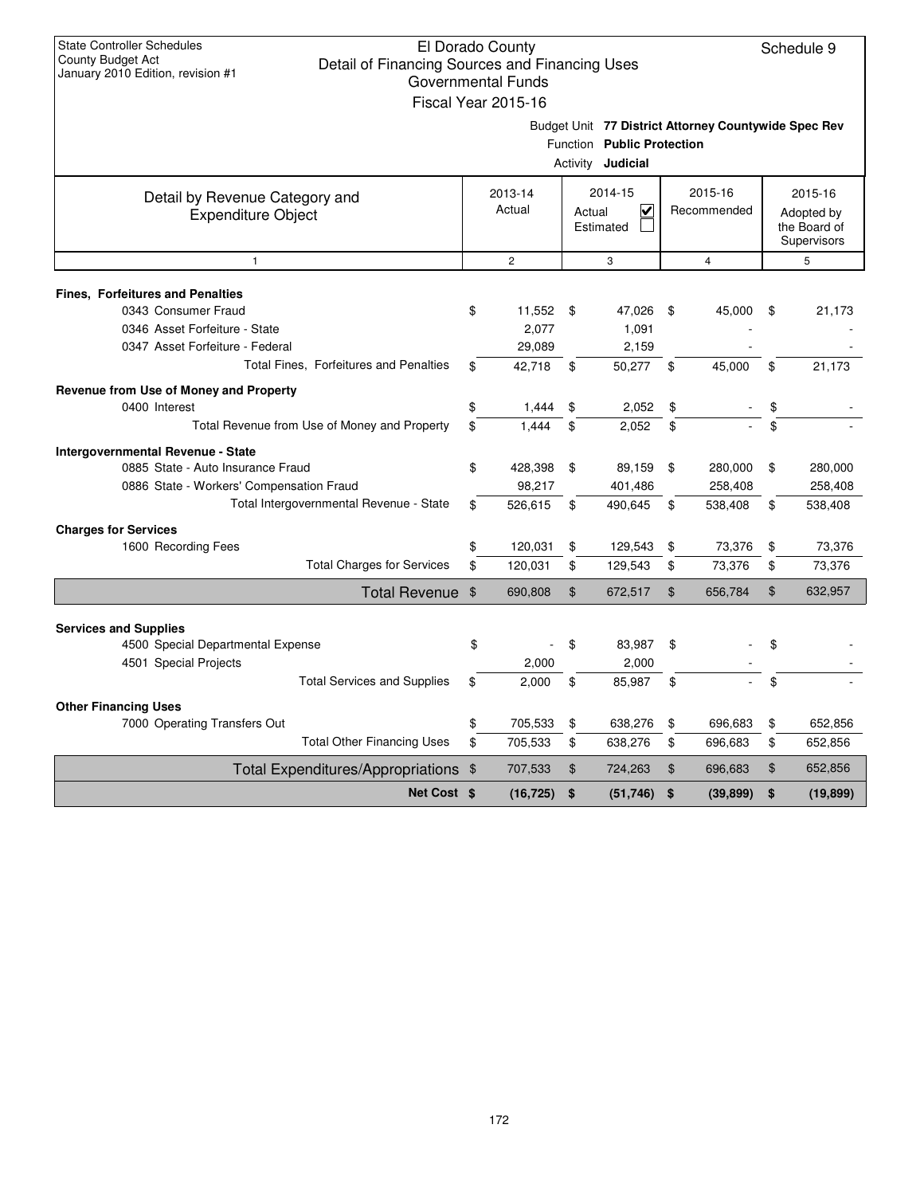| <b>State Controller Schedules</b><br>County Budget Act            | Detail of Financing Sources and Financing Uses | El Dorado County          |                |                            |                |                                                      | Schedule 9      |
|-------------------------------------------------------------------|------------------------------------------------|---------------------------|----------------|----------------------------|----------------|------------------------------------------------------|-----------------|
| January 2010 Edition, revision #1                                 |                                                | <b>Governmental Funds</b> |                |                            |                |                                                      |                 |
|                                                                   |                                                | Fiscal Year 2015-16       |                |                            |                |                                                      |                 |
|                                                                   |                                                |                           |                |                            |                | Budget Unit 77 District Attorney Countywide Spec Rev |                 |
|                                                                   |                                                |                           |                | Function Public Protection |                |                                                      |                 |
|                                                                   |                                                |                           |                | Activity <b>Judicial</b>   |                |                                                      |                 |
|                                                                   |                                                | 2013-14                   |                | 2014-15                    |                | 2015-16                                              | 2015-16         |
| Detail by Revenue Category and                                    |                                                | Actual                    | Actual         | V                          |                | Recommended                                          | Adopted by      |
| <b>Expenditure Object</b>                                         |                                                |                           |                | Estimated                  |                |                                                      | the Board of    |
|                                                                   |                                                |                           |                |                            |                |                                                      | Supervisors     |
| $\mathbf{1}$                                                      |                                                | $\overline{c}$            |                | 3                          |                | $\overline{4}$                                       | 5               |
| <b>Fines, Forfeitures and Penalties</b>                           |                                                |                           |                |                            |                |                                                      |                 |
| 0343 Consumer Fraud                                               |                                                | \$<br>11,552              | \$             | 47,026                     | \$             | 45,000                                               | \$<br>21,173    |
| 0346 Asset Forfeiture - State                                     |                                                | 2,077                     |                | 1,091                      |                |                                                      |                 |
| 0347 Asset Forfeiture - Federal                                   |                                                | 29,089                    |                | 2,159                      |                |                                                      |                 |
|                                                                   | Total Fines, Forfeitures and Penalties         | \$<br>42,718              | \$             | 50,277                     | \$             | 45,000                                               | \$<br>21,173    |
| Revenue from Use of Money and Property                            |                                                |                           |                |                            |                |                                                      |                 |
| 0400 Interest                                                     |                                                | \$<br>1,444               | \$             | 2,052                      | \$             |                                                      | \$              |
|                                                                   | Total Revenue from Use of Money and Property   | \$<br>1,444               | \$             | 2,052                      | \$             |                                                      | \$              |
| Intergovernmental Revenue - State                                 |                                                |                           |                |                            |                |                                                      |                 |
| 0885 State - Auto Insurance Fraud                                 |                                                | \$<br>428,398             | \$             | 89,159                     | \$             | 280,000                                              | \$<br>280,000   |
| 0886 State - Workers' Compensation Fraud                          |                                                | 98,217                    |                | 401,486                    |                | 258,408                                              | 258,408         |
|                                                                   | Total Intergovernmental Revenue - State        | \$<br>526,615             | \$             | 490,645                    | \$             | 538,408                                              | \$<br>538,408   |
| <b>Charges for Services</b>                                       |                                                |                           |                |                            |                |                                                      |                 |
| 1600 Recording Fees                                               |                                                | \$<br>120,031             | \$             | 129,543                    | \$             | 73,376                                               | \$<br>73,376    |
|                                                                   | <b>Total Charges for Services</b>              | \$<br>120,031             | \$             | 129,543                    | \$             | 73,376                                               | \$<br>73,376    |
|                                                                   | <b>Total Revenue</b>                           | \$<br>690,808             | $\mathfrak{S}$ | 672,517                    | $\mathfrak{S}$ | 656,784                                              | \$<br>632,957   |
|                                                                   |                                                |                           |                |                            |                |                                                      |                 |
| <b>Services and Supplies</b><br>4500 Special Departmental Expense |                                                | \$<br>$\blacksquare$      | \$             | 83,987                     | \$             |                                                      | \$              |
| 4501 Special Projects                                             |                                                | 2,000                     |                | 2,000                      |                |                                                      |                 |
|                                                                   | <b>Total Services and Supplies</b>             | \$<br>2,000               | \$             | 85,987                     | \$             |                                                      | \$              |
| <b>Other Financing Uses</b>                                       |                                                |                           |                |                            |                |                                                      |                 |
| 7000 Operating Transfers Out                                      |                                                | \$<br>705,533             | \$             | 638,276                    | \$             | 696,683                                              | \$<br>652,856   |
|                                                                   | <b>Total Other Financing Uses</b>              | \$<br>705,533             | \$             | 638,276                    | \$             | 696,683                                              | \$<br>652,856   |
|                                                                   | <b>Total Expenditures/Appropriations</b>       | \$<br>707,533             | \$             | 724,263                    | \$             | 696,683                                              | \$<br>652,856   |
|                                                                   | Net Cost \$                                    | (16, 725)                 | \$             | (51, 746)                  | \$             | (39, 899)                                            | \$<br>(19, 899) |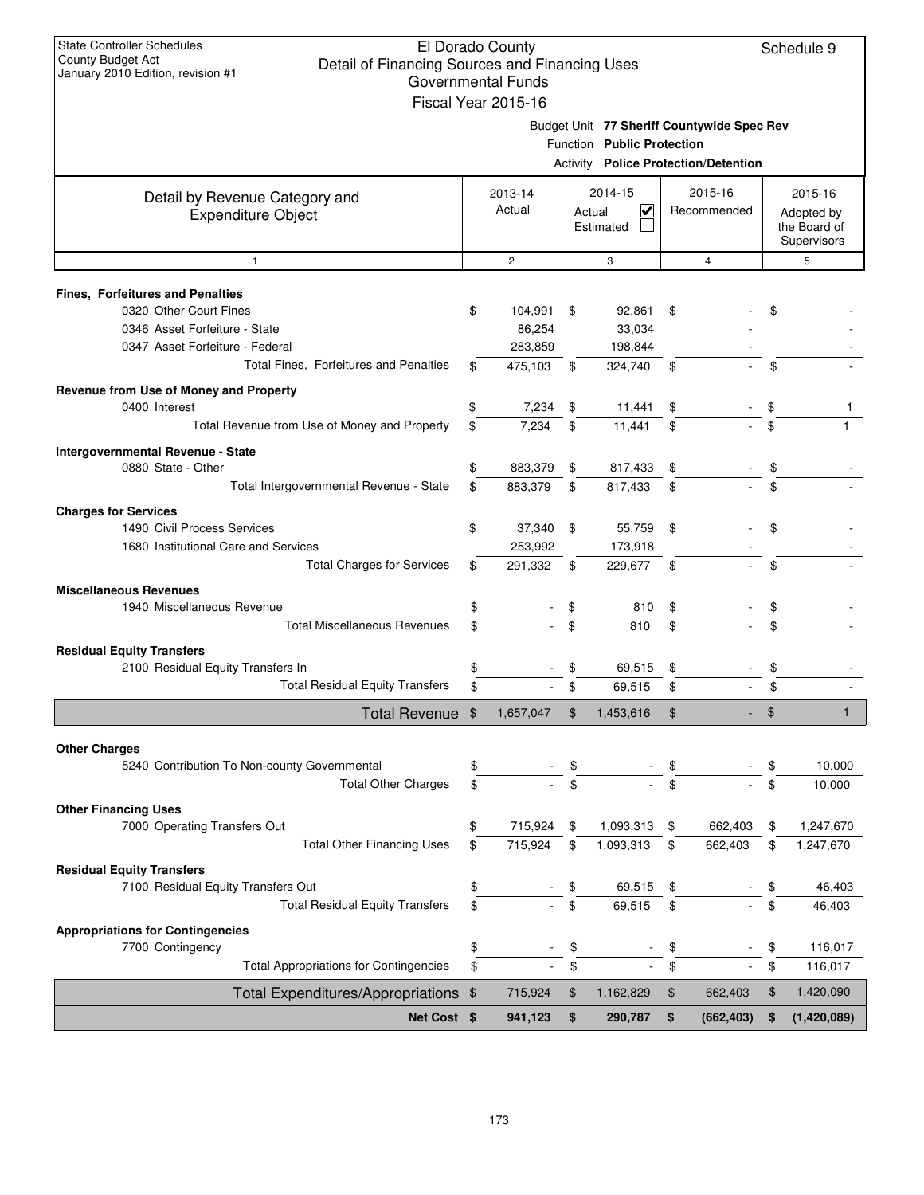| <b>State Controller Schedules</b>                                   |          | El Dorado County          |          |                                             |          |             |          | Schedule 9                  |
|---------------------------------------------------------------------|----------|---------------------------|----------|---------------------------------------------|----------|-------------|----------|-----------------------------|
| County Budget Act<br>Detail of Financing Sources and Financing Uses |          |                           |          |                                             |          |             |          |                             |
| January 2010 Edition, revision #1                                   |          | <b>Governmental Funds</b> |          |                                             |          |             |          |                             |
|                                                                     |          | Fiscal Year 2015-16       |          |                                             |          |             |          |                             |
|                                                                     |          |                           |          | Budget Unit 77 Sheriff Countywide Spec Rev  |          |             |          |                             |
|                                                                     |          |                           |          | Function Public Protection                  |          |             |          |                             |
|                                                                     |          |                           |          | <b>Activity Police Protection/Detention</b> |          |             |          |                             |
| Detail by Revenue Category and                                      |          | 2013-14                   |          | 2014-15                                     |          | 2015-16     |          | 2015-16                     |
| <b>Expenditure Object</b>                                           |          | Actual                    |          | $\overline{\mathsf{v}}$<br>Actual           |          | Recommended |          | Adopted by                  |
|                                                                     |          |                           |          | Estimated                                   |          |             |          | the Board of<br>Supervisors |
| $\mathbf{1}$                                                        |          | $\overline{c}$            |          | 3                                           |          | 4           |          | 5                           |
|                                                                     |          |                           |          |                                             |          |             |          |                             |
| Fines, Forfeitures and Penalties<br>0320 Other Court Fines          | \$       | 104,991                   | -\$      | 92,861                                      | \$       |             | \$       |                             |
| 0346 Asset Forfeiture - State                                       |          | 86,254                    |          | 33,034                                      |          |             |          |                             |
| 0347 Asset Forfeiture - Federal                                     |          | 283,859                   |          | 198,844                                     |          |             |          |                             |
| Total Fines, Forfeitures and Penalties                              |          | 475,103                   | \$       | 324,740                                     | \$       |             | \$       |                             |
| Revenue from Use of Money and Property                              |          |                           |          |                                             |          |             |          |                             |
| 0400 Interest                                                       | \$       | 7,234                     | \$       | 11,441                                      | \$       |             | \$       |                             |
| Total Revenue from Use of Money and Property                        | \$       | 7,234                     | \$       | 11,441                                      | \$       |             | \$       |                             |
|                                                                     |          |                           |          |                                             |          |             |          |                             |
| Intergovernmental Revenue - State<br>0880 State - Other             | \$       | 883,379                   | \$       | 817,433                                     | \$       |             |          |                             |
| Total Intergovernmental Revenue - State                             | \$       | 883,379                   | \$       | 817,433                                     | \$       |             | \$       |                             |
|                                                                     |          |                           |          |                                             |          |             |          |                             |
| <b>Charges for Services</b>                                         |          |                           |          |                                             |          |             |          |                             |
| 1490 Civil Process Services<br>1680 Institutional Care and Services | \$       | 37,340 \$<br>253,992      |          | 55,759<br>173,918                           | \$       |             | \$       |                             |
| <b>Total Charges for Services</b>                                   | \$       | 291,332                   | \$       | 229,677                                     | \$       |             | \$       |                             |
|                                                                     |          |                           |          |                                             |          |             |          |                             |
| <b>Miscellaneous Revenues</b>                                       |          |                           |          |                                             |          |             |          |                             |
| 1940 Miscellaneous Revenue<br><b>Total Miscellaneous Revenues</b>   | \$<br>\$ |                           | \$<br>\$ | 810<br>810                                  | \$<br>\$ |             | \$<br>\$ |                             |
|                                                                     |          |                           |          |                                             |          |             |          |                             |
| <b>Residual Equity Transfers</b>                                    |          |                           |          |                                             |          |             |          |                             |
| 2100 Residual Equity Transfers In                                   | \$       |                           | \$       | 69,515                                      | \$       |             | \$       |                             |
| <b>Total Residual Equity Transfers</b>                              | \$       |                           | \$       | 69,515                                      | \$       |             | \$       |                             |
| Total Revenue \$                                                    |          | 1,657,047                 | \$       | 1,453,616                                   | \$       |             | \$       | 1                           |
| <b>Other Charges</b>                                                |          |                           |          |                                             |          |             |          |                             |
| 5240 Contribution To Non-county Governmental                        | \$       |                           | \$       |                                             | \$       |             | \$       | 10,000                      |
| <b>Total Other Charges</b>                                          | \$       |                           | \$       |                                             | \$       |             | \$       | 10,000                      |
| <b>Other Financing Uses</b>                                         |          |                           |          |                                             |          |             |          |                             |
| 7000 Operating Transfers Out                                        | \$       | 715,924                   | \$       | 1,093,313                                   | \$       | 662,403     | \$       | 1,247,670                   |
| <b>Total Other Financing Uses</b>                                   | \$       | 715,924                   | \$       | 1,093,313                                   | \$       | 662,403     | \$       | 1,247,670                   |
| <b>Residual Equity Transfers</b>                                    |          |                           |          |                                             |          |             |          |                             |
| 7100 Residual Equity Transfers Out                                  | \$       |                           | \$       | 69,515                                      | \$       |             | \$       | 46,403                      |
| <b>Total Residual Equity Transfers</b>                              | \$       |                           | \$       | 69,515                                      | \$       |             | \$       | 46,403                      |
| <b>Appropriations for Contingencies</b>                             |          |                           |          |                                             |          |             |          |                             |
| 7700 Contingency                                                    | \$       |                           | \$       |                                             | \$       |             | \$       | 116,017                     |
| <b>Total Appropriations for Contingencies</b>                       | \$       |                           | \$       |                                             | \$       |             | \$       | 116,017                     |
| Total Expenditures/Appropriations \$                                |          | 715,924                   | \$       | 1,162,829                                   | \$       | 662,403     | \$       | 1,420,090                   |
| Net Cost \$                                                         |          | 941,123                   | \$       | 290,787                                     | \$       | (662, 403)  | \$       | (1,420,089)                 |
|                                                                     |          |                           |          |                                             |          |             |          |                             |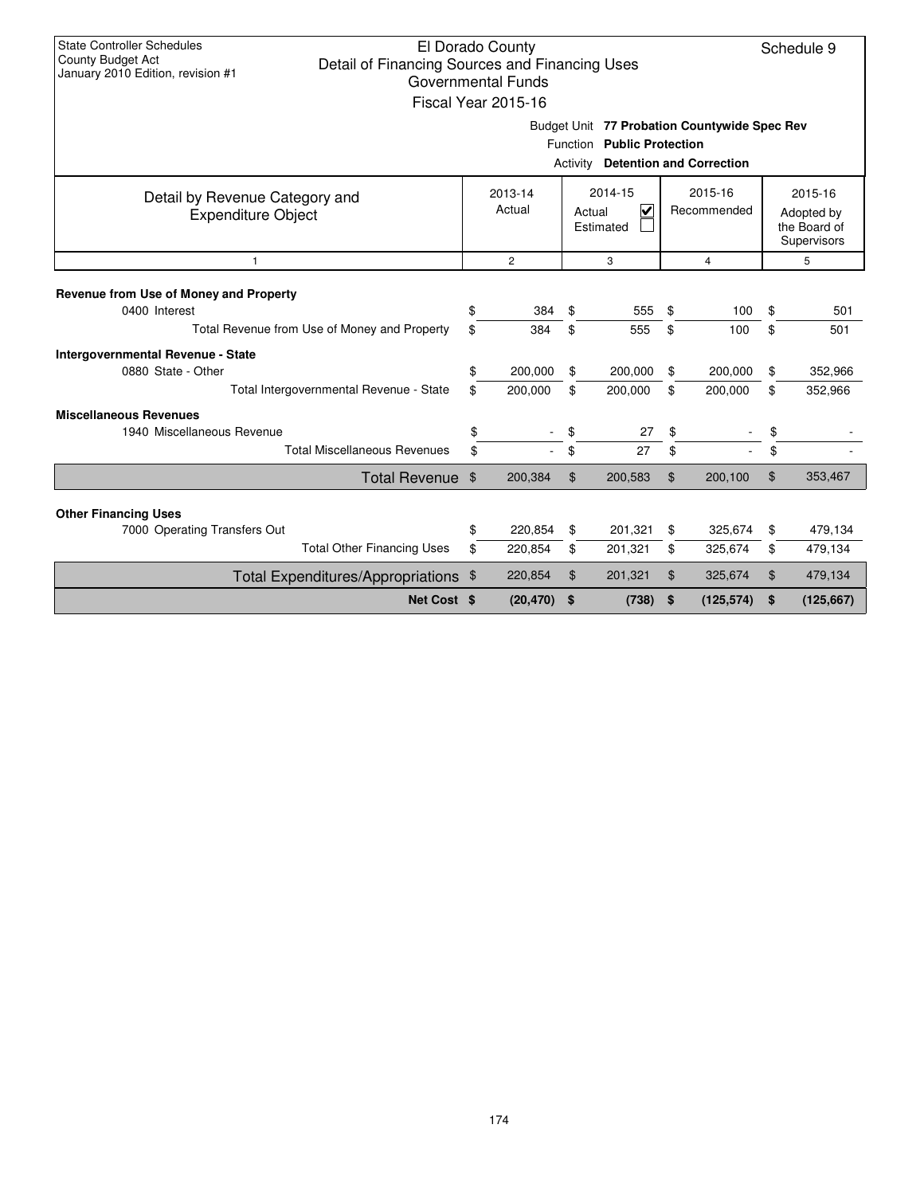| <b>State Controller Schedules</b><br>El Dorado County<br>Schedule 9<br>County Budget Act<br>Detail of Financing Sources and Financing Uses<br>January 2010 Edition, revision #1<br><b>Governmental Funds</b><br>Fiscal Year 2015-16 |                                     |                    |          |                                                                            |          |                                 |          |                                                      |  |  |  |
|-------------------------------------------------------------------------------------------------------------------------------------------------------------------------------------------------------------------------------------|-------------------------------------|--------------------|----------|----------------------------------------------------------------------------|----------|---------------------------------|----------|------------------------------------------------------|--|--|--|
|                                                                                                                                                                                                                                     |                                     |                    | Activity | Budget Unit 77 Probation Countywide Spec Rev<br>Function Public Protection |          | <b>Detention and Correction</b> |          |                                                      |  |  |  |
| Detail by Revenue Category and<br><b>Expenditure Object</b>                                                                                                                                                                         | 2013-14<br>Actual<br>$\overline{c}$ |                    |          | 2014-15<br>$\overline{\mathsf{v}}$<br>Actual<br>Estimated                  |          | 2015-16<br>Recommended          |          | 2015-16<br>Adopted by<br>the Board of<br>Supervisors |  |  |  |
| 1                                                                                                                                                                                                                                   |                                     |                    |          | 3                                                                          |          | $\overline{4}$                  |          | 5                                                    |  |  |  |
| Revenue from Use of Money and Property<br>0400 Interest<br>Total Revenue from Use of Money and Property                                                                                                                             | \$<br>\$                            | 384<br>384         | \$<br>\$ | 555<br>555                                                                 | \$<br>\$ | 100<br>100                      | \$<br>\$ | 501<br>501                                           |  |  |  |
| Intergovernmental Revenue - State<br>0880 State - Other<br>Total Intergovernmental Revenue - State                                                                                                                                  | \$<br>\$                            | 200,000<br>200,000 | \$<br>\$ | 200,000<br>200,000                                                         | \$<br>\$ | 200,000<br>200,000              | \$<br>\$ | 352,966<br>352,966                                   |  |  |  |
| <b>Miscellaneous Revenues</b><br>1940 Miscellaneous Revenue<br><b>Total Miscellaneous Revenues</b>                                                                                                                                  | \$<br>\$                            |                    | \$<br>\$ | 27<br>27                                                                   | \$<br>\$ |                                 | \$<br>\$ |                                                      |  |  |  |
| Total Revenue \$                                                                                                                                                                                                                    |                                     | 200,384            | \$       | 200,583                                                                    | \$       | 200,100                         | \$       | 353,467                                              |  |  |  |
| <b>Other Financing Uses</b>                                                                                                                                                                                                         |                                     |                    |          |                                                                            |          |                                 |          |                                                      |  |  |  |
| 7000 Operating Transfers Out                                                                                                                                                                                                        | \$                                  | 220,854            | \$       | 201,321                                                                    | \$       | 325,674                         | \$       | 479,134                                              |  |  |  |
| <b>Total Other Financing Uses</b>                                                                                                                                                                                                   | \$                                  | 220,854            | \$       | 201,321                                                                    | \$       | 325,674                         | \$       | 479,134                                              |  |  |  |
| Total Expenditures/Appropriations \$                                                                                                                                                                                                |                                     | 220,854            | \$       | 201,321                                                                    | \$       | 325,674                         | \$       | 479,134                                              |  |  |  |
| Net Cost \$                                                                                                                                                                                                                         |                                     | (20, 470)          | \$       | (738)                                                                      | \$       | (125, 574)                      | \$       | (125, 667)                                           |  |  |  |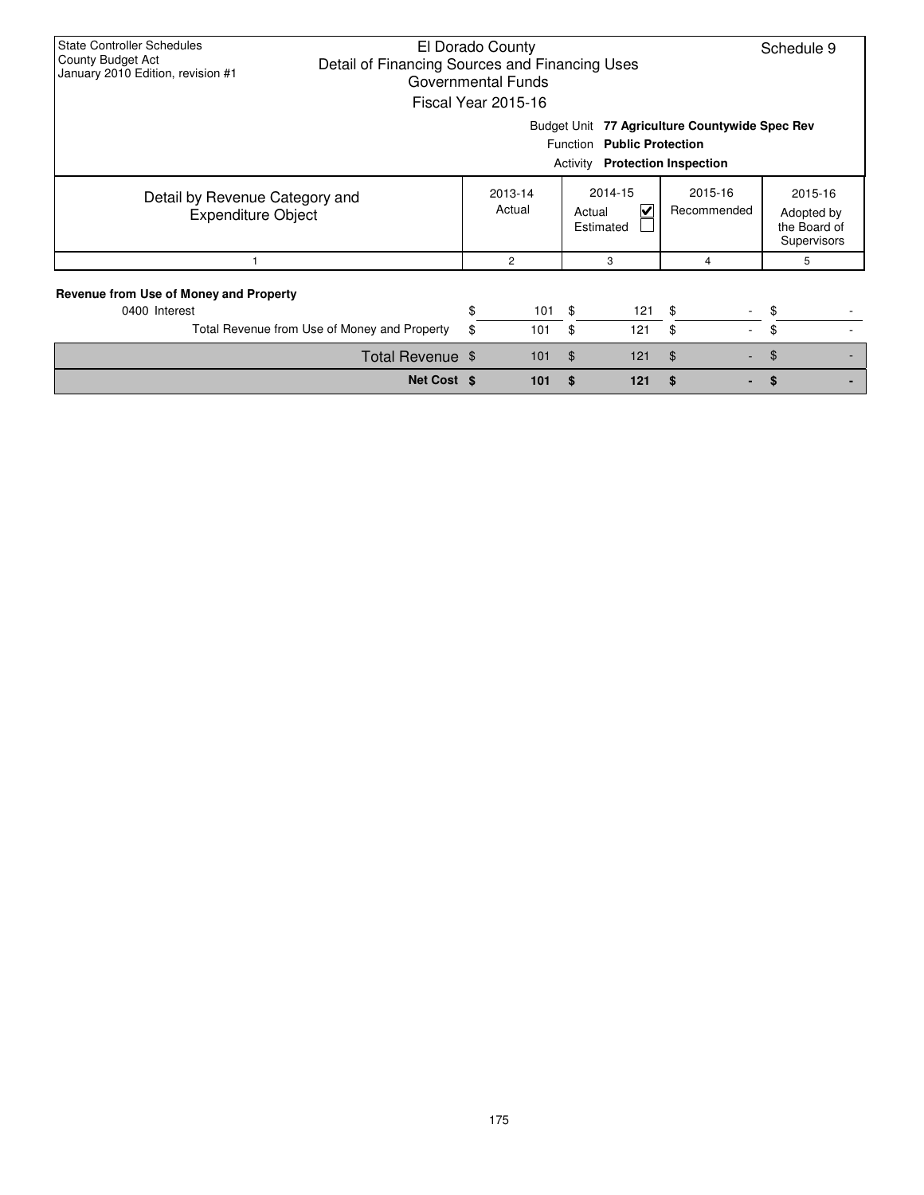| <b>State Controller Schedules</b><br>El Dorado County<br>Schedule 9<br>County Budget Act<br>Detail of Financing Sources and Financing Uses<br>January 2010 Edition, revision #1<br>Governmental Funds<br>Fiscal Year 2015-16 |  |                             |                |                |                           |                        |                                                      |  |  |  |  |
|------------------------------------------------------------------------------------------------------------------------------------------------------------------------------------------------------------------------------|--|-----------------------------|----------------|----------------|---------------------------|------------------------|------------------------------------------------------|--|--|--|--|
| Budget Unit<br>77 Agriculture Countywide Spec Rev<br>Function Public Protection<br><b>Protection Inspection</b><br>Activity                                                                                                  |  |                             |                |                |                           |                        |                                                      |  |  |  |  |
| Detail by Revenue Category and<br><b>Expenditure Object</b>                                                                                                                                                                  |  | 2013-14<br>Actual<br>Actual |                |                | 2014-15<br>V<br>Estimated | 2015-16<br>Recommended | 2015-16<br>Adopted by<br>the Board of<br>Supervisors |  |  |  |  |
|                                                                                                                                                                                                                              |  |                             | $\overline{c}$ |                | 3                         | 4                      | 5                                                    |  |  |  |  |
| <b>Revenue from Use of Money and Property</b><br>0400 Interest<br>Total Revenue from Use of Money and Property                                                                                                               |  | \$<br>\$                    | 101<br>101     | \$<br>\$       | 121<br>121                | \$<br>\$<br>$\sim$     | \$<br>\$                                             |  |  |  |  |
| Total Revenue \$                                                                                                                                                                                                             |  |                             | 101            | $\mathfrak{L}$ | 121                       | $\mathfrak{S}$         | $\mathfrak{L}$                                       |  |  |  |  |
| Net Cost \$                                                                                                                                                                                                                  |  | 101                         | S              | 121            | \$                        | S                      |                                                      |  |  |  |  |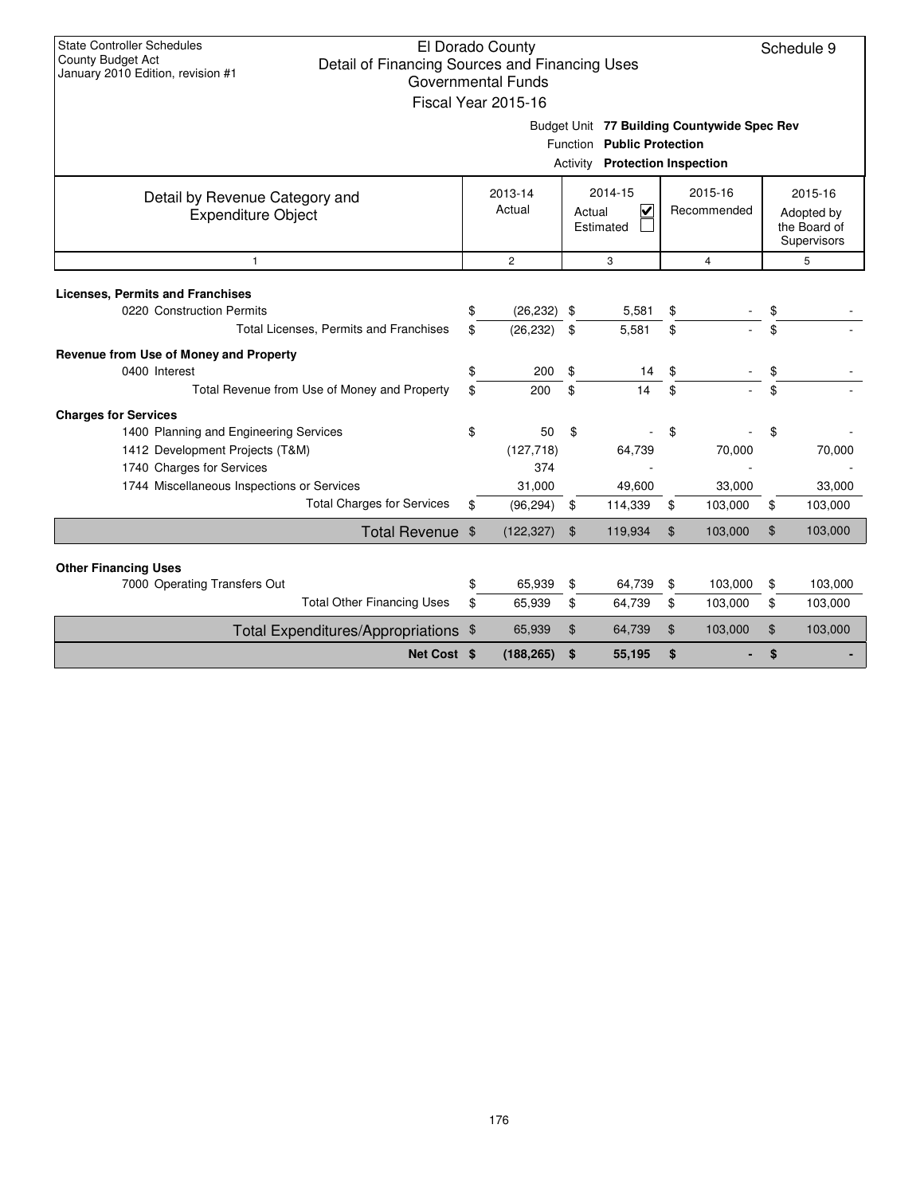| <b>State Controller Schedules</b><br>County Budget Act<br>Detail of Financing Sources and Financing Uses<br>January 2010 Edition, revision #1 |    | El Dorado County<br><b>Governmental Funds</b><br>Fiscal Year 2015-16 |                |                                                                                                                    |    |                        |    | Schedule 9                                           |  |  |
|-----------------------------------------------------------------------------------------------------------------------------------------------|----|----------------------------------------------------------------------|----------------|--------------------------------------------------------------------------------------------------------------------|----|------------------------|----|------------------------------------------------------|--|--|
|                                                                                                                                               |    |                                                                      |                | Budget Unit 77 Building Countywide Spec Rev<br>Function Public Protection<br><b>Activity</b> Protection Inspection |    |                        |    |                                                      |  |  |
| Detail by Revenue Category and<br><b>Expenditure Object</b>                                                                                   |    | 2013-14<br>Actual                                                    |                | 2014-15<br>$\overline{\mathbf{v}}$<br>Actual<br>Estimated                                                          |    | 2015-16<br>Recommended |    | 2015-16<br>Adopted by<br>the Board of<br>Supervisors |  |  |
| $\overline{2}$<br>3<br>$\overline{4}$<br>$\mathbf{1}$                                                                                         |    |                                                                      |                |                                                                                                                    |    |                        |    |                                                      |  |  |
| <b>Licenses, Permits and Franchises</b><br>0220 Construction Permits                                                                          | \$ | (26, 232)                                                            | \$             | 5,581                                                                                                              | \$ |                        | \$ |                                                      |  |  |
| Total Licenses, Permits and Franchises                                                                                                        | \$ | (26, 232)                                                            | \$             | 5,581                                                                                                              | \$ |                        | \$ |                                                      |  |  |
| Revenue from Use of Money and Property                                                                                                        |    |                                                                      |                |                                                                                                                    |    |                        |    |                                                      |  |  |
| 0400 Interest                                                                                                                                 | \$ | 200                                                                  | \$             | 14                                                                                                                 | \$ |                        | \$ |                                                      |  |  |
| Total Revenue from Use of Money and Property                                                                                                  | \$ | 200                                                                  | \$             | 14                                                                                                                 | \$ |                        | \$ |                                                      |  |  |
| <b>Charges for Services</b>                                                                                                                   |    |                                                                      |                |                                                                                                                    |    |                        |    |                                                      |  |  |
| 1400 Planning and Engineering Services                                                                                                        | \$ | 50                                                                   | \$             |                                                                                                                    | \$ |                        | \$ |                                                      |  |  |
| 1412 Development Projects (T&M)                                                                                                               |    | (127, 718)                                                           |                | 64,739                                                                                                             |    | 70,000                 |    | 70,000                                               |  |  |
| 1740 Charges for Services                                                                                                                     |    | 374                                                                  |                |                                                                                                                    |    |                        |    |                                                      |  |  |
| 1744 Miscellaneous Inspections or Services                                                                                                    |    | 31,000                                                               |                | 49,600                                                                                                             |    | 33,000                 |    | 33,000                                               |  |  |
| <b>Total Charges for Services</b>                                                                                                             | \$ | (96, 294)                                                            | \$             | 114,339                                                                                                            | \$ | 103,000                | \$ | 103,000                                              |  |  |
| Total Revenue \$                                                                                                                              |    | (122, 327)                                                           | $\mathfrak{S}$ | 119,934                                                                                                            | \$ | 103,000                | \$ | 103,000                                              |  |  |
| <b>Other Financing Uses</b>                                                                                                                   |    |                                                                      |                |                                                                                                                    |    |                        |    |                                                      |  |  |
| 7000 Operating Transfers Out                                                                                                                  | \$ | 65,939                                                               | \$             | 64,739                                                                                                             | \$ | 103,000                | \$ | 103,000                                              |  |  |
| <b>Total Other Financing Uses</b>                                                                                                             | \$ | 65,939                                                               | \$             | 64,739                                                                                                             | \$ | 103,000                | \$ | 103,000                                              |  |  |
| Total Expenditures/Appropriations \$                                                                                                          |    | 65,939                                                               | $\mathfrak{L}$ | 64,739                                                                                                             | \$ | 103,000                | \$ | 103,000                                              |  |  |
| Net Cost \$                                                                                                                                   |    | (188, 265)                                                           | \$             | 55,195                                                                                                             | \$ |                        | \$ |                                                      |  |  |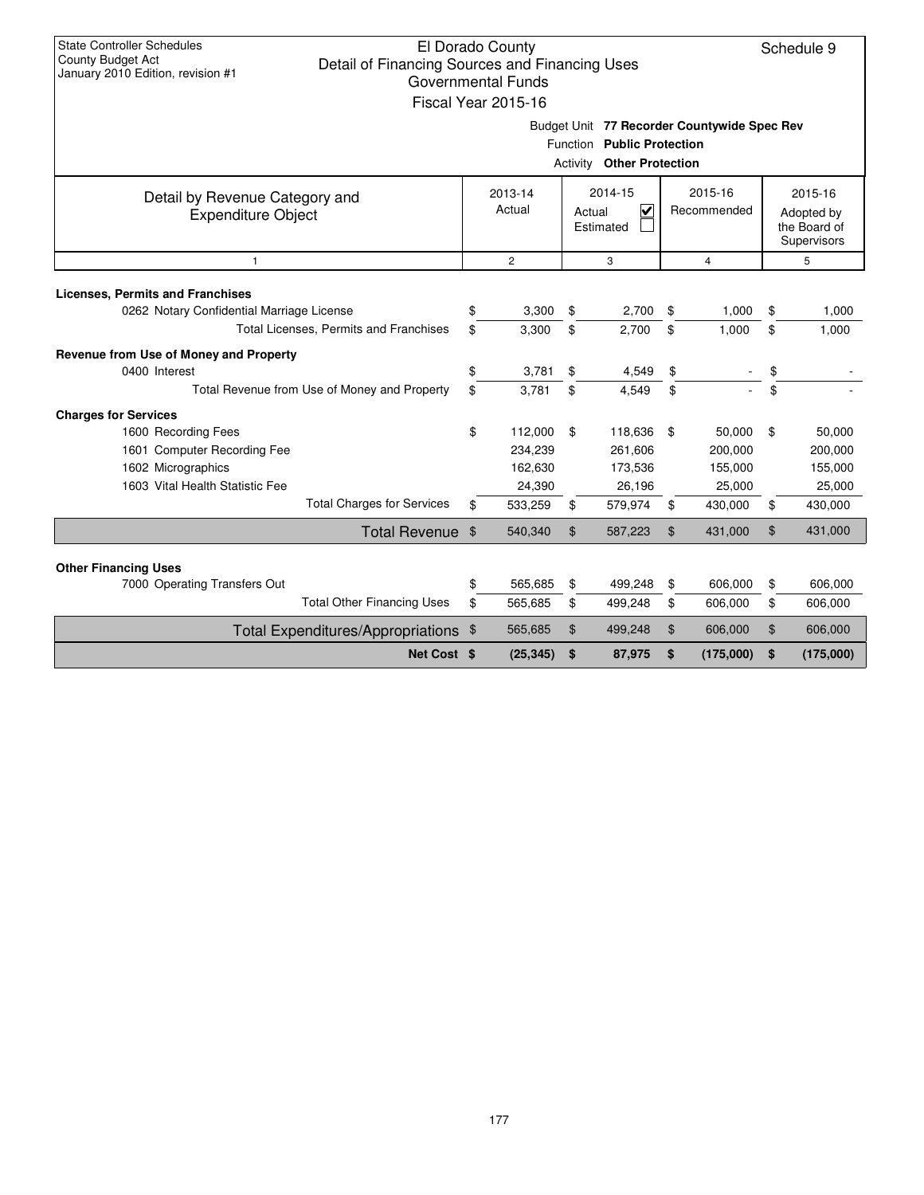| <b>State Controller Schedules</b><br><b>County Budget Act</b><br>Detail of Financing Sources and Financing Uses<br>January 2010 Edition, revision #1 | El Dorado County<br><b>Governmental Funds</b><br>Fiscal Year 2015-16 |                |                                                                                                               |                        | Schedule 9                                           |
|------------------------------------------------------------------------------------------------------------------------------------------------------|----------------------------------------------------------------------|----------------|---------------------------------------------------------------------------------------------------------------|------------------------|------------------------------------------------------|
|                                                                                                                                                      |                                                                      |                | Budget Unit 77 Recorder Countywide Spec Rev<br>Function Public Protection<br><b>Activity Other Protection</b> |                        |                                                      |
| Detail by Revenue Category and<br><b>Expenditure Object</b>                                                                                          | 2013-14<br>Actual                                                    |                | 2014-15<br>⊽<br>Actual<br>Estimated                                                                           | 2015-16<br>Recommended | 2015-16<br>Adopted by<br>the Board of<br>Supervisors |
| $\mathbf{1}$                                                                                                                                         | $\overline{2}$                                                       |                | 3                                                                                                             | $\overline{4}$         | 5                                                    |
| <b>Licenses, Permits and Franchises</b><br>0262 Notary Confidential Marriage License                                                                 | \$<br>3,300                                                          | \$             | 2,700                                                                                                         | \$<br>1,000            | \$<br>1,000                                          |
| Total Licenses, Permits and Franchises                                                                                                               | \$<br>3,300                                                          | \$             | 2.700                                                                                                         | \$<br>1,000            | \$<br>1,000                                          |
| Revenue from Use of Money and Property                                                                                                               |                                                                      |                |                                                                                                               |                        |                                                      |
| 0400 Interest                                                                                                                                        | \$<br>3,781                                                          | \$             | 4,549                                                                                                         | \$                     | \$                                                   |
| Total Revenue from Use of Money and Property                                                                                                         | \$<br>3.781                                                          | \$             | 4.549                                                                                                         | \$                     | \$                                                   |
| <b>Charges for Services</b>                                                                                                                          |                                                                      |                |                                                                                                               |                        |                                                      |
| 1600 Recording Fees                                                                                                                                  | \$<br>112,000                                                        | \$             | 118,636                                                                                                       | \$<br>50,000           | \$<br>50,000                                         |
| 1601 Computer Recording Fee                                                                                                                          | 234,239                                                              |                | 261,606                                                                                                       | 200,000                | 200,000                                              |
| 1602 Micrographics                                                                                                                                   | 162,630                                                              |                | 173,536                                                                                                       | 155,000                | 155,000                                              |
| 1603 Vital Health Statistic Fee                                                                                                                      | 24,390                                                               |                | 26,196                                                                                                        | 25,000                 | 25,000                                               |
| <b>Total Charges for Services</b>                                                                                                                    | \$<br>533,259                                                        | \$             | 579,974                                                                                                       | \$<br>430,000          | \$<br>430,000                                        |
| Total Revenue \$                                                                                                                                     | 540,340                                                              | $\mathfrak{S}$ | 587,223                                                                                                       | \$<br>431,000          | \$<br>431,000                                        |
|                                                                                                                                                      |                                                                      |                |                                                                                                               |                        |                                                      |
| <b>Other Financing Uses</b><br>7000 Operating Transfers Out                                                                                          | \$<br>565,685                                                        | \$             | 499,248                                                                                                       | \$<br>606,000          | \$<br>606,000                                        |
| <b>Total Other Financing Uses</b>                                                                                                                    | \$<br>565,685                                                        | \$             | 499,248                                                                                                       | \$<br>606,000          | \$<br>606,000                                        |
| Total Expenditures/Appropriations \$                                                                                                                 | 565,685                                                              | \$             | 499,248                                                                                                       | \$<br>606,000          | \$<br>606,000                                        |
| Net Cost \$                                                                                                                                          | (25, 345)                                                            | \$             | 87,975                                                                                                        | \$<br>(175,000)        | \$<br>(175,000)                                      |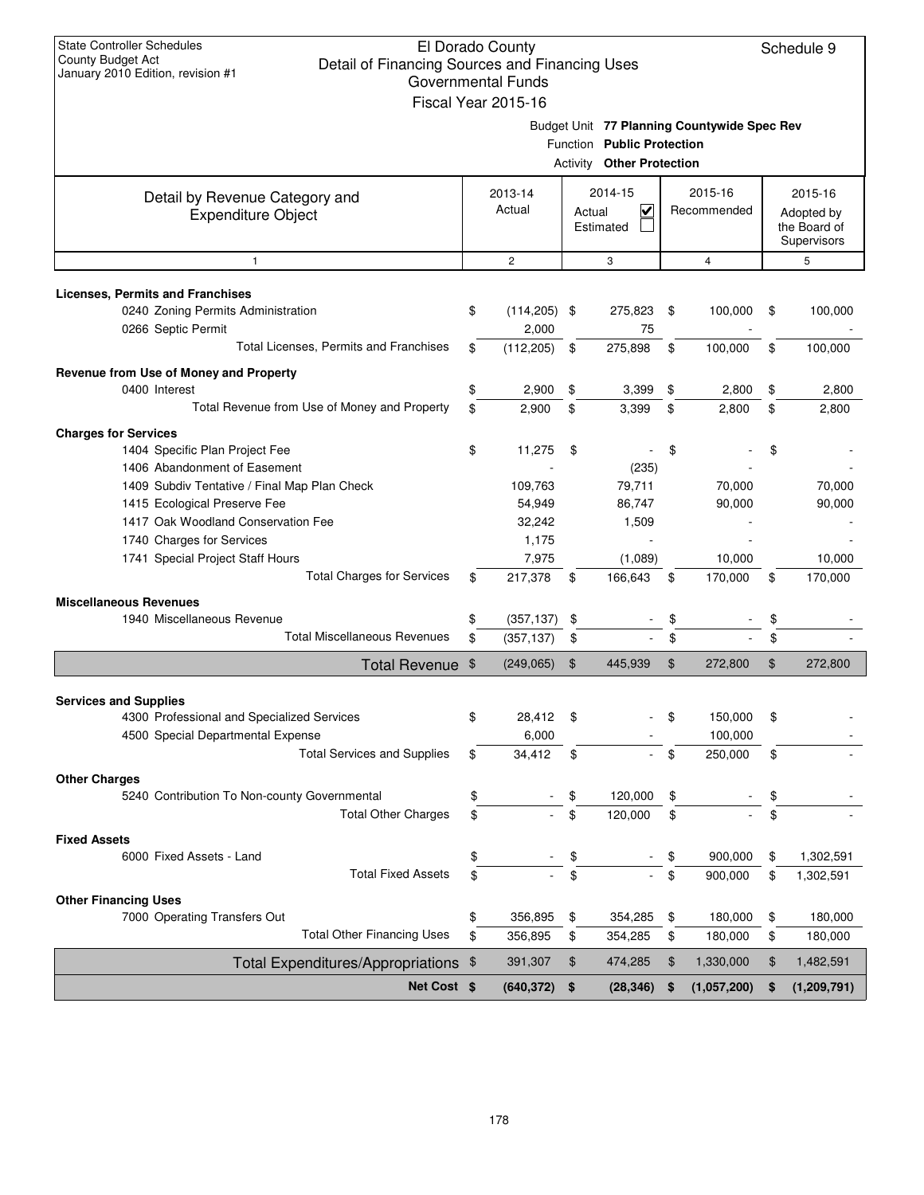| <b>State Controller Schedules</b><br>El Dorado County<br>Schedule 9<br><b>County Budget Act</b><br>Detail of Financing Sources and Financing Uses<br>January 2010 Edition, revision #1<br><b>Governmental Funds</b> |    |                     |    |                                   |    |                                             |                |               |  |  |  |  |
|---------------------------------------------------------------------------------------------------------------------------------------------------------------------------------------------------------------------|----|---------------------|----|-----------------------------------|----|---------------------------------------------|----------------|---------------|--|--|--|--|
|                                                                                                                                                                                                                     |    |                     |    |                                   |    |                                             |                |               |  |  |  |  |
|                                                                                                                                                                                                                     |    | Fiscal Year 2015-16 |    |                                   |    |                                             |                |               |  |  |  |  |
|                                                                                                                                                                                                                     |    |                     |    |                                   |    | Budget Unit 77 Planning Countywide Spec Rev |                |               |  |  |  |  |
|                                                                                                                                                                                                                     |    |                     |    | Function Public Protection        |    |                                             |                |               |  |  |  |  |
|                                                                                                                                                                                                                     |    |                     |    | <b>Activity Other Protection</b>  |    |                                             |                |               |  |  |  |  |
|                                                                                                                                                                                                                     |    | 2013-14             |    | 2014-15                           |    | 2015-16                                     |                | 2015-16       |  |  |  |  |
| Detail by Revenue Category and                                                                                                                                                                                      |    | Actual              |    | $\overline{\mathsf{v}}$<br>Actual |    | Recommended                                 |                | Adopted by    |  |  |  |  |
| <b>Expenditure Object</b>                                                                                                                                                                                           |    | Estimated           |    |                                   |    |                                             |                | the Board of  |  |  |  |  |
|                                                                                                                                                                                                                     |    |                     |    |                                   |    |                                             |                | Supervisors   |  |  |  |  |
| $\mathbf{1}$                                                                                                                                                                                                        |    | $\overline{c}$      |    | 3                                 |    | 4                                           |                | 5             |  |  |  |  |
| <b>Licenses, Permits and Franchises</b>                                                                                                                                                                             |    |                     |    |                                   |    |                                             |                |               |  |  |  |  |
| 0240 Zoning Permits Administration                                                                                                                                                                                  | \$ | $(114, 205)$ \$     |    | 275,823                           | \$ | 100,000                                     | \$             | 100,000       |  |  |  |  |
| 0266 Septic Permit                                                                                                                                                                                                  |    | 2,000               |    | 75                                |    |                                             |                |               |  |  |  |  |
| Total Licenses, Permits and Franchises                                                                                                                                                                              | \$ | (112, 205)          | \$ | 275,898                           | \$ | 100,000                                     | \$             | 100,000       |  |  |  |  |
|                                                                                                                                                                                                                     |    |                     |    |                                   |    |                                             |                |               |  |  |  |  |
| Revenue from Use of Money and Property                                                                                                                                                                              |    |                     |    |                                   |    |                                             |                |               |  |  |  |  |
| 0400 Interest                                                                                                                                                                                                       | \$ | 2,900               | \$ | 3,399                             | \$ | 2,800                                       | \$             | 2,800         |  |  |  |  |
| Total Revenue from Use of Money and Property                                                                                                                                                                        | \$ | 2.900               | \$ | 3,399                             | \$ | 2,800                                       | \$             | 2,800         |  |  |  |  |
| <b>Charges for Services</b>                                                                                                                                                                                         |    |                     |    |                                   |    |                                             |                |               |  |  |  |  |
| 1404 Specific Plan Project Fee                                                                                                                                                                                      | \$ | 11,275              | \$ |                                   | \$ |                                             | \$             |               |  |  |  |  |
| 1406 Abandonment of Easement                                                                                                                                                                                        |    |                     |    | (235)                             |    |                                             |                |               |  |  |  |  |
| 1409 Subdiv Tentative / Final Map Plan Check                                                                                                                                                                        |    | 109,763             |    | 79,711                            |    | 70,000                                      |                | 70,000        |  |  |  |  |
| 1415 Ecological Preserve Fee                                                                                                                                                                                        |    | 54,949              |    | 86,747                            |    | 90,000                                      |                | 90,000        |  |  |  |  |
| 1417 Oak Woodland Conservation Fee                                                                                                                                                                                  |    | 32,242              |    | 1,509                             |    |                                             |                |               |  |  |  |  |
| 1740 Charges for Services                                                                                                                                                                                           |    | 1,175               |    |                                   |    |                                             |                |               |  |  |  |  |
| 1741 Special Project Staff Hours                                                                                                                                                                                    |    | 7,975               |    | (1,089)                           |    | 10,000                                      |                | 10,000        |  |  |  |  |
| <b>Total Charges for Services</b>                                                                                                                                                                                   | \$ | 217,378             | \$ | 166,643                           | \$ | 170,000                                     | \$             | 170,000       |  |  |  |  |
| <b>Miscellaneous Revenues</b>                                                                                                                                                                                       |    |                     |    |                                   |    |                                             |                |               |  |  |  |  |
| 1940 Miscellaneous Revenue                                                                                                                                                                                          | \$ | (357, 137)          | \$ |                                   | \$ |                                             | \$             |               |  |  |  |  |
| <b>Total Miscellaneous Revenues</b>                                                                                                                                                                                 | \$ | (357, 137)          | \$ |                                   | \$ |                                             | \$             |               |  |  |  |  |
| Total Revenue \$                                                                                                                                                                                                    |    | (249, 065)          | \$ | 445,939                           | \$ | 272,800                                     | $\mathfrak{S}$ | 272,800       |  |  |  |  |
|                                                                                                                                                                                                                     |    |                     |    |                                   |    |                                             |                |               |  |  |  |  |
| <b>Services and Supplies</b>                                                                                                                                                                                        |    |                     |    |                                   |    |                                             |                |               |  |  |  |  |
| 4300 Professional and Specialized Services                                                                                                                                                                          | \$ | 28,412              | \$ |                                   | \$ | 150,000                                     | \$             |               |  |  |  |  |
| 4500 Special Departmental Expense                                                                                                                                                                                   |    | 6,000               |    |                                   |    | 100,000                                     |                |               |  |  |  |  |
| <b>Total Services and Supplies</b>                                                                                                                                                                                  | \$ | 34,412              | \$ |                                   | \$ | 250,000                                     | \$             |               |  |  |  |  |
| <b>Other Charges</b>                                                                                                                                                                                                |    |                     |    |                                   |    |                                             |                |               |  |  |  |  |
| 5240 Contribution To Non-county Governmental                                                                                                                                                                        | \$ |                     | \$ | 120,000                           | \$ |                                             | \$             |               |  |  |  |  |
| <b>Total Other Charges</b>                                                                                                                                                                                          | \$ |                     | \$ | 120,000                           | \$ |                                             | \$             |               |  |  |  |  |
|                                                                                                                                                                                                                     |    |                     |    |                                   |    |                                             |                |               |  |  |  |  |
| <b>Fixed Assets</b><br>6000 Fixed Assets - Land                                                                                                                                                                     |    |                     |    |                                   |    |                                             |                |               |  |  |  |  |
| <b>Total Fixed Assets</b>                                                                                                                                                                                           | \$ |                     | \$ |                                   | \$ | 900,000                                     | \$             | 1,302,591     |  |  |  |  |
|                                                                                                                                                                                                                     | \$ |                     | \$ |                                   | \$ | 900,000                                     | \$             | 1,302,591     |  |  |  |  |
| <b>Other Financing Uses</b>                                                                                                                                                                                         |    |                     |    |                                   |    |                                             |                |               |  |  |  |  |
| 7000 Operating Transfers Out                                                                                                                                                                                        | \$ | 356,895             | \$ | 354,285                           | \$ | 180,000                                     | \$             | 180,000       |  |  |  |  |
| <b>Total Other Financing Uses</b>                                                                                                                                                                                   | \$ | 356,895             | \$ | 354,285                           | \$ | 180,000                                     | \$             | 180,000       |  |  |  |  |
| Total Expenditures/Appropriations \$                                                                                                                                                                                |    | 391,307             | \$ | 474,285                           | \$ | 1,330,000                                   | $\frac{1}{2}$  | 1,482,591     |  |  |  |  |
| Net Cost \$                                                                                                                                                                                                         |    | (640, 372)          | \$ | (28, 346)                         | \$ | (1,057,200)                                 | \$             | (1, 209, 791) |  |  |  |  |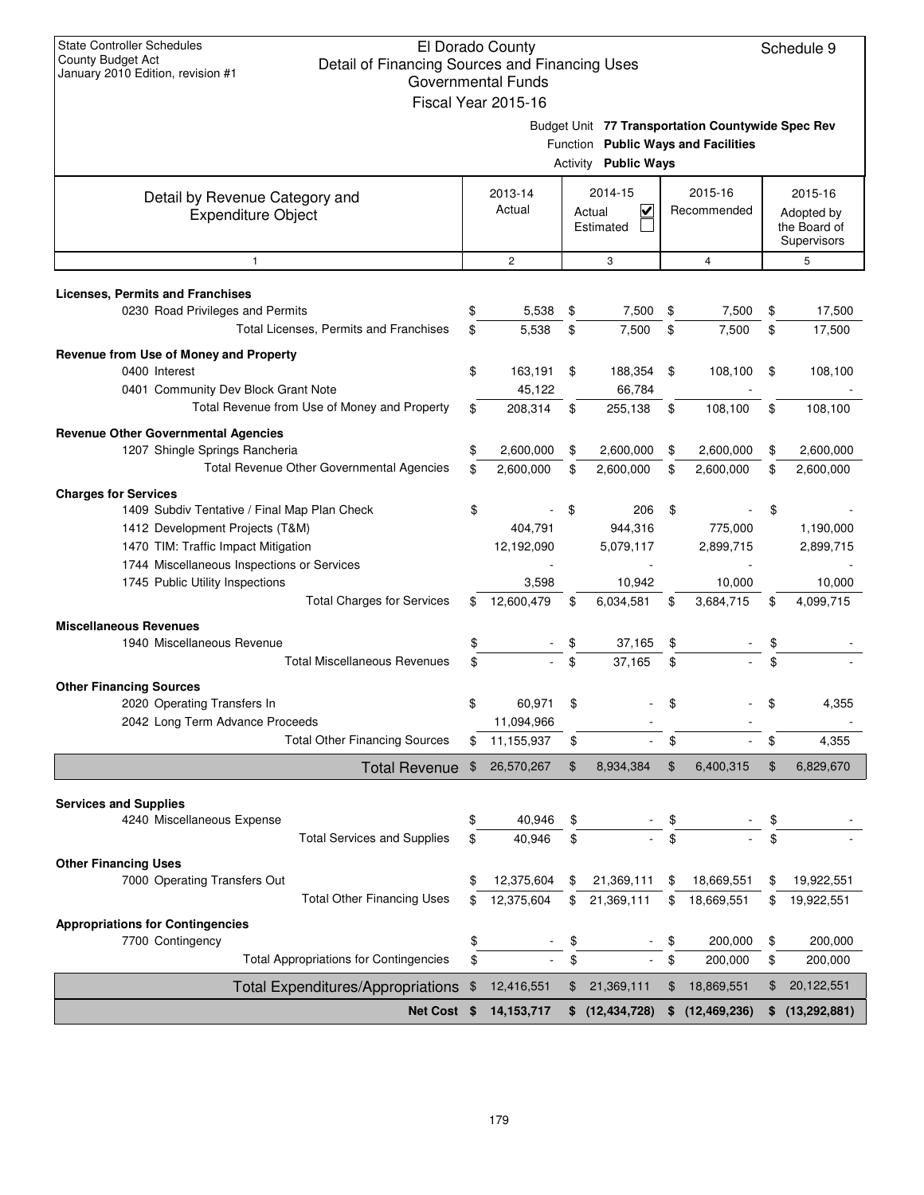| <b>State Controller Schedules</b><br><b>County Budget Act</b>                       |          | El Dorado County          |          |                          |          |                                                   |          | Schedule 9                  |
|-------------------------------------------------------------------------------------|----------|---------------------------|----------|--------------------------|----------|---------------------------------------------------|----------|-----------------------------|
| Detail of Financing Sources and Financing Uses<br>January 2010 Edition, revision #1 |          | <b>Governmental Funds</b> |          |                          |          |                                                   |          |                             |
|                                                                                     |          | Fiscal Year 2015-16       |          |                          |          |                                                   |          |                             |
|                                                                                     |          |                           |          |                          |          |                                                   |          |                             |
|                                                                                     |          |                           |          |                          |          | Budget Unit 77 Transportation Countywide Spec Rev |          |                             |
|                                                                                     |          |                           | Activity | <b>Public Ways</b>       |          | Function Public Ways and Facilities               |          |                             |
|                                                                                     |          |                           |          |                          |          |                                                   |          |                             |
| Detail by Revenue Category and                                                      |          | 2013-14                   |          | 2014-15                  |          | 2015-16                                           |          | 2015-16                     |
| <b>Expenditure Object</b>                                                           |          | Actual                    |          | V<br>Actual              |          | Recommended                                       |          | Adopted by                  |
|                                                                                     |          | Estimated                 |          |                          |          |                                                   |          | the Board of<br>Supervisors |
| $\mathbf{1}$                                                                        |          | $\mathbf{2}$              |          | 3                        |          | 4                                                 |          | 5                           |
|                                                                                     |          |                           |          |                          |          |                                                   |          |                             |
| <b>Licenses, Permits and Franchises</b>                                             |          |                           |          |                          |          |                                                   |          |                             |
| 0230 Road Privileges and Permits                                                    | \$       | 5,538                     | \$       | 7,500                    | \$       | 7,500                                             | \$       | 17,500                      |
| Total Licenses, Permits and Franchises                                              | \$       | 5,538                     | \$       | 7,500                    | \$       | 7,500                                             | \$       | 17,500                      |
| Revenue from Use of Money and Property                                              |          |                           |          |                          |          |                                                   |          |                             |
| 0400 Interest                                                                       | \$       | 163,191                   | \$       | 188,354                  | \$       | 108,100                                           | \$       | 108,100                     |
| 0401 Community Dev Block Grant Note                                                 |          | 45,122                    |          | 66,784                   |          |                                                   |          |                             |
| Total Revenue from Use of Money and Property                                        | \$       | 208,314                   | \$       | 255,138                  | \$       | 108,100                                           | \$       | 108,100                     |
| <b>Revenue Other Governmental Agencies</b>                                          |          |                           |          |                          |          |                                                   |          |                             |
| 1207 Shingle Springs Rancheria                                                      | \$       | 2,600,000                 | \$       | 2,600,000                | \$       | 2,600,000                                         | \$       | 2,600,000                   |
| <b>Total Revenue Other Governmental Agencies</b>                                    | \$       | 2,600,000                 | \$       | 2,600,000                | \$       | 2,600,000                                         | \$       | 2,600,000                   |
| <b>Charges for Services</b>                                                         |          |                           |          |                          |          |                                                   |          |                             |
| 1409 Subdiv Tentative / Final Map Plan Check                                        | \$       |                           | \$       | 206                      | \$       |                                                   | \$       |                             |
| 1412 Development Projects (T&M)                                                     |          | 404,791                   |          | 944,316                  |          | 775,000                                           |          | 1,190,000                   |
| 1470 TIM: Traffic Impact Mitigation                                                 |          | 12,192,090                |          | 5,079,117                |          | 2,899,715                                         |          | 2,899,715                   |
| 1744 Miscellaneous Inspections or Services                                          |          |                           |          |                          |          |                                                   |          |                             |
| 1745 Public Utility Inspections                                                     |          | 3,598                     |          | 10,942                   |          | 10,000                                            |          | 10,000                      |
| <b>Total Charges for Services</b>                                                   | \$       | 12,600,479                | \$       | 6,034,581                | \$       | 3,684,715                                         | \$       | 4,099,715                   |
| <b>Miscellaneous Revenues</b>                                                       |          |                           |          |                          |          |                                                   |          |                             |
| 1940 Miscellaneous Revenue                                                          | \$       |                           | \$       | 37.165                   | \$       |                                                   | \$       |                             |
| <b>Total Miscellaneous Revenues</b>                                                 | \$       |                           | \$       | 37,165                   | \$       |                                                   | \$       |                             |
| <b>Other Financing Sources</b>                                                      |          |                           |          |                          |          |                                                   |          |                             |
| 2020 Operating Transfers In                                                         | \$       | 60,971                    | \$       |                          | \$       |                                                   | \$       | 4,355                       |
| 2042 Long Term Advance Proceeds                                                     |          | 11,094,966                |          |                          |          |                                                   |          |                             |
| <b>Total Other Financing Sources</b>                                                | \$       | 11,155,937                | \$       | $\blacksquare$           | \$       |                                                   | \$       | 4,355                       |
| <b>Total Revenue</b>                                                                | \$       | 26,570,267                | \$       | 8,934,384                | \$       | 6,400,315                                         | \$       | 6,829,670                   |
|                                                                                     |          |                           |          |                          |          |                                                   |          |                             |
| <b>Services and Supplies</b><br>4240 Miscellaneous Expense                          | \$       | 40,946                    | \$       |                          |          |                                                   |          |                             |
| <b>Total Services and Supplies</b>                                                  | \$       | 40,946                    | \$       |                          | \$       |                                                   | \$       |                             |
|                                                                                     |          |                           |          |                          |          |                                                   |          |                             |
| <b>Other Financing Uses</b>                                                         |          |                           |          |                          |          |                                                   |          |                             |
| 7000 Operating Transfers Out<br><b>Total Other Financing Uses</b>                   | \$<br>\$ | 12,375,604<br>12,375,604  | \$<br>\$ | 21,369,111<br>21,369,111 | \$<br>\$ | 18,669,551<br>18,669,551                          | \$<br>\$ | 19,922,551<br>19,922,551    |
|                                                                                     |          |                           |          |                          |          |                                                   |          |                             |
| <b>Appropriations for Contingencies</b>                                             |          |                           |          |                          |          |                                                   |          |                             |
| 7700 Contingency<br><b>Total Appropriations for Contingencies</b>                   | \$       |                           | \$       |                          | \$       | 200,000                                           | \$       | 200,000                     |
|                                                                                     | \$       |                           | \$       |                          | \$       | 200,000                                           | \$       | 200,000                     |
| <b>Total Expenditures/Appropriations</b>                                            | \$       | 12,416,551                | \$       | 21,369,111               | \$       | 18,869,551                                        | \$       | 20,122,551                  |
| Net Cost \$                                                                         |          | 14, 153, 717              | \$       | (12, 434, 728)           | \$       | (12, 469, 236)                                    | \$       | (13, 292, 881)              |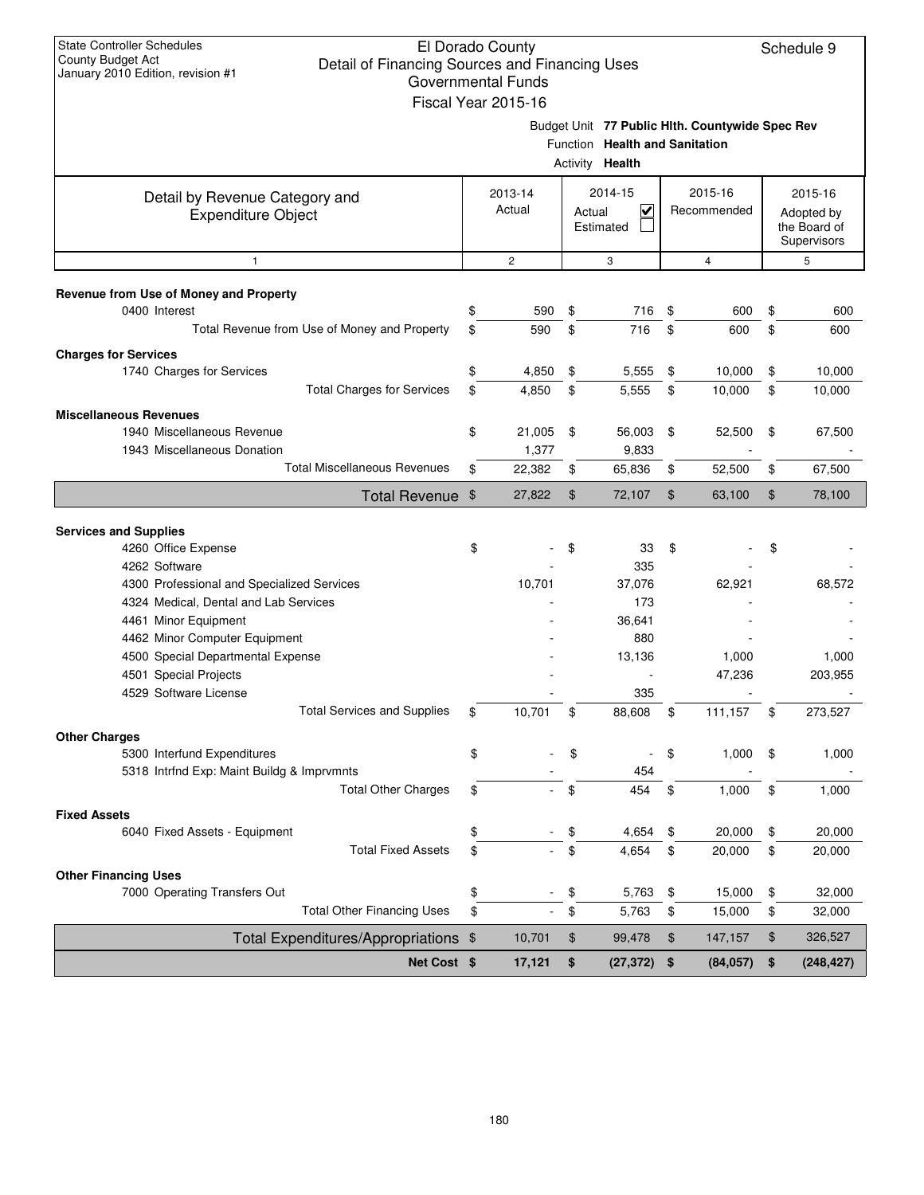| <b>State Controller Schedules</b>                                   |                           |                                |                |                                                 |                             |
|---------------------------------------------------------------------|---------------------------|--------------------------------|----------------|-------------------------------------------------|-----------------------------|
| County Budget Act<br>Detail of Financing Sources and Financing Uses | El Dorado County          |                                |                |                                                 | Schedule 9                  |
| January 2010 Edition, revision #1                                   | <b>Governmental Funds</b> |                                |                |                                                 |                             |
|                                                                     | Fiscal Year 2015-16       |                                |                |                                                 |                             |
|                                                                     |                           |                                |                |                                                 |                             |
|                                                                     |                           | Function Health and Sanitation |                | Budget Unit 77 Public Hlth. Countywide Spec Rev |                             |
|                                                                     |                           | Activity Health                |                |                                                 |                             |
|                                                                     |                           |                                |                |                                                 |                             |
| Detail by Revenue Category and                                      | 2013-14                   | 2014-15                        |                | 2015-16                                         | 2015-16                     |
| <b>Expenditure Object</b>                                           | Actual                    | $\checkmark$<br>Actual         |                | Recommended                                     | Adopted by                  |
|                                                                     |                           | Estimated                      |                |                                                 | the Board of<br>Supervisors |
| $\mathbf{1}$                                                        | $\overline{c}$            | 3                              |                | $\overline{4}$                                  | 5                           |
|                                                                     |                           |                                |                |                                                 |                             |
| Revenue from Use of Money and Property                              |                           |                                |                |                                                 |                             |
| 0400 Interest                                                       | \$<br>590                 | \$<br>716                      | -\$            | 600                                             | \$<br>600                   |
| Total Revenue from Use of Money and Property                        | \$<br>590                 | \$<br>716                      | \$             | 600                                             | \$<br>600                   |
| <b>Charges for Services</b>                                         |                           |                                |                |                                                 |                             |
| 1740 Charges for Services                                           | \$<br>4,850               | \$<br>5,555                    | \$             | 10,000                                          | \$<br>10,000                |
| <b>Total Charges for Services</b>                                   | \$<br>4,850               | \$<br>5,555                    | \$             | 10,000                                          | \$<br>10,000                |
| <b>Miscellaneous Revenues</b>                                       |                           |                                |                |                                                 |                             |
| 1940 Miscellaneous Revenue                                          | \$<br>21,005              | \$<br>56,003                   | \$             | 52,500                                          | \$<br>67,500                |
| 1943 Miscellaneous Donation                                         | 1,377                     | 9,833                          |                |                                                 |                             |
| <b>Total Miscellaneous Revenues</b>                                 | \$<br>22,382              | \$<br>65,836                   | \$             | 52,500                                          | \$<br>67,500                |
| Total Revenue \$                                                    | 27,822                    | \$<br>72,107                   | $\mathfrak{S}$ | 63,100                                          | \$<br>78,100                |
|                                                                     |                           |                                |                |                                                 |                             |
| <b>Services and Supplies</b><br>4260 Office Expense                 | \$                        | \$<br>33                       | \$             |                                                 | \$                          |
| 4262 Software                                                       |                           | 335                            |                |                                                 |                             |
| 4300 Professional and Specialized Services                          | 10,701                    | 37,076                         |                | 62,921                                          | 68,572                      |
| 4324 Medical, Dental and Lab Services                               |                           | 173                            |                |                                                 |                             |
| 4461 Minor Equipment                                                |                           | 36,641                         |                |                                                 |                             |
| 4462 Minor Computer Equipment                                       |                           | 880                            |                |                                                 |                             |
| 4500 Special Departmental Expense                                   |                           | 13,136                         |                | 1,000                                           | 1,000                       |
| 4501 Special Projects                                               |                           |                                |                | 47,236                                          | 203,955                     |
| 4529 Software License                                               |                           | 335                            |                |                                                 |                             |
| <b>Total Services and Supplies</b>                                  | \$<br>10,701              | \$<br>88,608                   | \$             | 111,157                                         | \$<br>273,527               |
| <b>Other Charges</b>                                                |                           |                                |                |                                                 |                             |
| 5300 Interfund Expenditures                                         | \$                        | \$                             | \$             | 1,000                                           | \$<br>1,000                 |
| 5318 Intrfnd Exp: Maint Buildg & Imprvmnts                          |                           | 454                            |                |                                                 |                             |
| <b>Total Other Charges</b>                                          | \$                        | \$<br>454                      | \$             | 1,000                                           | \$<br>1,000                 |
| <b>Fixed Assets</b>                                                 |                           |                                |                |                                                 |                             |
| 6040 Fixed Assets - Equipment                                       | \$                        | \$<br>4,654                    | \$             | 20,000                                          | \$<br>20,000                |
| <b>Total Fixed Assets</b>                                           | \$                        | \$<br>4,654                    | \$             | 20,000                                          | \$<br>20,000                |
| <b>Other Financing Uses</b>                                         |                           |                                |                |                                                 |                             |
| 7000 Operating Transfers Out                                        | \$                        | \$<br>5,763                    | \$             | 15,000                                          | \$<br>32,000                |
| <b>Total Other Financing Uses</b>                                   | \$                        | \$<br>5,763                    | \$             | 15,000                                          | \$<br>32,000                |
| Total Expenditures/Appropriations \$                                | 10,701                    | \$<br>99,478                   | \$             | 147,157                                         | \$<br>326,527               |
| Net Cost \$                                                         | 17,121                    | \$<br>(27, 372)                | \$             | (84, 057)                                       | \$<br>(248, 427)            |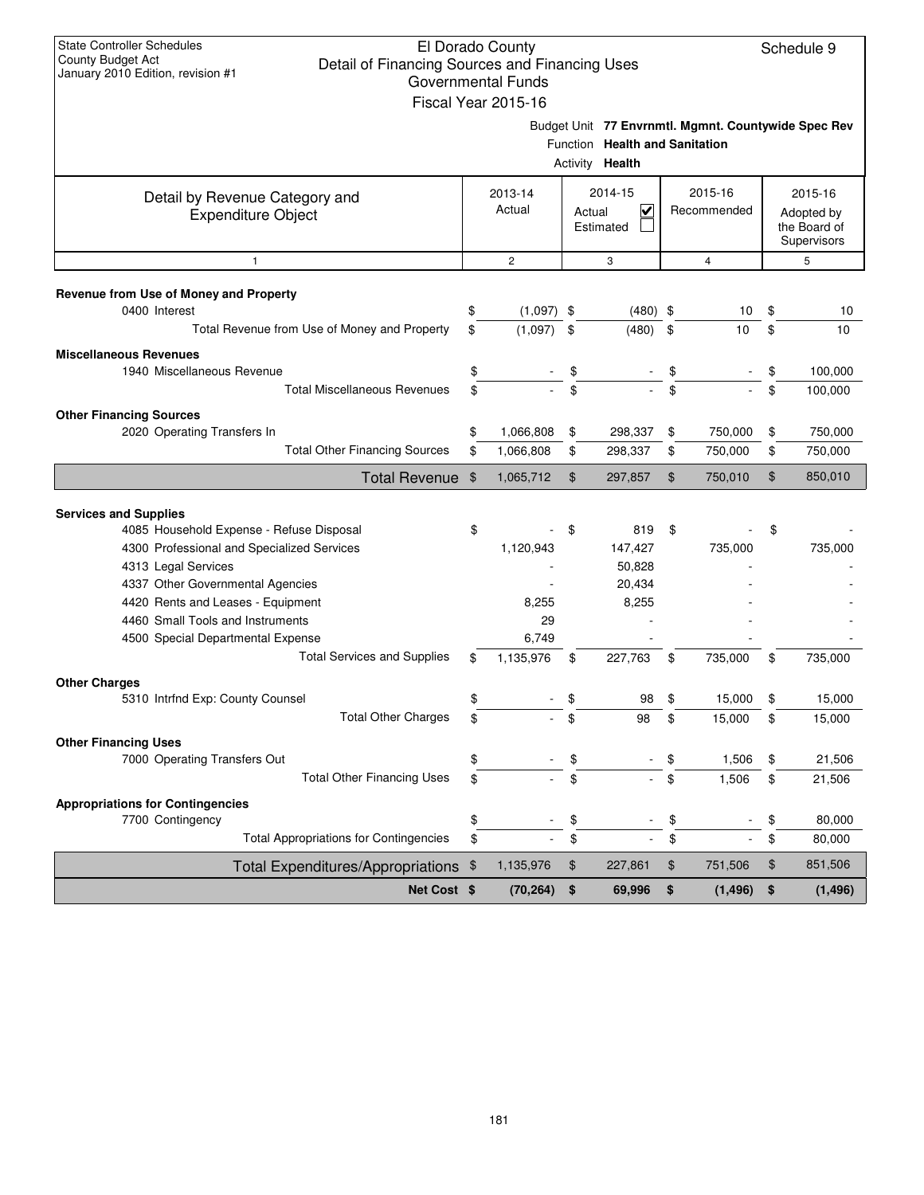| Net Cost \$                                                                |          | (70, 264)                 | \$<br>69,996                                             | \$       | (1, 496)                                            | \$       | (1, 496)                                  |
|----------------------------------------------------------------------------|----------|---------------------------|----------------------------------------------------------|----------|-----------------------------------------------------|----------|-------------------------------------------|
| Total Expenditures/Appropriations \$                                       |          | 1,135,976                 | \$<br>227,861                                            | \$       | 751,506                                             | \$       | 851,506                                   |
| <b>Total Appropriations for Contingencies</b>                              | \$       |                           | \$                                                       | \$       |                                                     | \$       | 80,000                                    |
| 7700 Contingency                                                           | \$       |                           | \$                                                       | \$       |                                                     | \$       | 80,000                                    |
| <b>Appropriations for Contingencies</b>                                    |          |                           |                                                          |          |                                                     |          |                                           |
| <b>Total Other Financing Uses</b>                                          | \$       |                           | \$                                                       | \$       | 1,506                                               | \$       | 21,506                                    |
| 7000 Operating Transfers Out                                               | \$       |                           | \$                                                       | \$       | 1,506                                               | \$       | 21,506                                    |
| <b>Other Financing Uses</b>                                                |          |                           |                                                          |          |                                                     |          |                                           |
| <b>Total Other Charges</b>                                                 | \$       |                           | \$<br>98                                                 | \$       | 15,000                                              | \$       | 15,000                                    |
| 5310 Intrfnd Exp: County Counsel                                           | \$.      |                           | 98                                                       | \$.      | 15,000                                              |          | 15,000                                    |
| <b>Other Charges</b>                                                       |          |                           |                                                          |          |                                                     |          |                                           |
| <b>Total Services and Supplies</b>                                         | \$       | 1,135,976                 | \$<br>227,763                                            | \$       | 735.000                                             | \$       | 735,000                                   |
| 4500 Special Departmental Expense                                          |          | 6,749                     |                                                          |          |                                                     |          |                                           |
| 4460 Small Tools and Instruments                                           |          | 29                        |                                                          |          |                                                     |          |                                           |
| 4420 Rents and Leases - Equipment                                          |          | 8,255                     | 8,255                                                    |          |                                                     |          |                                           |
| 4337 Other Governmental Agencies                                           |          |                           | 20,434                                                   |          |                                                     |          |                                           |
| 4313 Legal Services                                                        |          |                           | 50,828                                                   |          |                                                     |          |                                           |
| 4300 Professional and Specialized Services                                 |          | 1,120,943                 | 147,427                                                  |          | 735,000                                             |          | 735,000                                   |
| <b>Services and Supplies</b><br>4085 Household Expense - Refuse Disposal   | \$       |                           | \$<br>819                                                | \$       |                                                     | \$       |                                           |
|                                                                            |          |                           |                                                          |          |                                                     |          |                                           |
| <b>Total Revenue</b>                                                       | \$       | 1,065,712                 | \$<br>297,857                                            | \$       | 750,010                                             | \$       | 850,010                                   |
| <b>Total Other Financing Sources</b>                                       | \$       | 1,066,808                 | \$<br>298,337                                            | \$       | 750,000                                             | \$       | 750,000                                   |
| 2020 Operating Transfers In                                                | \$       | 1,066,808                 | \$<br>298,337                                            | \$       | 750,000                                             | \$       | 750,000                                   |
| <b>Other Financing Sources</b>                                             |          |                           | \$                                                       |          |                                                     |          | 100,000                                   |
| 1940 Miscellaneous Revenue<br><b>Total Miscellaneous Revenues</b>          | \$<br>\$ |                           | \$                                                       | \$<br>\$ |                                                     | \$<br>\$ | 100,000                                   |
| <b>Miscellaneous Revenues</b>                                              |          |                           |                                                          |          |                                                     |          |                                           |
| Total Revenue from Use of Money and Property                               | \$       | (1,097)                   | \$<br>(480)                                              | \$       | 10                                                  | \$       | 10                                        |
| 0400 Interest                                                              | \$       | $(1,097)$ \$              | $(480)$ \$                                               |          | 10                                                  | \$       | 10                                        |
| Revenue from Use of Money and Property                                     |          |                           |                                                          |          |                                                     |          |                                           |
| $\mathbf{1}$                                                               |          | $\mathbf{2}$              | 3                                                        |          | $\overline{4}$                                      |          | 5                                         |
| <b>Expenditure Object</b>                                                  |          | Actual                    | $\overline{\mathbf{v}}$<br>Actual<br>Estimated           |          | Recommended                                         |          | Adopted by<br>the Board of<br>Supervisors |
| Detail by Revenue Category and                                             |          | 2013-14                   | 2014-15                                                  |          | 2015-16                                             |          | 2015-16                                   |
|                                                                            |          |                           | Function Health and Sanitation<br>Activity <b>Health</b> |          | Budget Unit 77 Envrnmtl. Mgmnt. Countywide Spec Rev |          |                                           |
|                                                                            |          | Fiscal Year 2015-16       |                                                          |          |                                                     |          |                                           |
| January 2010 Edition, revision #1                                          |          | <b>Governmental Funds</b> |                                                          |          |                                                     |          |                                           |
| <b>County Budget Act</b><br>Detail of Financing Sources and Financing Uses |          |                           |                                                          |          |                                                     |          |                                           |
| <b>State Controller Schedules</b>                                          |          | El Dorado County          |                                                          |          |                                                     |          | Schedule 9                                |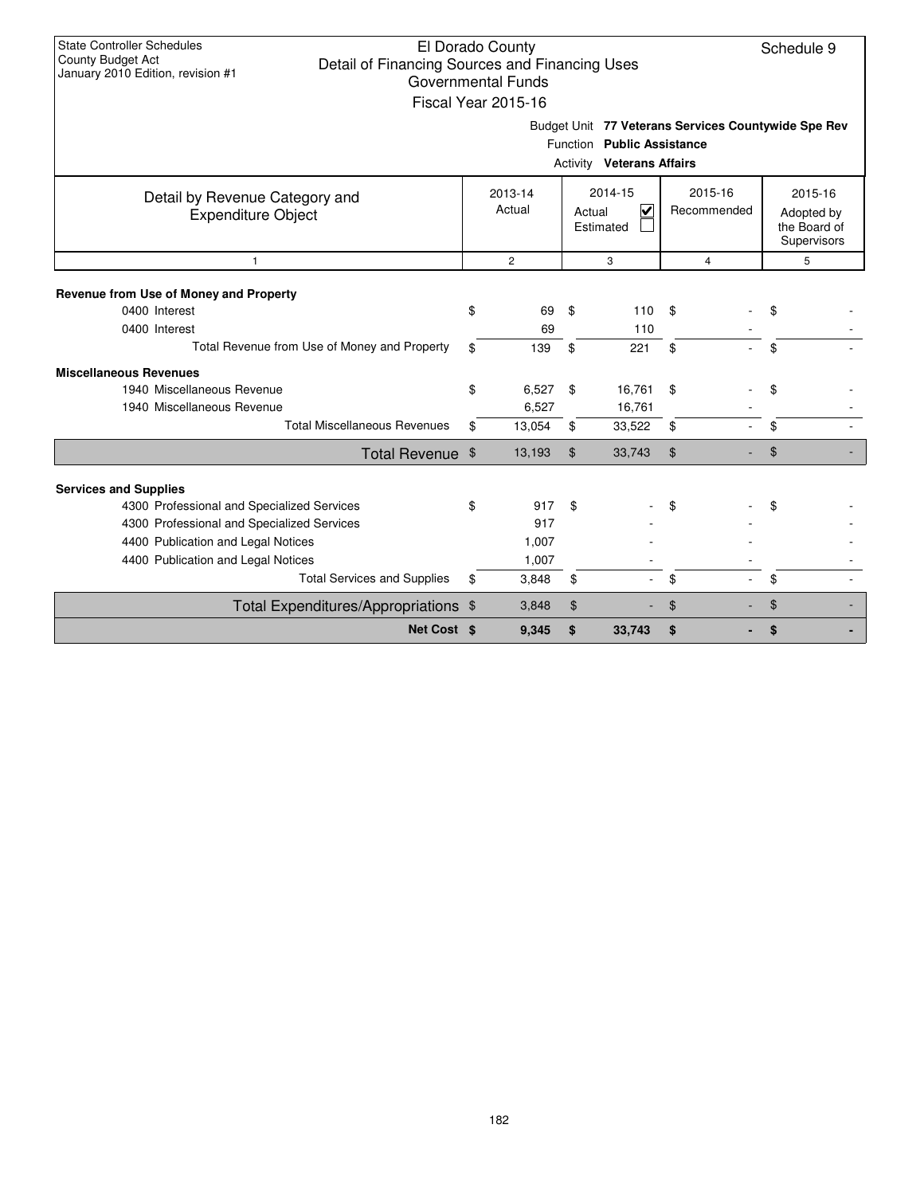| <b>State Controller Schedules</b>                                          | El Dorado County    |                |                                  |                                                     | Schedule 9                                   |  |  |  |
|----------------------------------------------------------------------------|---------------------|----------------|----------------------------------|-----------------------------------------------------|----------------------------------------------|--|--|--|
| <b>County Budget Act</b><br>Detail of Financing Sources and Financing Uses |                     |                |                                  |                                                     |                                              |  |  |  |
| January 2010 Edition, revision #1                                          | Governmental Funds  |                |                                  |                                                     |                                              |  |  |  |
|                                                                            | Fiscal Year 2015-16 |                |                                  |                                                     |                                              |  |  |  |
|                                                                            |                     |                |                                  | Budget Unit 77 Veterans Services Countywide Spe Rev |                                              |  |  |  |
|                                                                            |                     |                | Function Public Assistance       |                                                     |                                              |  |  |  |
|                                                                            |                     |                | <b>Activity Veterans Affairs</b> |                                                     |                                              |  |  |  |
| Detail by Revenue Category and                                             | 2013-14             |                | 2014-15                          | 2015-16                                             | 2015-16                                      |  |  |  |
| <b>Expenditure Object</b>                                                  | Actual              |                | $\blacktriangledown$<br>Actual   | Recommended                                         | Adopted by                                   |  |  |  |
|                                                                            |                     |                | Estimated                        |                                                     | the Board of<br>Supervisors<br>5<br>\$<br>\$ |  |  |  |
|                                                                            |                     |                |                                  |                                                     |                                              |  |  |  |
| $\mathbf{1}$                                                               | $\overline{c}$      |                | 3                                | $\overline{4}$                                      |                                              |  |  |  |
| Revenue from Use of Money and Property                                     |                     |                |                                  |                                                     |                                              |  |  |  |
| 0400 Interest                                                              | \$<br>69            | \$             | 110                              | \$                                                  |                                              |  |  |  |
| 0400 Interest                                                              | 69                  |                | 110                              |                                                     |                                              |  |  |  |
| Total Revenue from Use of Money and Property                               | \$<br>139           | \$             | 221                              | \$                                                  |                                              |  |  |  |
| <b>Miscellaneous Revenues</b>                                              |                     |                |                                  |                                                     |                                              |  |  |  |
| 1940 Miscellaneous Revenue                                                 | \$<br>6,527         | \$             | 16,761                           | \$                                                  | \$                                           |  |  |  |
| 1940 Miscellaneous Revenue                                                 | 6,527               |                | 16,761                           |                                                     |                                              |  |  |  |
| <b>Total Miscellaneous Revenues</b>                                        | \$<br>13,054        | \$             | 33,522                           | \$                                                  | \$                                           |  |  |  |
| Total Revenue \$                                                           | 13,193              | $\mathfrak{L}$ | 33,743                           | \$                                                  | \$                                           |  |  |  |
| <b>Services and Supplies</b>                                               |                     |                |                                  |                                                     |                                              |  |  |  |
| 4300 Professional and Specialized Services                                 | \$<br>917           | \$             |                                  | \$                                                  | \$                                           |  |  |  |
| 4300 Professional and Specialized Services                                 | 917                 |                |                                  |                                                     |                                              |  |  |  |
| 4400 Publication and Legal Notices                                         | 1,007               |                |                                  |                                                     |                                              |  |  |  |
| 4400 Publication and Legal Notices                                         | 1,007               |                |                                  |                                                     |                                              |  |  |  |
| <b>Total Services and Supplies</b>                                         | \$<br>3,848         | \$             |                                  | \$                                                  | \$                                           |  |  |  |
| Total Expenditures/Appropriations \$                                       | 3,848               | \$             |                                  | \$                                                  | \$                                           |  |  |  |
| Net Cost \$                                                                | 9,345               | \$             | 33,743                           | \$                                                  | \$                                           |  |  |  |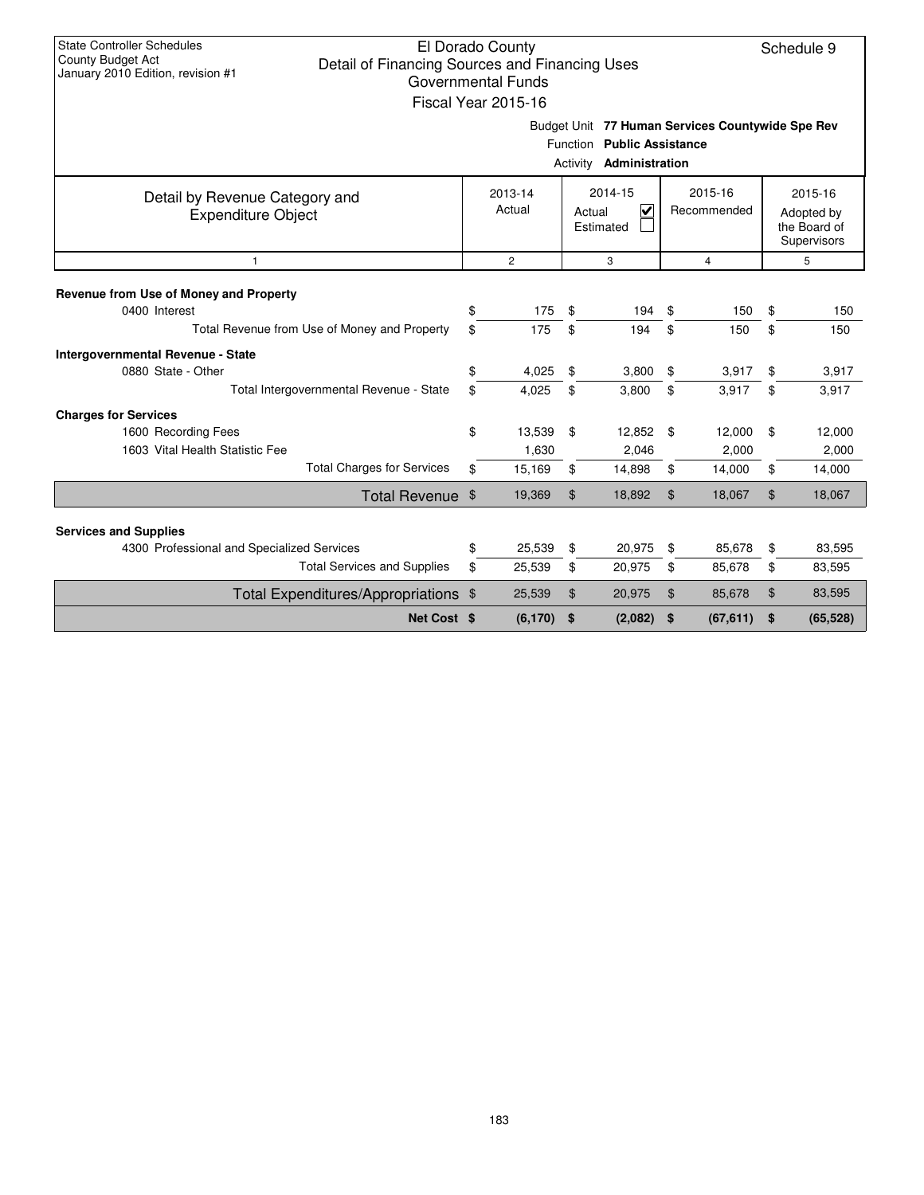| <b>State Controller Schedules</b><br>County Budget Act<br>Detail of Financing Sources and Financing Uses<br>January 2010 Edition, revision #1 |                                                                     | El Dorado County<br><b>Governmental Funds</b><br>Fiscal Year 2015-16 |          |                                                              |                |                                                  |                                                      | Schedule 9                |  |
|-----------------------------------------------------------------------------------------------------------------------------------------------|---------------------------------------------------------------------|----------------------------------------------------------------------|----------|--------------------------------------------------------------|----------------|--------------------------------------------------|------------------------------------------------------|---------------------------|--|
|                                                                                                                                               |                                                                     |                                                                      |          | Function Public Assistance<br>Activity <b>Administration</b> |                | Budget Unit 77 Human Services Countywide Spe Rev |                                                      |                           |  |
| Detail by Revenue Category and<br><b>Expenditure Object</b>                                                                                   | 2014-15<br>2015-16<br>2013-14<br>Actual<br>V<br>Actual<br>Estimated |                                                                      |          |                                                              |                | Recommended                                      | 2015-16<br>Adopted by<br>the Board of<br>Supervisors |                           |  |
| $\mathbf{1}$                                                                                                                                  |                                                                     | $\overline{2}$                                                       |          | 3                                                            |                | $\overline{4}$                                   |                                                      | 5                         |  |
| Revenue from Use of Money and Property<br>0400 Interest<br>Total Revenue from Use of Money and Property                                       | \$<br>\$                                                            | 175<br>175                                                           | \$<br>\$ | 194<br>194                                                   | \$<br>\$       | 150<br>150                                       | \$<br>\$                                             | 150<br>150                |  |
| Intergovernmental Revenue - State<br>0880 State - Other<br>Total Intergovernmental Revenue - State                                            | \$<br>\$                                                            | 4,025<br>4,025                                                       | \$<br>\$ | 3,800<br>3,800                                               | \$<br>\$       | 3,917<br>3,917                                   | \$<br>\$                                             | 3,917<br>3,917            |  |
| <b>Charges for Services</b><br>1600 Recording Fees<br>1603 Vital Health Statistic Fee<br><b>Total Charges for Services</b>                    | \$<br>\$                                                            | 13,539<br>1,630<br>15,169                                            | \$<br>\$ | 12,852<br>2,046<br>14,898                                    | \$<br>\$       | 12,000<br>2,000<br>14,000                        | \$<br>\$                                             | 12,000<br>2,000<br>14,000 |  |
| Total Revenue \$                                                                                                                              |                                                                     | 19,369                                                               | \$       | 18,892                                                       | $\mathfrak{S}$ | 18,067                                           | \$                                                   | 18,067                    |  |
| <b>Services and Supplies</b>                                                                                                                  |                                                                     |                                                                      |          |                                                              |                |                                                  |                                                      |                           |  |
| 4300 Professional and Specialized Services                                                                                                    | \$                                                                  | 25,539                                                               | \$       | 20,975                                                       | \$             | 85.678                                           | \$                                                   | 83,595                    |  |
| <b>Total Services and Supplies</b>                                                                                                            | \$                                                                  | 25,539                                                               | \$       | 20,975                                                       | \$             | 85,678                                           | \$                                                   | 83,595                    |  |
| Total Expenditures/Appropriations \$                                                                                                          |                                                                     | 25,539<br>\$                                                         |          | 20,975                                                       | \$             | 85,678                                           | \$                                                   | 83,595                    |  |
| Net Cost \$                                                                                                                                   |                                                                     | (6, 170)                                                             | \$       | (2,082)                                                      | \$             | (67, 611)                                        | \$                                                   | (65, 528)                 |  |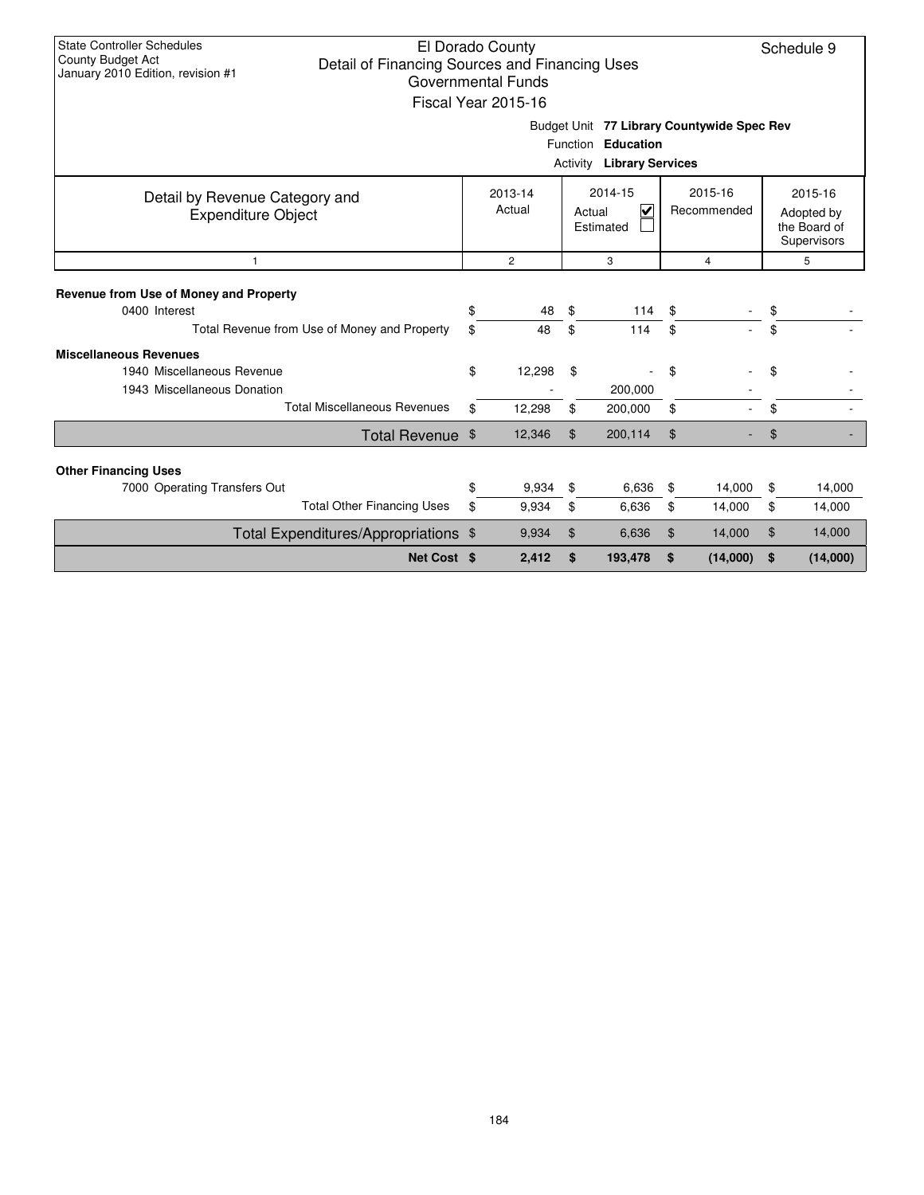| <b>State Controller Schedules</b><br>County Budget Act<br>Detail of Financing Sources and Financing Uses<br>January 2010 Edition, revision #1 |          | El Dorado County<br><b>Governmental Funds</b><br>Fiscal Year 2015-16 |                             |                                              |          |                                            |                                                      | Schedule 9       |
|-----------------------------------------------------------------------------------------------------------------------------------------------|----------|----------------------------------------------------------------------|-----------------------------|----------------------------------------------|----------|--------------------------------------------|------------------------------------------------------|------------------|
|                                                                                                                                               |          |                                                                      | <b>Function</b><br>Activity | <b>Education</b><br><b>Library Services</b>  |          | Budget Unit 77 Library Countywide Spec Rev |                                                      |                  |
| Detail by Revenue Category and<br>Expenditure Object                                                                                          |          | 2013-14<br>Actual                                                    | Actual                      | 2014-15<br>$\blacktriangledown$<br>Estimated |          | 2015-16<br>Recommended                     | 2015-16<br>Adopted by<br>the Board of<br>Supervisors |                  |
| $\mathbf{1}$                                                                                                                                  |          | $\mathbf{2}^{\prime}$                                                |                             | 3                                            |          | 4                                          |                                                      | 5                |
| Revenue from Use of Money and Property<br>0400 Interest<br>Total Revenue from Use of Money and Property                                       | \$<br>\$ | 48<br>48                                                             | \$<br>\$                    | 114<br>114                                   | \$<br>\$ |                                            | \$<br>\$                                             |                  |
| <b>Miscellaneous Revenues</b><br>1940 Miscellaneous Revenue<br>1943 Miscellaneous Donation                                                    | \$       | 12,298                                                               | \$                          | 200,000                                      | \$       |                                            | \$                                                   |                  |
| <b>Total Miscellaneous Revenues</b>                                                                                                           | \$       | 12,298                                                               | \$                          | 200,000                                      | \$       |                                            | \$                                                   |                  |
| Total Revenue \$                                                                                                                              |          | 12,346                                                               | \$                          | 200,114                                      | \$       |                                            | \$                                                   |                  |
| <b>Other Financing Uses</b>                                                                                                                   |          |                                                                      |                             |                                              |          |                                            |                                                      |                  |
| 7000 Operating Transfers Out<br><b>Total Other Financing Uses</b>                                                                             | \$<br>\$ | 9,934<br>9,934                                                       | \$<br>\$                    | 6,636<br>6,636                               | \$<br>\$ | 14,000<br>14,000                           | \$<br>\$                                             | 14,000<br>14,000 |
| Total Expenditures/Appropriations \$                                                                                                          |          | 9,934<br>\$                                                          |                             | 6,636                                        | \$       | 14,000                                     | \$                                                   | 14,000           |
| Net Cost \$                                                                                                                                   |          | 2,412                                                                | \$                          | 193,478                                      | \$       | (14,000)                                   | \$                                                   | (14,000)         |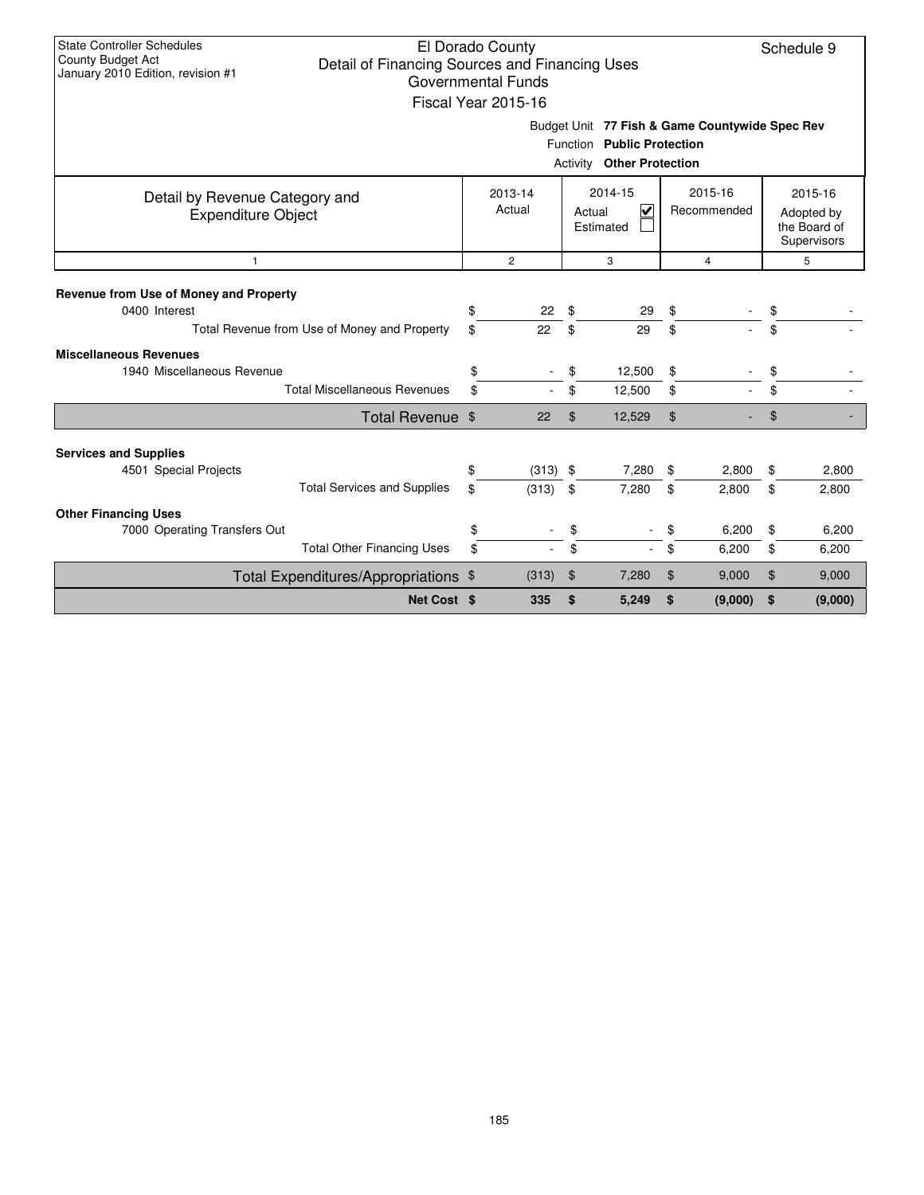| <b>State Controller Schedules</b><br>El Dorado County<br>Schedule 9<br><b>County Budget Act</b><br>Detail of Financing Sources and Financing Uses<br>January 2010 Edition, revision #1<br><b>Governmental Funds</b><br>Fiscal Year 2015-16 |                  |          |                |                |          |          |                |          |         |  |  |  |
|--------------------------------------------------------------------------------------------------------------------------------------------------------------------------------------------------------------------------------------------|------------------|----------|----------------|----------------|----------|----------|----------------|----------|---------|--|--|--|
| Budget Unit 77 Fish & Game Countywide Spec Rev<br>Function Public Protection<br><b>Activity Other Protection</b>                                                                                                                           |                  |          |                |                |          |          |                |          |         |  |  |  |
| 2014-15<br>2015-16<br>2013-14<br>Detail by Revenue Category and<br>Actual<br>V<br>Recommended<br>Actual<br><b>Expenditure Object</b><br>Estimated                                                                                          |                  |          |                |                |          |          |                |          |         |  |  |  |
| $\mathbf{1}$                                                                                                                                                                                                                               |                  |          | $\overline{2}$ |                | 3        |          | $\overline{4}$ |          | 5       |  |  |  |
| Revenue from Use of Money and Property<br>0400 Interest<br>Total Revenue from Use of Money and Property                                                                                                                                    |                  | \$<br>\$ | 22<br>22       | \$<br>\$       | 29<br>29 | \$<br>\$ |                | \$<br>\$ |         |  |  |  |
| <b>Miscellaneous Revenues</b><br>1940 Miscellaneous Revenue                                                                                                                                                                                |                  | \$       |                | \$             | 12,500   | \$       |                | \$       |         |  |  |  |
| <b>Total Miscellaneous Revenues</b>                                                                                                                                                                                                        |                  | \$       |                | \$             | 12,500   | \$       |                | \$       |         |  |  |  |
|                                                                                                                                                                                                                                            | Total Revenue \$ |          | 22             | $\mathfrak{L}$ | 12,529   | \$       |                | \$       |         |  |  |  |
| <b>Services and Supplies</b><br>4501 Special Projects                                                                                                                                                                                      |                  | \$       | $(313)$ \$     |                | 7,280    | \$       | 2,800          | \$       | 2,800   |  |  |  |
| <b>Total Services and Supplies</b><br><b>Other Financing Uses</b>                                                                                                                                                                          |                  | \$       | (313)          | \$             | 7,280    | \$       | 2,800          | \$       | 2,800   |  |  |  |
| 7000 Operating Transfers Out                                                                                                                                                                                                               |                  | \$       |                | \$             |          | \$       | 6,200          | \$       | 6,200   |  |  |  |
| <b>Total Other Financing Uses</b>                                                                                                                                                                                                          |                  | \$       |                | \$             | $\sim$   | \$       | 6,200          | \$       | 6,200   |  |  |  |
| Total Expenditures/Appropriations \$                                                                                                                                                                                                       |                  | (313)    |                | \$             | 7,280    | \$       | 9,000          | \$       | 9,000   |  |  |  |
|                                                                                                                                                                                                                                            | Net Cost \$      |          | 335            | \$             | 5,249    | \$       | (9,000)        | \$       | (9,000) |  |  |  |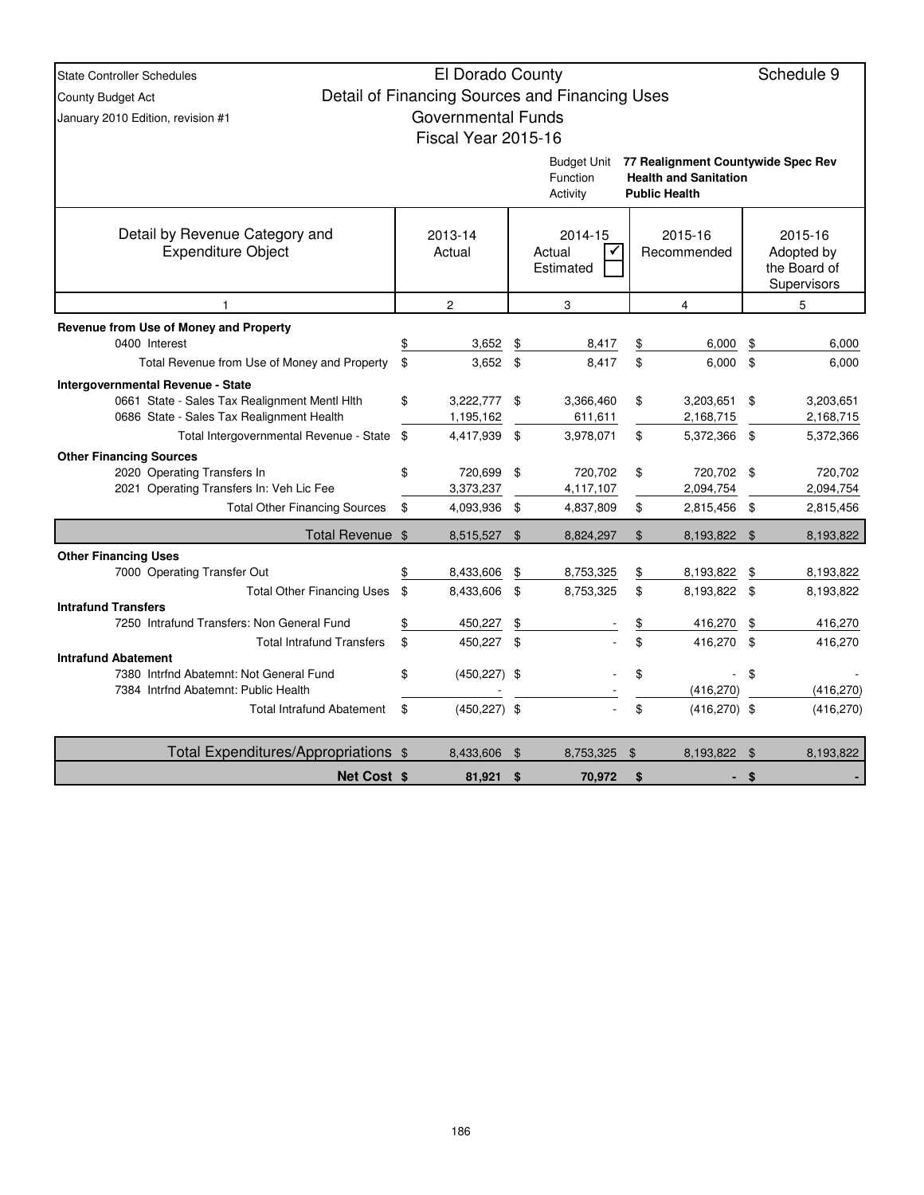| <b>State Controller Schedules</b>                                     | El Dorado County          |                                                |                |                                                                    |     | Schedule 9            |
|-----------------------------------------------------------------------|---------------------------|------------------------------------------------|----------------|--------------------------------------------------------------------|-----|-----------------------|
| County Budget Act                                                     |                           | Detail of Financing Sources and Financing Uses |                |                                                                    |     |                       |
| January 2010 Edition, revision #1                                     | <b>Governmental Funds</b> |                                                |                |                                                                    |     |                       |
|                                                                       | Fiscal Year 2015-16       |                                                |                |                                                                    |     |                       |
|                                                                       |                           |                                                |                |                                                                    |     |                       |
|                                                                       |                           | Budget Unit<br>Function                        |                | 77 Realignment Countywide Spec Rev<br><b>Health and Sanitation</b> |     |                       |
|                                                                       |                           | Activity                                       |                | <b>Public Health</b>                                               |     |                       |
|                                                                       |                           |                                                |                |                                                                    |     |                       |
| Detail by Revenue Category and<br><b>Expenditure Object</b>           | 2013-14<br>Actual         | 2014-15<br>Actual<br>✓                         |                | 2015-16<br>Recommended                                             |     | 2015-16<br>Adopted by |
|                                                                       |                           | Estimated                                      |                |                                                                    |     | the Board of          |
|                                                                       |                           |                                                |                |                                                                    |     | Supervisors           |
| $\mathbf{1}$                                                          | $\overline{c}$            | 3                                              |                | 4                                                                  |     | 5                     |
| Revenue from Use of Money and Property                                |                           |                                                |                |                                                                    |     |                       |
| 0400 Interest                                                         | 3,652                     | \$<br>8,417                                    | \$             | 6,000                                                              | \$  | 6,000                 |
| Total Revenue from Use of Money and Property                          | \$<br>$3,652$ \$          | 8,417                                          | \$             | 6,000                                                              | \$  | 6,000                 |
| <b>Intergovernmental Revenue - State</b>                              |                           |                                                |                |                                                                    |     |                       |
| 0661 State - Sales Tax Realignment Mentl Hith                         | \$<br>3,222,777 \$        | 3,366,460                                      | \$             | 3,203,651                                                          | \$  | 3,203,651             |
| 0686 State - Sales Tax Realignment Health                             | 1,195,162                 | 611,611                                        |                | 2,168,715                                                          |     | 2,168,715             |
| Total Intergovernmental Revenue - State \$                            | 4,417,939                 | \$<br>3,978,071                                | \$             | 5,372,366                                                          | \$  | 5,372,366             |
| <b>Other Financing Sources</b><br>2020 Operating Transfers In         | \$<br>720,699             | \$<br>720,702                                  | \$             | 720,702                                                            | \$  | 720,702               |
| 2021 Operating Transfers In: Veh Lic Fee                              | 3,373,237                 | 4,117,107                                      |                | 2,094,754                                                          |     | 2,094,754             |
| <b>Total Other Financing Sources</b>                                  | \$<br>4,093,936 \$        | 4,837,809                                      | \$             | 2,815,456                                                          | \$  | 2,815,456             |
| Total Revenue \$                                                      | 8,515,527                 | \$<br>8,824,297                                | \$             | 8,193,822                                                          | \$  | 8,193,822             |
| <b>Other Financing Uses</b>                                           |                           |                                                |                |                                                                    |     |                       |
| 7000 Operating Transfer Out                                           | 8,433,606                 | \$<br>8,753,325                                | \$             | 8,193,822                                                          |     | 8,193,822             |
| <b>Total Other Financing Uses</b>                                     | \$<br>8,433,606           | \$<br>8,753,325                                | \$             | 8,193,822 \$                                                       |     | 8,193,822             |
| <b>Intrafund Transfers</b>                                            |                           |                                                |                |                                                                    |     |                       |
| 7250 Intrafund Transfers: Non General Fund                            | \$<br>450,227             | \$                                             | $\frac{1}{2}$  | 416,270                                                            | \$  | 416,270               |
| <b>Total Intrafund Transfers</b>                                      | \$<br>450,227 \$          |                                                | \$             | 416,270 \$                                                         |     | 416,270               |
| <b>Intrafund Abatement</b><br>7380 Intrfnd Abatemnt: Not General Fund | \$<br>$(450, 227)$ \$     |                                                | \$             |                                                                    | \$  |                       |
| 7384 Intrfnd Abatemnt: Public Health                                  |                           |                                                |                | (416, 270)                                                         |     | (416, 270)            |
| <b>Total Intrafund Abatement</b>                                      | \$<br>$(450, 227)$ \$     |                                                | \$             | $(416, 270)$ \$                                                    |     | (416, 270)            |
| Total Expenditures/Appropriations \$                                  | 8,433,606                 | \$<br>8,753,325                                | $\mathfrak{F}$ | 8,193,822                                                          | -\$ | 8,193,822             |
| <b>Net Cost \$</b>                                                    | 81,921                    | \$<br>70,972                                   | \$             |                                                                    |     |                       |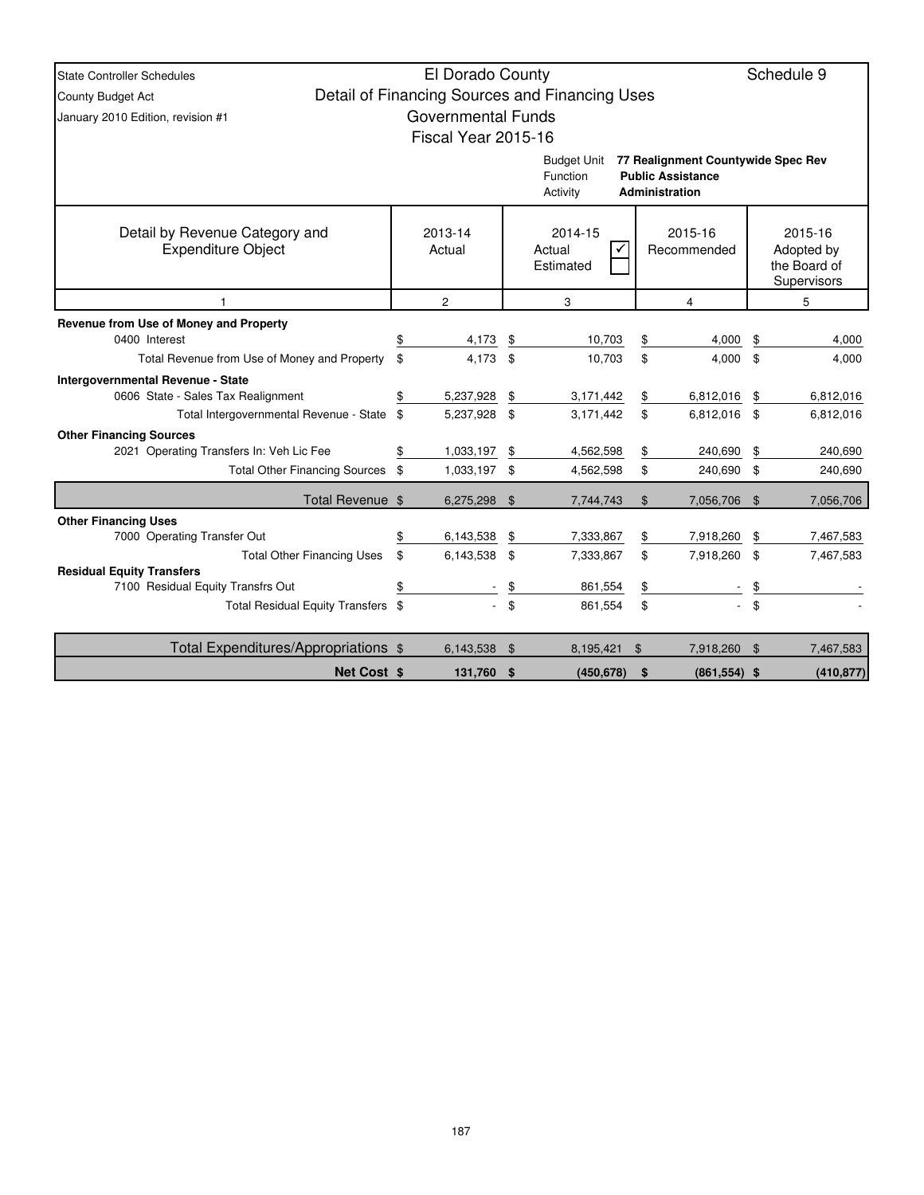| State Controller Schedules                   |                                            | El Dorado County          |                |                                                |    |                                    |     | Schedule 9                  |  |  |  |
|----------------------------------------------|--------------------------------------------|---------------------------|----------------|------------------------------------------------|----|------------------------------------|-----|-----------------------------|--|--|--|
| <b>County Budget Act</b>                     |                                            |                           |                | Detail of Financing Sources and Financing Uses |    |                                    |     |                             |  |  |  |
| January 2010 Edition, revision #1            |                                            | <b>Governmental Funds</b> |                |                                                |    |                                    |     |                             |  |  |  |
|                                              |                                            | Fiscal Year 2015-16       |                |                                                |    |                                    |     |                             |  |  |  |
|                                              |                                            |                           |                | <b>Budget Unit</b>                             |    | 77 Realignment Countywide Spec Rev |     |                             |  |  |  |
|                                              |                                            |                           |                | Function                                       |    | <b>Public Assistance</b>           |     |                             |  |  |  |
|                                              |                                            |                           |                | Activity                                       |    | Administration                     |     |                             |  |  |  |
|                                              |                                            |                           |                |                                                |    |                                    |     |                             |  |  |  |
| Detail by Revenue Category and               |                                            | 2013-14                   |                | 2014-15                                        |    | 2015-16                            |     | 2015-16                     |  |  |  |
| <b>Expenditure Object</b>                    |                                            | Actual                    |                | Actual                                         |    | Recommended                        |     | Adopted by                  |  |  |  |
|                                              |                                            |                           |                | Estimated                                      |    |                                    |     | the Board of<br>Supervisors |  |  |  |
|                                              | $\overline{2}$<br>3<br>$\overline{4}$<br>5 |                           |                |                                                |    |                                    |     |                             |  |  |  |
| Revenue from Use of Money and Property       |                                            |                           |                |                                                |    |                                    |     |                             |  |  |  |
| 0400 Interest                                |                                            | 4,173                     | \$             | 10.703                                         | \$ | 4.000                              | \$  | 4,000                       |  |  |  |
| Total Revenue from Use of Money and Property | \$                                         | 4,173                     | \$             | 10,703                                         | \$ | 4,000                              | \$  | 4,000                       |  |  |  |
| Intergovernmental Revenue - State            |                                            |                           |                |                                                |    |                                    |     |                             |  |  |  |
| 0606 State - Sales Tax Realignment           | \$                                         | 5,237,928                 | \$             | 3,171,442                                      | \$ | 6,812,016                          | \$  | 6,812,016                   |  |  |  |
| Total Intergovernmental Revenue - State \$   |                                            | 5,237,928                 | \$             | 3,171,442                                      | \$ | 6,812,016                          | \$  | 6,812,016                   |  |  |  |
| <b>Other Financing Sources</b>               |                                            |                           |                |                                                |    |                                    |     |                             |  |  |  |
| 2021 Operating Transfers In: Veh Lic Fee     | \$                                         | 1,033,197                 | \$             | 4,562,598                                      | \$ | 240,690                            | \$  | 240,690                     |  |  |  |
| Total Other Financing Sources \$             |                                            | 1,033,197 \$              |                | 4,562,598                                      | \$ | 240,690                            | \$  | 240,690                     |  |  |  |
| Total Revenue \$                             |                                            | 6,275,298                 | \$             | 7.744.743                                      | \$ | 7.056.706                          | \$  | 7,056,706                   |  |  |  |
| <b>Other Financing Uses</b>                  |                                            |                           |                |                                                |    |                                    |     |                             |  |  |  |
| 7000 Operating Transfer Out                  |                                            | 6,143,538                 | \$             | 7,333,867                                      | \$ | 7,918,260                          | \$  | 7,467,583                   |  |  |  |
| <b>Total Other Financing Uses</b>            | \$                                         | 6,143,538 \$              |                | 7,333,867                                      | \$ | 7,918,260                          | \$  | 7,467,583                   |  |  |  |
| <b>Residual Equity Transfers</b>             |                                            |                           |                |                                                |    |                                    |     |                             |  |  |  |
| 7100 Residual Equity Transfrs Out            | \$                                         |                           | \$             | 861,554                                        | \$ |                                    | \$  |                             |  |  |  |
| Total Residual Equity Transfers \$           |                                            |                           | $\mathfrak{S}$ | 861,554                                        | \$ |                                    | \$  |                             |  |  |  |
| Total Expenditures/Appropriations \$         |                                            | 6,143,538                 | \$             | 8,195,421                                      | \$ | 7,918,260                          | -\$ | 7,467,583                   |  |  |  |
| Net Cost \$                                  |                                            | 131,760 \$                |                | (450, 678)                                     | \$ | $(861, 554)$ \$                    |     | (410, 877)                  |  |  |  |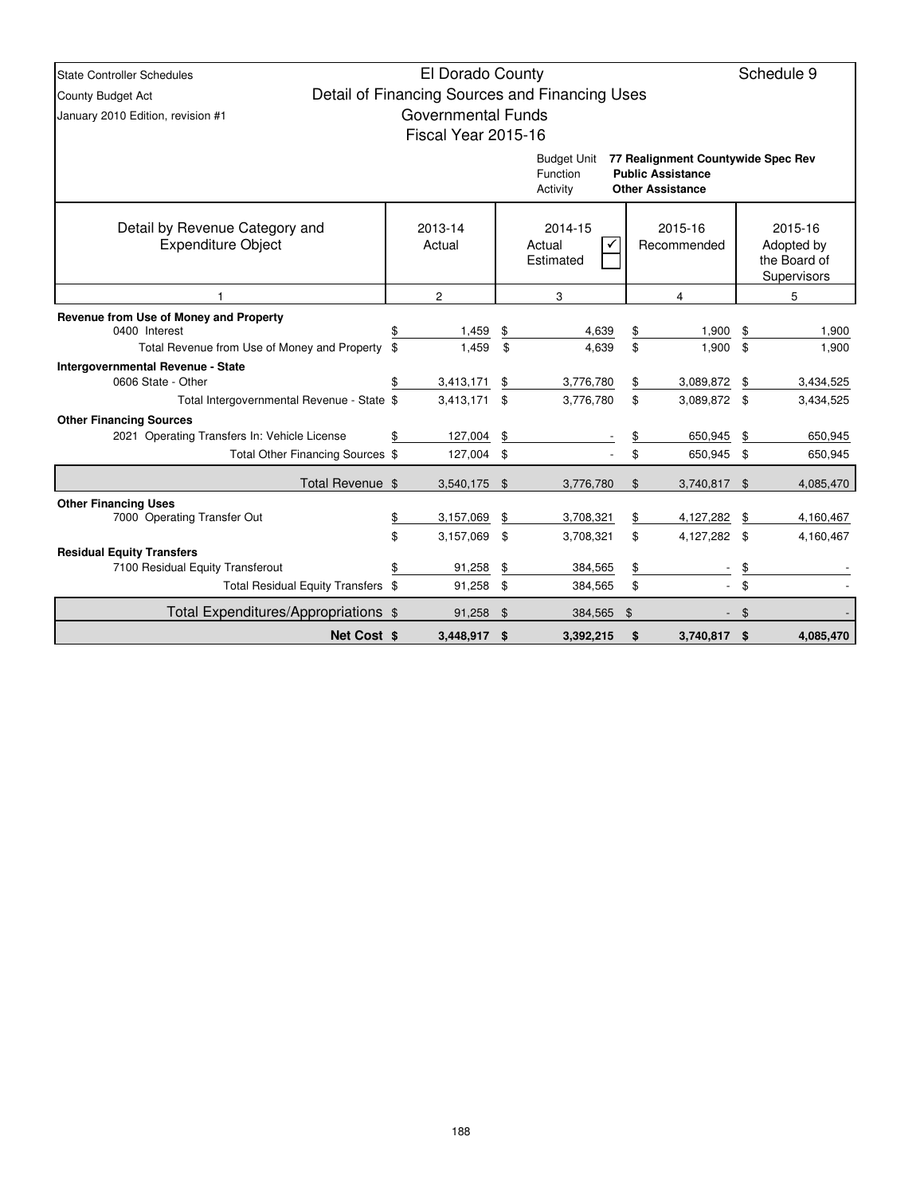| <b>State Controller Schedules</b>                                                                       |                                                                               |                           | Schedule 9 |                                                |    |                                                                                           |    |                |
|---------------------------------------------------------------------------------------------------------|-------------------------------------------------------------------------------|---------------------------|------------|------------------------------------------------|----|-------------------------------------------------------------------------------------------|----|----------------|
| <b>County Budget Act</b>                                                                                |                                                                               | El Dorado County          |            | Detail of Financing Sources and Financing Uses |    |                                                                                           |    |                |
| January 2010 Edition, revision #1                                                                       |                                                                               | <b>Governmental Funds</b> |            |                                                |    |                                                                                           |    |                |
|                                                                                                         |                                                                               | Fiscal Year 2015-16       |            |                                                |    |                                                                                           |    |                |
|                                                                                                         |                                                                               |                           |            | <b>Budget Unit</b><br>Function<br>Activity     |    | 77 Realignment Countywide Spec Rev<br><b>Public Assistance</b><br><b>Other Assistance</b> |    |                |
| Detail by Revenue Category and<br><b>Expenditure Object</b>                                             | 2013-14<br>2014-15<br>2015-16<br>Actual<br>Actual<br>Recommended<br>Estimated |                           |            |                                                |    | 2015-16<br>Adopted by<br>the Board of<br>Supervisors                                      |    |                |
|                                                                                                         |                                                                               | $\overline{c}$            |            | 3                                              |    | 4                                                                                         |    | 5              |
| Revenue from Use of Money and Property<br>0400 Interest<br>Total Revenue from Use of Money and Property | \$<br>\$                                                                      | 1,459<br>1,459            | \$<br>\$   | 4,639<br>4,639                                 |    | \$<br>1,900<br>\$<br>1,900                                                                |    | 1,900<br>1,900 |
| <b>Intergovernmental Revenue - State</b>                                                                |                                                                               |                           |            |                                                |    |                                                                                           | \$ |                |
| 0606 State - Other                                                                                      | \$                                                                            | 3,413,171                 | \$         | 3,776,780                                      | \$ | 3,089,872                                                                                 | \$ | 3,434,525      |
| Total Intergovernmental Revenue - State \$                                                              |                                                                               | 3,413,171 \$              |            | 3,776,780                                      | \$ | 3,089,872 \$                                                                              |    | 3,434,525      |
| <b>Other Financing Sources</b>                                                                          |                                                                               |                           |            |                                                |    |                                                                                           |    |                |
| 2021 Operating Transfers In: Vehicle License                                                            | \$                                                                            | 127,004                   | \$         |                                                | \$ | 650,945                                                                                   | \$ | 650,945        |
| Total Other Financing Sources \$                                                                        |                                                                               | 127,004 \$                |            |                                                | \$ | 650,945                                                                                   | \$ | 650,945        |
| Total Revenue \$                                                                                        |                                                                               | 3,540,175 \$              |            | 3,776,780                                      | \$ | 3,740,817                                                                                 | \$ | 4,085,470      |
| <b>Other Financing Uses</b>                                                                             |                                                                               |                           |            |                                                |    |                                                                                           |    |                |
| 7000 Operating Transfer Out                                                                             | \$                                                                            | 3,157,069                 | \$         | 3,708,321                                      | \$ | 4,127,282                                                                                 | \$ | 4,160,467      |
| <b>Residual Equity Transfers</b>                                                                        | \$                                                                            | 3,157,069                 | \$         | 3,708,321                                      | \$ | 4,127,282 \$                                                                              |    | 4,160,467      |
| 7100 Residual Equity Transferout                                                                        | \$                                                                            | 91,258                    | \$         | 384,565                                        | \$ |                                                                                           | \$ |                |
| Total Residual Equity Transfers \$                                                                      |                                                                               | 91,258                    | \$         | 384,565                                        | \$ |                                                                                           | \$ |                |
| Total Expenditures/Appropriations \$                                                                    |                                                                               | 91,258                    | \$         | 384,565                                        | \$ |                                                                                           | \$ |                |
| <b>Net Cost \$</b>                                                                                      |                                                                               | 3,448,917 \$              |            | 3.392.215                                      | \$ | 3,740,817                                                                                 | \$ | 4,085,470      |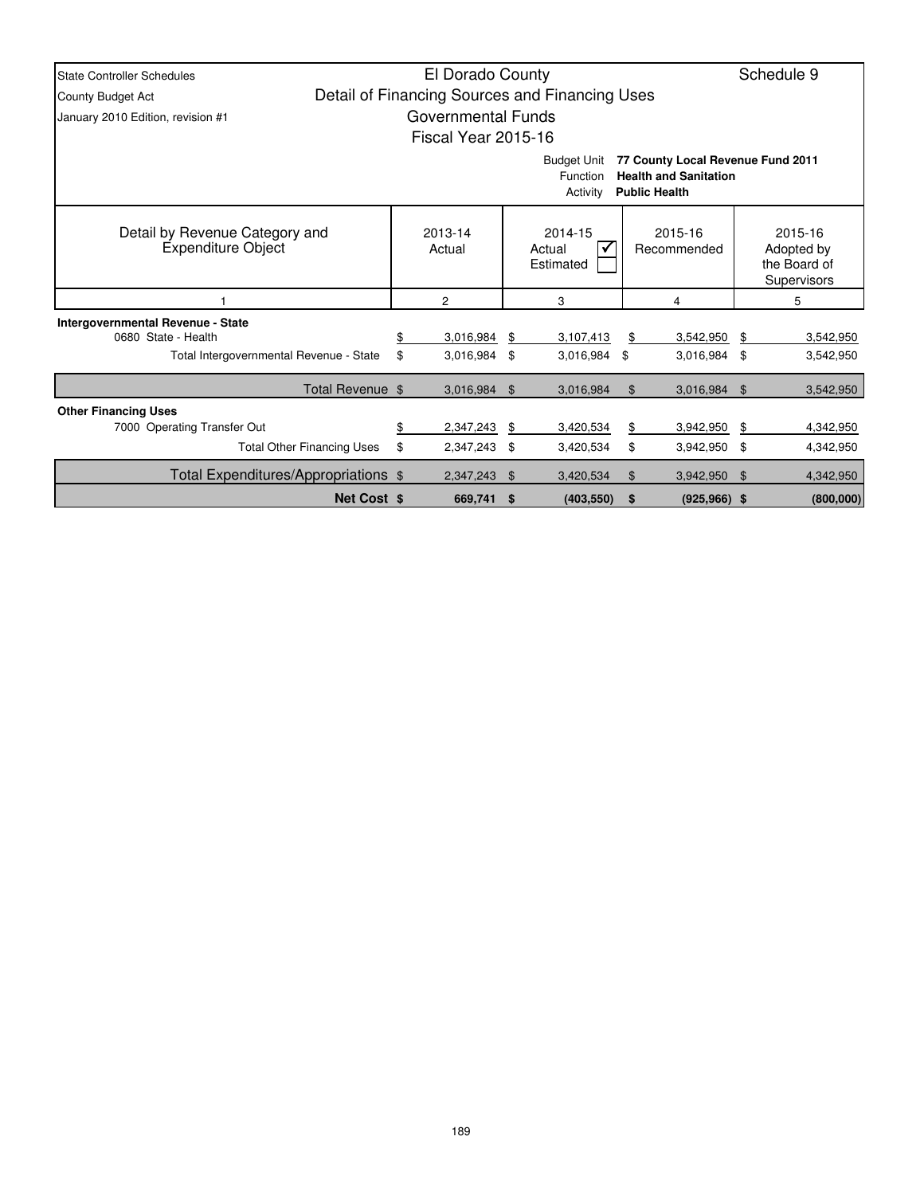| <b>State Controller Schedules</b>                           |                                                                                                                                         | El Dorado County   |                                |                                                |    |                        | Schedule 9 |                                                      |  |  |  |
|-------------------------------------------------------------|-----------------------------------------------------------------------------------------------------------------------------------------|--------------------|--------------------------------|------------------------------------------------|----|------------------------|------------|------------------------------------------------------|--|--|--|
| <b>County Budget Act</b>                                    |                                                                                                                                         |                    |                                | Detail of Financing Sources and Financing Uses |    |                        |            |                                                      |  |  |  |
| January 2010 Edition, revision #1                           |                                                                                                                                         | Governmental Funds |                                |                                                |    |                        |            |                                                      |  |  |  |
| Fiscal Year 2015-16                                         |                                                                                                                                         |                    |                                |                                                |    |                        |            |                                                      |  |  |  |
|                                                             | 77 County Local Revenue Fund 2011<br><b>Budget Unit</b><br><b>Health and Sanitation</b><br>Function<br><b>Public Health</b><br>Activity |                    |                                |                                                |    |                        |            |                                                      |  |  |  |
| Detail by Revenue Category and<br><b>Expenditure Object</b> |                                                                                                                                         | 2013-14<br>Actual  | 2014-15<br>Actual<br>Estimated |                                                |    | 2015-16<br>Recommended |            | 2015-16<br>Adopted by<br>the Board of<br>Supervisors |  |  |  |
|                                                             |                                                                                                                                         | 2                  |                                | 3                                              | 4  |                        |            | 5                                                    |  |  |  |
| <b>Intergovernmental Revenue - State</b>                    |                                                                                                                                         |                    |                                |                                                |    |                        |            |                                                      |  |  |  |
| 0680 State - Health                                         | \$                                                                                                                                      | 3,016,984          | \$                             | 3,107,413                                      | \$ | 3,542,950              | \$         | 3,542,950                                            |  |  |  |
| Total Intergovernmental Revenue - State                     | \$                                                                                                                                      | 3,016,984          | \$                             | 3,016,984                                      | \$ | 3,016,984 \$           |            | 3,542,950                                            |  |  |  |
| Total Revenue \$                                            |                                                                                                                                         | 3,016,984          | \$                             | 3,016,984                                      | \$ | 3,016,984 \$           |            | 3,542,950                                            |  |  |  |
| <b>Other Financing Uses</b>                                 |                                                                                                                                         |                    |                                |                                                |    |                        |            |                                                      |  |  |  |
| 7000 Operating Transfer Out                                 | \$                                                                                                                                      | 2,347,243          | -\$                            | 3,420,534                                      | \$ | 3,942,950              | - \$       | 4,342,950                                            |  |  |  |
| <b>Total Other Financing Uses</b>                           | \$                                                                                                                                      | 2,347,243          | \$                             | 3,420,534                                      | \$ | 3,942,950 \$           |            | 4,342,950                                            |  |  |  |
| Total Expenditures/Appropriations \$                        |                                                                                                                                         | 2,347,243          | \$                             | 3,420,534                                      | \$ | 3,942,950              | - \$       | 4,342,950                                            |  |  |  |
| <b>Net Cost \$</b>                                          |                                                                                                                                         | 669,741            | - \$                           | (403, 550)                                     | \$ | $(925, 966)$ \$        |            | (800,000)                                            |  |  |  |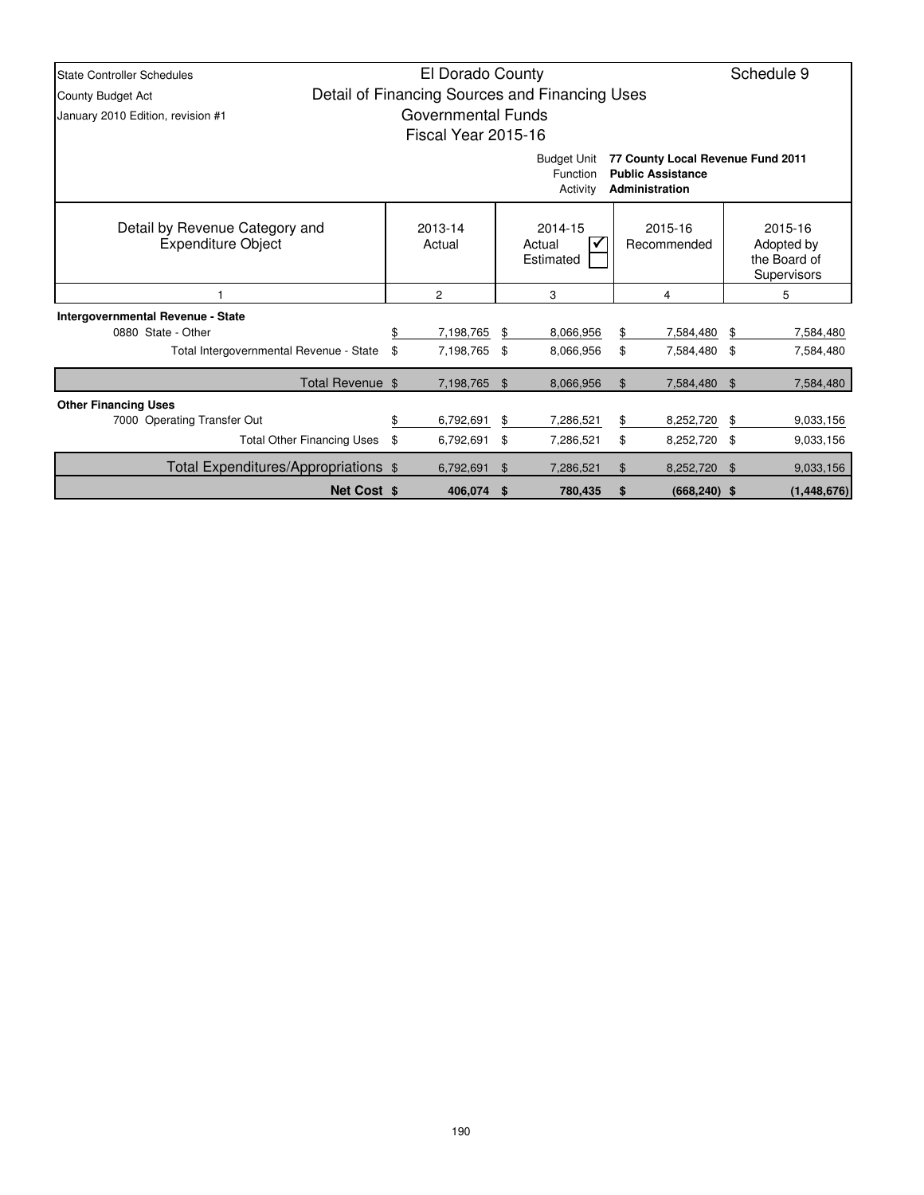| <b>State Controller Schedules</b>                           | El Dorado County                                                     |                   |                                |                                                |                        |                                                                                 |     |                                                             |  |  |  |
|-------------------------------------------------------------|----------------------------------------------------------------------|-------------------|--------------------------------|------------------------------------------------|------------------------|---------------------------------------------------------------------------------|-----|-------------------------------------------------------------|--|--|--|
| County Budget Act                                           |                                                                      |                   |                                | Detail of Financing Sources and Financing Uses |                        |                                                                                 |     |                                                             |  |  |  |
| January 2010 Edition, revision #1                           | <b>Governmental Funds</b>                                            |                   |                                |                                                |                        |                                                                                 |     |                                                             |  |  |  |
| Fiscal Year 2015-16                                         |                                                                      |                   |                                |                                                |                        |                                                                                 |     |                                                             |  |  |  |
|                                                             |                                                                      |                   |                                | <b>Budget Unit</b><br>Function<br>Activity     |                        | 77 County Local Revenue Fund 2011<br><b>Public Assistance</b><br>Administration |     |                                                             |  |  |  |
| Detail by Revenue Category and<br><b>Expenditure Object</b> |                                                                      | 2013-14<br>Actual | 2014-15<br>Actual<br>Estimated |                                                | 2015-16<br>Recommended |                                                                                 |     | 2015-16<br>Adopted by<br>the Board of<br><b>Supervisors</b> |  |  |  |
|                                                             |                                                                      | 2                 |                                | 3                                              |                        | 4                                                                               | 5   |                                                             |  |  |  |
| Intergovernmental Revenue - State                           |                                                                      |                   |                                |                                                |                        |                                                                                 |     |                                                             |  |  |  |
| 0880 State - Other                                          | \$                                                                   | 7,198,765         | \$                             | 8,066,956                                      | \$                     | 7,584,480                                                                       | \$  | 7,584,480                                                   |  |  |  |
| Total Intergovernmental Revenue - State                     | \$                                                                   | 7,198,765         | \$                             | 8,066,956                                      | \$                     | 7,584,480 \$                                                                    |     | 7,584,480                                                   |  |  |  |
| Total Revenue \$                                            |                                                                      | 7,198,765 \$      |                                | 8,066,956                                      | \$                     | 7,584,480 \$                                                                    |     | 7,584,480                                                   |  |  |  |
| <b>Other Financing Uses</b>                                 |                                                                      |                   |                                |                                                |                        |                                                                                 |     |                                                             |  |  |  |
| 7000 Operating Transfer Out                                 | \$                                                                   | 6,792,691         | \$                             | 7,286,521                                      | \$                     | 8,252,720                                                                       | \$  | 9,033,156                                                   |  |  |  |
| <b>Total Other Financing Uses</b>                           | \$                                                                   | 6,792,691         | \$                             | 7,286,521                                      | \$                     | 8,252,720 \$                                                                    |     | 9,033,156                                                   |  |  |  |
| Total Expenditures/Appropriations \$                        |                                                                      | 6,792,691         | $\mathfrak{F}$                 | 7,286,521                                      | \$                     | 8,252,720                                                                       | -\$ | 9,033,156                                                   |  |  |  |
|                                                             | <b>Net Cost \$</b><br>406,074 \$<br>780,435<br>\$<br>$(668, 240)$ \$ |                   |                                |                                                |                        |                                                                                 |     |                                                             |  |  |  |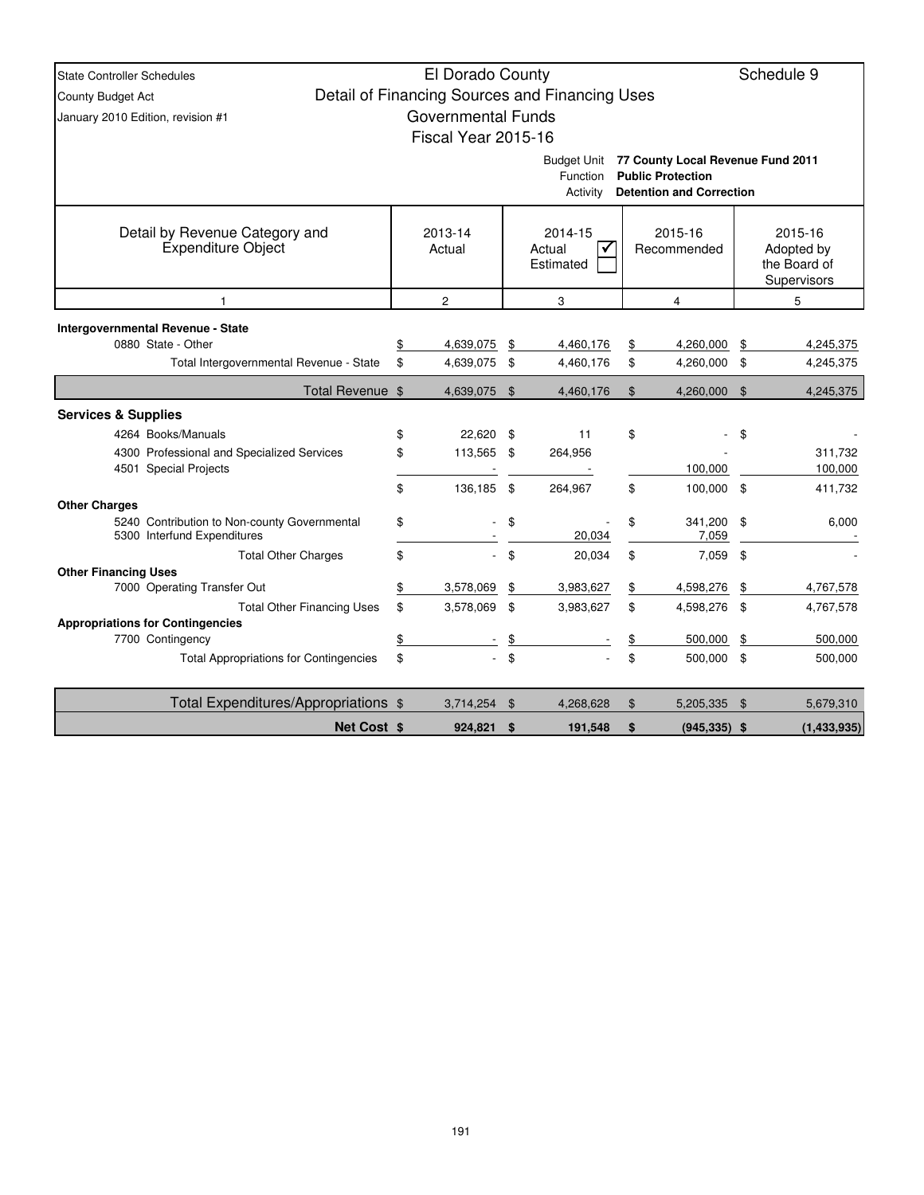| <b>State Controller Schedules</b>                           |                                             | Schedule 9                |    |                                                |         |                                   |               |                       |  |  |  |
|-------------------------------------------------------------|---------------------------------------------|---------------------------|----|------------------------------------------------|---------|-----------------------------------|---------------|-----------------------|--|--|--|
| County Budget Act                                           |                                             |                           |    | Detail of Financing Sources and Financing Uses |         |                                   |               |                       |  |  |  |
| January 2010 Edition, revision #1                           |                                             | <b>Governmental Funds</b> |    |                                                |         |                                   |               |                       |  |  |  |
|                                                             |                                             | Fiscal Year 2015-16       |    |                                                |         |                                   |               |                       |  |  |  |
|                                                             |                                             |                           |    | <b>Budget Unit</b>                             |         | 77 County Local Revenue Fund 2011 |               |                       |  |  |  |
|                                                             |                                             |                           |    | Function                                       |         | <b>Public Protection</b>          |               |                       |  |  |  |
|                                                             | Activity<br><b>Detention and Correction</b> |                           |    |                                                |         |                                   |               |                       |  |  |  |
|                                                             |                                             |                           |    |                                                |         |                                   |               |                       |  |  |  |
| Detail by Revenue Category and<br><b>Expenditure Object</b> |                                             | 2013-14<br>Actual         |    | 2014-15<br>Actual<br>✓                         |         | 2015-16<br>Recommended            |               | 2015-16<br>Adopted by |  |  |  |
|                                                             |                                             |                           |    | Estimated                                      |         |                                   |               | the Board of          |  |  |  |
|                                                             |                                             |                           |    |                                                |         |                                   |               | Supervisors           |  |  |  |
| 1                                                           |                                             | $\overline{2}$            |    | 3                                              |         | $\overline{4}$                    |               | 5                     |  |  |  |
| Intergovernmental Revenue - State                           |                                             |                           |    |                                                |         |                                   |               |                       |  |  |  |
| 0880 State - Other                                          | \$                                          | 4,639,075                 | \$ | 4,460,176                                      | \$      | 4,260,000                         | \$            | 4,245,375             |  |  |  |
| Total Intergovernmental Revenue - State                     | \$                                          | 4,639,075                 | \$ | 4,460,176                                      | \$      | 4,260,000 \$                      |               | 4,245,375             |  |  |  |
| Total Revenue \$                                            |                                             | 4,639,075                 | \$ | 4,460,176                                      | \$      | 4,260,000                         | \$            | 4,245,375             |  |  |  |
| <b>Services &amp; Supplies</b>                              |                                             |                           |    |                                                |         |                                   |               |                       |  |  |  |
| 4264 Books/Manuals                                          | \$                                          | 22,620                    | \$ | 11                                             | \$      |                                   | \$            |                       |  |  |  |
| 4300 Professional and Specialized Services                  | \$                                          | 113,565                   | \$ | 264,956                                        |         |                                   |               | 311,732               |  |  |  |
| 4501 Special Projects                                       |                                             |                           |    |                                                | 100,000 |                                   |               | 100,000               |  |  |  |
| <b>Other Charges</b>                                        | \$                                          | 136,185                   | \$ | 264,967                                        | \$      | 100,000 \$                        |               | 411,732               |  |  |  |
| 5240 Contribution to Non-county Governmental                | \$                                          |                           | \$ |                                                | \$      | 341,200                           | - \$          | 6,000                 |  |  |  |
| 5300 Interfund Expenditures                                 |                                             |                           |    | 20,034                                         |         | 7,059                             |               |                       |  |  |  |
| <b>Total Other Charges</b>                                  | \$                                          | $\mathcal{L}^{\pm}$       | \$ | 20,034                                         | \$      | 7,059                             | $\sqrt[6]{3}$ |                       |  |  |  |
| <b>Other Financing Uses</b><br>7000 Operating Transfer Out  | \$                                          | 3,578,069                 | \$ | 3,983,627                                      | \$      | 4,598,276                         | \$            | 4,767,578             |  |  |  |
| <b>Total Other Financing Uses</b>                           | \$                                          | 3,578,069                 | \$ | 3,983,627                                      | \$      | 4,598,276                         | - \$          | 4,767,578             |  |  |  |
| <b>Appropriations for Contingencies</b>                     |                                             |                           |    |                                                |         |                                   |               |                       |  |  |  |
| 7700 Contingency                                            | \$                                          |                           | \$ |                                                | \$      | 500,000                           | \$            | 500,000               |  |  |  |
| <b>Total Appropriations for Contingencies</b>               | \$                                          |                           | \$ |                                                | \$      | 500,000 \$                        |               | 500,000               |  |  |  |
| Total Expenditures/Appropriations \$                        |                                             | $3,714,254$ \$            |    | 4,268,628                                      | \$      | 5,205,335 \$                      |               | 5,679,310             |  |  |  |
| Net Cost \$                                                 |                                             | 924,821 \$                |    | 191,548                                        | \$      | $(945, 335)$ \$                   |               | (1,433,935)           |  |  |  |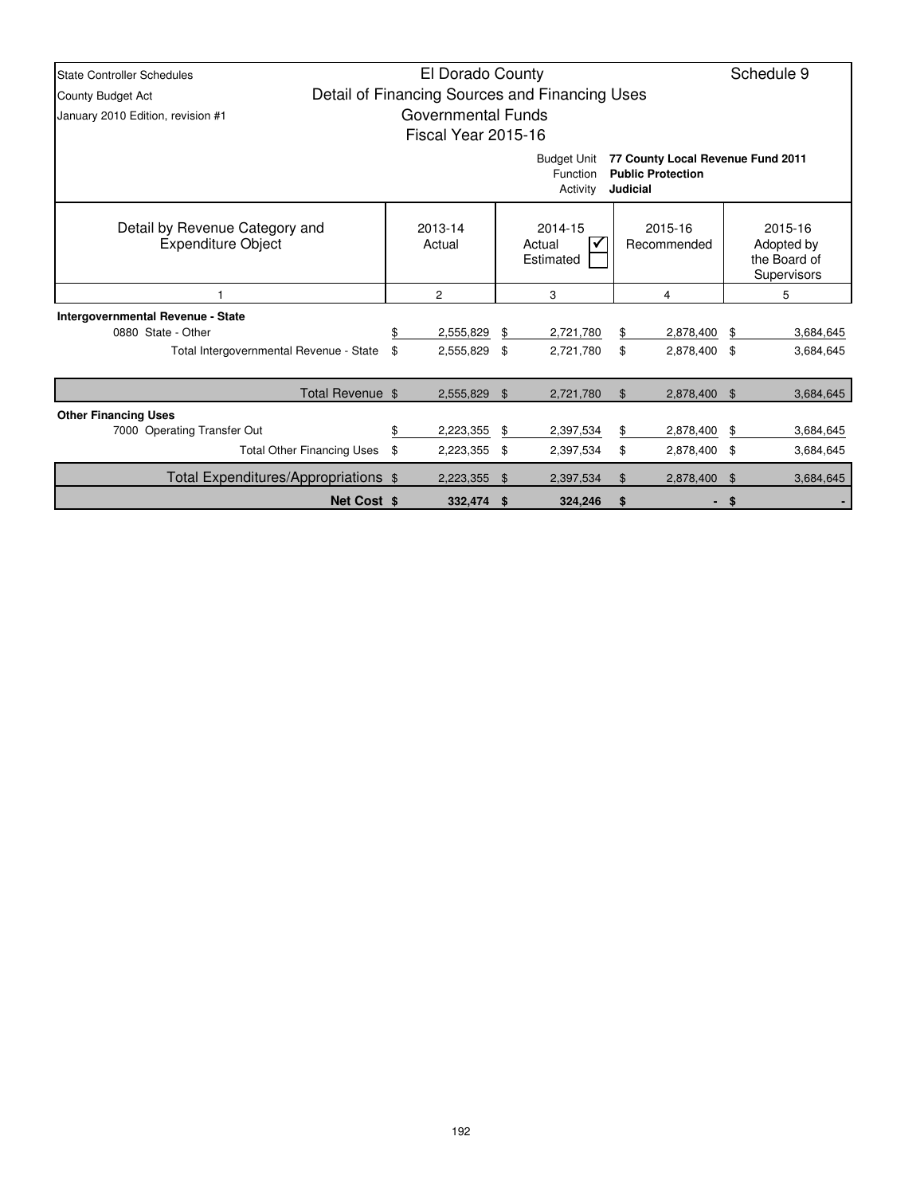| <b>State Controller Schedules</b>                                                                                       | El Dorado County                                    |                        |                |                                                |                        |                           |    |                                                      |  |  |  |
|-------------------------------------------------------------------------------------------------------------------------|-----------------------------------------------------|------------------------|----------------|------------------------------------------------|------------------------|---------------------------|----|------------------------------------------------------|--|--|--|
| County Budget Act                                                                                                       |                                                     |                        |                | Detail of Financing Sources and Financing Uses |                        |                           |    |                                                      |  |  |  |
| January 2010 Edition, revision #1                                                                                       |                                                     | Governmental Funds     |                |                                                |                        |                           |    |                                                      |  |  |  |
| Fiscal Year 2015-16                                                                                                     |                                                     |                        |                |                                                |                        |                           |    |                                                      |  |  |  |
| 77 County Local Revenue Fund 2011<br><b>Budget Unit</b><br><b>Public Protection</b><br>Function<br>Activity<br>Judicial |                                                     |                        |                |                                                |                        |                           |    |                                                      |  |  |  |
| Detail by Revenue Category and<br><b>Expenditure Object</b>                                                             | 2013-14<br>2014-15<br>Actual<br>Actual<br>Estimated |                        |                |                                                | 2015-16<br>Recommended |                           |    | 2015-16<br>Adopted by<br>the Board of<br>Supervisors |  |  |  |
|                                                                                                                         |                                                     | $\overline{c}$         |                | 3                                              | 4                      |                           | 5  |                                                      |  |  |  |
| <b>Intergovernmental Revenue - State</b><br>0880 State - Other<br>Total Intergovernmental Revenue - State               | \$.<br>\$                                           | 2,555,829<br>2,555,829 | \$<br>\$       | 2,721,780<br>2,721,780                         | \$<br>\$               | 2,878,400<br>2,878,400 \$ | \$ | 3,684,645<br>3,684,645                               |  |  |  |
| Total Revenue \$                                                                                                        |                                                     | 2,555,829              | \$             | 2,721,780                                      | \$                     | 2,878,400 \$              |    | 3,684,645                                            |  |  |  |
| <b>Other Financing Uses</b>                                                                                             |                                                     |                        |                |                                                |                        |                           |    |                                                      |  |  |  |
| 7000 Operating Transfer Out                                                                                             | \$                                                  | 2,223,355              | \$             | 2,397,534                                      | \$                     | 2,878,400                 | \$ | 3,684,645                                            |  |  |  |
| <b>Total Other Financing Uses</b>                                                                                       | \$                                                  | 2,223,355              | \$             | 2,397,534                                      | \$                     | 2,878,400 \$              |    | 3,684,645                                            |  |  |  |
| Total Expenditures/Appropriations \$                                                                                    |                                                     | 2,223,355              | $\mathfrak{F}$ | 2,397,534                                      | \$                     | 2,878,400                 | \$ | 3,684,645                                            |  |  |  |
| <b>Net Cost \$</b>                                                                                                      |                                                     | 332,474                | - \$           | 324,246                                        | \$                     | ۰                         | \$ |                                                      |  |  |  |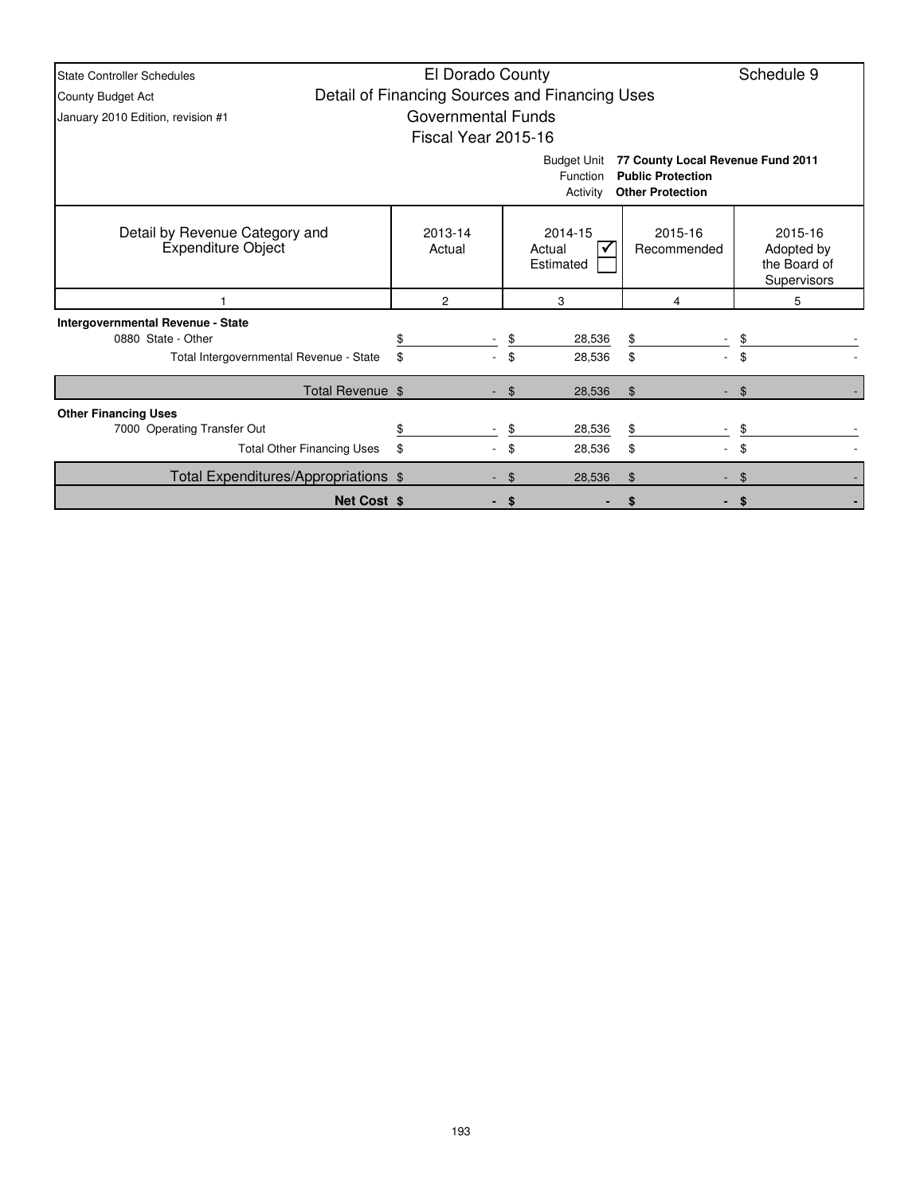| <b>State Controller Schedules</b>                                                                                                      | El Dorado County                               |      |                                |                        |                                                      |  |  |  |  |  |  |
|----------------------------------------------------------------------------------------------------------------------------------------|------------------------------------------------|------|--------------------------------|------------------------|------------------------------------------------------|--|--|--|--|--|--|
| County Budget Act                                                                                                                      | Detail of Financing Sources and Financing Uses |      |                                |                        |                                                      |  |  |  |  |  |  |
| January 2010 Edition, revision #1                                                                                                      | <b>Governmental Funds</b>                      |      |                                |                        |                                                      |  |  |  |  |  |  |
| Fiscal Year 2015-16                                                                                                                    |                                                |      |                                |                        |                                                      |  |  |  |  |  |  |
| 77 County Local Revenue Fund 2011<br><b>Budget Unit</b><br><b>Public Protection</b><br>Function<br><b>Other Protection</b><br>Activity |                                                |      |                                |                        |                                                      |  |  |  |  |  |  |
| Detail by Revenue Category and<br><b>Expenditure Object</b>                                                                            | 2013-14<br>Actual                              |      | 2014-15<br>Actual<br>Estimated | 2015-16<br>Recommended | 2015-16<br>Adopted by<br>the Board of<br>Supervisors |  |  |  |  |  |  |
|                                                                                                                                        | 2                                              |      | 3                              | 4                      | 5                                                    |  |  |  |  |  |  |
| Intergovernmental Revenue - State                                                                                                      |                                                |      |                                |                        |                                                      |  |  |  |  |  |  |
| 0880 State - Other                                                                                                                     |                                                | \$   | 28,536                         | \$                     | \$                                                   |  |  |  |  |  |  |
| Total Intergovernmental Revenue - State                                                                                                | \$                                             |      | 28,536                         | \$                     | \$                                                   |  |  |  |  |  |  |
| Total Revenue \$                                                                                                                       |                                                | \$   | 28,536                         | $\mathfrak{S}$         | \$                                                   |  |  |  |  |  |  |
| <b>Other Financing Uses</b>                                                                                                            |                                                |      |                                |                        |                                                      |  |  |  |  |  |  |
| 7000 Operating Transfer Out                                                                                                            |                                                | \$   | 28,536                         | \$                     |                                                      |  |  |  |  |  |  |
| <b>Total Other Financing Uses</b>                                                                                                      | \$                                             | \$   | 28,536                         | \$                     | \$                                                   |  |  |  |  |  |  |
| Total Expenditures/Appropriations \$                                                                                                   |                                                | \$   | 28,536                         | \$                     | \$                                                   |  |  |  |  |  |  |
| <b>Net Cost \$</b>                                                                                                                     |                                                | - \$ |                                |                        | -S                                                   |  |  |  |  |  |  |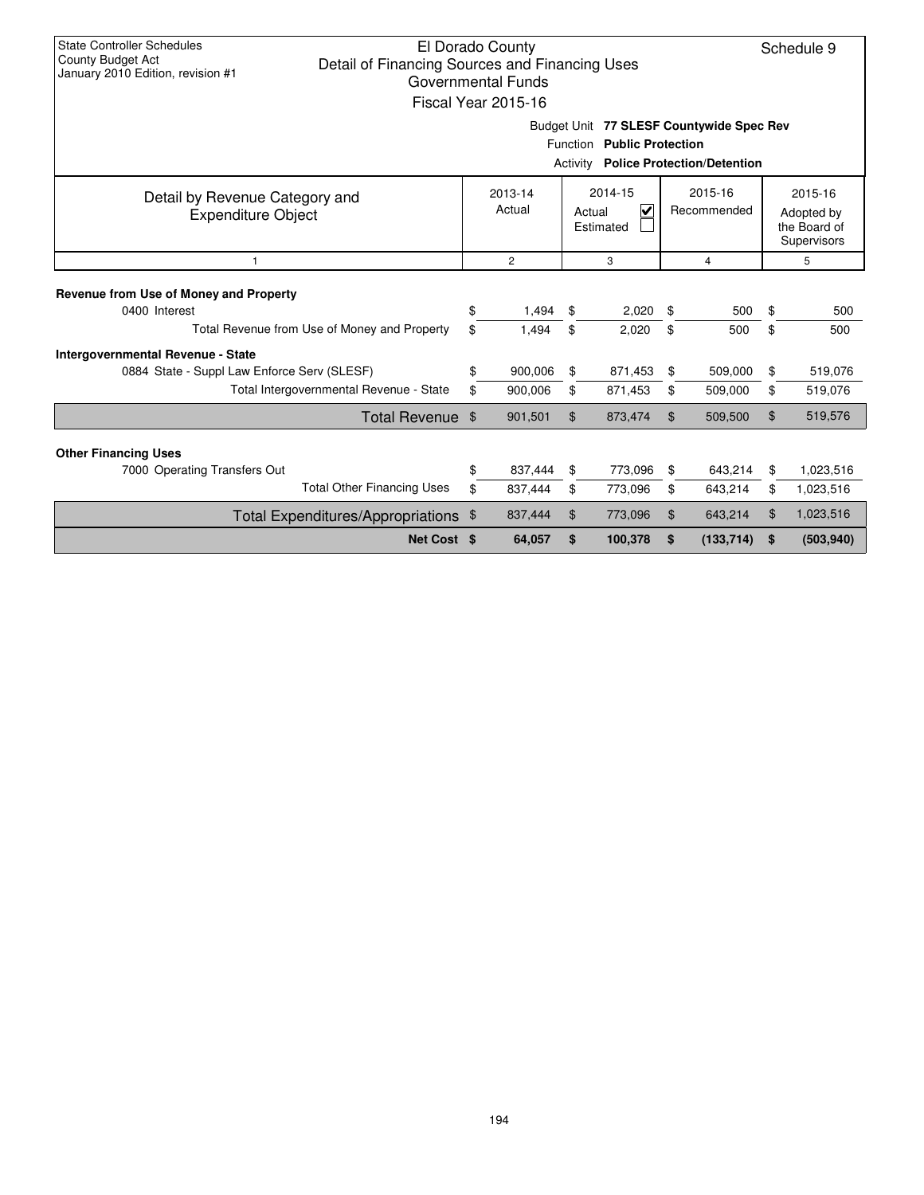| State Controller Schedules<br>El Dorado County<br>Schedule 9<br>County Budget Act<br>Detail of Financing Sources and Financing Uses<br>January 2010 Edition, revision #1<br>Governmental Funds<br>Fiscal Year 2015-16 |                   |                |    |                                     |                |                        |                |                                                             |  |  |  |
|-----------------------------------------------------------------------------------------------------------------------------------------------------------------------------------------------------------------------|-------------------|----------------|----|-------------------------------------|----------------|------------------------|----------------|-------------------------------------------------------------|--|--|--|
| Budget Unit 77 SLESF Countywide Spec Rev<br>Function Public Protection<br><b>Police Protection/Detention</b><br>Activity                                                                                              |                   |                |    |                                     |                |                        |                |                                                             |  |  |  |
| Detail by Revenue Category and<br><b>Expenditure Object</b>                                                                                                                                                           | 2013-14<br>Actual |                |    | 2014-15<br>V<br>Actual<br>Estimated |                | 2015-16<br>Recommended |                | 2015-16<br>Adopted by<br>the Board of<br><b>Supervisors</b> |  |  |  |
| $\mathbf{1}$                                                                                                                                                                                                          |                   | $\overline{c}$ |    | 3                                   |                | $\overline{4}$         |                | 5                                                           |  |  |  |
| Revenue from Use of Money and Property                                                                                                                                                                                |                   |                |    |                                     |                |                        |                |                                                             |  |  |  |
| 0400 Interest<br>Total Revenue from Use of Money and Property                                                                                                                                                         | \$<br>\$          | 1,494          | \$ | 2,020                               | \$             | 500                    | \$             | 500<br>500                                                  |  |  |  |
|                                                                                                                                                                                                                       |                   | 1,494          | \$ | 2,020                               | \$             | 500                    | \$             |                                                             |  |  |  |
| <b>Intergovernmental Revenue - State</b><br>0884 State - Suppl Law Enforce Serv (SLESF)                                                                                                                               | \$                | 900,006        | \$ | 871,453                             | \$             | 509,000                | \$             | 519,076                                                     |  |  |  |
| Total Intergovernmental Revenue - State                                                                                                                                                                               | \$                | 900,006        | \$ | 871,453                             | \$             | 509,000                | \$             | 519,076                                                     |  |  |  |
| Total Revenue \$                                                                                                                                                                                                      |                   | 901,501        | \$ | 873,474                             | $\mathfrak{L}$ | 509,500                | $\mathfrak{L}$ | 519,576                                                     |  |  |  |
| <b>Other Financing Uses</b>                                                                                                                                                                                           |                   |                |    |                                     |                |                        |                |                                                             |  |  |  |
| 7000 Operating Transfers Out                                                                                                                                                                                          | \$                | 837,444        | \$ | 773,096                             | \$             | 643.214                | \$             | 1,023,516                                                   |  |  |  |
| <b>Total Other Financing Uses</b>                                                                                                                                                                                     | \$                | 837,444        | \$ | 773,096                             | \$             | 643,214                | \$             | 1,023,516                                                   |  |  |  |
| Total Expenditures/Appropriations \$                                                                                                                                                                                  |                   | 837,444        | \$ | 773,096                             | \$             | 643,214                | \$             | 1,023,516                                                   |  |  |  |
| Net Cost \$                                                                                                                                                                                                           |                   | 64,057         | \$ | 100,378                             | \$             | (133, 714)             | \$             | (503, 940)                                                  |  |  |  |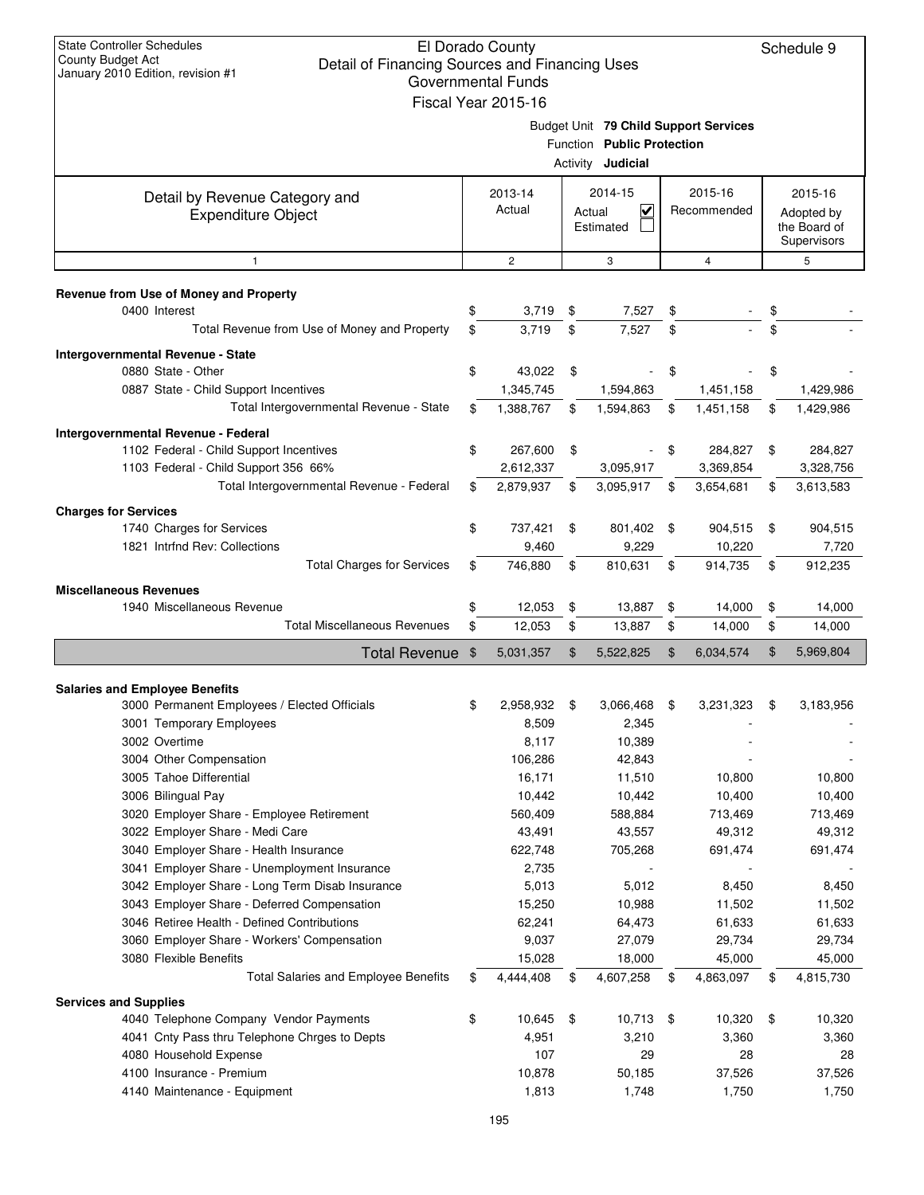| <b>State Controller Schedules</b><br>El Dorado County<br>Schedule 9<br><b>County Budget Act</b><br>Detail of Financing Sources and Financing Uses<br>January 2010 Edition, revision #1<br>Governmental Funds<br>Fiscal Year 2015-16 |    |                   |     |                                                        |    |                                       |    |                                                      |  |
|-------------------------------------------------------------------------------------------------------------------------------------------------------------------------------------------------------------------------------------|----|-------------------|-----|--------------------------------------------------------|----|---------------------------------------|----|------------------------------------------------------|--|
|                                                                                                                                                                                                                                     |    |                   |     | Function Public Protection<br>Activity <b>Judicial</b> |    | Budget Unit 79 Child Support Services |    |                                                      |  |
| Detail by Revenue Category and<br><b>Expenditure Object</b>                                                                                                                                                                         |    | 2013-14<br>Actual |     | 2014-15<br>V<br>Actual<br>Estimated                    |    | 2015-16<br>Recommended                |    | 2015-16<br>Adopted by<br>the Board of<br>Supervisors |  |
| $\mathbf{1}$                                                                                                                                                                                                                        |    | 2                 |     | 3                                                      |    | $\overline{4}$                        |    | 5                                                    |  |
| Revenue from Use of Money and Property<br>0400 Interest                                                                                                                                                                             | \$ | 3,719             | \$  | 7,527                                                  | \$ |                                       | \$ |                                                      |  |
| Total Revenue from Use of Money and Property                                                                                                                                                                                        | \$ | 3,719             | \$  | 7,527                                                  | \$ |                                       | \$ |                                                      |  |
| <b>Intergovernmental Revenue - State</b>                                                                                                                                                                                            |    |                   |     |                                                        |    |                                       |    |                                                      |  |
| 0880 State - Other                                                                                                                                                                                                                  | \$ | 43,022            | \$  |                                                        | \$ |                                       | \$ |                                                      |  |
| 0887 State - Child Support Incentives                                                                                                                                                                                               |    | 1,345,745         |     | 1,594,863                                              |    | 1,451,158                             |    | 1,429,986                                            |  |
| Total Intergovernmental Revenue - State                                                                                                                                                                                             | \$ | 1,388,767         | \$  | 1,594,863                                              | \$ | 1,451,158                             | \$ | 1,429,986                                            |  |
| Intergovernmental Revenue - Federal                                                                                                                                                                                                 |    |                   |     |                                                        |    |                                       |    |                                                      |  |
| 1102 Federal - Child Support Incentives                                                                                                                                                                                             | \$ | 267,600           | \$  | ÷,                                                     | \$ | 284,827                               | \$ | 284,827                                              |  |
| 1103 Federal - Child Support 356 66%                                                                                                                                                                                                |    | 2,612,337         |     | 3,095,917                                              |    | 3,369,854                             |    | 3,328,756                                            |  |
| Total Intergovernmental Revenue - Federal                                                                                                                                                                                           | \$ | 2,879,937         | \$  | 3,095,917                                              | \$ | 3,654,681                             | \$ | 3,613,583                                            |  |
| <b>Charges for Services</b>                                                                                                                                                                                                         |    |                   |     |                                                        |    |                                       |    |                                                      |  |
| 1740 Charges for Services                                                                                                                                                                                                           | \$ | 737,421           | -\$ | 801,402 \$                                             |    | 904,515                               | \$ | 904,515                                              |  |
| 1821 Intrind Rev: Collections                                                                                                                                                                                                       |    | 9,460             |     | 9,229                                                  |    | 10,220                                |    | 7,720                                                |  |
| <b>Total Charges for Services</b>                                                                                                                                                                                                   |    | 746,880           | \$  | 810,631                                                | \$ | 914,735                               | \$ | 912,235                                              |  |
| <b>Miscellaneous Revenues</b>                                                                                                                                                                                                       |    |                   |     |                                                        |    |                                       |    |                                                      |  |
| 1940 Miscellaneous Revenue                                                                                                                                                                                                          | \$ | 12,053            | \$  | 13,887                                                 | \$ | 14,000                                | \$ | 14,000                                               |  |
| <b>Total Miscellaneous Revenues</b>                                                                                                                                                                                                 | \$ | 12,053            | \$  | 13,887                                                 | \$ | 14,000                                | \$ | 14,000                                               |  |
| <b>Total Revenue</b>                                                                                                                                                                                                                | \$ | 5,031,357         | \$  | 5,522,825                                              | \$ | 6,034,574                             | \$ | 5,969,804                                            |  |
| <b>Salaries and Employee Benefits</b>                                                                                                                                                                                               |    |                   |     |                                                        |    |                                       |    |                                                      |  |
| 3000 Permanent Employees / Elected Officials                                                                                                                                                                                        | \$ | 2,958,932         | \$  | 3,066,468                                              | \$ | 3,231,323                             | \$ | 3,183,956                                            |  |
| 3001 Temporary Employees                                                                                                                                                                                                            |    | 8,509             |     | 2,345                                                  |    |                                       |    |                                                      |  |
| 3002 Overtime                                                                                                                                                                                                                       |    | 8,117             |     | 10,389                                                 |    |                                       |    |                                                      |  |
| 3004 Other Compensation                                                                                                                                                                                                             |    | 106,286           |     | 42,843                                                 |    |                                       |    |                                                      |  |
| 3005 Tahoe Differential                                                                                                                                                                                                             |    | 16,171            |     | 11,510                                                 |    | 10,800                                |    | 10,800                                               |  |
| 3006 Bilingual Pay                                                                                                                                                                                                                  |    | 10,442            |     | 10,442                                                 |    | 10,400                                |    | 10,400                                               |  |
| 3020 Employer Share - Employee Retirement                                                                                                                                                                                           |    | 560,409           |     | 588,884                                                |    | 713,469                               |    | 713,469                                              |  |
| 3022 Employer Share - Medi Care                                                                                                                                                                                                     |    | 43,491            |     | 43,557                                                 |    | 49,312                                |    | 49,312                                               |  |
| 3040 Employer Share - Health Insurance                                                                                                                                                                                              |    | 622,748           |     | 705,268                                                |    | 691,474                               |    | 691,474                                              |  |
| 3041 Employer Share - Unemployment Insurance                                                                                                                                                                                        |    | 2,735             |     |                                                        |    |                                       |    |                                                      |  |
| 3042 Employer Share - Long Term Disab Insurance                                                                                                                                                                                     |    | 5,013             |     | 5,012                                                  |    | 8,450                                 |    | 8,450                                                |  |
| 3043 Employer Share - Deferred Compensation                                                                                                                                                                                         |    | 15,250            |     | 10,988                                                 |    | 11,502                                |    | 11,502                                               |  |
| 3046 Retiree Health - Defined Contributions                                                                                                                                                                                         |    | 62,241            |     | 64,473                                                 |    | 61,633                                |    | 61,633                                               |  |
| 3060 Employer Share - Workers' Compensation                                                                                                                                                                                         |    | 9,037             |     | 27,079                                                 |    | 29,734                                |    | 29,734                                               |  |
| 3080 Flexible Benefits                                                                                                                                                                                                              |    | 15,028            |     | 18,000                                                 |    | 45,000                                |    | 45,000                                               |  |
| <b>Total Salaries and Employee Benefits</b>                                                                                                                                                                                         | \$ | 4,444,408         | \$  | 4,607,258                                              | \$ | 4,863,097                             | \$ | 4,815,730                                            |  |
| <b>Services and Supplies</b>                                                                                                                                                                                                        |    |                   |     |                                                        |    |                                       |    |                                                      |  |
| 4040 Telephone Company Vendor Payments                                                                                                                                                                                              | \$ | 10,645            | \$  | $10,713$ \$                                            |    | 10,320                                | \$ | 10,320                                               |  |
| 4041 Cnty Pass thru Telephone Chrges to Depts                                                                                                                                                                                       |    | 4,951             |     | 3,210                                                  |    | 3,360                                 |    | 3,360                                                |  |
| 4080 Household Expense                                                                                                                                                                                                              |    | 107               |     | 29                                                     |    | 28                                    |    | 28                                                   |  |
| 4100 Insurance - Premium<br>4140 Maintenance - Equipment                                                                                                                                                                            |    | 10,878<br>1,813   |     | 50,185<br>1,748                                        |    | 37,526<br>1,750                       |    | 37,526<br>1,750                                      |  |
|                                                                                                                                                                                                                                     |    |                   |     |                                                        |    |                                       |    |                                                      |  |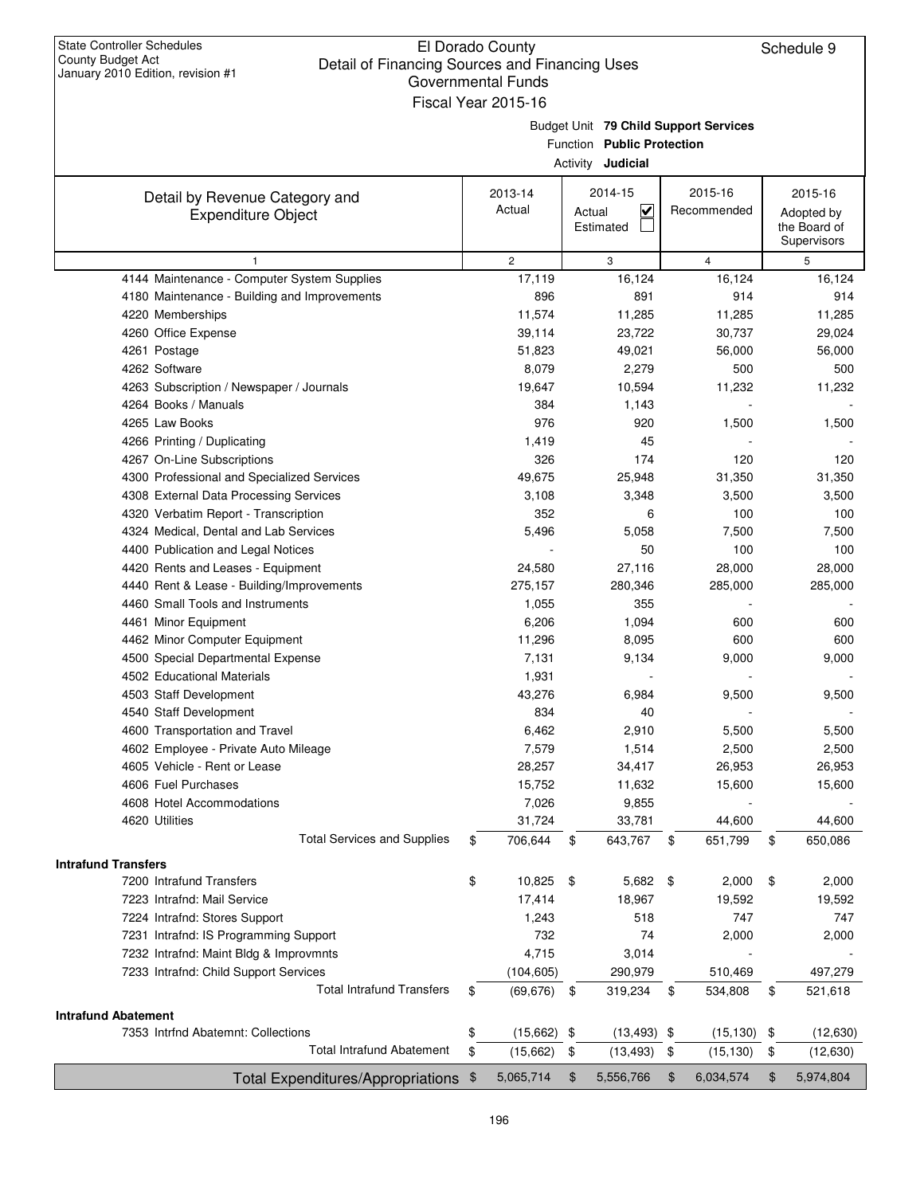|                                              |    | Governmental Funds      |        |                                       |     |                  |     |               |
|----------------------------------------------|----|-------------------------|--------|---------------------------------------|-----|------------------|-----|---------------|
|                                              |    | Fiscal Year 2015-16     |        |                                       |     |                  |     |               |
|                                              |    |                         |        | Budget Unit 79 Child Support Services |     |                  |     |               |
|                                              |    |                         |        | Function Public Protection            |     |                  |     |               |
|                                              |    |                         |        | Activity <b>Judicial</b>              |     |                  |     |               |
| Detail by Revenue Category and               |    | 2013-14                 |        | 2014-15                               |     | 2015-16          |     | 2015-16       |
| <b>Expenditure Object</b>                    |    | Actual                  | Actual | $\overline{\mathbf{v}}$               |     | Recommended      |     | Adopted by    |
|                                              |    |                         |        | Estimated                             |     |                  |     | the Board of  |
|                                              |    |                         |        |                                       |     |                  |     | Supervisors   |
| $\mathbf{1}$                                 |    | $\overline{\mathbf{c}}$ |        | 3                                     |     | $\overline{4}$   |     | 5             |
| 4144 Maintenance - Computer System Supplies  |    | 17,119                  |        | 16,124                                |     | 16,124           |     | 16,124        |
| 4180 Maintenance - Building and Improvements |    | 896                     |        | 891                                   |     | 914              |     | 914           |
| 4220 Memberships                             |    | 11,574                  |        | 11,285                                |     | 11,285           |     | 11,285        |
| 4260 Office Expense                          |    | 39,114<br>51,823        |        | 23,722<br>49,021                      |     | 30,737<br>56,000 |     | 29,024        |
| 4261 Postage<br>4262 Software                |    | 8,079                   |        | 2,279                                 |     | 500              |     | 56,000<br>500 |
| 4263 Subscription / Newspaper / Journals     |    | 19,647                  |        | 10,594                                |     | 11,232           |     | 11,232        |
| 4264 Books / Manuals                         |    | 384                     |        | 1,143                                 |     |                  |     |               |
| 4265 Law Books                               |    | 976                     |        | 920                                   |     | 1,500            |     | 1,500         |
| 4266 Printing / Duplicating                  |    | 1,419                   |        | 45                                    |     |                  |     |               |
| 4267 On-Line Subscriptions                   |    | 326                     |        | 174                                   |     | 120              |     | 120           |
| 4300 Professional and Specialized Services   |    | 49,675                  |        | 25,948                                |     | 31,350           |     | 31,350        |
| 4308 External Data Processing Services       |    | 3,108                   |        | 3,348                                 |     | 3,500            |     | 3,500         |
| 4320 Verbatim Report - Transcription         |    | 352                     |        | 6                                     |     | 100              |     | 100           |
| 4324 Medical, Dental and Lab Services        |    | 5,496                   |        | 5,058                                 |     | 7,500            |     | 7,500         |
| 4400 Publication and Legal Notices           |    |                         |        | 50                                    |     | 100              |     | 100           |
| 4420 Rents and Leases - Equipment            |    | 24,580                  |        | 27,116                                |     | 28,000           |     | 28,000        |
| 4440 Rent & Lease - Building/Improvements    |    | 275,157                 |        | 280,346                               |     | 285,000          |     | 285,000       |
| 4460 Small Tools and Instruments             |    | 1,055                   |        | 355                                   |     |                  |     |               |
| 4461 Minor Equipment                         |    | 6,206                   |        | 1,094                                 |     | 600              |     | 600           |
| 4462 Minor Computer Equipment                |    | 11,296                  |        | 8,095                                 |     | 600              |     | 600           |
| 4500 Special Departmental Expense            |    | 7,131                   |        | 9,134                                 |     | 9,000            |     | 9,000         |
| 4502 Educational Materials                   |    | 1,931                   |        |                                       |     |                  |     |               |
| 4503 Staff Development                       |    | 43,276                  |        | 6,984                                 |     | 9,500            |     | 9,500         |
| 4540 Staff Development                       |    | 834                     |        | 40                                    |     |                  |     |               |
| 4600 Transportation and Travel               |    | 6,462                   |        | 2,910                                 |     | 5,500            |     | 5,500         |
| 4602 Employee - Private Auto Mileage         |    | 7,579                   |        | 1,514                                 |     | 2,500            |     | 2,500         |
| 4605 Vehicle - Rent or Lease                 |    | 28,257                  |        | 34,417                                |     | 26,953           |     | 26,953        |
| 4606 Fuel Purchases                          |    | 15,752                  |        | 11,632                                |     | 15,600           |     | 15,600        |
| 4608 Hotel Accommodations                    |    | 7,026                   |        | 9,855                                 |     |                  |     |               |
| 4620 Utilities                               |    | 31,724                  |        | 33,781                                |     | 44,600           |     | 44,600        |
| <b>Total Services and Supplies</b>           | \$ | 706,644                 | \$     | 643,767 \$                            |     | 651,799          | \$  | 650,086       |
| <b>Intrafund Transfers</b>                   |    |                         |        |                                       |     |                  |     |               |
| 7200 Intrafund Transfers                     | \$ | 10,825                  | - \$   | 5,682 \$                              |     | 2,000            | -\$ | 2,000         |
| 7223 Intrafnd: Mail Service                  |    | 17,414                  |        | 18,967                                |     | 19,592           |     | 19,592        |
| 7224 Intrafnd: Stores Support                |    | 1,243                   |        | 518                                   |     | 747              |     | 747           |
| 7231 Intrafnd: IS Programming Support        |    | 732                     |        | 74                                    |     | 2,000            |     | 2,000         |
| 7232 Intrafnd: Maint Bldg & Improvmnts       |    | 4,715                   |        | 3,014                                 |     |                  |     |               |
| 7233 Intrafnd: Child Support Services        |    | (104, 605)              |        | 290,979                               |     | 510,469          |     | 497,279       |
| <b>Total Intrafund Transfers</b>             | S  | (69, 676)               | - \$   | 319,234                               | \$  | 534,808          | \$  | 521,618       |
| <b>Intrafund Abatement</b>                   |    |                         |        |                                       |     |                  |     |               |
| 7353 Intrfnd Abatemnt: Collections           | \$ | $(15,662)$ \$           |        | $(13, 493)$ \$                        |     | $(15, 130)$ \$   |     | (12,630)      |
| <b>Total Intrafund Abatement</b>             | \$ | (15,662)                | \$     | (13, 493)                             | -\$ | (15, 130)        | \$  | (12,630)      |
| Total Expenditures/Appropriations \$         |    | 5,065,714               | \$     | 5,556,766                             | \$  | 6,034,574        | \$  | 5,974,804     |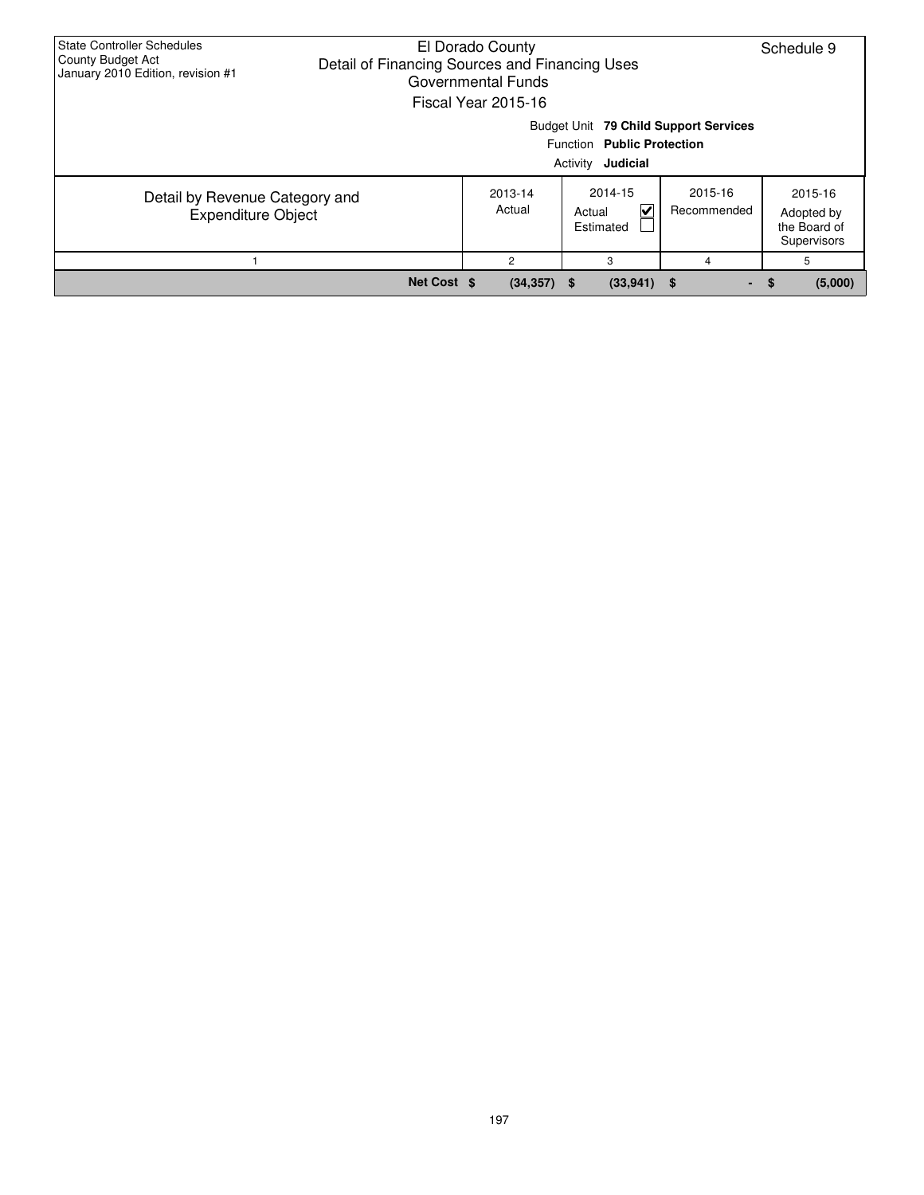| <b>State Controller Schedules</b><br>County Budget Act<br>January 2010 Edition, revision #1     | El Dorado County<br>Schedule 9<br>Detail of Financing Sources and Financing Uses<br>Governmental Funds<br>Fiscal Year 2015-16 |                          |                                     |                        |                                                      |  |  |  |  |  |  |
|-------------------------------------------------------------------------------------------------|-------------------------------------------------------------------------------------------------------------------------------|--------------------------|-------------------------------------|------------------------|------------------------------------------------------|--|--|--|--|--|--|
| Budget Unit 79 Child Support Services<br>Function Public Protection<br>Activity <b>Judicial</b> |                                                                                                                               |                          |                                     |                        |                                                      |  |  |  |  |  |  |
| Detail by Revenue Category and<br><b>Expenditure Object</b>                                     |                                                                                                                               | 2013-14<br>Actual        | 2014-15<br>V<br>Actual<br>Estimated | 2015-16<br>Recommended | 2015-16<br>Adopted by<br>the Board of<br>Supervisors |  |  |  |  |  |  |
|                                                                                                 |                                                                                                                               | $\overline{2}$<br>3<br>4 |                                     |                        |                                                      |  |  |  |  |  |  |
|                                                                                                 | Net Cost \$                                                                                                                   | $(34, 357)$ \$           | $(33,941)$ \$                       | $\sim$                 | (5,000)<br>- \$                                      |  |  |  |  |  |  |